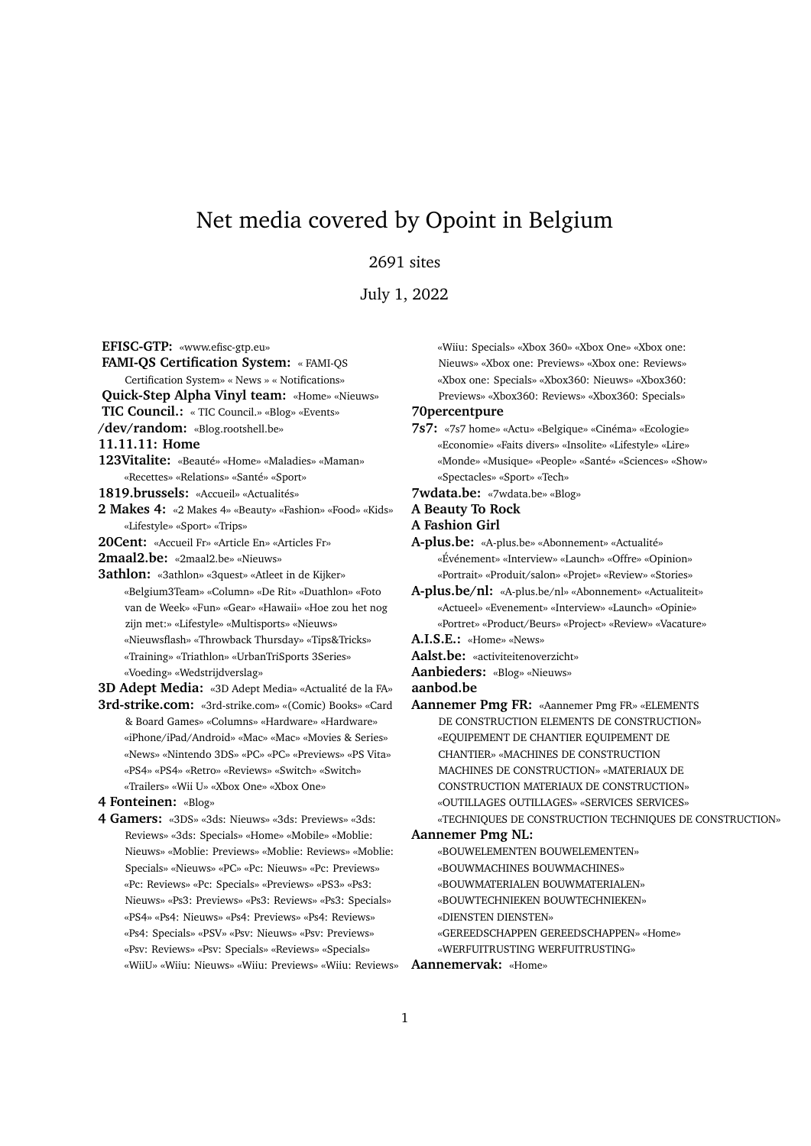# Net media covered by Opoint in Belgium

# 2691 sites

July 1, 2022

**EFISC-GTP:** «www.efisc-gtp.eu» **FAMI-QS Certification System:** « FAMI-QS Certification System» « News » « Notifications» **Quick-Step Alpha Vinyl team:** «Home» «Nieuws» **TIC Council.:** « TIC Council.» «Blog» «Events» **/dev/random:** «Blog.rootshell.be» **11.11.11: Home 123Vitalite:** «Beauté» «Home» «Maladies» «Maman» «Recettes» «Relations» «Santé» «Sport» **1819.brussels:** «Accueil» «Actualités» **2 Makes 4:** «2 Makes 4» «Beauty» «Fashion» «Food» «Kids» «Lifestyle» «Sport» «Trips» **20Cent:** «Accueil Fr» «Article En» «Articles Fr» **2maal2.be:** «2maal2.be» «Nieuws» **3athlon:** «3athlon» «3quest» «Atleet in de Kijker» «Belgium3Team» «Column» «De Rit» «Duathlon» «Foto van de Week» «Fun» «Gear» «Hawaii» «Hoe zou het nog zijn met:» «Lifestyle» «Multisports» «Nieuws» «Nieuwsflash» «Throwback Thursday» «Tips&Tricks» «Training» «Triathlon» «UrbanTriSports 3Series» «Voeding» «Wedstrijdverslag» **3D Adept Media:** «3D Adept Media» «Actualité de la FA» **3rd-strike.com:** «3rd-strike.com» «(Comic) Books» «Card & Board Games» «Columns» «Hardware» «Hardware» «iPhone/iPad/Android» «Mac» «Mac» «Movies & Series» «News» «Nintendo 3DS» «PC» «PC» «Previews» «PS Vita» «PS4» «PS4» «Retro» «Reviews» «Switch» «Switch» «Trailers» «Wii U» «Xbox One» «Xbox One» **4 Fonteinen:** «Blog» **4 Gamers:** «3DS» «3ds: Nieuws» «3ds: Previews» «3ds: Reviews» «3ds: Specials» «Home» «Mobile» «Moblie: Nieuws» «Moblie: Previews» «Moblie: Reviews» «Moblie: Specials» «Nieuws» «PC» «Pc: Nieuws» «Pc: Previews» «Pc: Reviews» «Pc: Specials» «Previews» «PS3» «Ps3: Nieuws» «Ps3: Previews» «Ps3: Reviews» «Ps3: Specials» «PS4» «Ps4: Nieuws» «Ps4: Previews» «Ps4: Reviews» «Ps4: Specials» «PSV» «Psv: Nieuws» «Psv: Previews» «Psv: Reviews» «Psv: Specials» «Reviews» «Specials»

«WiiU» «Wiiu: Nieuws» «Wiiu: Previews» «Wiiu: Reviews» **Aannemervak:** «Home»

«Wiiu: Specials» «Xbox 360» «Xbox One» «Xbox one: Nieuws» «Xbox one: Previews» «Xbox one: Reviews» «Xbox one: Specials» «Xbox360: Nieuws» «Xbox360: Previews» «Xbox360: Reviews» «Xbox360: Specials»

# **70percentpure**

**7s7:** «7s7 home» «Actu» «Belgique» «Cinéma» «Ecologie» «Economie» «Faits divers» «Insolite» «Lifestyle» «Lire» «Monde» «Musique» «People» «Santé» «Sciences» «Show» «Spectacles» «Sport» «Tech»

**7wdata.be:** «7wdata.be» «Blog»

#### **A Beauty To Rock**

**A Fashion Girl**

**A-plus.be:** «A-plus.be» «Abonnement» «Actualité» «Événement» «Interview» «Launch» «Offre» «Opinion» «Portrait» «Produit/salon» «Projet» «Review» «Stories»

**A-plus.be/nl:** «A-plus.be/nl» «Abonnement» «Actualiteit» «Actueel» «Evenement» «Interview» «Launch» «Opinie» «Portret» «Product/Beurs» «Project» «Review» «Vacature»

- **A.I.S.E.:** «Home» «News»
- **Aalst.be:** «activiteitenoverzicht»
- **Aanbieders:** «Blog» «Nieuws»

#### **aanbod.be**

**Aannemer Pmg FR:** «Aannemer Pmg FR» «ELEMENTS DE CONSTRUCTION ELEMENTS DE CONSTRUCTION» «EQUIPEMENT DE CHANTIER EQUIPEMENT DE CHANTIER» «MACHINES DE CONSTRUCTION MACHINES DE CONSTRUCTION» «MATERIAUX DE CONSTRUCTION MATERIAUX DE CONSTRUCTION» «OUTILLAGES OUTILLAGES» «SERVICES SERVICES» «TECHNIQUES DE CONSTRUCTION TECHNIQUES DE CONSTRUCTION»

#### **Aannemer Pmg NL:**

- «BOUWELEMENTEN BOUWELEMENTEN»
- «BOUWMACHINES BOUWMACHINES»
- «BOUWMATERIALEN BOUWMATERIALEN»
- «BOUWTECHNIEKEN BOUWTECHNIEKEN»
- «DIENSTEN DIENSTEN»
- «GEREEDSCHAPPEN GEREEDSCHAPPEN» «Home»
- «WERFUITRUSTING WERFUITRUSTING»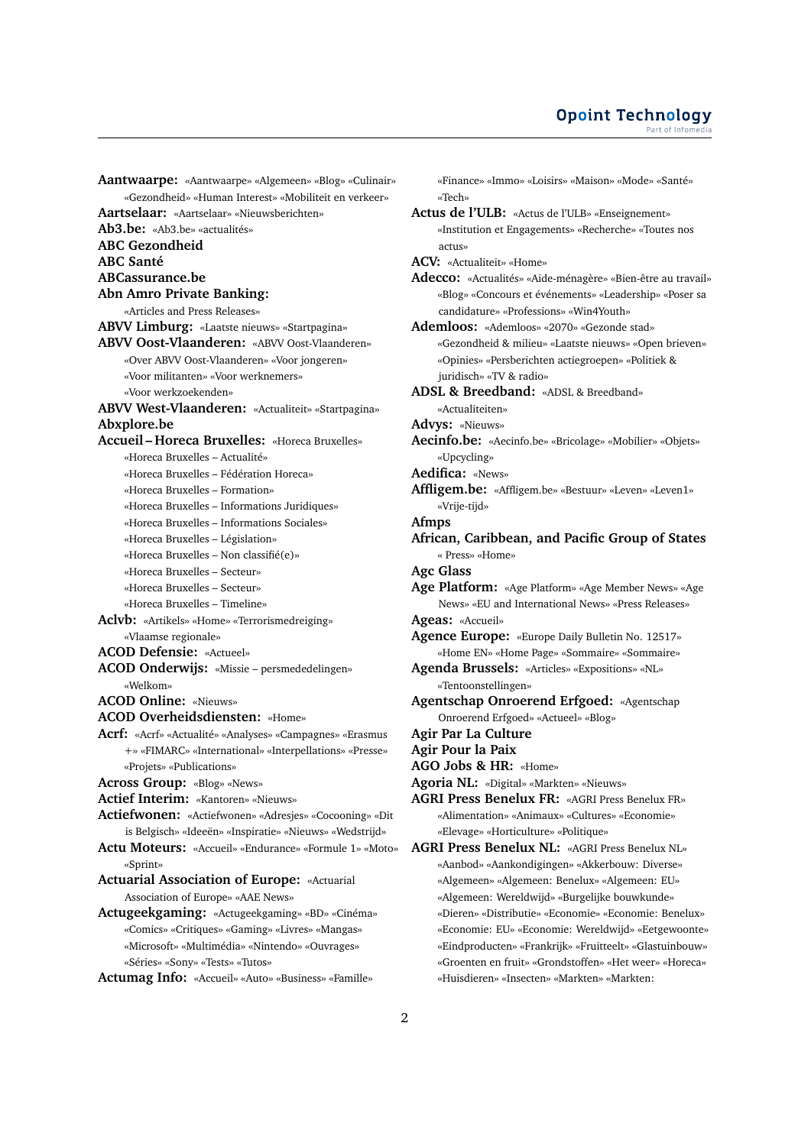**Aantwaarpe:** «Aantwaarpe» «Algemeen» «Blog» «Culinair» «Gezondheid» «Human Interest» «Mobiliteit en verkeer» **Aartselaar:** «Aartselaar» «Nieuwsberichten» **Ab3.be:** «Ab3.be» «actualités» **ABC Gezondheid ABC Santé ABCassurance.be Abn Amro Private Banking:** «Articles and Press Releases» **ABVV Limburg:** «Laatste nieuws» «Startpagina» **ABVV Oost-Vlaanderen:** «ABVV Oost-Vlaanderen» «Over ABVV Oost-Vlaanderen» «Voor jongeren» «Voor militanten» «Voor werknemers» «Voor werkzoekenden» **ABVV West-Vlaanderen:** «Actualiteit» «Startpagina» **Abxplore.be Accueil – Horeca Bruxelles:** «Horeca Bruxelles» «Horeca Bruxelles – Actualité» «Horeca Bruxelles – Fédération Horeca» «Horeca Bruxelles – Formation» «Horeca Bruxelles – Informations Juridiques» «Horeca Bruxelles – Informations Sociales» «Horeca Bruxelles – Législation» «Horeca Bruxelles – Non classifié(e)» «Horeca Bruxelles – Secteur» «Horeca Bruxelles – Secteur» «Horeca Bruxelles – Timeline» **Aclvb:** «Artikels» «Home» «Terrorismedreiging» «Vlaamse regionale» **ACOD Defensie:** «Actueel» **ACOD Onderwijs:** «Missie – persmededelingen» «Welkom» **ACOD Online:** «Nieuws» **ACOD Overheidsdiensten:** «Home» **Acrf:** «Acrf» «Actualité» «Analyses» «Campagnes» «Erasmus +» «FIMARC» «International» «Interpellations» «Presse» «Projets» «Publications» **Across Group:** «Blog» «News» **Actief Interim:** «Kantoren» «Nieuws» **Actiefwonen:** «Actiefwonen» «Adresjes» «Cocooning» «Dit is Belgisch» «Ideeën» «Inspiratie» «Nieuws» «Wedstrijd» **Actu Moteurs:** «Accueil» «Endurance» «Formule 1» «Moto» «Sprint» **Actuarial Association of Europe:** «Actuarial Association of Europe» «AAE News» **Actugeekgaming:** «Actugeekgaming» «BD» «Cinéma» «Comics» «Critiques» «Gaming» «Livres» «Mangas» «Microsoft» «Multimédia» «Nintendo» «Ouvrages» «Séries» «Sony» «Tests» «Tutos» **Actumag Info:** «Accueil» «Auto» «Business» «Famille»

«Finance» «Immo» «Loisirs» «Maison» «Mode» «Santé» «Tech» **Actus de l'ULB:** «Actus de l'ULB» «Enseignement» «Institution et Engagements» «Recherche» «Toutes nos actus» **ACV:** «Actualiteit» «Home» **Adecco:** «Actualités» «Aide-ménagère» «Bien-être au travail» «Blog» «Concours et événements» «Leadership» «Poser sa candidature» «Professions» «Win4Youth» **Ademloos:** «Ademloos» «2070» «Gezonde stad» «Gezondheid & milieu» «Laatste nieuws» «Open brieven» «Opinies» «Persberichten actiegroepen» «Politiek & juridisch» «TV & radio» **ADSL & Breedband:** «ADSL & Breedband» «Actualiteiten» **Advys:** «Nieuws» **Aecinfo.be:** «Aecinfo.be» «Bricolage» «Mobilier» «Objets» «Upcycling» **Aedifica:** «News» **Affligem.be:** «Affligem.be» «Bestuur» «Leven» «Leven1» «Vrije-tijd» **Afmps African, Caribbean, and Pacific Group of States** « Press» «Home» **Agc Glass Age Platform:** «Age Platform» «Age Member News» «Age News» «EU and International News» «Press Releases» **Ageas:** «Accueil» **Agence Europe:** «Europe Daily Bulletin No. 12517» «Home EN» «Home Page» «Sommaire» «Sommaire» **Agenda Brussels:** «Articles» «Expositions» «NL» «Tentoonstellingen» **Agentschap Onroerend Erfgoed:** «Agentschap Onroerend Erfgoed» «Actueel» «Blog» **Agir Par La Culture Agir Pour la Paix AGO Jobs & HR:** «Home» **Agoria NL:** «Digital» «Markten» «Nieuws» **AGRI Press Benelux FR:** «AGRI Press Benelux FR» «Alimentation» «Animaux» «Cultures» «Economie» «Elevage» «Horticulture» «Politique» **AGRI Press Benelux NL:** «AGRI Press Benelux NL» «Aanbod» «Aankondigingen» «Akkerbouw: Diverse» «Algemeen» «Algemeen: Benelux» «Algemeen: EU» «Algemeen: Wereldwijd» «Burgelijke bouwkunde» «Dieren» «Distributie» «Economie» «Economie: Benelux» «Economie: EU» «Economie: Wereldwijd» «Eetgewoonte» «Eindproducten» «Frankrijk» «Fruitteelt» «Glastuinbouw»

«Groenten en fruit» «Grondstoffen» «Het weer» «Horeca»

«Huisdieren» «Insecten» «Markten» «Markten: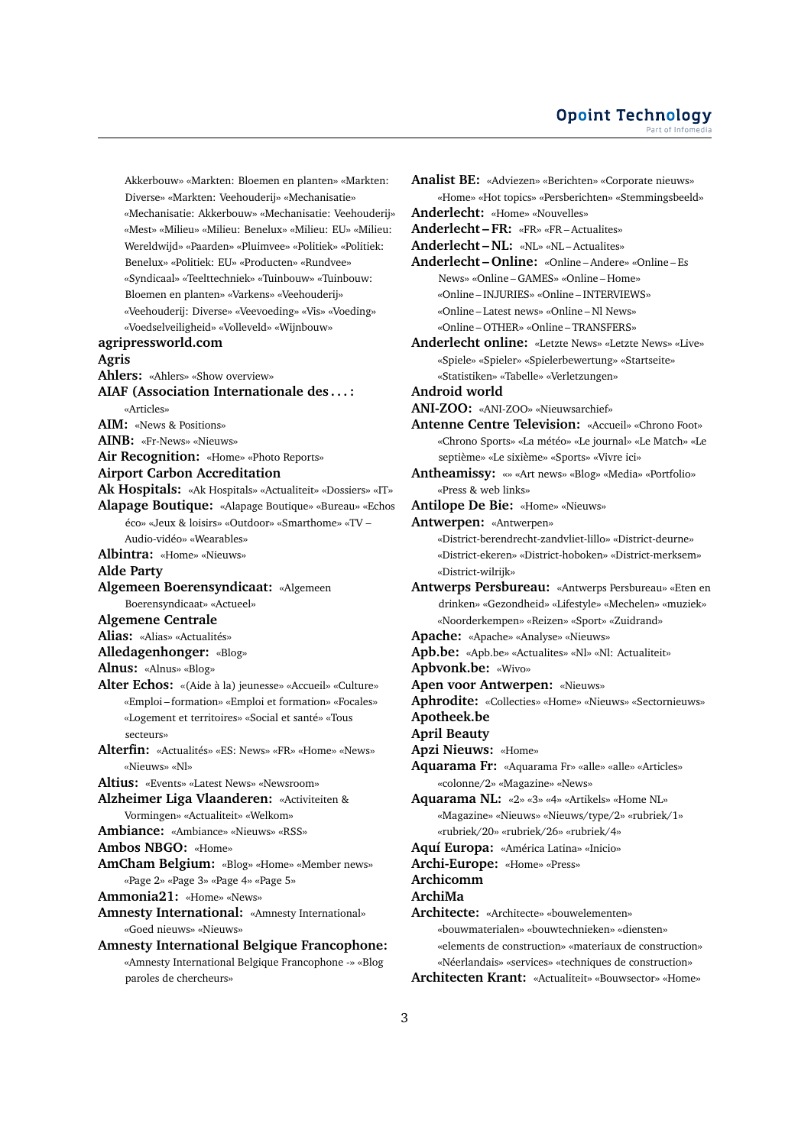Akkerbouw» «Markten: Bloemen en planten» «Markten: Diverse» «Markten: Veehouderij» «Mechanisatie» «Mechanisatie: Akkerbouw» «Mechanisatie: Veehouderij» «Mest» «Milieu» «Milieu: Benelux» «Milieu: EU» «Milieu: Wereldwijd» «Paarden» «Pluimvee» «Politiek» «Politiek: Benelux» «Politiek: EU» «Producten» «Rundvee» «Syndicaal» «Teelttechniek» «Tuinbouw» «Tuinbouw: Bloemen en planten» «Varkens» «Veehouderij» «Veehouderij: Diverse» «Veevoeding» «Vis» «Voeding» «Voedselveiligheid» «Volleveld» «Wijnbouw» **agripressworld.com Agris Ahlers:** «Ahlers» «Show overview» **AIAF (Association Internationale des . . . :** «Articles» **AIM:** «News & Positions» **AINB:** «Fr-News» «Nieuws» **Air Recognition:** «Home» «Photo Reports» **Airport Carbon Accreditation Ak Hospitals:** «Ak Hospitals» «Actualiteit» «Dossiers» «IT» **Alapage Boutique:** «Alapage Boutique» «Bureau» «Echos éco» «Jeux & loisirs» «Outdoor» «Smarthome» «TV – Audio-vidéo» «Wearables» **Albintra:** «Home» «Nieuws» **Alde Party Algemeen Boerensyndicaat:** «Algemeen Boerensyndicaat» «Actueel» **Algemene Centrale Alias:** «Alias» «Actualités» **Alledagenhonger:** «Blog» **Alnus:** «Alnus» «Blog» **Alter Echos:** «(Aide à la) jeunesse» «Accueil» «Culture» «Emploi – formation» «Emploi et formation» «Focales» «Logement et territoires» «Social et santé» «Tous secteurs» **Alterfin:** «Actualités» «ES: News» «FR» «Home» «News» «Nieuws» «Nl» **Altius:** «Events» «Latest News» «Newsroom» **Alzheimer Liga Vlaanderen:** «Activiteiten & Vormingen» «Actualiteit» «Welkom» **Ambiance:** «Ambiance» «Nieuws» «RSS» **Ambos NBGO:** «Home» **AmCham Belgium:** «Blog» «Home» «Member news» «Page 2» «Page 3» «Page 4» «Page 5» **Ammonia21:** «Home» «News» **Amnesty International:** «Amnesty International» «Goed nieuws» «Nieuws» **Amnesty International Belgique Francophone:**

«Amnesty International Belgique Francophone -» «Blog paroles de chercheurs»

**Analist BE:** «Adviezen» «Berichten» «Corporate nieuws» «Home» «Hot topics» «Persberichten» «Stemmingsbeeld» **Anderlecht:** «Home» «Nouvelles» **Anderlecht – FR:** «FR» «FR – Actualites» **Anderlecht – NL:** «NL» «NL – Actualites» **Anderlecht – Online:** «Online – Andere» «Online – Es News» «Online – GAMES» «Online – Home» «Online – INJURIES» «Online – INTERVIEWS» «Online – Latest news» «Online – Nl News» «Online – OTHER» «Online – TRANSFERS» **Anderlecht online:** «Letzte News» «Letzte News» «Live» «Spiele» «Spieler» «Spielerbewertung» «Startseite» «Statistiken» «Tabelle» «Verletzungen» **Android world ANI-ZOO:** «ANI-ZOO» «Nieuwsarchief» **Antenne Centre Television:** «Accueil» «Chrono Foot» «Chrono Sports» «La météo» «Le journal» «Le Match» «Le septième» «Le sixième» «Sports» «Vivre ici» **Antheamissy:** «» «Art news» «Blog» «Media» «Portfolio» «Press & web links» **Antilope De Bie:** «Home» «Nieuws» **Antwerpen:** «Antwerpen» «District-berendrecht-zandvliet-lillo» «District-deurne» «District-ekeren» «District-hoboken» «District-merksem» «District-wilrijk» **Antwerps Persbureau:** «Antwerps Persbureau» «Eten en drinken» «Gezondheid» «Lifestyle» «Mechelen» «muziek» «Noorderkempen» «Reizen» «Sport» «Zuidrand» **Apache:** «Apache» «Analyse» «Nieuws» **Apb.be:** «Apb.be» «Actualites» «Nl» «Nl: Actualiteit» **Apbvonk.be:** «Wivo» **Apen voor Antwerpen:** «Nieuws» **Aphrodite:** «Collecties» «Home» «Nieuws» «Sectornieuws» **Apotheek.be April Beauty Apzi Nieuws:** «Home» **Aquarama Fr:** «Aquarama Fr» «alle» «alle» «Articles» «colonne/2» «Magazine» «News» **Aquarama NL:** «2» «3» «4» «Artikels» «Home NL» «Magazine» «Nieuws» «Nieuws/type/2» «rubriek/1» «rubriek/20» «rubriek/26» «rubriek/4» **Aquí Europa:** «América Latina» «Inicio» **Archi-Europe:** «Home» «Press» **Archicomm ArchiMa Architecte:** «Architecte» «bouwelementen» «bouwmaterialen» «bouwtechnieken» «diensten» «elements de construction» «materiaux de construction» «Néerlandais» «services» «techniques de construction» **Architecten Krant:** «Actualiteit» «Bouwsector» «Home»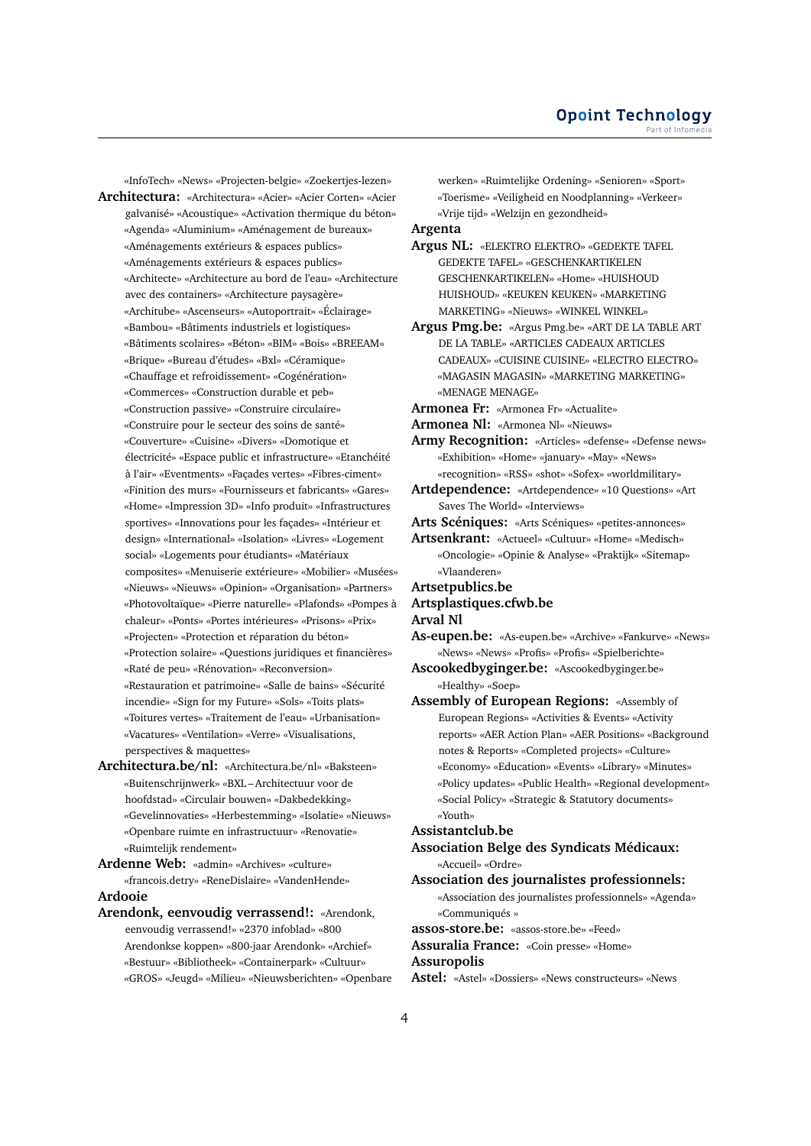«InfoTech» «News» «Projecten-belgie» «Zoekertjes-lezen» **Architectura:** «Architectura» «Acier» «Acier Corten» «Acier galvanisé» «Acoustique» «Activation thermique du béton» «Agenda» «Aluminium» «Aménagement de bureaux» «Aménagements extérieurs & espaces publics» «Aménagements extérieurs & espaces publics» «Architecte» «Architecture au bord de l'eau» «Architecture avec des containers» «Architecture paysagère» «Architube» «Ascenseurs» «Autoportrait» «Éclairage» «Bambou» «Bâtiments industriels et logistiques» «Bâtiments scolaires» «Béton» «BIM» «Bois» «BREEAM» «Brique» «Bureau d'études» «Bxl» «Céramique» «Chauffage et refroidissement» «Cogénération» «Commerces» «Construction durable et peb» «Construction passive» «Construire circulaire» «Construire pour le secteur des soins de santé» «Couverture» «Cuisine» «Divers» «Domotique et électricité» «Espace public et infrastructure» «Etanchéité à l'air» «Eventments» «Façades vertes» «Fibres-ciment» «Finition des murs» «Fournisseurs et fabricants» «Gares» «Home» «Impression 3D» «Info produit» «Infrastructures sportives» «Innovations pour les façades» «Intérieur et design» «International» «Isolation» «Livres» «Logement social» «Logements pour étudiants» «Matériaux composites» «Menuiserie extérieure» «Mobilier» «Musées» «Nieuws» «Nieuws» «Opinion» «Organisation» «Partners» «Photovoltaïque» «Pierre naturelle» «Plafonds» «Pompes à chaleur» «Ponts» «Portes intérieures» «Prisons» «Prix» «Projecten» «Protection et réparation du béton» «Protection solaire» «Questions juridiques et financières» «Raté de peu» «Rénovation» «Reconversion» «Restauration et patrimoine» «Salle de bains» «Sécurité incendie» «Sign for my Future» «Sols» «Toits plats» «Toitures vertes» «Traitement de l'eau» «Urbanisation» «Vacatures» «Ventilation» «Verre» «Visualisations, perspectives & maquettes» **Architectura.be/nl:** «Architectura.be/nl» «Baksteen»

«Buitenschrijnwerk» «BXL – Architectuur voor de hoofdstad» «Circulair bouwen» «Dakbedekking» «Gevelinnovaties» «Herbestemming» «Isolatie» «Nieuws» «Openbare ruimte en infrastructuur» «Renovatie» «Ruimtelijk rendement»

**Ardenne Web:** «admin» «Archives» «culture» «francois.detry» «ReneDislaire» «VandenHende» **Ardooie**

**Arendonk, eenvoudig verrassend!:** «Arendonk, eenvoudig verrassend!» «2370 infoblad» «800 Arendonkse koppen» «800-jaar Arendonk» «Archief» «Bestuur» «Bibliotheek» «Containerpark» «Cultuur» «GROS» «Jeugd» «Milieu» «Nieuwsberichten» «Openbare werken» «Ruimtelijke Ordening» «Senioren» «Sport» «Toerisme» «Veiligheid en Noodplanning» «Verkeer» «Vrije tijd» «Welzijn en gezondheid»

**Argenta**

- **Argus NL:** «ELEKTRO ELEKTRO» «GEDEKTE TAFEL GEDEKTE TAFEL» «GESCHENKARTIKELEN GESCHENKARTIKELEN» «Home» «HUISHOUD HUISHOUD» «KEUKEN KEUKEN» «MARKETING MARKETING» «Nieuws» «WINKEL WINKEL»
- **Argus Pmg.be:** «Argus Pmg.be» «ART DE LA TABLE ART DE LA TABLE» «ARTICLES CADEAUX ARTICLES CADEAUX» «CUISINE CUISINE» «ELECTRO ELECTRO» «MAGASIN MAGASIN» «MARKETING MARKETING» «MENAGE MENAGE»

**Armonea Fr:** «Armonea Fr» «Actualite»

- **Armonea Nl:** «Armonea Nl» «Nieuws»
- **Army Recognition:** «Articles» «defense» «Defense news» «Exhibition» «Home» «january» «May» «News» «recognition» «RSS» «shot» «Sofex» «worldmilitary»
- **Artdependence:** «Artdependence» «10 Questions» «Art Saves The World» «Interviews»

**Arts Scéniques:** «Arts Scéniques» «petites-annonces»

**Artsenkrant:** «Actueel» «Cultuur» «Home» «Medisch» «Oncologie» «Opinie & Analyse» «Praktijk» «Sitemap» «Vlaanderen»

**Artsetpublics.be**

**Artsplastiques.cfwb.be**

**Arval Nl**

**As-eupen.be:** «As-eupen.be» «Archive» «Fankurve» «News» «News» «News» «Profis» «Profis» «Spielberichte»

**Ascookedbyginger.be:** «Ascookedbyginger.be» «Healthy» «Soep»

**Assembly of European Regions:** «Assembly of European Regions» «Activities & Events» «Activity reports» «AER Action Plan» «AER Positions» «Background notes & Reports» «Completed projects» «Culture» «Economy» «Education» «Events» «Library» «Minutes» «Policy updates» «Public Health» «Regional development» «Social Policy» «Strategic & Statutory documents» «Youth»

#### **Assistantclub.be**

**Association Belge des Syndicats Médicaux:** «Accueil» «Ordre»

**Association des journalistes professionnels:** «Association des journalistes professionnels» «Agenda» «Communiqués »

**assos-store.be:** «assos-store.be» «Feed»

**Assuralia France:** «Coin presse» «Home»

# **Assuropolis**

**Astel:** «Astel» «Dossiers» «News constructeurs» «News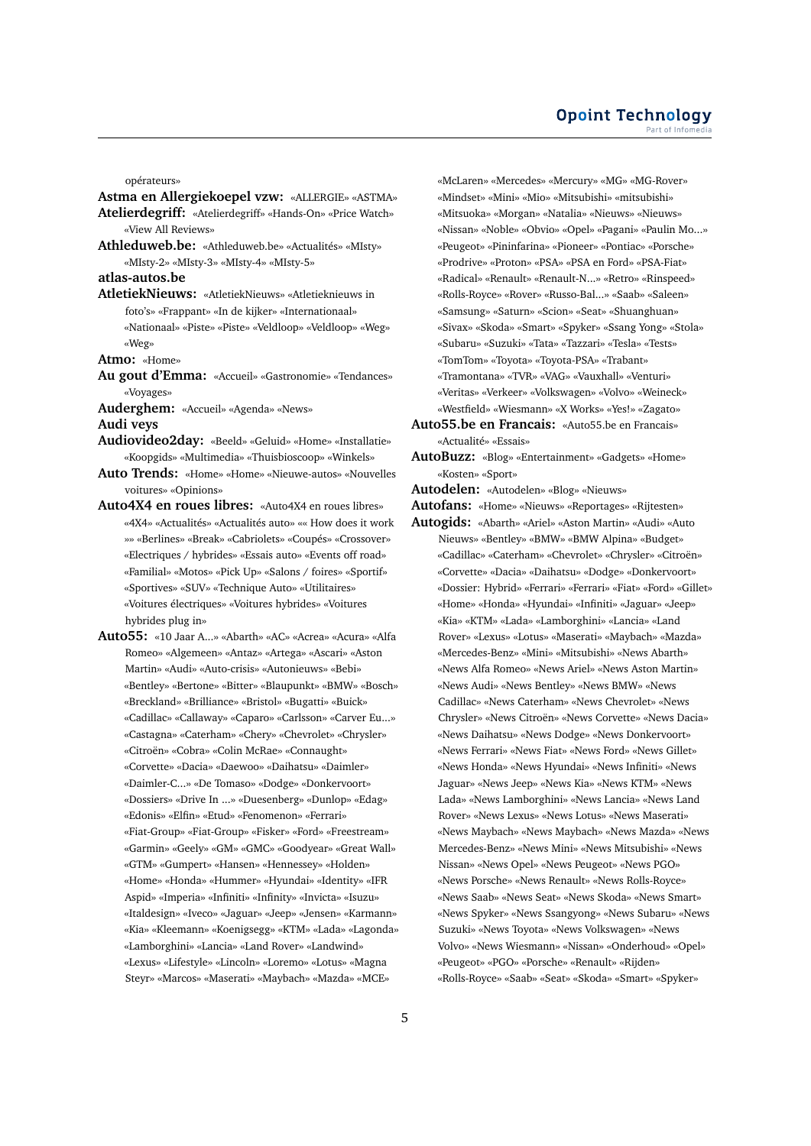opérateurs»

- **Astma en Allergiekoepel vzw:** «ALLERGIE» «ASTMA» **Atelierdegriff:** «Atelierdegriff» «Hands-On» «Price Watch» «View All Reviews»
- **Athleduweb.be:** «Athleduweb.be» «Actualités» «MIsty» «MIsty-2» «MIsty-3» «MIsty-4» «MIsty-5»

#### **atlas-autos.be**

**AtletiekNieuws:** «AtletiekNieuws» «Atletieknieuws in foto's» «Frappant» «In de kijker» «Internationaal» «Nationaal» «Piste» «Piste» «Veldloop» «Veldloop» «Weg» «Weg»

#### **Atmo:** «Home»

- **Au gout d'Emma:** «Accueil» «Gastronomie» «Tendances» «Voyages»
- **Auderghem:** «Accueil» «Agenda» «News»

#### **Audi veys**

- **Audiovideo2day:** «Beeld» «Geluid» «Home» «Installatie» «Koopgids» «Multimedia» «Thuisbioscoop» «Winkels»
- **Auto Trends:** «Home» «Home» «Nieuwe-autos» «Nouvelles voitures» «Opinions»
- **Auto4X4 en roues libres:** «Auto4X4 en roues libres» «4X4» «Actualités» «Actualités auto» «« How does it work »» «Berlines» «Break» «Cabriolets» «Coupés» «Crossover» «Electriques / hybrides» «Essais auto» «Events off road» «Familial» «Motos» «Pick Up» «Salons / foires» «Sportif» «Sportives» «SUV» «Technique Auto» «Utilitaires» «Voitures électriques» «Voitures hybrides» «Voitures hybrides plug in»
- **Auto55:** «10 Jaar A...» «Abarth» «AC» «Acrea» «Acura» «Alfa Romeo» «Algemeen» «Antaz» «Artega» «Ascari» «Aston Martin» «Audi» «Auto-crisis» «Autonieuws» «Bebi» «Bentley» «Bertone» «Bitter» «Blaupunkt» «BMW» «Bosch» «Breckland» «Brilliance» «Bristol» «Bugatti» «Buick» «Cadillac» «Callaway» «Caparo» «Carlsson» «Carver Eu...» «Castagna» «Caterham» «Chery» «Chevrolet» «Chrysler» «Citroën» «Cobra» «Colin McRae» «Connaught» «Corvette» «Dacia» «Daewoo» «Daihatsu» «Daimler» «Daimler-C...» «De Tomaso» «Dodge» «Donkervoort» «Dossiers» «Drive In ...» «Duesenberg» «Dunlop» «Edag» «Edonis» «Elfin» «Etud» «Fenomenon» «Ferrari» «Fiat-Group» «Fiat-Group» «Fisker» «Ford» «Freestream» «Garmin» «Geely» «GM» «GMC» «Goodyear» «Great Wall» «GTM» «Gumpert» «Hansen» «Hennessey» «Holden» «Home» «Honda» «Hummer» «Hyundai» «Identity» «IFR Aspid» «Imperia» «Infiniti» «Infinity» «Invicta» «Isuzu» «Italdesign» «Iveco» «Jaguar» «Jeep» «Jensen» «Karmann» «Kia» «Kleemann» «Koenigsegg» «KTM» «Lada» «Lagonda» «Lamborghini» «Lancia» «Land Rover» «Landwind» «Lexus» «Lifestyle» «Lincoln» «Loremo» «Lotus» «Magna Steyr» «Marcos» «Maserati» «Maybach» «Mazda» «MCE»

«McLaren» «Mercedes» «Mercury» «MG» «MG-Rover» «Mindset» «Mini» «Mio» «Mitsubishi» «mitsubishi» «Mitsuoka» «Morgan» «Natalia» «Nieuws» «Nieuws» «Nissan» «Noble» «Obvio» «Opel» «Pagani» «Paulin Mo...» «Peugeot» «Pininfarina» «Pioneer» «Pontiac» «Porsche» «Prodrive» «Proton» «PSA» «PSA en Ford» «PSA-Fiat» «Radical» «Renault» «Renault-N...» «Retro» «Rinspeed» «Rolls-Royce» «Rover» «Russo-Bal...» «Saab» «Saleen» «Samsung» «Saturn» «Scion» «Seat» «Shuanghuan» «Sivax» «Skoda» «Smart» «Spyker» «Ssang Yong» «Stola» «Subaru» «Suzuki» «Tata» «Tazzari» «Tesla» «Tests» «TomTom» «Toyota» «Toyota-PSA» «Trabant» «Tramontana» «TVR» «VAG» «Vauxhall» «Venturi» «Veritas» «Verkeer» «Volkswagen» «Volvo» «Weineck» «Westfield» «Wiesmann» «X Works» «Yes!» «Zagato»

- **Auto55.be en Francais:** «Auto55.be en Francais» «Actualité» «Essais»
- **AutoBuzz:** «Blog» «Entertainment» «Gadgets» «Home» «Kosten» «Sport»

**Autodelen:** «Autodelen» «Blog» «Nieuws»

- **Autofans:** «Home» «Nieuws» «Reportages» «Rijtesten»
- **Autogids:** «Abarth» «Ariel» «Aston Martin» «Audi» «Auto Nieuws» «Bentley» «BMW» «BMW Alpina» «Budget» «Cadillac» «Caterham» «Chevrolet» «Chrysler» «Citroën» «Corvette» «Dacia» «Daihatsu» «Dodge» «Donkervoort» «Dossier: Hybrid» «Ferrari» «Ferrari» «Fiat» «Ford» «Gillet» «Home» «Honda» «Hyundai» «Infiniti» «Jaguar» «Jeep» «Kia» «KTM» «Lada» «Lamborghini» «Lancia» «Land Rover» «Lexus» «Lotus» «Maserati» «Maybach» «Mazda» «Mercedes-Benz» «Mini» «Mitsubishi» «News Abarth» «News Alfa Romeo» «News Ariel» «News Aston Martin» «News Audi» «News Bentley» «News BMW» «News Cadillac» «News Caterham» «News Chevrolet» «News Chrysler» «News Citroën» «News Corvette» «News Dacia» «News Daihatsu» «News Dodge» «News Donkervoort» «News Ferrari» «News Fiat» «News Ford» «News Gillet» «News Honda» «News Hyundai» «News Infiniti» «News Jaguar» «News Jeep» «News Kia» «News KTM» «News Lada» «News Lamborghini» «News Lancia» «News Land Rover» «News Lexus» «News Lotus» «News Maserati» «News Maybach» «News Maybach» «News Mazda» «News Mercedes-Benz» «News Mini» «News Mitsubishi» «News Nissan» «News Opel» «News Peugeot» «News PGO» «News Porsche» «News Renault» «News Rolls-Royce» «News Saab» «News Seat» «News Skoda» «News Smart» «News Spyker» «News Ssangyong» «News Subaru» «News Suzuki» «News Toyota» «News Volkswagen» «News Volvo» «News Wiesmann» «Nissan» «Onderhoud» «Opel» «Peugeot» «PGO» «Porsche» «Renault» «Rijden» «Rolls-Royce» «Saab» «Seat» «Skoda» «Smart» «Spyker»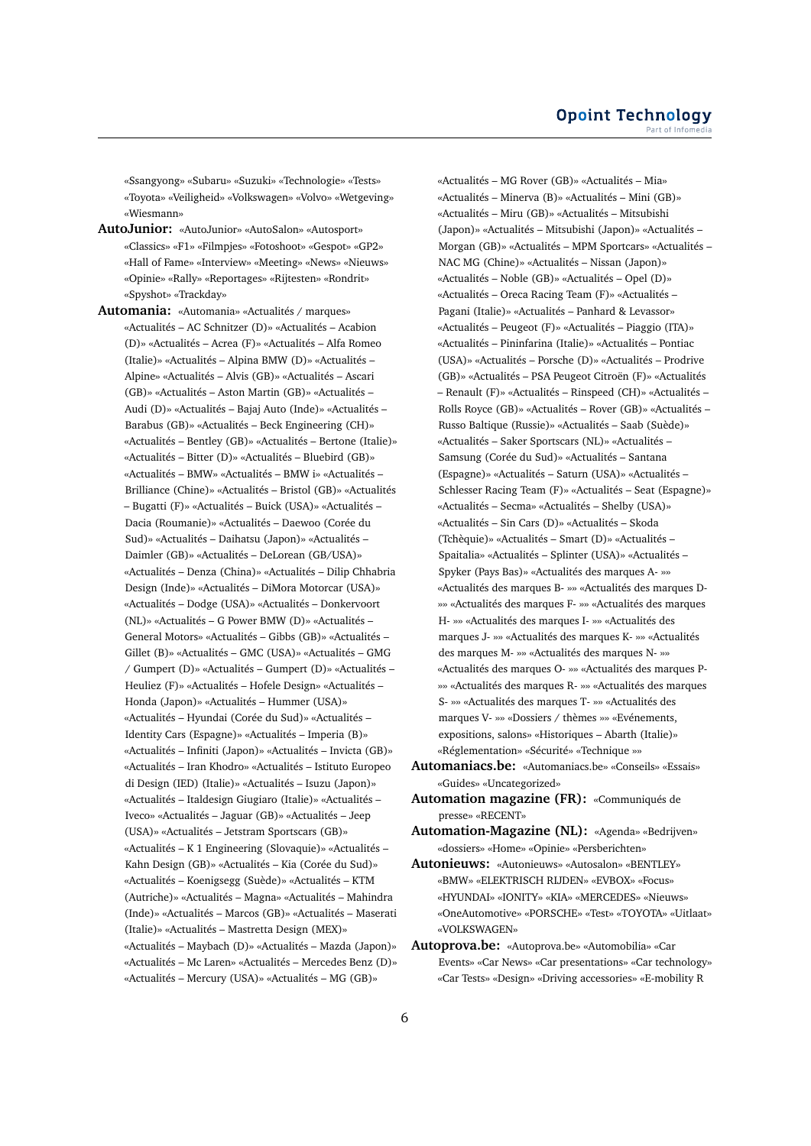«Ssangyong» «Subaru» «Suzuki» «Technologie» «Tests» «Toyota» «Veiligheid» «Volkswagen» «Volvo» «Wetgeving» «Wiesmann»

- **AutoJunior:** «AutoJunior» «AutoSalon» «Autosport» «Classics» «F1» «Filmpjes» «Fotoshoot» «Gespot» «GP2» «Hall of Fame» «Interview» «Meeting» «News» «Nieuws» «Opinie» «Rally» «Reportages» «Rijtesten» «Rondrit» «Spyshot» «Trackday»
- **Automania:** «Automania» «Actualités / marques» «Actualités – AC Schnitzer (D)» «Actualités – Acabion (D)» «Actualités – Acrea (F)» «Actualités – Alfa Romeo (Italie)» «Actualités – Alpina BMW (D)» «Actualités – Alpine» «Actualités – Alvis (GB)» «Actualités – Ascari (GB)» «Actualités – Aston Martin (GB)» «Actualités – Audi (D)» «Actualités – Bajaj Auto (Inde)» «Actualités – Barabus (GB)» «Actualités – Beck Engineering (CH)» «Actualités – Bentley (GB)» «Actualités – Bertone (Italie)» «Actualités – Bitter (D)» «Actualités – Bluebird (GB)» «Actualités – BMW» «Actualités – BMW i» «Actualités – Brilliance (Chine)» «Actualités – Bristol (GB)» «Actualités – Bugatti (F)» «Actualités – Buick (USA)» «Actualités – Dacia (Roumanie)» «Actualités – Daewoo (Corée du Sud)» «Actualités – Daihatsu (Japon)» «Actualités – Daimler (GB)» «Actualités – DeLorean (GB/USA)» «Actualités – Denza (China)» «Actualités – Dilip Chhabria Design (Inde)» «Actualités – DiMora Motorcar (USA)» «Actualités – Dodge (USA)» «Actualités – Donkervoort (NL)» «Actualités – G Power BMW (D)» «Actualités – General Motors» «Actualités – Gibbs (GB)» «Actualités – Gillet (B)» «Actualités – GMC (USA)» «Actualités – GMG / Gumpert (D)» «Actualités – Gumpert (D)» «Actualités – Heuliez (F)» «Actualités – Hofele Design» «Actualités – Honda (Japon)» «Actualités – Hummer (USA)» «Actualités – Hyundai (Corée du Sud)» «Actualités – Identity Cars (Espagne)» «Actualités – Imperia (B)» «Actualités – Infiniti (Japon)» «Actualités – Invicta (GB)» «Actualités – Iran Khodro» «Actualités – Istituto Europeo di Design (IED) (Italie)» «Actualités – Isuzu (Japon)» «Actualités – Italdesign Giugiaro (Italie)» «Actualités – Iveco» «Actualités – Jaguar (GB)» «Actualités – Jeep (USA)» «Actualités – Jetstram Sportscars (GB)» «Actualités – K 1 Engineering (Slovaquie)» «Actualités – Kahn Design (GB)» «Actualités – Kia (Corée du Sud)» «Actualités – Koenigsegg (Suède)» «Actualités – KTM (Autriche)» «Actualités – Magna» «Actualités – Mahindra (Inde)» «Actualités – Marcos (GB)» «Actualités – Maserati (Italie)» «Actualités – Mastretta Design (MEX)» «Actualités – Maybach (D)» «Actualités – Mazda (Japon)» «Actualités – Mc Laren» «Actualités – Mercedes Benz (D)» «Actualités – Mercury (USA)» «Actualités – MG (GB)»

«Actualités – MG Rover (GB)» «Actualités – Mia» «Actualités – Minerva (B)» «Actualités – Mini (GB)» «Actualités – Miru (GB)» «Actualités – Mitsubishi (Japon)» «Actualités – Mitsubishi (Japon)» «Actualités – Morgan (GB)» «Actualités – MPM Sportcars» «Actualités – NAC MG (Chine)» «Actualités – Nissan (Japon)» «Actualités – Noble (GB)» «Actualités – Opel (D)» «Actualités – Oreca Racing Team (F)» «Actualités – Pagani (Italie)» «Actualités – Panhard & Levassor» «Actualités – Peugeot (F)» «Actualités – Piaggio (ITA)» «Actualités – Pininfarina (Italie)» «Actualités – Pontiac (USA)» «Actualités – Porsche (D)» «Actualités – Prodrive (GB)» «Actualités – PSA Peugeot Citroën (F)» «Actualités – Renault (F)» «Actualités – Rinspeed (CH)» «Actualités – Rolls Royce (GB)» «Actualités – Rover (GB)» «Actualités – Russo Baltique (Russie)» «Actualités – Saab (Suède)» «Actualités – Saker Sportscars (NL)» «Actualités – Samsung (Corée du Sud)» «Actualités – Santana (Espagne)» «Actualités – Saturn (USA)» «Actualités – Schlesser Racing Team (F)» «Actualités – Seat (Espagne)» «Actualités – Secma» «Actualités – Shelby (USA)» «Actualités – Sin Cars (D)» «Actualités – Skoda (Tchèquie)» «Actualités – Smart (D)» «Actualités – Spaitalia» «Actualités – Splinter (USA)» «Actualités – Spyker (Pays Bas)» «Actualités des marques A- »» «Actualités des marques B- »» «Actualités des marques D- »» «Actualités des marques F- »» «Actualités des marques H- »» «Actualités des marques I- »» «Actualités des marques J- »» «Actualités des marques K- »» «Actualités des marques M- »» «Actualités des marques N- »» «Actualités des marques O- »» «Actualités des marques P- »» «Actualités des marques R- »» «Actualités des marques S- »» «Actualités des marques T- »» «Actualités des marques V- »» «Dossiers / thèmes »» «Evénements, expositions, salons» «Historiques – Abarth (Italie)» «Réglementation» «Sécurité» «Technique »»

- **Automaniacs.be:** «Automaniacs.be» «Conseils» «Essais» «Guides» «Uncategorized»
- **Automation magazine (FR):** «Communiqués de presse» «RECENT»
- **Automation-Magazine (NL):** «Agenda» «Bedrijven» «dossiers» «Home» «Opinie» «Persberichten»
- **Autonieuws:** «Autonieuws» «Autosalon» «BENTLEY» «BMW» «ELEKTRISCH RIJDEN» «EVBOX» «Focus» «HYUNDAI» «IONITY» «KIA» «MERCEDES» «Nieuws» «OneAutomotive» «PORSCHE» «Test» «TOYOTA» «Uitlaat» «VOLKSWAGEN»
- **Autoprova.be:** «Autoprova.be» «Automobilia» «Car Events» «Car News» «Car presentations» «Car technology» «Car Tests» «Design» «Driving accessories» «E-mobility R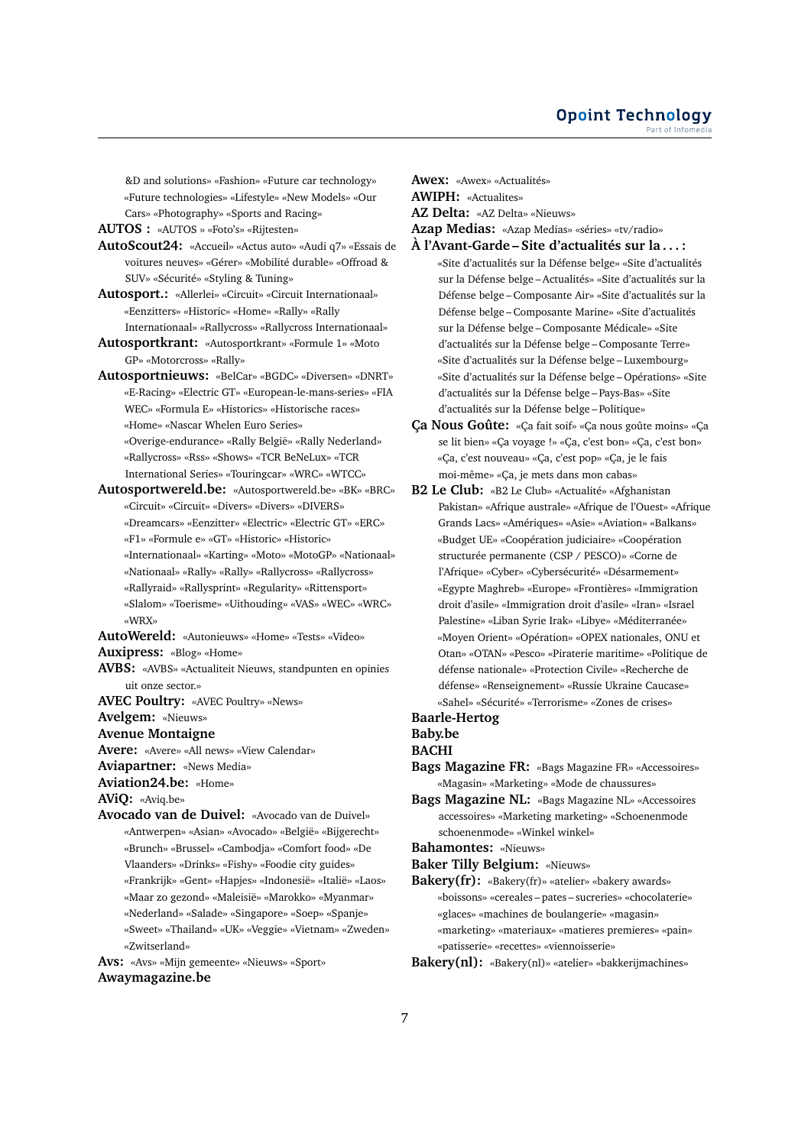&D and solutions» «Fashion» «Future car technology» «Future technologies» «Lifestyle» «New Models» «Our Cars» «Photography» «Sports and Racing»

**AUTOS :** «AUTOS » «Foto's» «Rijtesten»

- **AutoScout24:** «Accueil» «Actus auto» «Audi q7» «Essais de voitures neuves» «Gérer» «Mobilité durable» «Offroad & SUV» «Sécurité» «Styling & Tuning»
- **Autosport.:** «Allerlei» «Circuit» «Circuit Internationaal» «Eenzitters» «Historic» «Home» «Rally» «Rally Internationaal» «Rallycross» «Rallycross Internationaal»
- **Autosportkrant:** «Autosportkrant» «Formule 1» «Moto GP» «Motorcross» «Rally»
- **Autosportnieuws:** «BelCar» «BGDC» «Diversen» «DNRT» «E-Racing» «Electric GT» «European-le-mans-series» «FIA WEC» «Formula E» «Historics» «Historische races» «Home» «Nascar Whelen Euro Series» «Overige-endurance» «Rally België» «Rally Nederland» «Rallycross» «Rss» «Shows» «TCR BeNeLux» «TCR International Series» «Touringcar» «WRC» «WTCC»
- **Autosportwereld.be:** «Autosportwereld.be» «BK» «BRC» «Circuit» «Circuit» «Divers» «Divers» «DIVERS» «Dreamcars» «Eenzitter» «Electric» «Electric GT» «ERC» «F1» «Formule e» «GT» «Historic» «Historic»
	- «Internationaal» «Karting» «Moto» «MotoGP» «Nationaal»
	- «Nationaal» «Rally» «Rally» «Rallycross» «Rallycross»
	- «Rallyraid» «Rallysprint» «Regularity» «Rittensport»
	- «Slalom» «Toerisme» «Uithouding» «VAS» «WEC» «WRC» «WRX»
- **AutoWereld:** «Autonieuws» «Home» «Tests» «Video»
- **Auxipress:** «Blog» «Home»
- **AVBS:** «AVBS» «Actualiteit Nieuws, standpunten en opinies uit onze sector.»
- **AVEC Poultry:** «AVEC Poultry» «News»
- **Avelgem:** «Nieuws»
- **Avenue Montaigne**
- **Avere:** «Avere» «All news» «View Calendar»
- **Aviapartner:** «News Media»
- **Aviation24.be:** «Home»

**AViQ:** «Aviq.be»

- **Avocado van de Duivel:** «Avocado van de Duivel» «Antwerpen» «Asian» «Avocado» «België» «Bijgerecht» «Brunch» «Brussel» «Cambodja» «Comfort food» «De Vlaanders» «Drinks» «Fishy» «Foodie city guides» «Frankrijk» «Gent» «Hapjes» «Indonesië» «Italië» «Laos» «Maar zo gezond» «Maleisië» «Marokko» «Myanmar» «Nederland» «Salade» «Singapore» «Soep» «Spanje» «Sweet» «Thailand» «UK» «Veggie» «Vietnam» «Zweden» «Zwitserland»
- **Avs:** «Avs» «Mijn gemeente» «Nieuws» «Sport» **Awaymagazine.be**

**Awex:** «Awex» «Actualités»

**AWIPH:** «Actualites»

**AZ Delta:** «AZ Delta» «Nieuws»

**Azap Medias:** «Azap Medias» «séries» «tv/radio»

- **À l'Avant-Garde Site d'actualités sur la . . . :** «Site d'actualités sur la Défense belge» «Site d'actualités sur la Défense belge – Actualités» «Site d'actualités sur la Défense belge – Composante Air» «Site d'actualités sur la Défense belge – Composante Marine» «Site d'actualités sur la Défense belge – Composante Médicale» «Site d'actualités sur la Défense belge – Composante Terre» «Site d'actualités sur la Défense belge – Luxembourg» «Site d'actualités sur la Défense belge – Opérations» «Site d'actualités sur la Défense belge – Pays-Bas» «Site d'actualités sur la Défense belge – Politique»
- **Ça Nous Goûte:** «Ça fait soif» «Ça nous goûte moins» «Ça se lit bien» «Ça voyage !» «Ça, c'est bon» «Ça, c'est bon» «Ça, c'est nouveau» «Ça, c'est pop» «Ça, je le fais moi-même» «Ça, je mets dans mon cabas»
- **B2 Le Club:** «B2 Le Club» «Actualité» «Afghanistan Pakistan» «Afrique australe» «Afrique de l'Ouest» «Afrique Grands Lacs» «Amériques» «Asie» «Aviation» «Balkans» «Budget UE» «Coopération judiciaire» «Coopération structurée permanente (CSP / PESCO)» «Corne de l'Afrique» «Cyber» «Cybersécurité» «Désarmement» «Egypte Maghreb» «Europe» «Frontières» «Immigration droit d'asile» «Immigration droit d'asile» «Iran» «Israel Palestine» «Liban Syrie Irak» «Libye» «Méditerranée» «Moyen Orient» «Opération» «OPEX nationales, ONU et Otan» «OTAN» «Pesco» «Piraterie maritime» «Politique de défense nationale» «Protection Civile» «Recherche de défense» «Renseignement» «Russie Ukraine Caucase» «Sahel» «Sécurité» «Terrorisme» «Zones de crises»

# **Baarle-Hertog**

# **Baby.be**

# **BACHI**

- **Bags Magazine FR:** «Bags Magazine FR» «Accessoires» «Magasin» «Marketing» «Mode de chaussures»
- **Bags Magazine NL:** «Bags Magazine NL» «Accessoires accessoires» «Marketing marketing» «Schoenenmode schoenenmode» «Winkel winkel»

**Bahamontes:** «Nieuws»

**Baker Tilly Belgium:** «Nieuws»

- **Bakery(fr):** «Bakery(fr)» «atelier» «bakery awards» «boissons» «cereales – pates – sucreries» «chocolaterie» «glaces» «machines de boulangerie» «magasin» «marketing» «materiaux» «matieres premieres» «pain» «patisserie» «recettes» «viennoisserie»
- **Bakery(nl):** «Bakery(nl)» «atelier» «bakkerijmachines»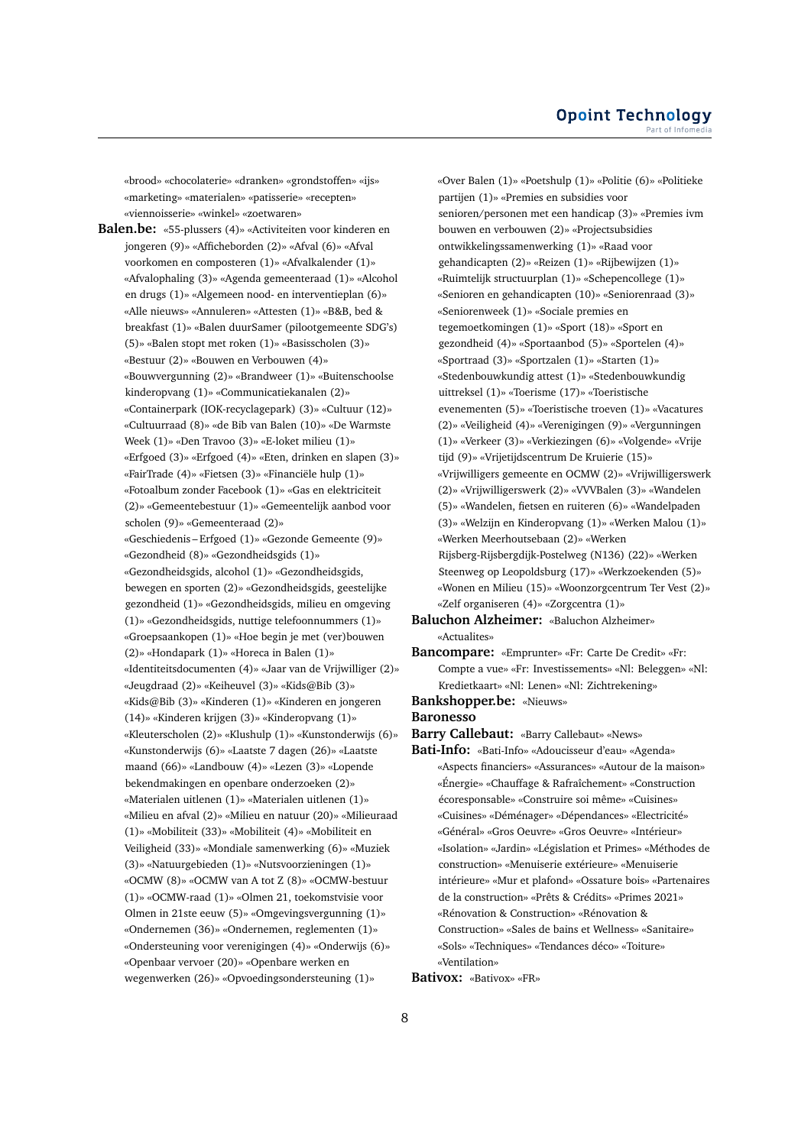«brood» «chocolaterie» «dranken» «grondstoffen» «ijs» «marketing» «materialen» «patisserie» «recepten» «viennoisserie» «winkel» «zoetwaren»

**Balen.be:** «55-plussers (4)» «Activiteiten voor kinderen en jongeren (9)» «Afficheborden (2)» «Afval (6)» «Afval voorkomen en composteren (1)» «Afvalkalender (1)» «Afvalophaling (3)» «Agenda gemeenteraad (1)» «Alcohol en drugs (1)» «Algemeen nood- en interventieplan (6)» «Alle nieuws» «Annuleren» «Attesten (1)» «B&B, bed & breakfast (1)» «Balen duurSamer (pilootgemeente SDG's) (5)» «Balen stopt met roken (1)» «Basisscholen (3)» «Bestuur (2)» «Bouwen en Verbouwen (4)» «Bouwvergunning (2)» «Brandweer (1)» «Buitenschoolse kinderopvang (1)» «Communicatiekanalen (2)» «Containerpark (IOK-recyclagepark) (3)» «Cultuur (12)» «Cultuurraad (8)» «de Bib van Balen (10)» «De Warmste Week (1)» «Den Travoo (3)» «E-loket milieu (1)» «Erfgoed (3)» «Erfgoed (4)» «Eten, drinken en slapen (3)» «FairTrade (4)» «Fietsen (3)» «Financiële hulp (1)» «Fotoalbum zonder Facebook (1)» «Gas en elektriciteit (2)» «Gemeentebestuur (1)» «Gemeentelijk aanbod voor scholen (9)» «Gemeenteraad (2)» «Geschiedenis – Erfgoed (1)» «Gezonde Gemeente (9)» «Gezondheid (8)» «Gezondheidsgids (1)» «Gezondheidsgids, alcohol (1)» «Gezondheidsgids, bewegen en sporten (2)» «Gezondheidsgids, geestelijke gezondheid (1)» «Gezondheidsgids, milieu en omgeving (1)» «Gezondheidsgids, nuttige telefoonnummers (1)» «Groepsaankopen (1)» «Hoe begin je met (ver)bouwen (2)» «Hondapark (1)» «Horeca in Balen (1)» «Identiteitsdocumenten (4)» «Jaar van de Vrijwilliger (2)» «Jeugdraad (2)» «Keiheuvel (3)» «Kids@Bib (3)» «Kids@Bib (3)» «Kinderen (1)» «Kinderen en jongeren (14)» «Kinderen krijgen (3)» «Kinderopvang (1)» «Kleuterscholen (2)» «Klushulp (1)» «Kunstonderwijs (6)» «Kunstonderwijs (6)» «Laatste 7 dagen (26)» «Laatste maand (66)» «Landbouw (4)» «Lezen (3)» «Lopende bekendmakingen en openbare onderzoeken (2)» «Materialen uitlenen (1)» «Materialen uitlenen (1)» «Milieu en afval (2)» «Milieu en natuur (20)» «Milieuraad (1)» «Mobiliteit (33)» «Mobiliteit (4)» «Mobiliteit en Veiligheid (33)» «Mondiale samenwerking (6)» «Muziek (3)» «Natuurgebieden (1)» «Nutsvoorzieningen (1)» «OCMW (8)» «OCMW van A tot Z (8)» «OCMW-bestuur (1)» «OCMW-raad (1)» «Olmen 21, toekomstvisie voor Olmen in 21ste eeuw (5)» «Omgevingsvergunning (1)» «Ondernemen (36)» «Ondernemen, reglementen (1)» «Ondersteuning voor verenigingen (4)» «Onderwijs (6)» «Openbaar vervoer (20)» «Openbare werken en wegenwerken (26)» «Opvoedingsondersteuning (1)»

«Over Balen (1)» «Poetshulp (1)» «Politie (6)» «Politieke partijen (1)» «Premies en subsidies voor senioren/personen met een handicap (3)» «Premies ivm bouwen en verbouwen (2)» «Projectsubsidies ontwikkelingssamenwerking (1)» «Raad voor gehandicapten (2)» «Reizen (1)» «Rijbewijzen (1)» «Ruimtelijk structuurplan (1)» «Schepencollege (1)» «Senioren en gehandicapten (10)» «Seniorenraad (3)» «Seniorenweek (1)» «Sociale premies en tegemoetkomingen (1)» «Sport (18)» «Sport en gezondheid (4)» «Sportaanbod (5)» «Sportelen (4)» «Sportraad (3)» «Sportzalen (1)» «Starten (1)» «Stedenbouwkundig attest (1)» «Stedenbouwkundig uittreksel (1)» «Toerisme (17)» «Toeristische evenementen (5)» «Toeristische troeven (1)» «Vacatures (2)» «Veiligheid (4)» «Verenigingen (9)» «Vergunningen (1)» «Verkeer (3)» «Verkiezingen (6)» «Volgende» «Vrije tijd (9)» «Vrijetijdscentrum De Kruierie (15)» «Vrijwilligers gemeente en OCMW (2)» «Vrijwilligerswerk (2)» «Vrijwilligerswerk (2)» «VVVBalen (3)» «Wandelen (5)» «Wandelen, fietsen en ruiteren (6)» «Wandelpaden (3)» «Welzijn en Kinderopvang (1)» «Werken Malou (1)» «Werken Meerhoutsebaan (2)» «Werken Rijsberg-Rijsbergdijk-Postelweg (N136) (22)» «Werken Steenweg op Leopoldsburg (17)» «Werkzoekenden (5)» «Wonen en Milieu (15)» «Woonzorgcentrum Ter Vest (2)» «Zelf organiseren (4)» «Zorgcentra (1)» **Baluchon Alzheimer:** «Baluchon Alzheimer» «Actualites»

**Bancompare:** «Emprunter» «Fr: Carte De Credit» «Fr: Compte a vue» «Fr: Investissements» «Nl: Beleggen» «Nl: Kredietkaart» «Nl: Lenen» «Nl: Zichtrekening»

**Bankshopper.be:** «Nieuws»

**Baronesso**

**Barry Callebaut:** «Barry Callebaut» «News»

**Bati-Info:** «Bati-Info» «Adoucisseur d'eau» «Agenda» «Aspects financiers» «Assurances» «Autour de la maison» «Énergie» «Chauffage & Rafraîchement» «Construction écoresponsable» «Construire soi même» «Cuisines» «Cuisines» «Déménager» «Dépendances» «Electricité» «Général» «Gros Oeuvre» «Gros Oeuvre» «Intérieur» «Isolation» «Jardin» «Législation et Primes» «Méthodes de construction» «Menuiserie extérieure» «Menuiserie intérieure» «Mur et plafond» «Ossature bois» «Partenaires de la construction» «Prêts & Crédits» «Primes 2021» «Rénovation & Construction» «Rénovation & Construction» «Sales de bains et Wellness» «Sanitaire» «Sols» «Techniques» «Tendances déco» «Toiture» «Ventilation»

**Bativox:** «Bativox» «FR»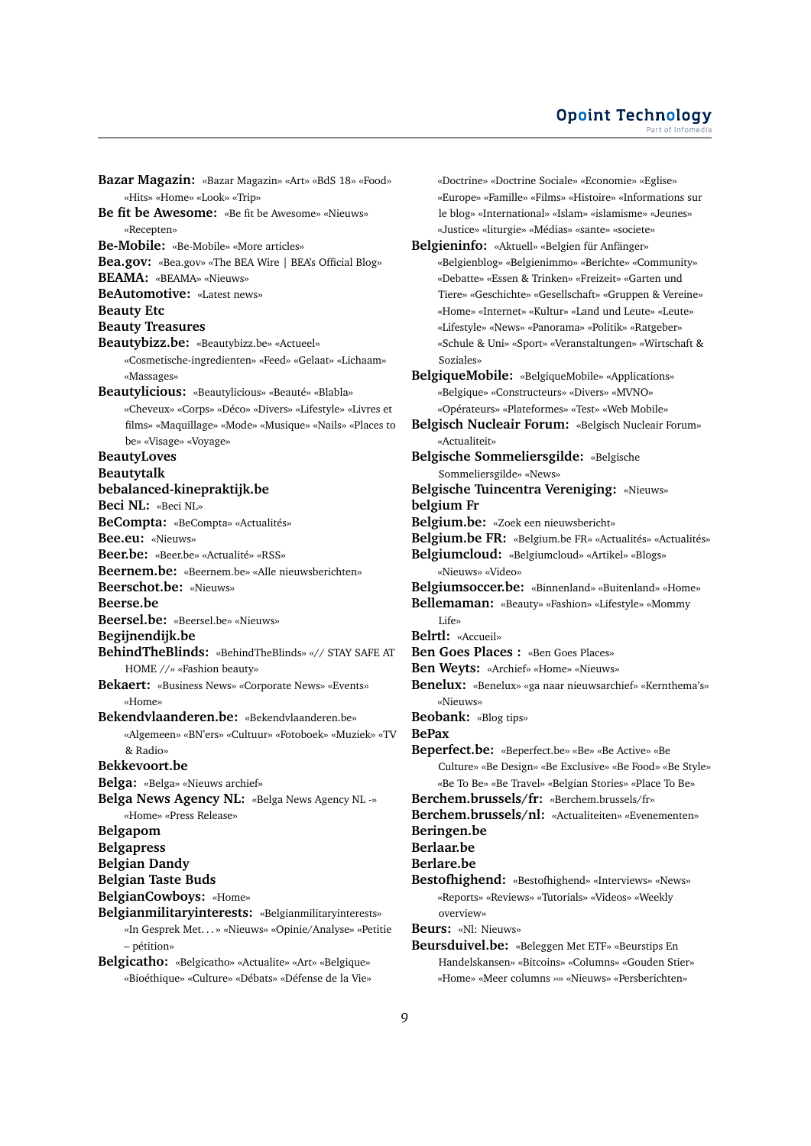#### **Opoint Technology** Part of Infomed

**Bazar Magazin:** «Bazar Magazin» «Art» «BdS 18» «Food» «Hits» «Home» «Look» «Trip» **Be fit be Awesome:** «Be fit be Awesome» «Nieuws» «Recepten» **Be-Mobile:** «Be-Mobile» «More articles» **Bea.gov:** «Bea.gov» «The BEA Wire | BEA's Official Blog» **BEAMA:** «BEAMA» «Nieuws» **BeAutomotive:** «Latest news» **Beauty Etc Beauty Treasures Beautybizz.be:** «Beautybizz.be» «Actueel» «Cosmetische-ingredienten» «Feed» «Gelaat» «Lichaam» «Massages» **Beautylicious:** «Beautylicious» «Beauté» «Blabla» «Cheveux» «Corps» «Déco» «Divers» «Lifestyle» «Livres et films» «Maquillage» «Mode» «Musique» «Nails» «Places to be» «Visage» «Voyage» **BeautyLoves Beautytalk bebalanced-kinepraktijk.be Beci NL:** «Beci NL» **BeCompta:** «BeCompta» «Actualités» **Bee.eu:** «Nieuws» **Beer.be:** «Beer.be» «Actualité» «RSS» **Beernem.be:** «Beernem.be» «Alle nieuwsberichten» **Beerschot.be:** «Nieuws» **Beerse.be Beersel.be:** «Beersel.be» «Nieuws» **Begijnendijk.be BehindTheBlinds:** «BehindTheBlinds» «// STAY SAFE AT HOME //» «Fashion beauty» **Bekaert:** «Business News» «Corporate News» «Events» «Home» **Bekendvlaanderen.be:** «Bekendvlaanderen.be» «Algemeen» «BN'ers» «Cultuur» «Fotoboek» «Muziek» «TV & Radio» **Bekkevoort.be Belga:** «Belga» «Nieuws archief» **Belga News Agency NL:** «Belga News Agency NL -» «Home» «Press Release» **Belgapom Belgapress Belgian Dandy Belgian Taste Buds BelgianCowboys:** «Home» **Belgianmilitaryinterests:** «Belgianmilitaryinterests» «In Gesprek Met. . . » «Nieuws» «Opinie/Analyse» «Petitie – pétition» **Belgicatho:** «Belgicatho» «Actualite» «Art» «Belgique» «Bioéthique» «Culture» «Débats» «Défense de la Vie»

«Doctrine» «Doctrine Sociale» «Economie» «Eglise» «Europe» «Famille» «Films» «Histoire» «Informations sur le blog» «International» «Islam» «islamisme» «Jeunes» «Justice» «liturgie» «Médias» «sante» «societe» **Belgieninfo:** «Aktuell» «Belgien für Anfänger» «Belgienblog» «Belgienimmo» «Berichte» «Community» «Debatte» «Essen & Trinken» «Freizeit» «Garten und Tiere» «Geschichte» «Gesellschaft» «Gruppen & Vereine» «Home» «Internet» «Kultur» «Land und Leute» «Leute» «Lifestyle» «News» «Panorama» «Politik» «Ratgeber» «Schule & Uni» «Sport» «Veranstaltungen» «Wirtschaft & Soziales» **BelgiqueMobile:** «BelgiqueMobile» «Applications» «Belgique» «Constructeurs» «Divers» «MVNO» «Opérateurs» «Plateformes» «Test» «Web Mobile» **Belgisch Nucleair Forum:** «Belgisch Nucleair Forum» «Actualiteit» **Belgische Sommeliersgilde:** «Belgische Sommeliersgilde» «News» **Belgische Tuincentra Vereniging:** «Nieuws» **belgium Fr Belgium.be:** «Zoek een nieuwsbericht» **Belgium.be FR:** «Belgium.be FR» «Actualités» «Actualités» **Belgiumcloud:** «Belgiumcloud» «Artikel» «Blogs» «Nieuws» «Video» **Belgiumsoccer.be:** «Binnenland» «Buitenland» «Home» **Bellemaman:** «Beauty» «Fashion» «Lifestyle» «Mommy Life» **Belrtl:** «Accueil» **Ben Goes Places :** «Ben Goes Places» **Ben Weyts:** «Archief» «Home» «Nieuws» **Benelux:** «Benelux» «ga naar nieuwsarchief» «Kernthema's» «Nieuws» **Beobank:** «Blog tips» **BePax Beperfect.be:** «Beperfect.be» «Be» «Be Active» «Be Culture» «Be Design» «Be Exclusive» «Be Food» «Be Style» «Be To Be» «Be Travel» «Belgian Stories» «Place To Be» **Berchem.brussels/fr:** «Berchem.brussels/fr» **Berchem.brussels/nl:** «Actualiteiten» «Evenementen» **Beringen.be Berlaar.be Berlare.be Bestofhighend:** «Bestofhighend» «Interviews» «News» «Reports» «Reviews» «Tutorials» «Videos» «Weekly overview» **Beurs:** «Nl: Nieuws» **Beursduivel.be:** «Beleggen Met ETF» «Beurstips En Handelskansen» «Bitcoins» «Columns» «Gouden Stier»

«Home» «Meer columns ››» «Nieuws» «Persberichten»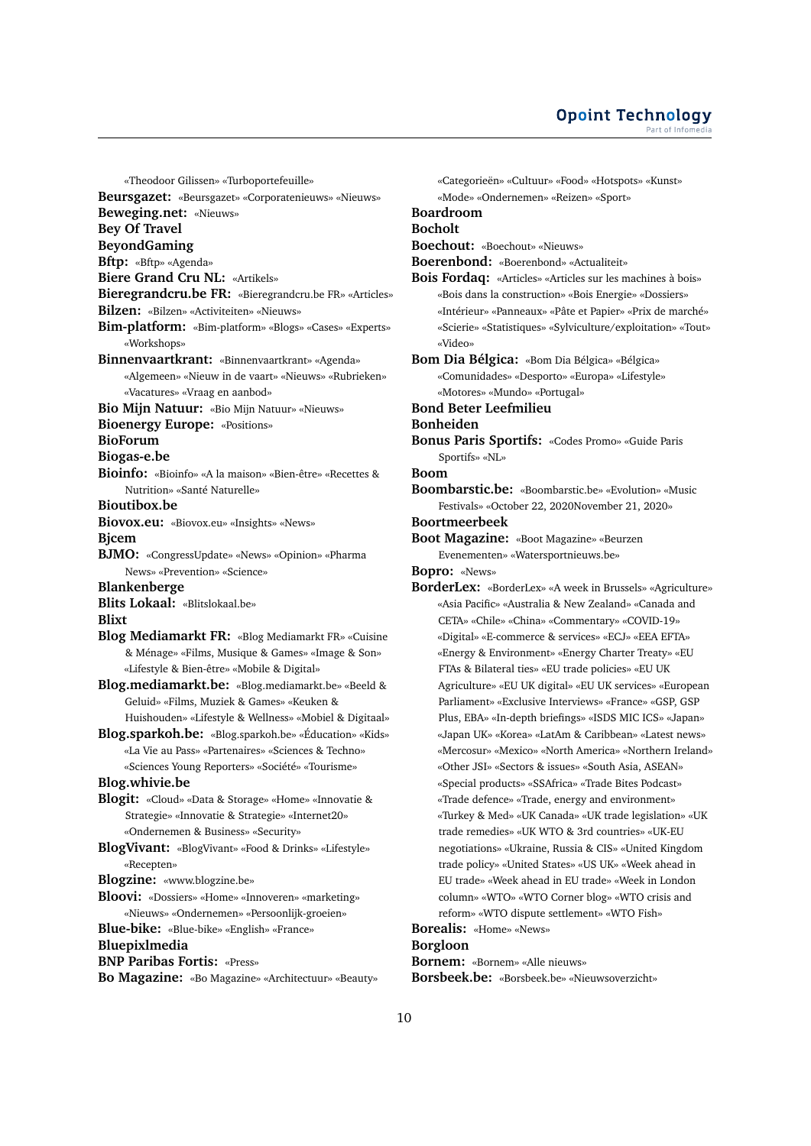«Theodoor Gilissen» «Turboportefeuille» **Beursgazet:** «Beursgazet» «Corporatenieuws» «Nieuws» **Beweging.net:** «Nieuws» **Bey Of Travel BeyondGaming Bftp:** «Bftp» «Agenda» **Biere Grand Cru NL:** «Artikels» **Bieregrandcru.be FR:** «Bieregrandcru.be FR» «Articles» **Bilzen:** «Bilzen» «Activiteiten» «Nieuws» **Bim-platform:** «Bim-platform» «Blogs» «Cases» «Experts» «Workshops» **Binnenvaartkrant:** «Binnenvaartkrant» «Agenda» «Algemeen» «Nieuw in de vaart» «Nieuws» «Rubrieken» «Vacatures» «Vraag en aanbod» **Bio Mijn Natuur:** «Bio Mijn Natuur» «Nieuws» **Bioenergy Europe:** «Positions» **BioForum Biogas-e.be Bioinfo:** «Bioinfo» «A la maison» «Bien-être» «Recettes & Nutrition» «Santé Naturelle» **Bioutibox.be Biovox.eu:** «Biovox.eu» «Insights» «News» **Bjcem BJMO:** «CongressUpdate» «News» «Opinion» «Pharma News» «Prevention» «Science» **Blankenberge Blits Lokaal:** «Blitslokaal.be» **Blixt Blog Mediamarkt FR:** «Blog Mediamarkt FR» «Cuisine & Ménage» «Films, Musique & Games» «Image & Son» «Lifestyle & Bien-être» «Mobile & Digital» **Blog.mediamarkt.be:** «Blog.mediamarkt.be» «Beeld & Geluid» «Films, Muziek & Games» «Keuken & Huishouden» «Lifestyle & Wellness» «Mobiel & Digitaal» **Blog.sparkoh.be:** «Blog.sparkoh.be» «Éducation» «Kids» «La Vie au Pass» «Partenaires» «Sciences & Techno» «Sciences Young Reporters» «Société» «Tourisme» **Blog.whivie.be Blogit:** «Cloud» «Data & Storage» «Home» «Innovatie & Strategie» «Innovatie & Strategie» «Internet20» «Ondernemen & Business» «Security» **BlogVivant:** «BlogVivant» «Food & Drinks» «Lifestyle» «Recepten» **Blogzine:** «www.blogzine.be» **Bloovi:** «Dossiers» «Home» «Innoveren» «marketing» «Nieuws» «Ondernemen» «Persoonlijk-groeien» **Blue-bike:** «Blue-bike» «English» «France» **Bluepixlmedia BNP Paribas Fortis:** «Press»

**Bo Magazine:** «Bo Magazine» «Architectuur» «Beauty»

«Categorieën» «Cultuur» «Food» «Hotspots» «Kunst» «Mode» «Ondernemen» «Reizen» «Sport» **Boardroom Bocholt Boechout:** «Boechout» «Nieuws» **Boerenbond:** «Boerenbond» «Actualiteit» **Bois Fordaq:** «Articles» «Articles sur les machines à bois» «Bois dans la construction» «Bois Energie» «Dossiers» «Intérieur» «Panneaux» «Pâte et Papier» «Prix de marché» «Scierie» «Statistiques» «Sylviculture/exploitation» «Tout» «Video» **Bom Dia Bélgica:** «Bom Dia Bélgica» «Bélgica» «Comunidades» «Desporto» «Europa» «Lifestyle» «Motores» «Mundo» «Portugal» **Bond Beter Leefmilieu Bonheiden Bonus Paris Sportifs:** «Codes Promo» «Guide Paris Sportifs» «NL» **Boom Boombarstic.be:** «Boombarstic.be» «Evolution» «Music Festivals» «October 22, 2020November 21, 2020» **Boortmeerbeek Boot Magazine:** «Boot Magazine» «Beurzen Evenementen» «Watersportnieuws.be» **Bopro:** «News» **BorderLex:** «BorderLex» «A week in Brussels» «Agriculture» «Asia Pacific» «Australia & New Zealand» «Canada and CETA» «Chile» «China» «Commentary» «COVID-19» «Digital» «E-commerce & services» «ECJ» «EEA EFTA» «Energy & Environment» «Energy Charter Treaty» «EU FTAs & Bilateral ties» «EU trade policies» «EU UK Agriculture» «EU UK digital» «EU UK services» «European Parliament» «Exclusive Interviews» «France» «GSP, GSP Plus, EBA» «In-depth briefings» «ISDS MIC ICS» «Japan» «Japan UK» «Korea» «LatAm & Caribbean» «Latest news» «Mercosur» «Mexico» «North America» «Northern Ireland» «Other JSI» «Sectors & issues» «South Asia, ASEAN» «Special products» «SSAfrica» «Trade Bites Podcast» «Trade defence» «Trade, energy and environment» «Turkey & Med» «UK Canada» «UK trade legislation» «UK trade remedies» «UK WTO & 3rd countries» «UK-EU negotiations» «Ukraine, Russia & CIS» «United Kingdom trade policy» «United States» «US UK» «Week ahead in EU trade» «Week ahead in EU trade» «Week in London column» «WTO» «WTO Corner blog» «WTO crisis and reform» «WTO dispute settlement» «WTO Fish» **Borealis:** «Home» «News» **Borgloon Bornem:** «Bornem» «Alle nieuws»

**Borsbeek.be:** «Borsbeek.be» «Nieuwsoverzicht»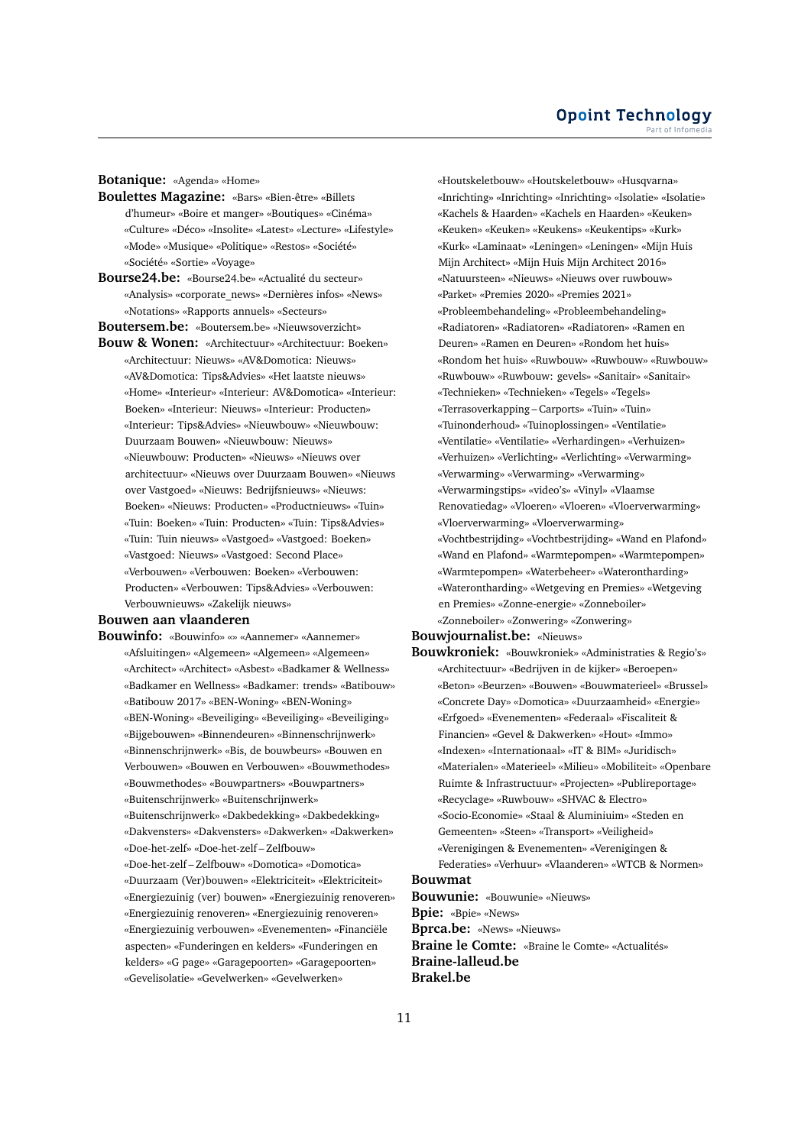**Botanique:** «Agenda» «Home»

- **Boulettes Magazine:** «Bars» «Bien-être» «Billets d'humeur» «Boire et manger» «Boutiques» «Cinéma» «Culture» «Déco» «Insolite» «Latest» «Lecture» «Lifestyle» «Mode» «Musique» «Politique» «Restos» «Société» «Société» «Sortie» «Voyage»
- **Bourse24.be:** «Bourse24.be» «Actualité du secteur» «Analysis» «corporate\_news» «Dernières infos» «News» «Notations» «Rapports annuels» «Secteurs»

**Boutersem.be:** «Boutersem.be» «Nieuwsoverzicht»

**Bouw & Wonen:** «Architectuur» «Architectuur: Boeken» «Architectuur: Nieuws» «AV&Domotica: Nieuws» «AV&Domotica: Tips&Advies» «Het laatste nieuws» «Home» «Interieur» «Interieur: AV&Domotica» «Interieur: Boeken» «Interieur: Nieuws» «Interieur: Producten» «Interieur: Tips&Advies» «Nieuwbouw» «Nieuwbouw: Duurzaam Bouwen» «Nieuwbouw: Nieuws» «Nieuwbouw: Producten» «Nieuws» «Nieuws over architectuur» «Nieuws over Duurzaam Bouwen» «Nieuws over Vastgoed» «Nieuws: Bedrijfsnieuws» «Nieuws: Boeken» «Nieuws: Producten» «Productnieuws» «Tuin» «Tuin: Boeken» «Tuin: Producten» «Tuin: Tips&Advies» «Tuin: Tuin nieuws» «Vastgoed» «Vastgoed: Boeken» «Vastgoed: Nieuws» «Vastgoed: Second Place» «Verbouwen» «Verbouwen: Boeken» «Verbouwen: Producten» «Verbouwen: Tips&Advies» «Verbouwen: Verbouwnieuws» «Zakelijk nieuws»

### **Bouwen aan vlaanderen**

**Bouwinfo:** «Bouwinfo» «» «Aannemer» «Aannemer» «Afsluitingen» «Algemeen» «Algemeen» «Algemeen» «Architect» «Architect» «Asbest» «Badkamer & Wellness» «Badkamer en Wellness» «Badkamer: trends» «Batibouw» «Batibouw 2017» «BEN-Woning» «BEN-Woning» «BEN-Woning» «Beveiliging» «Beveiliging» «Beveiliging» «Bijgebouwen» «Binnendeuren» «Binnenschrijnwerk» «Binnenschrijnwerk» «Bis, de bouwbeurs» «Bouwen en Verbouwen» «Bouwen en Verbouwen» «Bouwmethodes» «Bouwmethodes» «Bouwpartners» «Bouwpartners» «Buitenschrijnwerk» «Buitenschrijnwerk» «Buitenschrijnwerk» «Dakbedekking» «Dakbedekking» «Dakvensters» «Dakvensters» «Dakwerken» «Dakwerken» «Doe-het-zelf» «Doe-het-zelf – Zelfbouw» «Doe-het-zelf – Zelfbouw» «Domotica» «Domotica» «Duurzaam (Ver)bouwen» «Elektriciteit» «Elektriciteit» «Energiezuinig (ver) bouwen» «Energiezuinig renoveren» «Energiezuinig renoveren» «Energiezuinig renoveren» «Energiezuinig verbouwen» «Evenementen» «Financiële aspecten» «Funderingen en kelders» «Funderingen en kelders» «G page» «Garagepoorten» «Garagepoorten» «Gevelisolatie» «Gevelwerken» «Gevelwerken»

«Houtskeletbouw» «Houtskeletbouw» «Husqvarna» «Inrichting» «Inrichting» «Inrichting» «Isolatie» «Isolatie» «Kachels & Haarden» «Kachels en Haarden» «Keuken» «Keuken» «Keuken» «Keukens» «Keukentips» «Kurk» «Kurk» «Laminaat» «Leningen» «Leningen» «Mijn Huis Mijn Architect» «Mijn Huis Mijn Architect 2016» «Natuursteen» «Nieuws» «Nieuws over ruwbouw» «Parket» «Premies 2020» «Premies 2021» «Probleembehandeling» «Probleembehandeling» «Radiatoren» «Radiatoren» «Radiatoren» «Ramen en Deuren» «Ramen en Deuren» «Rondom het huis» «Rondom het huis» «Ruwbouw» «Ruwbouw» «Ruwbouw» «Ruwbouw» «Ruwbouw: gevels» «Sanitair» «Sanitair» «Technieken» «Technieken» «Tegels» «Tegels» «Terrasoverkapping – Carports» «Tuin» «Tuin» «Tuinonderhoud» «Tuinoplossingen» «Ventilatie» «Ventilatie» «Ventilatie» «Verhardingen» «Verhuizen» «Verhuizen» «Verlichting» «Verlichting» «Verwarming» «Verwarming» «Verwarming» «Verwarming» «Verwarmingstips» «video's» «Vinyl» «Vlaamse Renovatiedag» «Vloeren» «Vloeren» «Vloerverwarming» «Vloerverwarming» «Vloerverwarming» «Vochtbestrijding» «Vochtbestrijding» «Wand en Plafond» «Wand en Plafond» «Warmtepompen» «Warmtepompen» «Warmtepompen» «Waterbeheer» «Waterontharding» «Waterontharding» «Wetgeving en Premies» «Wetgeving en Premies» «Zonne-energie» «Zonneboiler» «Zonneboiler» «Zonwering» «Zonwering» **Bouwjournalist.be:** «Nieuws»

# **Bouwkroniek:** «Bouwkroniek» «Administraties & Regio's» «Architectuur» «Bedrijven in de kijker» «Beroepen» «Beton» «Beurzen» «Bouwen» «Bouwmaterieel» «Brussel» «Concrete Day» «Domotica» «Duurzaamheid» «Energie» «Erfgoed» «Evenementen» «Federaal» «Fiscaliteit & Financien» «Gevel & Dakwerken» «Hout» «Immo» «Indexen» «Internationaal» «IT & BIM» «Juridisch» «Materialen» «Materieel» «Milieu» «Mobiliteit» «Openbare Ruimte & Infrastructuur» «Projecten» «Publireportage» «Recyclage» «Ruwbouw» «SHVAC & Electro» «Socio-Economie» «Staal & Aluminiuim» «Steden en Gemeenten» «Steen» «Transport» «Veiligheid» «Verenigingen & Evenementen» «Verenigingen & Federaties» «Verhuur» «Vlaanderen» «WTCB & Normen» **Bouwmat**

**Bouwunie:** «Bouwunie» «Nieuws» **Bpie:** «Bpie» «News» **Bprca.be:** «News» «Nieuws» **Braine le Comte:** «Braine le Comte» «Actualités» **Braine-lalleud.be Brakel.be**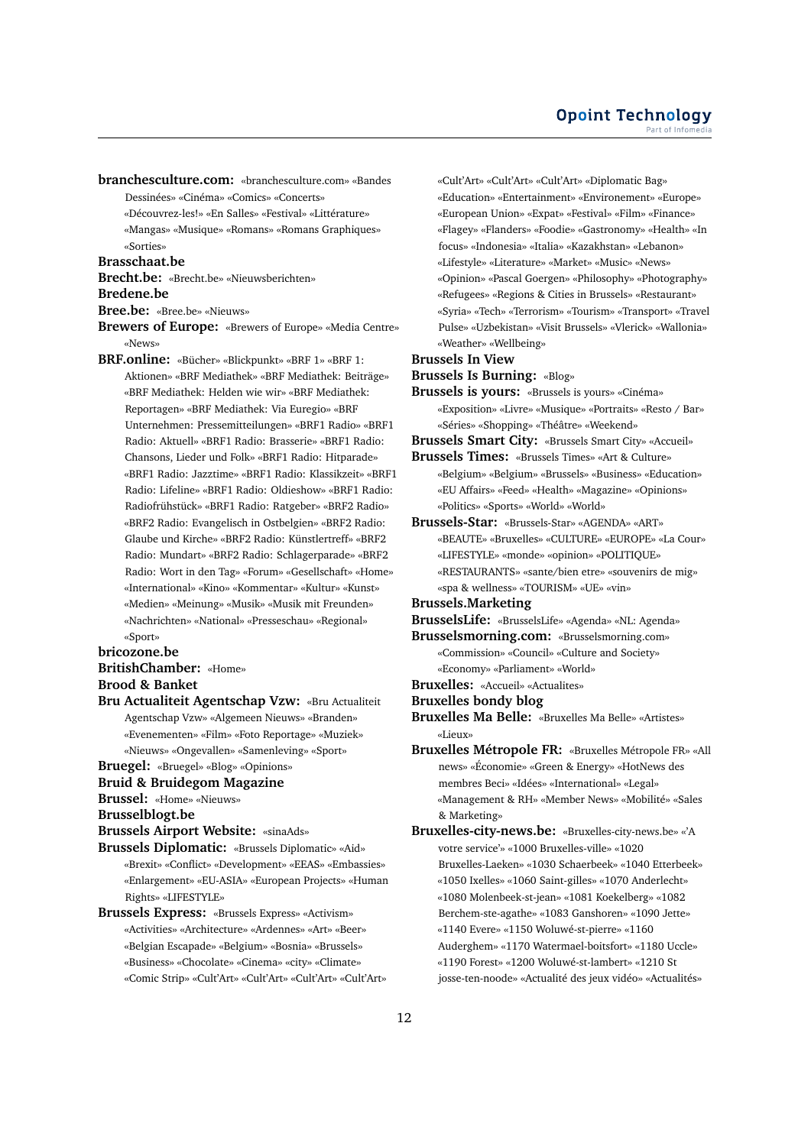**branchesculture.com:** «branchesculture.com» «Bandes Dessinées» «Cinéma» «Comics» «Concerts»

- «Découvrez-les!» «En Salles» «Festival» «Littérature»
- «Mangas» «Musique» «Romans» «Romans Graphiques»

«Sorties»

# **Brasschaat.be**

**Brecht.be:** «Brecht.be» «Nieuwsberichten»

#### **Bredene.be**

**Bree.be:** «Bree.be» «Nieuws»

**Brewers of Europe:** «Brewers of Europe» «Media Centre» «News»

**BRF.online:** «Bücher» «Blickpunkt» «BRF 1» «BRF 1: Aktionen» «BRF Mediathek» «BRF Mediathek: Beiträge» «BRF Mediathek: Helden wie wir» «BRF Mediathek: Reportagen» «BRF Mediathek: Via Euregio» «BRF Unternehmen: Pressemitteilungen» «BRF1 Radio» «BRF1 Radio: Aktuell» «BRF1 Radio: Brasserie» «BRF1 Radio: Chansons, Lieder und Folk» «BRF1 Radio: Hitparade» «BRF1 Radio: Jazztime» «BRF1 Radio: Klassikzeit» «BRF1 Radio: Lifeline» «BRF1 Radio: Oldieshow» «BRF1 Radio: Radiofrühstück» «BRF1 Radio: Ratgeber» «BRF2 Radio» «BRF2 Radio: Evangelisch in Ostbelgien» «BRF2 Radio: Glaube und Kirche» «BRF2 Radio: Künstlertreff» «BRF2 Radio: Mundart» «BRF2 Radio: Schlagerparade» «BRF2 Radio: Wort in den Tag» «Forum» «Gesellschaft» «Home» «International» «Kino» «Kommentar» «Kultur» «Kunst» «Medien» «Meinung» «Musik» «Musik mit Freunden» «Nachrichten» «National» «Presseschau» «Regional» «Sport»

#### **bricozone.be**

**BritishChamber:** «Home»

# **Brood & Banket**

**Bru Actualiteit Agentschap Vzw:** «Bru Actualiteit Agentschap Vzw» «Algemeen Nieuws» «Branden» «Evenementen» «Film» «Foto Reportage» «Muziek» «Nieuws» «Ongevallen» «Samenleving» «Sport»

# **Bruegel:** «Bruegel» «Blog» «Opinions»

- **Bruid & Bruidegom Magazine**
- **Brussel:** «Home» «Nieuws»
- **Brusselblogt.be**

**Brussels Airport Website:** «sinaAds»

- **Brussels Diplomatic:** «Brussels Diplomatic» «Aid» «Brexit» «Conflict» «Development» «EEAS» «Embassies» «Enlargement» «EU-ASIA» «European Projects» «Human Rights» «LIFESTYLE»
- **Brussels Express:** «Brussels Express» «Activism» «Activities» «Architecture» «Ardennes» «Art» «Beer» «Belgian Escapade» «Belgium» «Bosnia» «Brussels» «Business» «Chocolate» «Cinema» «city» «Climate» «Comic Strip» «Cult'Art» «Cult'Art» «Cult'Art» «Cult'Art»

«Cult'Art» «Cult'Art» «Cult'Art» «Diplomatic Bag» «Education» «Entertainment» «Environement» «Europe» «European Union» «Expat» «Festival» «Film» «Finance» «Flagey» «Flanders» «Foodie» «Gastronomy» «Health» «In focus» «Indonesia» «Italia» «Kazakhstan» «Lebanon» «Lifestyle» «Literature» «Market» «Music» «News» «Opinion» «Pascal Goergen» «Philosophy» «Photography» «Refugees» «Regions & Cities in Brussels» «Restaurant» «Syria» «Tech» «Terrorism» «Tourism» «Transport» «Travel Pulse» «Uzbekistan» «Visit Brussels» «Vlerick» «Wallonia» «Weather» «Wellbeing»

### **Brussels In View**

**Brussels Is Burning:** «Blog»

**Brussels is yours:** «Brussels is yours» «Cinéma» «Exposition» «Livre» «Musique» «Portraits» «Resto / Bar» «Séries» «Shopping» «Théâtre» «Weekend»

**Brussels Smart City:** «Brussels Smart City» «Accueil»

- **Brussels Times:** «Brussels Times» «Art & Culture» «Belgium» «Belgium» «Brussels» «Business» «Education» «EU Affairs» «Feed» «Health» «Magazine» «Opinions» «Politics» «Sports» «World» «World»
- **Brussels-Star:** «Brussels-Star» «AGENDA» «ART» «BEAUTE» «Bruxelles» «CULTURE» «EUROPE» «La Cour» «LIFESTYLE» «monde» «opinion» «POLITIQUE» «RESTAURANTS» «sante/bien etre» «souvenirs de mig» «spa & wellness» «TOURISM» «UE» «vin»
- **Brussels.Marketing**
- **BrusselsLife:** «BrusselsLife» «Agenda» «NL: Agenda»
- **Brusselsmorning.com:** «Brusselsmorning.com» «Commission» «Council» «Culture and Society»
- «Economy» «Parliament» «World»
- **Bruxelles:** «Accueil» «Actualites»

#### **Bruxelles bondy blog**

- **Bruxelles Ma Belle:** «Bruxelles Ma Belle» «Artistes» «Lieux»
- **Bruxelles Métropole FR:** «Bruxelles Métropole FR» «All news» «Économie» «Green & Energy» «HotNews des membres Beci» «Idées» «International» «Legal» «Management & RH» «Member News» «Mobilité» «Sales & Marketing»

**Bruxelles-city-news.be:** «Bruxelles-city-news.be» «'A votre service'» «1000 Bruxelles-ville» «1020 Bruxelles-Laeken» «1030 Schaerbeek» «1040 Etterbeek» «1050 Ixelles» «1060 Saint-gilles» «1070 Anderlecht» «1080 Molenbeek-st-jean» «1081 Koekelberg» «1082 Berchem-ste-agathe» «1083 Ganshoren» «1090 Jette» «1140 Evere» «1150 Woluwé-st-pierre» «1160 Auderghem» «1170 Watermael-boitsfort» «1180 Uccle» «1190 Forest» «1200 Woluwé-st-lambert» «1210 St josse-ten-noode» «Actualité des jeux vidéo» «Actualités»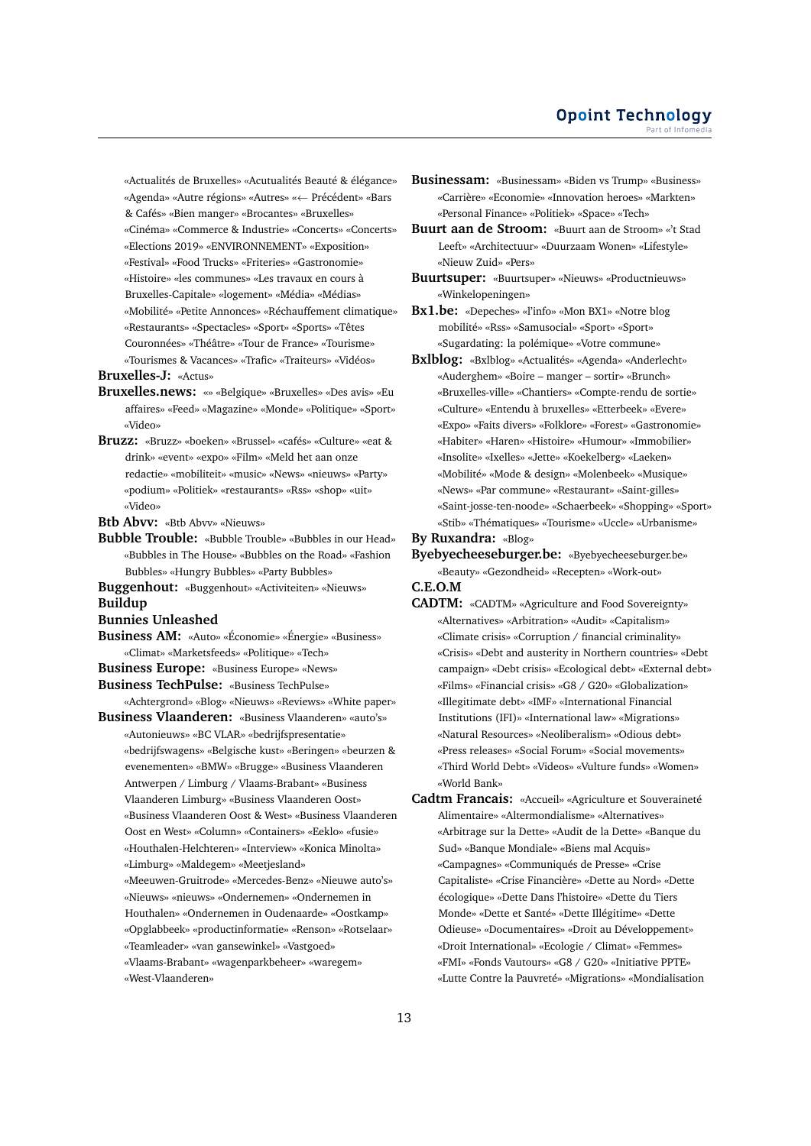«Actualités de Bruxelles» «Acutualités Beauté & élégance» «Agenda» «Autre régions» «Autres» «← Précédent» «Bars & Cafés» «Bien manger» «Brocantes» «Bruxelles» «Cinéma» «Commerce & Industrie» «Concerts» «Concerts» «Elections 2019» «ENVIRONNEMENT» «Exposition» «Festival» «Food Trucks» «Friteries» «Gastronomie» «Histoire» «les communes» «Les travaux en cours à Bruxelles-Capitale» «logement» «Média» «Médias» «Mobilité» «Petite Annonces» «Réchauffement climatique» «Restaurants» «Spectacles» «Sport» «Sports» «Têtes Couronnées» «Théâtre» «Tour de France» «Tourisme» «Tourismes & Vacances» «Trafic» «Traiteurs» «Vidéos»

# **Bruxelles-J:** «Actus»

- **Bruxelles.news:** «» «Belgique» «Bruxelles» «Des avis» «Eu affaires» «Feed» «Magazine» «Monde» «Politique» «Sport» «Video»
- **Bruzz:** «Bruzz» «boeken» «Brussel» «cafés» «Culture» «eat & drink» «event» «expo» «Film» «Meld het aan onze redactie» «mobiliteit» «music» «News» «nieuws» «Party» «podium» «Politiek» «restaurants» «Rss» «shop» «uit» «Video»
- **Btb Abvv:** «Btb Abvv» «Nieuws»
- **Bubble Trouble:** «Bubble Trouble» «Bubbles in our Head» «Bubbles in The House» «Bubbles on the Road» «Fashion Bubbles» «Hungry Bubbles» «Party Bubbles»
- **Buggenhout:** «Buggenhout» «Activiteiten» «Nieuws» **Buildup**
- **Bunnies Unleashed**
- **Business AM:** «Auto» «Économie» «Énergie» «Business» «Climat» «Marketsfeeds» «Politique» «Tech»
- **Business Europe:** «Business Europe» «News»
- **Business TechPulse:** «Business TechPulse»
- «Achtergrond» «Blog» «Nieuws» «Reviews» «White paper» **Business Vlaanderen:** «Business Vlaanderen» «auto's»
	- «Autonieuws» «BC VLAR» «bedrijfspresentatie» «bedrijfswagens» «Belgische kust» «Beringen» «beurzen & evenementen» «BMW» «Brugge» «Business Vlaanderen Antwerpen / Limburg / Vlaams-Brabant» «Business Vlaanderen Limburg» «Business Vlaanderen Oost» «Business Vlaanderen Oost & West» «Business Vlaanderen Oost en West» «Column» «Containers» «Eeklo» «fusie» «Houthalen-Helchteren» «Interview» «Konica Minolta»
		- «Limburg» «Maldegem» «Meetjesland»
		- «Meeuwen-Gruitrode» «Mercedes-Benz» «Nieuwe auto's» «Nieuws» «nieuws» «Ondernemen» «Ondernemen in Houthalen» «Ondernemen in Oudenaarde» «Oostkamp» «Opglabbeek» «productinformatie» «Renson» «Rotselaar»
		- «Teamleader» «van gansewinkel» «Vastgoed»
		- «Vlaams-Brabant» «wagenparkbeheer» «waregem» «West-Vlaanderen»
- **Businessam:** «Businessam» «Biden vs Trump» «Business» «Carrière» «Economie» «Innovation heroes» «Markten» «Personal Finance» «Politiek» «Space» «Tech»
- **Buurt aan de Stroom:** «Buurt aan de Stroom» «'t Stad Leeft» «Architectuur» «Duurzaam Wonen» «Lifestyle» «Nieuw Zuid» «Pers»
- **Buurtsuper:** «Buurtsuper» «Nieuws» «Productnieuws» «Winkelopeningen»
- **Bx1.be:** «Depeches» «l'info» «Mon BX1» «Notre blog mobilité» «Rss» «Samusocial» «Sport» «Sport» «Sugardating: la polémique» «Votre commune»
- **Bxlblog:** «Bxlblog» «Actualités» «Agenda» «Anderlecht» «Auderghem» «Boire – manger – sortir» «Brunch» «Bruxelles-ville» «Chantiers» «Compte-rendu de sortie» «Culture» «Entendu à bruxelles» «Etterbeek» «Evere» «Expo» «Faits divers» «Folklore» «Forest» «Gastronomie» «Habiter» «Haren» «Histoire» «Humour» «Immobilier» «Insolite» «Ixelles» «Jette» «Koekelberg» «Laeken» «Mobilité» «Mode & design» «Molenbeek» «Musique» «News» «Par commune» «Restaurant» «Saint-gilles» «Saint-josse-ten-noode» «Schaerbeek» «Shopping» «Sport» «Stib» «Thématiques» «Tourisme» «Uccle» «Urbanisme»
- **By Ruxandra:** «Blog»
- **Byebyecheeseburger.be:** «Byebyecheeseburger.be» «Beauty» «Gezondheid» «Recepten» «Work-out»
- **C.E.O.M**
- **CADTM:** «CADTM» «Agriculture and Food Sovereignty» «Alternatives» «Arbitration» «Audit» «Capitalism» «Climate crisis» «Corruption / financial criminality» «Crisis» «Debt and austerity in Northern countries» «Debt campaign» «Debt crisis» «Ecological debt» «External debt» «Films» «Financial crisis» «G8 / G20» «Globalization» «Illegitimate debt» «IMF» «International Financial Institutions (IFI)» «International law» «Migrations» «Natural Resources» «Neoliberalism» «Odious debt» «Press releases» «Social Forum» «Social movements» «Third World Debt» «Videos» «Vulture funds» «Women» «World Bank»
- **Cadtm Francais:** «Accueil» «Agriculture et Souveraineté Alimentaire» «Altermondialisme» «Alternatives» «Arbitrage sur la Dette» «Audit de la Dette» «Banque du Sud» «Banque Mondiale» «Biens mal Acquis» «Campagnes» «Communiqués de Presse» «Crise Capitaliste» «Crise Financière» «Dette au Nord» «Dette écologique» «Dette Dans l'histoire» «Dette du Tiers Monde» «Dette et Santé» «Dette Illégitime» «Dette Odieuse» «Documentaires» «Droit au Développement» «Droit International» «Ecologie / Climat» «Femmes» «FMI» «Fonds Vautours» «G8 / G20» «Initiative PPTE» «Lutte Contre la Pauvreté» «Migrations» «Mondialisation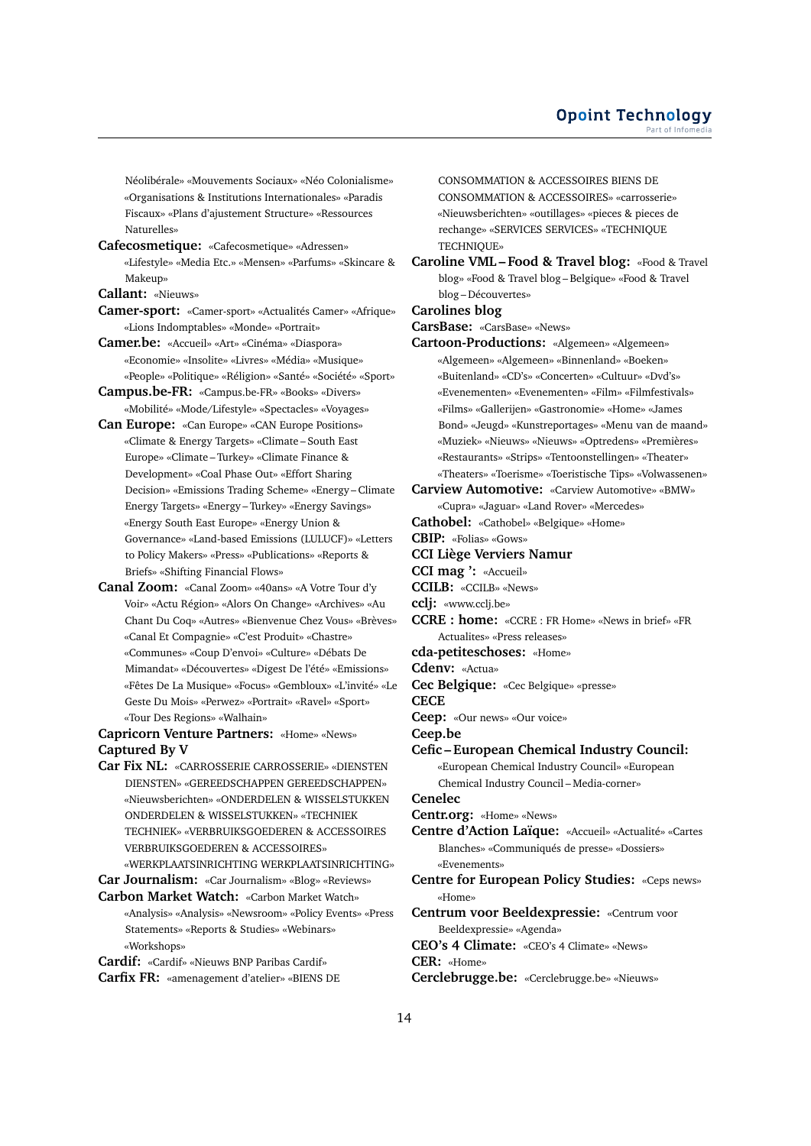Néolibérale» «Mouvements Sociaux» «Néo Colonialisme» «Organisations & Institutions Internationales» «Paradis Fiscaux» «Plans d'ajustement Structure» «Ressources Naturelles»

**Cafecosmetique:** «Cafecosmetique» «Adressen» «Lifestyle» «Media Etc.» «Mensen» «Parfums» «Skincare & Makeup»

**Callant:** «Nieuws»

**Camer-sport:** «Camer-sport» «Actualités Camer» «Afrique» «Lions Indomptables» «Monde» «Portrait»

**Camer.be:** «Accueil» «Art» «Cinéma» «Diaspora» «Economie» «Insolite» «Livres» «Média» «Musique» «People» «Politique» «Réligion» «Santé» «Société» «Sport»

- **Campus.be-FR:** «Campus.be-FR» «Books» «Divers» «Mobilité» «Mode/Lifestyle» «Spectacles» «Voyages»
- **Can Europe:** «Can Europe» «CAN Europe Positions» «Climate & Energy Targets» «Climate – South East Europe» «Climate – Turkey» «Climate Finance & Development» «Coal Phase Out» «Effort Sharing Decision» «Emissions Trading Scheme» «Energy – Climate Energy Targets» «Energy – Turkey» «Energy Savings» «Energy South East Europe» «Energy Union & Governance» «Land-based Emissions (LULUCF)» «Letters to Policy Makers» «Press» «Publications» «Reports & Briefs» «Shifting Financial Flows»
- **Canal Zoom:** «Canal Zoom» «40ans» «A Votre Tour d'y Voir» «Actu Région» «Alors On Change» «Archives» «Au Chant Du Coq» «Autres» «Bienvenue Chez Vous» «Brèves» «Canal Et Compagnie» «C'est Produit» «Chastre» «Communes» «Coup D'envoi» «Culture» «Débats De Mimandat» «Découvertes» «Digest De l'été» «Emissions» «Fêtes De La Musique» «Focus» «Gembloux» «L'invité» «Le Geste Du Mois» «Perwez» «Portrait» «Ravel» «Sport» «Tour Des Regions» «Walhain»

**Capricorn Venture Partners:** «Home» «News» **Captured By V**

**Car Fix NL:** «CARROSSERIE CARROSSERIE» «DIENSTEN DIENSTEN» «GEREEDSCHAPPEN GEREEDSCHAPPEN» «Nieuwsberichten» «ONDERDELEN & WISSELSTUKKEN ONDERDELEN & WISSELSTUKKEN» «TECHNIEK TECHNIEK» «VERBRUIKSGOEDEREN & ACCESSOIRES VERBRUIKSGOEDEREN & ACCESSOIRES»

«WERKPLAATSINRICHTING WERKPLAATSINRICHTING» **Car Journalism:** «Car Journalism» «Blog» «Reviews»

**Carbon Market Watch:** «Carbon Market Watch» «Analysis» «Analysis» «Newsroom» «Policy Events» «Press Statements» «Reports & Studies» «Webinars» «Workshops»

**Cardif:** «Cardif» «Nieuws BNP Paribas Cardif» **Carfix FR:** «amenagement d'atelier» «BIENS DE CONSOMMATION & ACCESSOIRES BIENS DE CONSOMMATION & ACCESSOIRES» «carrosserie» «Nieuwsberichten» «outillages» «pieces & pieces de rechange» «SERVICES SERVICES» «TECHNIQUE TECHNIQUE»

**Caroline VML – Food & Travel blog:** «Food & Travel blog» «Food & Travel blog – Belgique» «Food & Travel blog – Découvertes»

### **Carolines blog**

**CarsBase:** «CarsBase» «News»

- **Cartoon-Productions:** «Algemeen» «Algemeen» «Algemeen» «Algemeen» «Binnenland» «Boeken» «Buitenland» «CD's» «Concerten» «Cultuur» «Dvd's» «Evenementen» «Evenementen» «Film» «Filmfestivals» «Films» «Gallerijen» «Gastronomie» «Home» «James Bond» «Jeugd» «Kunstreportages» «Menu van de maand» «Muziek» «Nieuws» «Nieuws» «Optredens» «Premières» «Restaurants» «Strips» «Tentoonstellingen» «Theater» «Theaters» «Toerisme» «Toeristische Tips» «Volwassenen»
- **Carview Automotive:** «Carview Automotive» «BMW» «Cupra» «Jaguar» «Land Rover» «Mercedes»
- **Cathobel:** «Cathobel» «Belgique» «Home»

**CBIP:** «Folias» «Gows»

- **CCI Liège Verviers Namur**
- **CCI mag ':** «Accueil»
- **CCILB:** «CCILB» «News»
- **cclj:** «www.cclj.be»
- **CCRE : home:** «CCRE : FR Home» «News in brief» «FR Actualites» «Press releases»

**cda-petiteschoses:** «Home»

- **Cdenv:** «Actua»
- **Cec Belgique:** «Cec Belgique» «presse»

**CECE**

**Ceep:** «Our news» «Our voice»

**Ceep.be**

**Cefic – European Chemical Industry Council:** «European Chemical Industry Council» «European Chemical Industry Council – Media-corner»

**Cenelec**

**Centr.org:** «Home» «News»

**Centre d'Action Laïque:** «Accueil» «Actualité» «Cartes Blanches» «Communiqués de presse» «Dossiers» «Evenements»

**Centre for European Policy Studies:** «Ceps news» «Home»

**Centrum voor Beeldexpressie:** «Centrum voor Beeldexpressie» «Agenda»

**CEO's 4 Climate:** «CEO's 4 Climate» «News» **CER:** «Home»

**Cerclebrugge.be:** «Cerclebrugge.be» «Nieuws»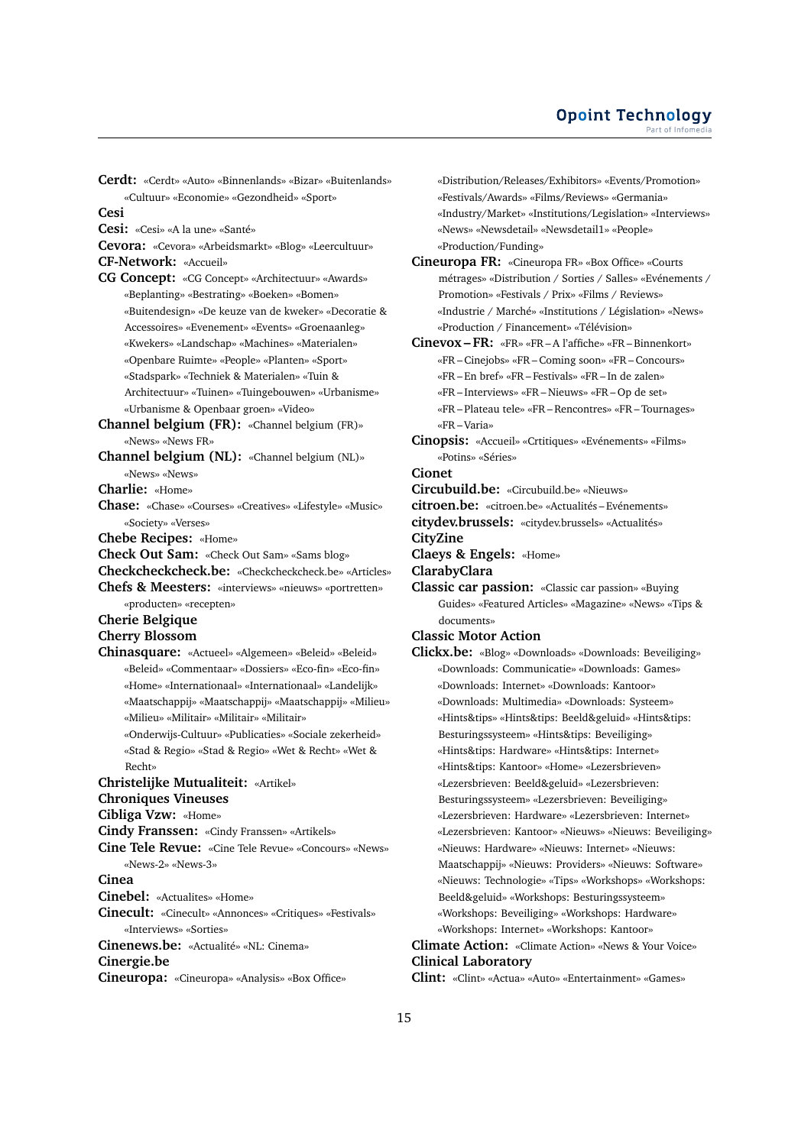# **Opoint Technology**

Part of Infomer

**Cerdt:** «Cerdt» «Auto» «Binnenlands» «Bizar» «Buitenlands» «Cultuur» «Economie» «Gezondheid» «Sport» **Cesi Cesi:** «Cesi» «A la une» «Santé» **Cevora:** «Cevora» «Arbeidsmarkt» «Blog» «Leercultuur» **CF-Network:** «Accueil» **CG Concept:** «CG Concept» «Architectuur» «Awards» «Beplanting» «Bestrating» «Boeken» «Bomen» «Buitendesign» «De keuze van de kweker» «Decoratie & Accessoires» «Evenement» «Events» «Groenaanleg» «Kwekers» «Landschap» «Machines» «Materialen» «Openbare Ruimte» «People» «Planten» «Sport» «Stadspark» «Techniek & Materialen» «Tuin & Architectuur» «Tuinen» «Tuingebouwen» «Urbanisme» «Urbanisme & Openbaar groen» «Video» **Channel belgium (FR):** «Channel belgium (FR)» «News» «News FR» **Channel belgium (NL):** «Channel belgium (NL)» «News» «News» **Charlie:** «Home» **Chase:** «Chase» «Courses» «Creatives» «Lifestyle» «Music» «Society» «Verses» **Chebe Recipes:** «Home» **Check Out Sam:** «Check Out Sam» «Sams blog» **Checkcheckcheck.be:** «Checkcheckcheck.be» «Articles» **Chefs & Meesters:** «interviews» «nieuws» «portretten» «producten» «recepten» **Cherie Belgique Cherry Blossom Chinasquare:** «Actueel» «Algemeen» «Beleid» «Beleid» «Beleid» «Commentaar» «Dossiers» «Eco-fin» «Eco-fin» «Home» «Internationaal» «Internationaal» «Landelijk» «Maatschappij» «Maatschappij» «Maatschappij» «Milieu» «Milieu» «Militair» «Militair» «Militair» «Onderwijs-Cultuur» «Publicaties» «Sociale zekerheid» «Stad & Regio» «Stad & Regio» «Wet & Recht» «Wet & Recht» **Christelijke Mutualiteit:** «Artikel» **Chroniques Vineuses Cibliga Vzw:** «Home» **Cindy Franssen:** «Cindy Franssen» «Artikels» **Cine Tele Revue:** «Cine Tele Revue» «Concours» «News» «News-2» «News-3» **Cinea Cinebel:** «Actualites» «Home» **Cinecult:** «Cinecult» «Annonces» «Critiques» «Festivals» «Interviews» «Sorties» **Cinenews.be:** «Actualité» «NL: Cinema» **Cinergie.be Cineuropa:** «Cineuropa» «Analysis» «Box Office»

«Distribution/Releases/Exhibitors» «Events/Promotion» «Festivals/Awards» «Films/Reviews» «Germania» «Industry/Market» «Institutions/Legislation» «Interviews» «News» «Newsdetail» «Newsdetail1» «People» «Production/Funding»

**Cineuropa FR:** «Cineuropa FR» «Box Office» «Courts métrages» «Distribution / Sorties / Salles» «Evénements / Promotion» «Festivals / Prix» «Films / Reviews» «Industrie / Marché» «Institutions / Législation» «News» «Production / Financement» «Télévision»

**Cinevox – FR:** «FR» «FR – A l'affiche» «FR – Binnenkort» «FR – Cinejobs» «FR – Coming soon» «FR – Concours» «FR – En bref» «FR – Festivals» «FR – In de zalen» «FR – Interviews» «FR – Nieuws» «FR – Op de set» «FR – Plateau tele» «FR – Rencontres» «FR – Tournages» «FR – Varia»

**Cinopsis:** «Accueil» «Crtitiques» «Evénements» «Films» «Potins» «Séries»

**Cionet**

**Circubuild.be:** «Circubuild.be» «Nieuws»

**citroen.be:** «citroen.be» «Actualités – Evénements»

**citydev.brussels:** «citydev.brussels» «Actualités»

**CityZine**

**Claeys & Engels:** «Home»

**ClarabyClara**

**Classic car passion:** «Classic car passion» «Buying Guides» «Featured Articles» «Magazine» «News» «Tips & documents»

**Classic Motor Action**

**Clickx.be:** «Blog» «Downloads» «Downloads: Beveiliging» «Downloads: Communicatie» «Downloads: Games» «Downloads: Internet» «Downloads: Kantoor» «Downloads: Multimedia» «Downloads: Systeem» «Hints&tips» «Hints&tips: Beeld&geluid» «Hints&tips: Besturingssysteem» «Hints&tips: Beveiliging» «Hints&tips: Hardware» «Hints&tips: Internet» «Hints&tips: Kantoor» «Home» «Lezersbrieven» «Lezersbrieven: Beeld&geluid» «Lezersbrieven: Besturingssysteem» «Lezersbrieven: Beveiliging» «Lezersbrieven: Hardware» «Lezersbrieven: Internet» «Lezersbrieven: Kantoor» «Nieuws» «Nieuws: Beveiliging» «Nieuws: Hardware» «Nieuws: Internet» «Nieuws: Maatschappij» «Nieuws: Providers» «Nieuws: Software» «Nieuws: Technologie» «Tips» «Workshops» «Workshops: Beeld&geluid» «Workshops: Besturingssysteem» «Workshops: Beveiliging» «Workshops: Hardware» «Workshops: Internet» «Workshops: Kantoor» **Climate Action:** «Climate Action» «News & Your Voice»

# **Clinical Laboratory**

**Clint:** «Clint» «Actua» «Auto» «Entertainment» «Games»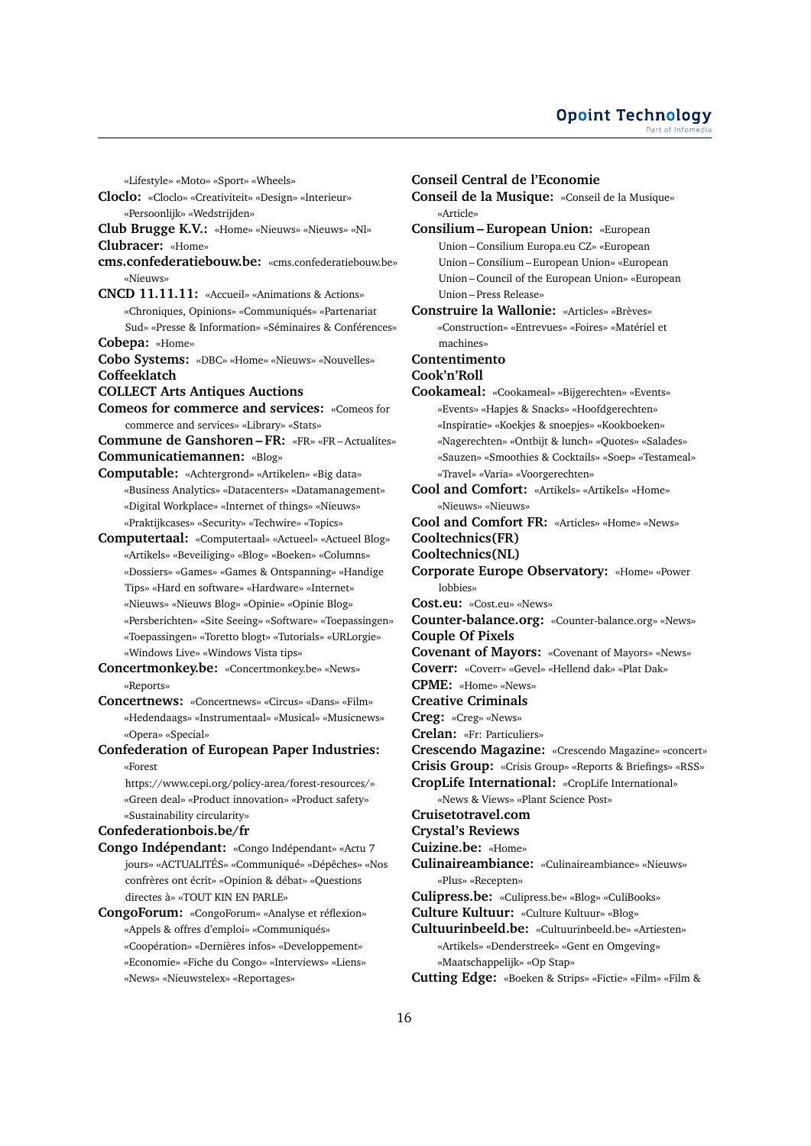«Lifestyle» «Moto» «Sport» «Wheels» **Cloclo:** «Cloclo» «Creativiteit» «Design» «Interieur» «Persoonlijk» «Wedstrijden» **Club Brugge K.V.:** «Home» «Nieuws» «Nieuws» «Nl» **Clubracer:** «Home» **cms.confederatiebouw.be:** «cms.confederatiebouw.be» «Nieuws» **CNCD 11.11.11:** «Accueil» «Animations & Actions» «Chroniques, Opinions» «Communiqués» «Partenariat Sud» «Presse & Information» «Séminaires & Conférences» **Cobepa:** «Home» **Cobo Systems:** «DBC» «Home» «Nieuws» «Nouvelles» **Coffeeklatch COLLECT Arts Antiques Auctions Comeos for commerce and services:** «Comeos for commerce and services» «Library» «Stats» **Commune de Ganshoren – FR:** «FR» «FR – Actualites» **Communicatiemannen:** «Blog» **Computable:** «Achtergrond» «Artikelen» «Big data» «Business Analytics» «Datacenters» «Datamanagement» «Digital Workplace» «Internet of things» «Nieuws» «Praktijkcases» «Security» «Techwire» «Topics» **Computertaal:** «Computertaal» «Actueel» «Actueel Blog» «Artikels» «Beveiliging» «Blog» «Boeken» «Columns» «Dossiers» «Games» «Games & Ontspanning» «Handige Tips» «Hard en software» «Hardware» «Internet» «Nieuws» «Nieuws Blog» «Opinie» «Opinie Blog» «Persberichten» «Site Seeing» «Software» «Toepassingen» «Toepassingen» «Toretto blogt» «Tutorials» «URLorgie» «Windows Live» «Windows Vista tips» **Concertmonkey.be:** «Concertmonkey.be» «News» «Reports» **Concertnews:** «Concertnews» «Circus» «Dans» «Film» «Hedendaags» «Instrumentaal» «Musical» «Musicnews» «Opera» «Special» **Confederation of European Paper Industries:** «Forest https://www.cepi.org/policy-area/forest-resources/» «Green deal» «Product innovation» «Product safety» «Sustainability circularity» **Confederationbois.be/fr Congo Indépendant:** «Congo Indépendant» «Actu 7 jours» «ACTUALITÉS» «Communiqué» «Dépêches» «Nos confrères ont écrit» «Opinion & débat» «Questions directes à» «TOUT KIN EN PARLE» **CongoForum:** «CongoForum» «Analyse et réflexion» «Appels & offres d'emploi» «Communiqués» «Coopération» «Dernières infos» «Developpement» «Economie» «Fiche du Congo» «Interviews» «Liens» «News» «Nieuwstelex» «Reportages»

**Conseil Central de l'Economie Conseil de la Musique:** «Conseil de la Musique» «Article» **Consilium – European Union:** «European Union – Consilium Europa.eu CZ» «European Union – Consilium – European Union» «European Union – Council of the European Union» «European Union – Press Release» **Construire la Wallonie:** «Articles» «Brèves» «Construction» «Entrevues» «Foires» «Matériel et machines» **Contentimento Cook'n'Roll Cookameal:** «Cookameal» «Bijgerechten» «Events» «Events» «Hapjes & Snacks» «Hoofdgerechten» «Inspiratie» «Koekjes & snoepjes» «Kookboeken» «Nagerechten» «Ontbijt & lunch» «Quotes» «Salades» «Sauzen» «Smoothies & Cocktails» «Soep» «Testameal» «Travel» «Varia» «Voorgerechten» **Cool and Comfort:** «Artikels» «Artikels» «Home» «Nieuws» «Nieuws» **Cool and Comfort FR:** «Articles» «Home» «News» **Cooltechnics(FR) Cooltechnics(NL) Corporate Europe Observatory:** «Home» «Power lobbies» **Cost.eu:** «Cost.eu» «News» **Counter-balance.org:** «Counter-balance.org» «News» **Couple Of Pixels Covenant of Mayors:** «Covenant of Mayors» «News» **Coverr:** «Coverr» «Gevel» «Hellend dak» «Plat Dak» **CPME:** «Home» «News» **Creative Criminals Creg:** «Creg» «News» **Crelan:** «Fr: Particuliers» **Crescendo Magazine:** «Crescendo Magazine» «concert» **Crisis Group:** «Crisis Group» «Reports & Briefings» «RSS» **CropLife International:** «CropLife International» «News & Views» «Plant Science Post» **Cruisetotravel.com Crystal's Reviews Cuizine.be:** «Home» **Culinaireambiance:** «Culinaireambiance» «Nieuws» «Plus» «Recepten» **Culipress.be:** «Culipress.be» «Blog» «CuliBooks» **Culture Kultuur:** «Culture Kultuur» «Blog» **Cultuurinbeeld.be:** «Cultuurinbeeld.be» «Artiesten»

«Artikels» «Denderstreek» «Gent en Omgeving» «Maatschappelijk» «Op Stap»

**Cutting Edge:** «Boeken & Strips» «Fictie» «Film» «Film &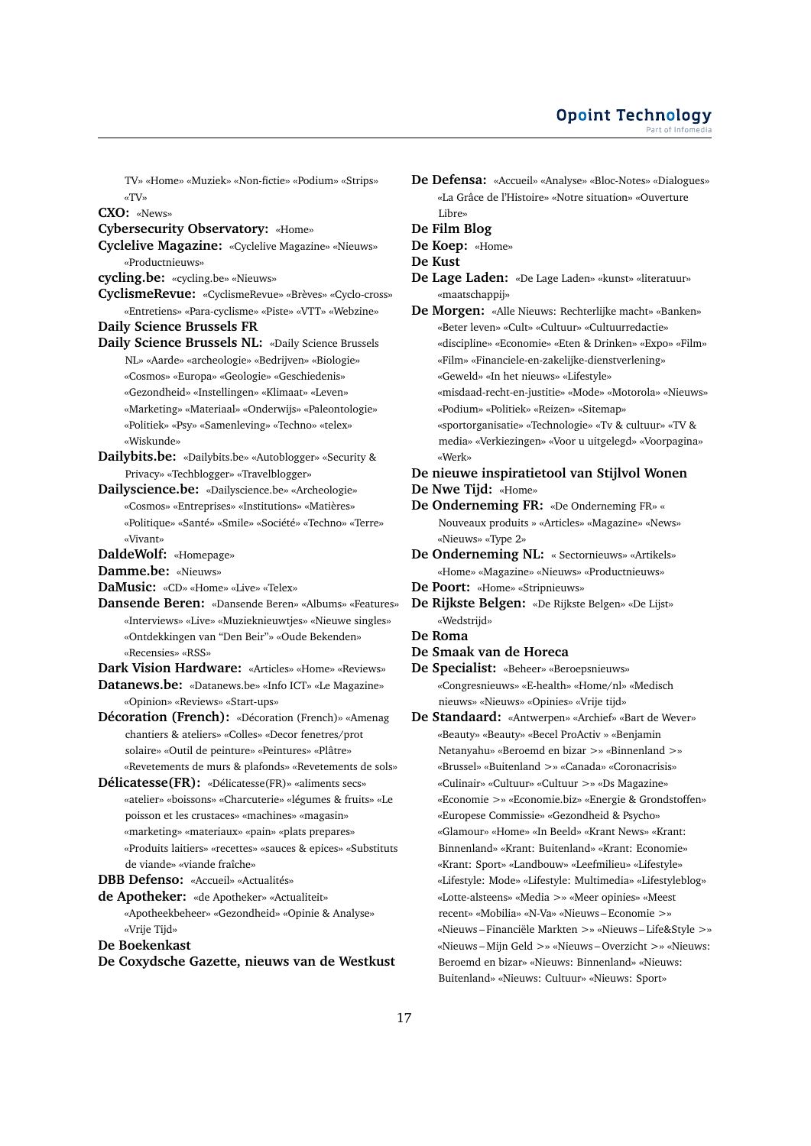TV» «Home» «Muziek» «Non-fictie» «Podium» «Strips» «TV»

**CXO:** «News»

- **Cybersecurity Observatory:** «Home»
- **Cyclelive Magazine:** «Cyclelive Magazine» «Nieuws» «Productnieuws»
- **cycling.be:** «cycling.be» «Nieuws»
- **CyclismeRevue:** «CyclismeRevue» «Brèves» «Cyclo-cross» «Entretiens» «Para-cyclisme» «Piste» «VTT» «Webzine»
- **Daily Science Brussels FR**
- **Daily Science Brussels NL:** «Daily Science Brussels NL» «Aarde» «archeologie» «Bedrijven» «Biologie» «Cosmos» «Europa» «Geologie» «Geschiedenis» «Gezondheid» «Instellingen» «Klimaat» «Leven» «Marketing» «Materiaal» «Onderwijs» «Paleontologie» «Politiek» «Psy» «Samenleving» «Techno» «telex» «Wiskunde»
- **Dailybits.be:** «Dailybits.be» «Autoblogger» «Security & Privacy» «Techblogger» «Travelblogger»
- **Dailyscience.be:** «Dailyscience.be» «Archeologie» «Cosmos» «Entreprises» «Institutions» «Matières» «Politique» «Santé» «Smile» «Société» «Techno» «Terre» «Vivant»
- **DaldeWolf:** «Homepage»
- **Damme.be:** «Nieuws»
- **DaMusic:** «CD» «Home» «Live» «Telex»
- **Dansende Beren:** «Dansende Beren» «Albums» «Features» «Interviews» «Live» «Muzieknieuwtjes» «Nieuwe singles» «Ontdekkingen van "Den Beir"» «Oude Bekenden» «Recensies» «RSS»
- **Dark Vision Hardware:** «Articles» «Home» «Reviews»
- **Datanews.be:** «Datanews.be» «Info ICT» «Le Magazine» «Opinion» «Reviews» «Start-ups»
- **Décoration (French):** «Décoration (French)» «Amenag chantiers & ateliers» «Colles» «Decor fenetres/prot solaire» «Outil de peinture» «Peintures» «Plâtre» «Revetements de murs & plafonds» «Revetements de sols»
- **Délicatesse(FR):** «Délicatesse(FR)» «aliments secs» «atelier» «boissons» «Charcuterie» «légumes & fruits» «Le poisson et les crustaces» «machines» «magasin» «marketing» «materiaux» «pain» «plats prepares» «Produits laitiers» «recettes» «sauces & epices» «Substituts de viande» «viande fraîche»

**DBB Defenso:** «Accueil» «Actualités»

**de Apotheker:** «de Apotheker» «Actualiteit» «Apotheekbeheer» «Gezondheid» «Opinie & Analyse» «Vrije Tijd»

**De Boekenkast**

**De Coxydsche Gazette, nieuws van de Westkust**

**De Defensa:** «Accueil» «Analyse» «Bloc-Notes» «Dialogues» «La Grâce de l'Histoire» «Notre situation» «Ouverture Libre»

# **De Film Blog**

- **De Koep:** «Home»
- **De Kust**
- **De Lage Laden:** «De Lage Laden» «kunst» «literatuur» «maatschappij»

**De Morgen:** «Alle Nieuws: Rechterlijke macht» «Banken» «Beter leven» «Cult» «Cultuur» «Cultuurredactie» «discipline» «Economie» «Eten & Drinken» «Expo» «Film» «Film» «Financiele-en-zakelijke-dienstverlening» «Geweld» «In het nieuws» «Lifestyle» «misdaad-recht-en-justitie» «Mode» «Motorola» «Nieuws» «Podium» «Politiek» «Reizen» «Sitemap» «sportorganisatie» «Technologie» «Tv & cultuur» «TV &

media» «Verkiezingen» «Voor u uitgelegd» «Voorpagina» «Werk»

### **De nieuwe inspiratietool van Stijlvol Wonen De Nwe Tijd:** «Home»

- **De Onderneming FR:** «De Onderneming FR» « Nouveaux produits » «Articles» «Magazine» «News» «Nieuws» «Type 2»
- **De Onderneming NL:** « Sectornieuws» «Artikels» «Home» «Magazine» «Nieuws» «Productnieuws»
- **De Poort:** «Home» «Stripnieuws»
- **De Rijkste Belgen:** «De Rijkste Belgen» «De Lijst» «Wedstrijd»
- **De Roma**
- **De Smaak van de Horeca**
- **De Specialist:** «Beheer» «Beroepsnieuws» «Congresnieuws» «E-health» «Home/nl» «Medisch nieuws» «Nieuws» «Opinies» «Vrije tijd»
- **De Standaard:** «Antwerpen» «Archief» «Bart de Wever» «Beauty» «Beauty» «Becel ProActiv » «Benjamin Netanyahu» «Beroemd en bizar >» «Binnenland >» «Brussel» «Buitenland >» «Canada» «Coronacrisis» «Culinair» «Cultuur» «Cultuur >» «Ds Magazine» «Economie >» «Economie.biz» «Energie & Grondstoffen» «Europese Commissie» «Gezondheid & Psycho» «Glamour» «Home» «In Beeld» «Krant News» «Krant: Binnenland» «Krant: Buitenland» «Krant: Economie» «Krant: Sport» «Landbouw» «Leefmilieu» «Lifestyle» «Lifestyle: Mode» «Lifestyle: Multimedia» «Lifestyleblog» «Lotte-alsteens» «Media >» «Meer opinies» «Meest recent» «Mobilia» «N-Va» «Nieuws – Economie >» «Nieuws – Financiële Markten >» «Nieuws – Life&Style >» «Nieuws – Mijn Geld >» «Nieuws – Overzicht >» «Nieuws: Beroemd en bizar» «Nieuws: Binnenland» «Nieuws: Buitenland» «Nieuws: Cultuur» «Nieuws: Sport»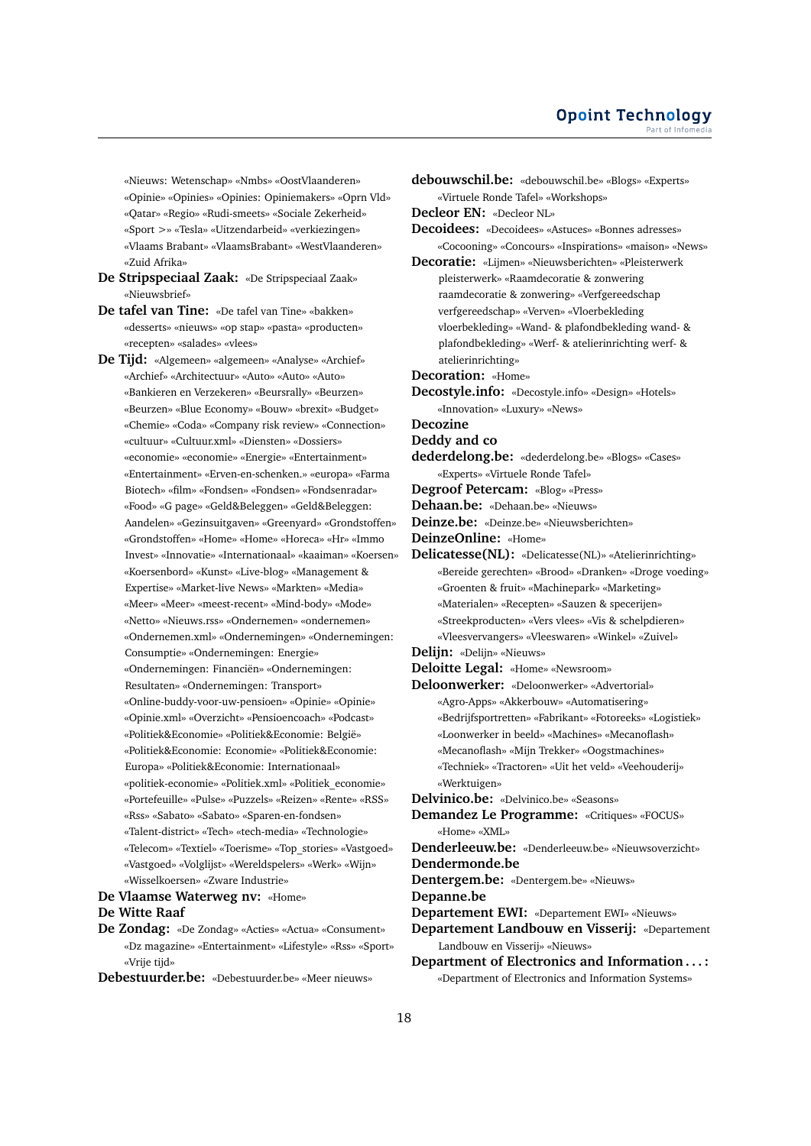«Nieuws: Wetenschap» «Nmbs» «OostVlaanderen» «Opinie» «Opinies» «Opinies: Opiniemakers» «Oprn Vld» «Qatar» «Regio» «Rudi-smeets» «Sociale Zekerheid» «Sport >» «Tesla» «Uitzendarbeid» «verkiezingen» «Vlaams Brabant» «VlaamsBrabant» «WestVlaanderen» «Zuid Afrika»

- **De Stripspeciaal Zaak:** «De Stripspeciaal Zaak» «Nieuwsbrief»
- **De tafel van Tine:** «De tafel van Tine» «bakken» «desserts» «nieuws» «op stap» «pasta» «producten» «recepten» «salades» «vlees»
- **De Tijd:** «Algemeen» «algemeen» «Analyse» «Archief» «Archief» «Architectuur» «Auto» «Auto» «Auto» «Bankieren en Verzekeren» «Beursrally» «Beurzen» «Beurzen» «Blue Economy» «Bouw» «brexit» «Budget» «Chemie» «Coda» «Company risk review» «Connection» «cultuur» «Cultuur.xml» «Diensten» «Dossiers» «economie» «economie» «Energie» «Entertainment» «Entertainment» «Erven-en-schenken.» «europa» «Farma Biotech» «film» «Fondsen» «Fondsen» «Fondsenradar» «Food» «G page» «Geld&Beleggen» «Geld&Beleggen: Aandelen» «Gezinsuitgaven» «Greenyard» «Grondstoffen» «Grondstoffen» «Home» «Home» «Horeca» «Hr» «Immo Invest» «Innovatie» «Internationaal» «kaaiman» «Koersen» «Koersenbord» «Kunst» «Live-blog» «Management & Expertise» «Market-live News» «Markten» «Media» «Meer» «Meer» «meest-recent» «Mind-body» «Mode» «Netto» «Nieuws.rss» «Ondernemen» «ondernemen» «Ondernemen.xml» «Ondernemingen» «Ondernemingen: Consumptie» «Ondernemingen: Energie» «Ondernemingen: Financiën» «Ondernemingen: Resultaten» «Ondernemingen: Transport» «Online-buddy-voor-uw-pensioen» «Opinie» «Opinie» «Opinie.xml» «Overzicht» «Pensioencoach» «Podcast» «Politiek&Economie» «Politiek&Economie: België» «Politiek&Economie: Economie» «Politiek&Economie: Europa» «Politiek&Economie: Internationaal» «politiek-economie» «Politiek.xml» «Politiek\_economie» «Portefeuille» «Pulse» «Puzzels» «Reizen» «Rente» «RSS» «Rss» «Sabato» «Sabato» «Sparen-en-fondsen» «Talent-district» «Tech» «tech-media» «Technologie» «Telecom» «Textiel» «Toerisme» «Top\_stories» «Vastgoed» «Vastgoed» «Volglijst» «Wereldspelers» «Werk» «Wijn» «Wisselkoersen» «Zware Industrie»

#### **De Vlaamse Waterweg nv:** «Home»

# **De Witte Raaf**

- **De Zondag:** «De Zondag» «Acties» «Actua» «Consument» «Dz magazine» «Entertainment» «Lifestyle» «Rss» «Sport» «Vrije tijd»
- **Debestuurder.be:** «Debestuurder.be» «Meer nieuws»
- **debouwschil.be:** «debouwschil.be» «Blogs» «Experts» «Virtuele Ronde Tafel» «Workshops» **Decleor EN:** «Decleor NL» **Decoidees:** «Decoidees» «Astuces» «Bonnes adresses» «Cocooning» «Concours» «Inspirations» «maison» «News» **Decoratie:** «Lijmen» «Nieuwsberichten» «Pleisterwerk pleisterwerk» «Raamdecoratie & zonwering raamdecoratie & zonwering» «Verfgereedschap verfgereedschap» «Verven» «Vloerbekleding vloerbekleding» «Wand- & plafondbekleding wand- & plafondbekleding» «Werf- & atelierinrichting werf- & atelierinrichting» **Decoration:** «Home» **Decostyle.info:** «Decostyle.info» «Design» «Hotels» «Innovation» «Luxury» «News» **Decozine Deddy and co dederdelong.be:** «dederdelong.be» «Blogs» «Cases» «Experts» «Virtuele Ronde Tafel» **Degroof Petercam:** «Blog» «Press» **Dehaan.be:** «Dehaan.be» «Nieuws» **Deinze.be:** «Deinze.be» «Nieuwsberichten» **DeinzeOnline:** «Home» **Delicatesse(NL):** «Delicatesse(NL)» «Atelierinrichting» «Bereide gerechten» «Brood» «Dranken» «Droge voeding» «Groenten & fruit» «Machinepark» «Marketing» «Materialen» «Recepten» «Sauzen & specerijen» «Streekproducten» «Vers vlees» «Vis & schelpdieren» «Vleesvervangers» «Vleeswaren» «Winkel» «Zuivel» **Delijn:** «Delijn» «Nieuws» **Deloitte Legal:** «Home» «Newsroom» **Deloonwerker:** «Deloonwerker» «Advertorial» «Agro-Apps» «Akkerbouw» «Automatisering» «Bedrijfsportretten» «Fabrikant» «Fotoreeks» «Logistiek» «Loonwerker in beeld» «Machines» «Mecanoflash» «Mecanoflash» «Mijn Trekker» «Oogstmachines» «Techniek» «Tractoren» «Uit het veld» «Veehouderij» «Werktuigen» **Delvinico.be:** «Delvinico.be» «Seasons» **Demandez Le Programme:** «Critiques» «FOCUS» «Home» «XML» **Denderleeuw.be:** «Denderleeuw.be» «Nieuwsoverzicht» **Dendermonde.be Dentergem.be:** «Dentergem.be» «Nieuws» **Depanne.be Departement EWI:** «Departement EWI» «Nieuws» **Departement Landbouw en Visserij:** «Departement Landbouw en Visserij» «Nieuws» **Department of Electronics and Information . . . :**
- «Department of Electronics and Information Systems»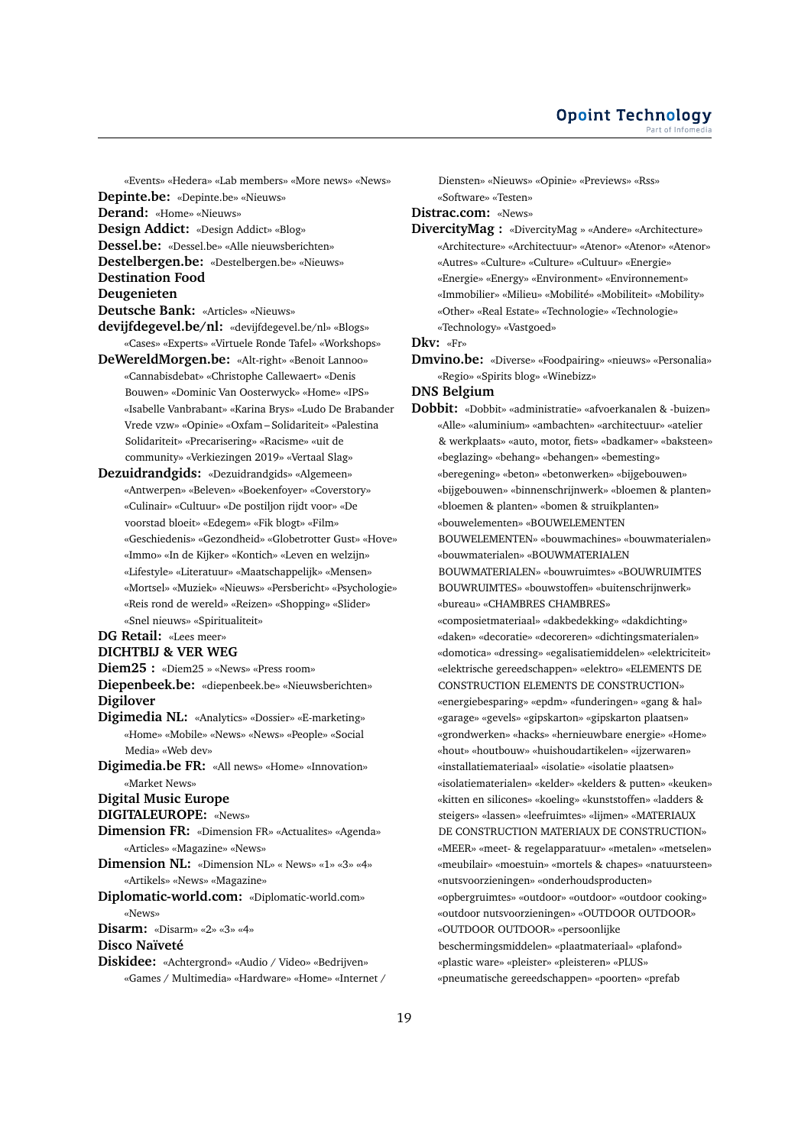«Events» «Hedera» «Lab members» «More news» «News» **Depinte.be:** «Depinte.be» «Nieuws» **Derand:** «Home» «Nieuws» **Design Addict:** «Design Addict» «Blog»

**Dessel.be:** «Dessel.be» «Alle nieuwsberichten»

**Destelbergen.be:** «Destelbergen.be» «Nieuws»

#### **Destination Food**

**Deugenieten**

**Deutsche Bank:** «Articles» «Nieuws»

- **devijfdegevel.be/nl:** «devijfdegevel.be/nl» «Blogs» «Cases» «Experts» «Virtuele Ronde Tafel» «Workshops»
- **DeWereldMorgen.be:** «Alt-right» «Benoit Lannoo» «Cannabisdebat» «Christophe Callewaert» «Denis Bouwen» «Dominic Van Oosterwyck» «Home» «IPS» «Isabelle Vanbrabant» «Karina Brys» «Ludo De Brabander Vrede vzw» «Opinie» «Oxfam – Solidariteit» «Palestina Solidariteit» «Precarisering» «Racisme» «uit de community» «Verkiezingen 2019» «Vertaal Slag»
- **Dezuidrandgids:** «Dezuidrandgids» «Algemeen» «Antwerpen» «Beleven» «Boekenfoyer» «Coverstory» «Culinair» «Cultuur» «De postiljon rijdt voor» «De voorstad bloeit» «Edegem» «Fik blogt» «Film» «Geschiedenis» «Gezondheid» «Globetrotter Gust» «Hove» «Immo» «In de Kijker» «Kontich» «Leven en welzijn» «Lifestyle» «Literatuur» «Maatschappelijk» «Mensen» «Mortsel» «Muziek» «Nieuws» «Persbericht» «Psychologie» «Reis rond de wereld» «Reizen» «Shopping» «Slider» «Snel nieuws» «Spiritualiteit»

#### **DG Retail:** «Lees meer»

**DICHTBIJ & VER WEG**

**Diem25 :** «Diem25 » «News» «Press room»

**Diepenbeek.be:** «diepenbeek.be» «Nieuwsberichten» **Digilover**

- **Digimedia NL:** «Analytics» «Dossier» «E-marketing» «Home» «Mobile» «News» «News» «People» «Social Media» «Web dev»
- **Digimedia.be FR:** «All news» «Home» «Innovation» «Market News»

### **Digital Music Europe**

- **DIGITALEUROPE:** «News»
- **Dimension FR:** «Dimension FR» «Actualites» «Agenda» «Articles» «Magazine» «News»
- **Dimension NL:** «Dimension NL» « News» «1» «3» «4» «Artikels» «News» «Magazine»

**Diplomatic-world.com:** «Diplomatic-world.com» «News»

**Disarm:** «Disarm» «2» «3» «4»

# **Disco Naïveté**

**Diskidee:** «Achtergrond» «Audio / Video» «Bedrijven» «Games / Multimedia» «Hardware» «Home» «Internet / Diensten» «Nieuws» «Opinie» «Previews» «Rss» «Software» «Testen»

**Distrac.com:** «News»

**DivercityMag :** «DivercityMag » «Andere» «Architecture» «Architecture» «Architectuur» «Atenor» «Atenor» «Atenor» «Autres» «Culture» «Culture» «Cultuur» «Energie» «Energie» «Energy» «Environment» «Environnement» «Immobilier» «Milieu» «Mobilité» «Mobiliteit» «Mobility» «Other» «Real Estate» «Technologie» «Technologie» «Technology» «Vastgoed»

**Dkv:** «Fr»

**Dmvino.be:** «Diverse» «Foodpairing» «nieuws» «Personalia» «Regio» «Spirits blog» «Winebizz»

### **DNS Belgium**

**Dobbit:** «Dobbit» «administratie» «afvoerkanalen & -buizen» «Alle» «aluminium» «ambachten» «architectuur» «atelier & werkplaats» «auto, motor, fiets» «badkamer» «baksteen» «beglazing» «behang» «behangen» «bemesting» «beregening» «beton» «betonwerken» «bijgebouwen» «bijgebouwen» «binnenschrijnwerk» «bloemen & planten» «bloemen & planten» «bomen & struikplanten» «bouwelementen» «BOUWELEMENTEN BOUWELEMENTEN» «bouwmachines» «bouwmaterialen» «bouwmaterialen» «BOUWMATERIALEN BOUWMATERIALEN» «bouwruimtes» «BOUWRUIMTES BOUWRUIMTES» «bouwstoffen» «buitenschrijnwerk» «bureau» «CHAMBRES CHAMBRES» «composietmateriaal» «dakbedekking» «dakdichting» «daken» «decoratie» «decoreren» «dichtingsmaterialen» «domotica» «dressing» «egalisatiemiddelen» «elektriciteit» «elektrische gereedschappen» «elektro» «ELEMENTS DE CONSTRUCTION ELEMENTS DE CONSTRUCTION» «energiebesparing» «epdm» «funderingen» «gang & hal» «garage» «gevels» «gipskarton» «gipskarton plaatsen» «grondwerken» «hacks» «hernieuwbare energie» «Home» «hout» «houtbouw» «huishoudartikelen» «ijzerwaren» «installatiemateriaal» «isolatie» «isolatie plaatsen» «isolatiematerialen» «kelder» «kelders & putten» «keuken» «kitten en silicones» «koeling» «kunststoffen» «ladders & steigers» «lassen» «leefruimtes» «lijmen» «MATERIAUX DE CONSTRUCTION MATERIAUX DE CONSTRUCTION» «MEER» «meet- & regelapparatuur» «metalen» «metselen» «meubilair» «moestuin» «mortels & chapes» «natuursteen» «nutsvoorzieningen» «onderhoudsproducten» «opbergruimtes» «outdoor» «outdoor» «outdoor cooking» «outdoor nutsvoorzieningen» «OUTDOOR OUTDOOR» «OUTDOOR OUTDOOR» «persoonlijke beschermingsmiddelen» «plaatmateriaal» «plafond» «plastic ware» «pleister» «pleisteren» «PLUS» «pneumatische gereedschappen» «poorten» «prefab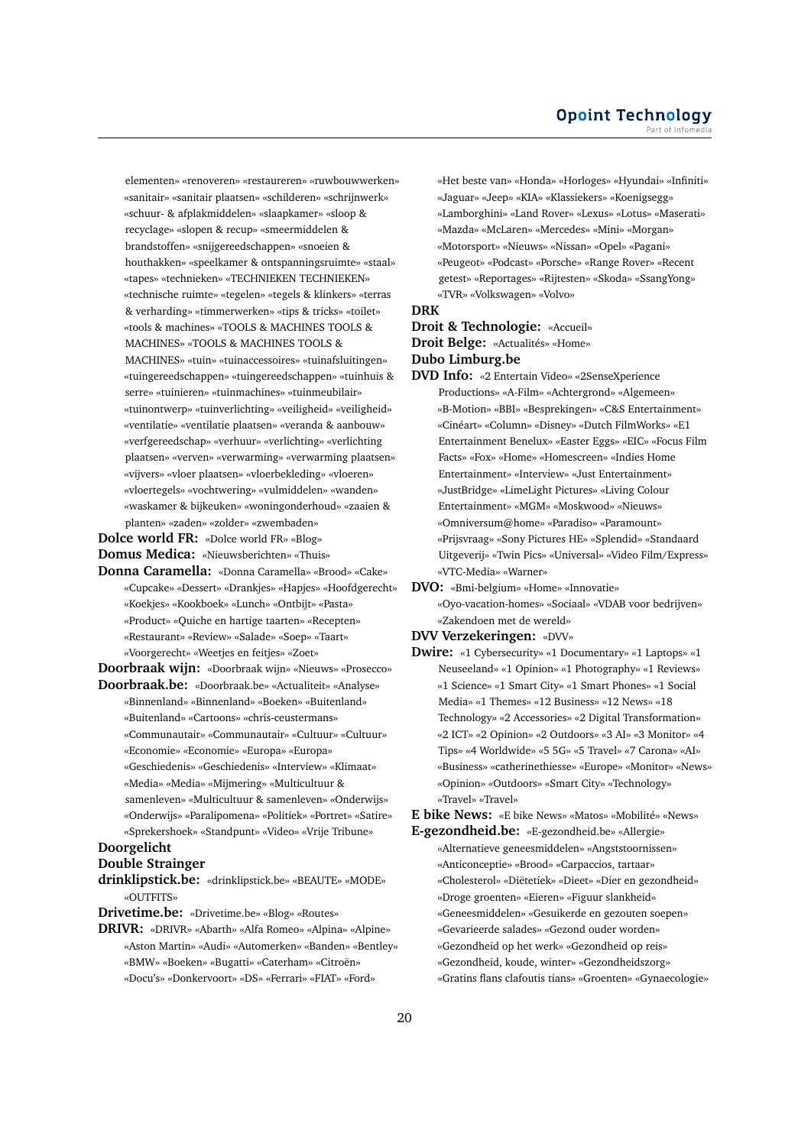elementen» «renoveren» «restaureren» «ruwbouwwerken» «sanitair» «sanitair plaatsen» «schilderen» «schrijnwerk» «schuur- & afplakmiddelen» «slaapkamer» «sloop & recyclage» «slopen & recup» «smeermiddelen & brandstoffen» «snijgereedschappen» «snoeien & houthakken» «speelkamer & ontspanningsruimte» «staal» «tapes» «technieken» «TECHNIEKEN TECHNIEKEN» «technische ruimte» «tegelen» «tegels & klinkers» «terras & verharding» «timmerwerken» «tips & tricks» «toilet» «tools & machines» «TOOLS & MACHINES TOOLS & MACHINES» «TOOLS & MACHINES TOOLS & MACHINES» «tuin» «tuinaccessoires» «tuinafsluitingen» «tuingereedschappen» «tuingereedschappen» «tuinhuis & serre» «tuinieren» «tuinmachines» «tuinmeubilair» «tuinontwerp» «tuinverlichting» «veiligheid» «veiligheid» «ventilatie» «ventilatie plaatsen» «veranda & aanbouw» «verfgereedschap» «verhuur» «verlichting» «verlichting plaatsen» «verven» «verwarming» «verwarming plaatsen» «vijvers» «vloer plaatsen» «vloerbekleding» «vloeren» «vloertegels» «vochtwering» «vulmiddelen» «wanden» «waskamer & bijkeuken» «woningonderhoud» «zaaien & planten» «zaden» «zolder» «zwembaden»

**Dolce world FR:** «Dolce world FR» «Blog» **Domus Medica:** «Nieuwsberichten» «Thuis»

**Donna Caramella:** «Donna Caramella» «Brood» «Cake» «Cupcake» «Dessert» «Drankjes» «Hapjes» «Hoofdgerecht» «Koekjes» «Kookboek» «Lunch» «Ontbijt» «Pasta» «Product» «Quiche en hartige taarten» «Recepten» «Restaurant» «Review» «Salade» «Soep» «Taart» «Voorgerecht» «Weetjes en feitjes» «Zoet»

**Doorbraak wijn:** «Doorbraak wijn» «Nieuws» «Prosecco» **Doorbraak.be:** «Doorbraak.be» «Actualiteit» «Analyse»

- «Binnenland» «Binnenland» «Boeken» «Buitenland» «Buitenland» «Cartoons» «chris-ceustermans» «Communautair» «Communautair» «Cultuur» «Cultuur»
- «Economie» «Economie» «Europa» «Europa» «Geschiedenis» «Geschiedenis» «Interview» «Klimaat» «Media» «Media» «Mijmering» «Multicultuur & samenleven» «Multicultuur & samenleven» «Onderwijs» «Onderwijs» «Paralipomena» «Politiek» «Portret» «Satire» «Sprekershoek» «Standpunt» «Video» «Vrije Tribune»

# **Doorgelicht**

# **Double Strainger**

**drinklipstick.be:** «drinklipstick.be» «BEAUTE» «MODE» «OUTFITS»

**Drivetime.be:** «Drivetime.be» «Blog» «Routes»

**DRIVR:** «DRIVR» «Abarth» «Alfa Romeo» «Alpina» «Alpine» «Aston Martin» «Audi» «Automerken» «Banden» «Bentley» «BMW» «Boeken» «Bugatti» «Caterham» «Citroën» «Docu's» «Donkervoort» «DS» «Ferrari» «FIAT» «Ford»

«Het beste van» «Honda» «Horloges» «Hyundai» «Infiniti» «Jaguar» «Jeep» «KIA» «Klassiekers» «Koenigsegg» «Lamborghini» «Land Rover» «Lexus» «Lotus» «Maserati» «Mazda» «McLaren» «Mercedes» «Mini» «Morgan» «Motorsport» «Nieuws» «Nissan» «Opel» «Pagani» «Peugeot» «Podcast» «Porsche» «Range Rover» «Recent getest» «Reportages» «Rijtesten» «Skoda» «SsangYong» «TVR» «Volkswagen» «Volvo»

#### **DRK**

**Droit & Technologie:** «Accueil»

**Droit Belge:** «Actualités» «Home»

**Dubo Limburg.be**

- **DVD Info:** «2 Entertain Video» «2SenseXperience Productions» «A-Film» «Achtergrond» «Algemeen» «B-Motion» «BBI» «Besprekingen» «C&S Entertainment» «Cinéart» «Column» «Disney» «Dutch FilmWorks» «E1 Entertainment Benelux» «Easter Eggs» «EIC» «Focus Film Facts» «Fox» «Home» «Homescreen» «Indies Home Entertainment» «Interview» «Just Entertainment» «JustBridge» «LimeLight Pictures» «Living Colour Entertainment» «MGM» «Moskwood» «Nieuws» «Omniversum@home» «Paradiso» «Paramount» «Prijsvraag» «Sony Pictures HE» «Splendid» «Standaard Uitgeverij» «Twin Pics» «Universal» «Video Film/Express» «VTC-Media» «Warner»
- **DVO:** «Bmi-belgium» «Home» «Innovatie» «Oyo-vacation-homes» «Sociaal» «VDAB voor bedrijven» «Zakendoen met de wereld»

### **DVV Verzekeringen:** «DVV»

**Dwire:** «1 Cybersecurity» «1 Documentary» «1 Laptops» «1 Neuseeland» «1 Opinion» «1 Photography» «1 Reviews» «1 Science» «1 Smart City» «1 Smart Phones» «1 Social Media» «1 Themes» «12 Business» «12 News» «18 Technology» «2 Accessories» «2 Digital Transformation» «2 ICT» «2 Opinion» «2 Outdoors» «3 AI» «3 Monitor» «4 Tips» «4 Worldwide» «5 5G» «5 Travel» «7 Carona» «AI» «Business» «catherinethiesse» «Europe» «Monitor» «News» «Opinion» «Outdoors» «Smart City» «Technology» «Travel» «Travel»

**E bike News:** «E bike News» «Matos» «Mobilité» «News»

**E-gezondheid.be:** «E-gezondheid.be» «Allergie» «Alternatieve geneesmiddelen» «Angststoornissen» «Anticonceptie» «Brood» «Carpaccios, tartaar» «Cholesterol» «Diëtetiek» «Dieet» «Dier en gezondheid» «Droge groenten» «Eieren» «Figuur slankheid» «Geneesmiddelen» «Gesuikerde en gezouten soepen» «Gevarieerde salades» «Gezond ouder worden» «Gezondheid op het werk» «Gezondheid op reis» «Gezondheid, koude, winter» «Gezondheidszorg» «Gratins flans clafoutis tians» «Groenten» «Gynaecologie»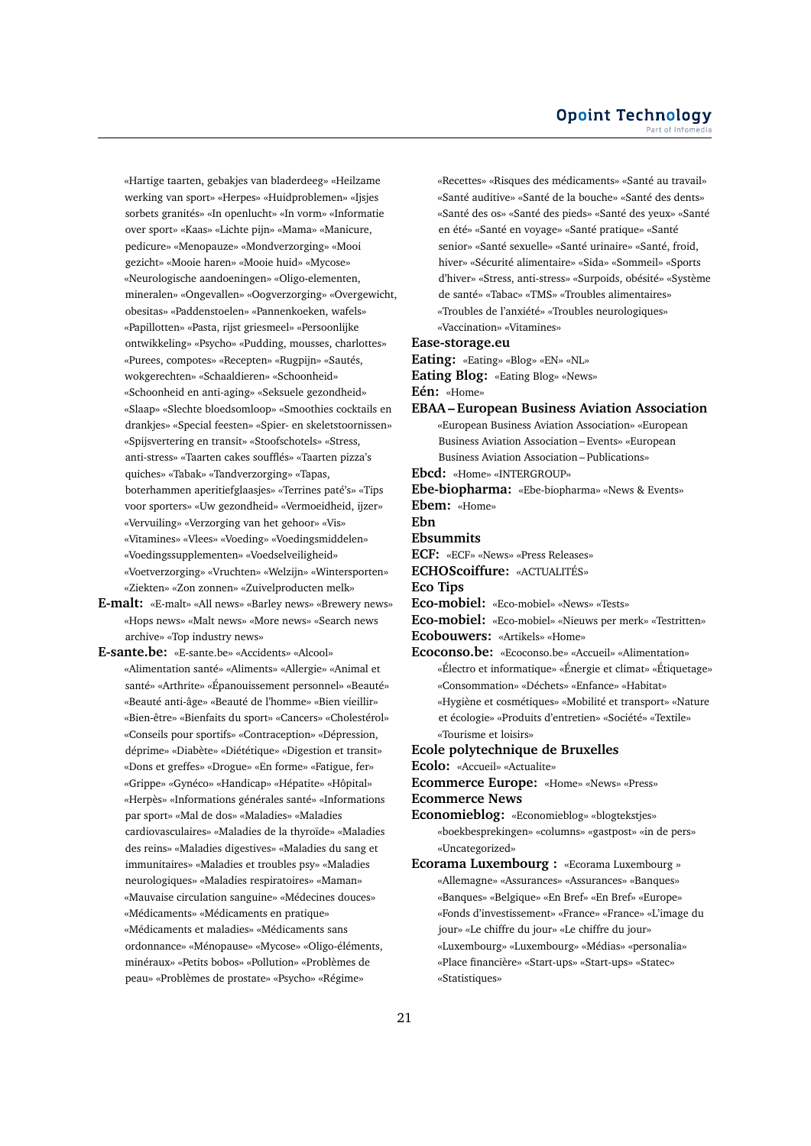«Hartige taarten, gebakjes van bladerdeeg» «Heilzame werking van sport» «Herpes» «Huidproblemen» «Ijsjes sorbets granités» «In openlucht» «In vorm» «Informatie over sport» «Kaas» «Lichte pijn» «Mama» «Manicure, pedicure» «Menopauze» «Mondverzorging» «Mooi gezicht» «Mooie haren» «Mooie huid» «Mycose» «Neurologische aandoeningen» «Oligo-elementen, mineralen» «Ongevallen» «Oogverzorging» «Overgewicht, obesitas» «Paddenstoelen» «Pannenkoeken, wafels» «Papillotten» «Pasta, rijst griesmeel» «Persoonlijke ontwikkeling» «Psycho» «Pudding, mousses, charlottes» «Purees, compotes» «Recepten» «Rugpijn» «Sautés, wokgerechten» «Schaaldieren» «Schoonheid» «Schoonheid en anti-aging» «Seksuele gezondheid» «Slaap» «Slechte bloedsomloop» «Smoothies cocktails en drankjes» «Special feesten» «Spier- en skeletstoornissen» «Spijsvertering en transit» «Stoofschotels» «Stress, anti-stress» «Taarten cakes soufflés» «Taarten pizza's quiches» «Tabak» «Tandverzorging» «Tapas, boterhammen aperitiefglaasjes» «Terrines paté's» «Tips voor sporters» «Uw gezondheid» «Vermoeidheid, ijzer» «Vervuiling» «Verzorging van het gehoor» «Vis» «Vitamines» «Vlees» «Voeding» «Voedingsmiddelen» «Voedingssupplementen» «Voedselveiligheid» «Voetverzorging» «Vruchten» «Welzijn» «Wintersporten» «Ziekten» «Zon zonnen» «Zuivelproducten melk»

- **E-malt:** «E-malt» «All news» «Barley news» «Brewery news» «Hops news» «Malt news» «More news» «Search news archive» «Top industry news»
- **E-sante.be:** «E-sante.be» «Accidents» «Alcool» «Alimentation santé» «Aliments» «Allergie» «Animal et santé» «Arthrite» «Épanouissement personnel» «Beauté» «Beauté anti-âge» «Beauté de l'homme» «Bien vieillir» «Bien-être» «Bienfaits du sport» «Cancers» «Cholestérol» «Conseils pour sportifs» «Contraception» «Dépression, déprime» «Diabète» «Diététique» «Digestion et transit» «Dons et greffes» «Drogue» «En forme» «Fatigue, fer» «Grippe» «Gynéco» «Handicap» «Hépatite» «Hôpital» «Herpès» «Informations générales santé» «Informations par sport» «Mal de dos» «Maladies» «Maladies cardiovasculaires» «Maladies de la thyroïde» «Maladies des reins» «Maladies digestives» «Maladies du sang et immunitaires» «Maladies et troubles psy» «Maladies neurologiques» «Maladies respiratoires» «Maman» «Mauvaise circulation sanguine» «Médecines douces» «Médicaments» «Médicaments en pratique» «Médicaments et maladies» «Médicaments sans ordonnance» «Ménopause» «Mycose» «Oligo-éléments, minéraux» «Petits bobos» «Pollution» «Problèmes de peau» «Problèmes de prostate» «Psycho» «Régime»

«Recettes» «Risques des médicaments» «Santé au travail» «Santé auditive» «Santé de la bouche» «Santé des dents» «Santé des os» «Santé des pieds» «Santé des yeux» «Santé en été» «Santé en voyage» «Santé pratique» «Santé senior» «Santé sexuelle» «Santé urinaire» «Santé, froid, hiver» «Sécurité alimentaire» «Sida» «Sommeil» «Sports d'hiver» «Stress, anti-stress» «Surpoids, obésité» «Système de santé» «Tabac» «TMS» «Troubles alimentaires» «Troubles de l'anxiété» «Troubles neurologiques» «Vaccination» «Vitamines»

#### **Ease-storage.eu**

- **Eating:** «Eating» «Blog» «EN» «NL»
- **Eating Blog:** «Eating Blog» «News»

**Eén:** «Home»

- **EBAA European Business Aviation Association** «European Business Aviation Association» «European Business Aviation Association – Events» «European
	- Business Aviation Association Publications»
- **Ebcd:** «Home» «INTERGROUP»

**Ebe-biopharma:** «Ebe-biopharma» «News & Events» **Ebem:** «Home»

**Ebn**

- **Ebsummits**
- **ECF:** «ECF» «News» «Press Releases»
- **ECHOScoiffure:** «ACTUALITÉS»

**Eco Tips**

- **Eco-mobiel:** «Eco-mobiel» «News» «Tests»
- **Eco-mobiel:** «Eco-mobiel» «Nieuws per merk» «Testritten»
- **Ecobouwers:** «Artikels» «Home»
- **Ecoconso.be:** «Ecoconso.be» «Accueil» «Alimentation» «Électro et informatique» «Énergie et climat» «Étiquetage» «Consommation» «Déchets» «Enfance» «Habitat» «Hygiène et cosmétiques» «Mobilité et transport» «Nature et écologie» «Produits d'entretien» «Société» «Textile» «Tourisme et loisirs»
- **Ecole polytechnique de Bruxelles**

**Ecolo:** «Accueil» «Actualite»

**Ecommerce Europe:** «Home» «News» «Press»

- **Ecommerce News**
- **Economieblog:** «Economieblog» «blogtekstjes» «boekbesprekingen» «columns» «gastpost» «in de pers» «Uncategorized»
- **Ecorama Luxembourg :** «Ecorama Luxembourg » «Allemagne» «Assurances» «Assurances» «Banques» «Banques» «Belgique» «En Bref» «En Bref» «Europe» «Fonds d'investissement» «France» «France» «L'image du jour» «Le chiffre du jour» «Le chiffre du jour» «Luxembourg» «Luxembourg» «Médias» «personalia» «Place financière» «Start-ups» «Start-ups» «Statec» «Statistiques»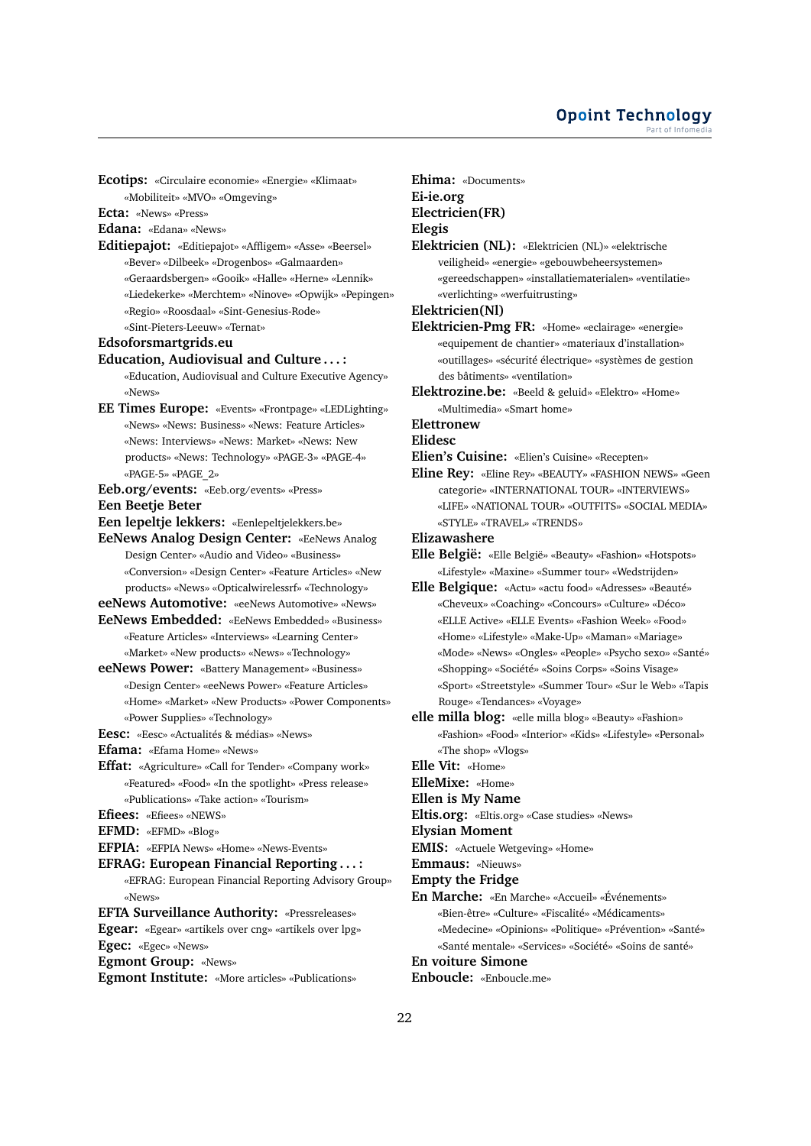**Ecotips:** «Circulaire economie» «Energie» «Klimaat» «Mobiliteit» «MVO» «Omgeving»

**Ecta:** «News» «Press»

**Edana:** «Edana» «News»

**Editiepajot:** «Editiepajot» «Affligem» «Asse» «Beersel» «Bever» «Dilbeek» «Drogenbos» «Galmaarden» «Geraardsbergen» «Gooik» «Halle» «Herne» «Lennik» «Liedekerke» «Merchtem» «Ninove» «Opwijk» «Pepingen» «Regio» «Roosdaal» «Sint-Genesius-Rode»

«Sint-Pieters-Leeuw» «Ternat»

# **Edsoforsmartgrids.eu**

#### **Education, Audiovisual and Culture . . . :**

«Education, Audiovisual and Culture Executive Agency» «News»

**EE Times Europe:** «Events» «Frontpage» «LEDLighting» «News» «News: Business» «News: Feature Articles» «News: Interviews» «News: Market» «News: New products» «News: Technology» «PAGE-3» «PAGE-4» «PAGE-5» «PAGE\_2»

**Eeb.org/events:** «Eeb.org/events» «Press»

**Een Beetje Beter**

**Een lepeltje lekkers:** «Eenlepeltjelekkers.be»

**EeNews Analog Design Center:** «EeNews Analog Design Center» «Audio and Video» «Business» «Conversion» «Design Center» «Feature Articles» «New products» «News» «Opticalwirelessrf» «Technology»

**eeNews Automotive:** «eeNews Automotive» «News»

- **EeNews Embedded:** «EeNews Embedded» «Business» «Feature Articles» «Interviews» «Learning Center» «Market» «New products» «News» «Technology»
- **eeNews Power:** «Battery Management» «Business» «Design Center» «eeNews Power» «Feature Articles» «Home» «Market» «New Products» «Power Components» «Power Supplies» «Technology»

**Eesc:** «Eesc» «Actualités & médias» «News»

- **Efama:** «Efama Home» «News»
- **Effat:** «Agriculture» «Call for Tender» «Company work» «Featured» «Food» «In the spotlight» «Press release» «Publications» «Take action» «Tourism»
- **Efiees:** «Efiees» «NEWS»
- **EFMD:** «EFMD» «Blog»

**EFPIA:** «EFPIA News» «Home» «News-Events»

**EFRAG: European Financial Reporting . . . :**

«EFRAG: European Financial Reporting Advisory Group» «News»

**EFTA Surveillance Authority:** «Pressreleases» **Egear:** «Egear» «artikels over cng» «artikels over lpg»

**Egec:** «Egec» «News»

**Egmont Group:** «News»

**Egmont Institute:** «More articles» «Publications»

**Ehima:** «Documents»

# **Ei-ie.org**

**Electricien(FR)**

# **Elegis**

**Elektricien (NL):** «Elektricien (NL)» «elektrische veiligheid» «energie» «gebouwbeheersystemen» «gereedschappen» «installatiematerialen» «ventilatie» «verlichting» «werfuitrusting»

**Elektricien(Nl)**

**Elektricien-Pmg FR:** «Home» «eclairage» «energie» «equipement de chantier» «materiaux d'installation» «outillages» «sécurité électrique» «systèmes de gestion des bâtiments» «ventilation»

**Elektrozine.be:** «Beeld & geluid» «Elektro» «Home» «Multimedia» «Smart home»

**Elettronew**

#### **Elidesc**

**Elien's Cuisine:** «Elien's Cuisine» «Recepten»

**Eline Rey:** «Eline Rey» «BEAUTY» «FASHION NEWS» «Geen categorie» «INTERNATIONAL TOUR» «INTERVIEWS» «LIFE» «NATIONAL TOUR» «OUTFITS» «SOCIAL MEDIA» «STYLE» «TRAVEL» «TRENDS»

**Elizawashere**

**Elle Belgique:** «Actu» «actu food» «Adresses» «Beauté» «Cheveux» «Coaching» «Concours» «Culture» «Déco» «ELLE Active» «ELLE Events» «Fashion Week» «Food» «Home» «Lifestyle» «Make-Up» «Maman» «Mariage» «Mode» «News» «Ongles» «People» «Psycho sexo» «Santé» «Shopping» «Société» «Soins Corps» «Soins Visage» «Sport» «Streetstyle» «Summer Tour» «Sur le Web» «Tapis Rouge» «Tendances» «Voyage»

**elle milla blog:** «elle milla blog» «Beauty» «Fashion» «Fashion» «Food» «Interior» «Kids» «Lifestyle» «Personal» «The shop» «Vlogs»

```
Elle Vit: «Home»
```
**ElleMixe:** «Home»

- **Ellen is My Name**
- **Eltis.org:** «Eltis.org» «Case studies» «News»

**Elysian Moment**

- **EMIS:** «Actuele Wetgeving» «Home»
- **Emmaus:** «Nieuws»
- **Empty the Fridge**
- **En Marche:** «En Marche» «Accueil» «Événements» «Bien-être» «Culture» «Fiscalité» «Médicaments» «Medecine» «Opinions» «Politique» «Prévention» «Santé» «Santé mentale» «Services» «Société» «Soins de santé»

# **En voiture Simone**

**Enboucle:** «Enboucle.me»

**Elle België:** «Elle België» «Beauty» «Fashion» «Hotspots» «Lifestyle» «Maxine» «Summer tour» «Wedstrijden»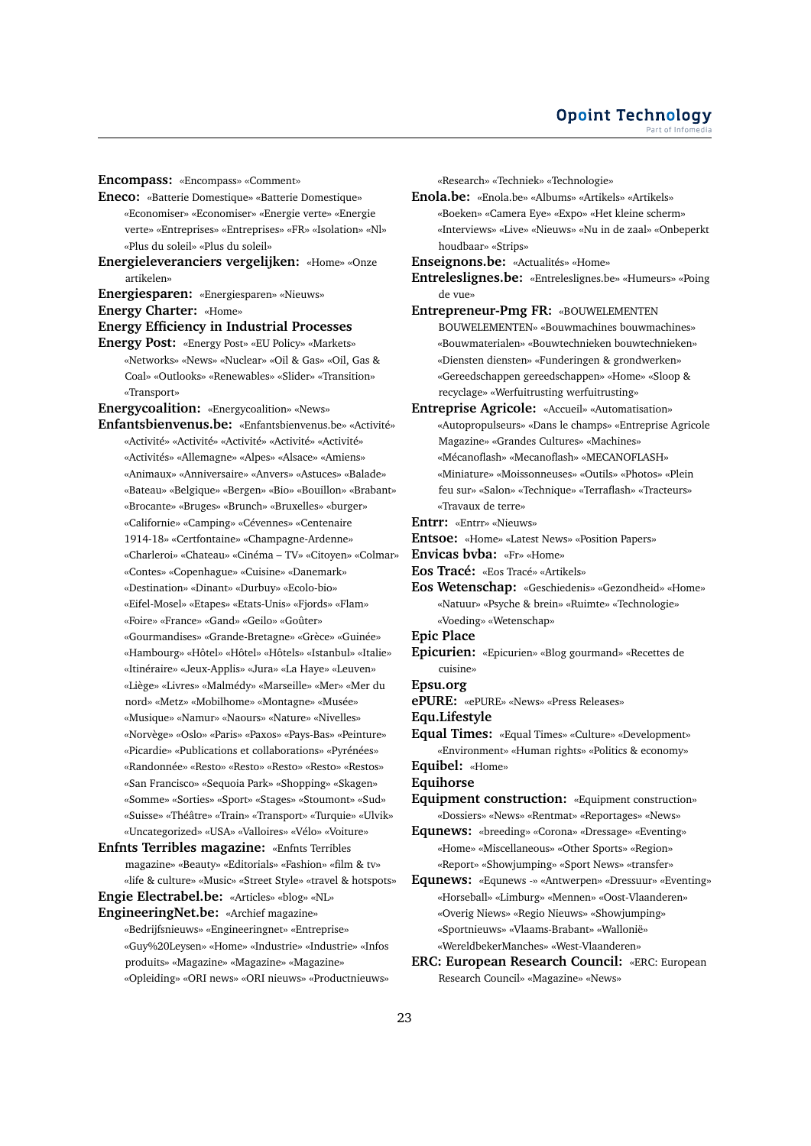#### **Opoint Technology** Part of Infomer

**Encompass:** «Encompass» «Comment»

**Eneco:** «Batterie Domestique» «Batterie Domestique» «Economiser» «Economiser» «Energie verte» «Energie verte» «Entreprises» «Entreprises» «FR» «Isolation» «Nl» «Plus du soleil» «Plus du soleil»

**Energieleveranciers vergelijken:** «Home» «Onze artikelen»

**Energiesparen:** «Energiesparen» «Nieuws»

**Energy Charter:** «Home»

# **Energy Efficiency in Industrial Processes**

**Energy Post:** «Energy Post» «EU Policy» «Markets» «Networks» «News» «Nuclear» «Oil & Gas» «Oil, Gas & Coal» «Outlooks» «Renewables» «Slider» «Transition» «Transport»

**Energycoalition:** «Energycoalition» «News»

**Enfantsbienvenus.be:** «Enfantsbienvenus.be» «Activité» «Activité» «Activité» «Activité» «Activité» «Activité» «Activités» «Allemagne» «Alpes» «Alsace» «Amiens» «Animaux» «Anniversaire» «Anvers» «Astuces» «Balade» «Bateau» «Belgique» «Bergen» «Bio» «Bouillon» «Brabant» «Brocante» «Bruges» «Brunch» «Bruxelles» «burger» «Californie» «Camping» «Cévennes» «Centenaire 1914-18» «Certfontaine» «Champagne-Ardenne» «Charleroi» «Chateau» «Cinéma – TV» «Citoyen» «Colmar» «Contes» «Copenhague» «Cuisine» «Danemark» «Destination» «Dinant» «Durbuy» «Ecolo-bio» «Eifel-Mosel» «Etapes» «Etats-Unis» «Fjords» «Flam» «Foire» «France» «Gand» «Geilo» «Goûter» «Gourmandises» «Grande-Bretagne» «Grèce» «Guinée» «Hambourg» «Hôtel» «Hôtel» «Hôtels» «Istanbul» «Italie» «Itinéraire» «Jeux-Applis» «Jura» «La Haye» «Leuven» «Liège» «Livres» «Malmédy» «Marseille» «Mer» «Mer du nord» «Metz» «Mobilhome» «Montagne» «Musée» «Musique» «Namur» «Naours» «Nature» «Nivelles» «Norvège» «Oslo» «Paris» «Paxos» «Pays-Bas» «Peinture» «Picardie» «Publications et collaborations» «Pyrénées» «Randonnée» «Resto» «Resto» «Resto» «Resto» «Restos» «San Francisco» «Sequoia Park» «Shopping» «Skagen» «Somme» «Sorties» «Sport» «Stages» «Stoumont» «Sud» «Suisse» «Théâtre» «Train» «Transport» «Turquie» «Ulvik» «Uncategorized» «USA» «Valloires» «Vélo» «Voiture»

**Enfnts Terribles magazine:** «Enfnts Terribles magazine» «Beauty» «Editorials» «Fashion» «film & tv» «life & culture» «Music» «Street Style» «travel & hotspots» **Engie Electrabel.be:** «Articles» «blog» «NL»

**EngineeringNet.be:** «Archief magazine» «Bedrijfsnieuws» «Engineeringnet» «Entreprise» «Guy%20Leysen» «Home» «Industrie» «Industrie» «Infos produits» «Magazine» «Magazine» «Magazine» «Opleiding» «ORI news» «ORI nieuws» «Productnieuws» «Research» «Techniek» «Technologie»

**Enola.be:** «Enola.be» «Albums» «Artikels» «Artikels» «Boeken» «Camera Eye» «Expo» «Het kleine scherm» «Interviews» «Live» «Nieuws» «Nu in de zaal» «Onbeperkt houdbaar» «Strips»

**Enseignons.be:** «Actualités» «Home»

- **Entreleslignes.be:** «Entreleslignes.be» «Humeurs» «Poing de vue»
- **Entrepreneur-Pmg FR:** «BOUWELEMENTEN BOUWELEMENTEN» «Bouwmachines bouwmachines» «Bouwmaterialen» «Bouwtechnieken bouwtechnieken» «Diensten diensten» «Funderingen & grondwerken» «Gereedschappen gereedschappen» «Home» «Sloop & recyclage» «Werfuitrusting werfuitrusting»
- **Entreprise Agricole:** «Accueil» «Automatisation» «Autopropulseurs» «Dans le champs» «Entreprise Agricole Magazine» «Grandes Cultures» «Machines» «Mécanoflash» «Mecanoflash» «MECANOFLASH» «Miniature» «Moissonneuses» «Outils» «Photos» «Plein feu sur» «Salon» «Technique» «Terraflash» «Tracteurs» «Travaux de terre»
- **Entrr:** «Entrr» «Nieuws»
- **Entsoe:** «Home» «Latest News» «Position Papers»
- **Envicas bvba:** «Fr» «Home»
- **Eos Tracé:** «Eos Tracé» «Artikels»
- **Eos Wetenschap:** «Geschiedenis» «Gezondheid» «Home» «Natuur» «Psyche & brein» «Ruimte» «Technologie» «Voeding» «Wetenschap»
- **Epic Place**
- **Epicurien:** «Epicurien» «Blog gourmand» «Recettes de cuisine»
- **Epsu.org**
- **ePURE:** «ePURE» «News» «Press Releases»

**Equ.Lifestyle**

**Equal Times:** «Equal Times» «Culture» «Development» «Environment» «Human rights» «Politics & economy»

**Equibel:** «Home»

**Equihorse**

- **Equipment construction:** «Equipment construction» «Dossiers» «News» «Rentmat» «Reportages» «News»
- **Equnews:** «breeding» «Corona» «Dressage» «Eventing» «Home» «Miscellaneous» «Other Sports» «Region» «Report» «Showjumping» «Sport News» «transfer»
- **Equnews:** «Equnews -» «Antwerpen» «Dressuur» «Eventing» «Horseball» «Limburg» «Mennen» «Oost-Vlaanderen» «Overig Niews» «Regio Nieuws» «Showjumping» «Sportnieuws» «Vlaams-Brabant» «Wallonië» «WereldbekerManches» «West-Vlaanderen»
- **ERC: European Research Council:** «ERC: European Research Council» «Magazine» «News»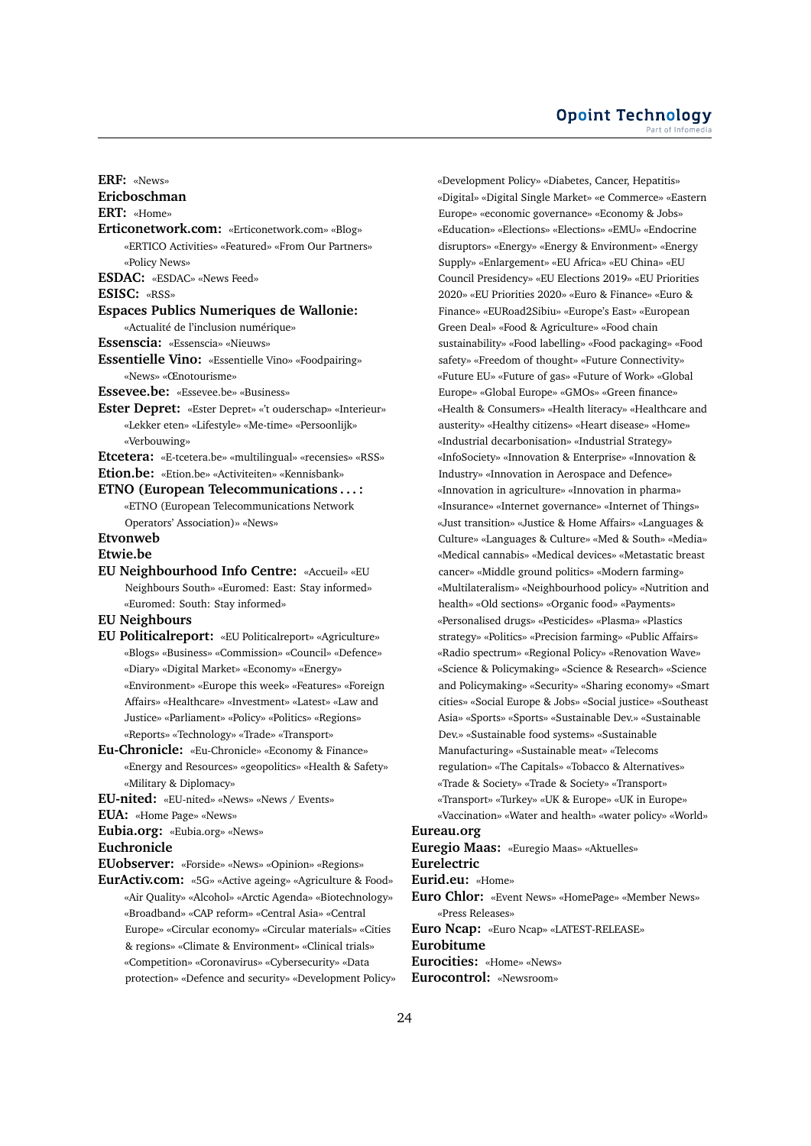#### **Opoint Technology** Part of Infomed

**ERF:** «News»

### **Ericboschman**

**ERT:** «Home»

- **Erticonetwork.com:** «Erticonetwork.com» «Blog» «ERTICO Activities» «Featured» «From Our Partners» «Policy News»
- **ESDAC:** «ESDAC» «News Feed»

**ESISC:** «RSS»

**Espaces Publics Numeriques de Wallonie:**

«Actualité de l'inclusion numérique»

- **Essenscia:** «Essenscia» «Nieuws»
- **Essentielle Vino:** «Essentielle Vino» «Foodpairing» «News» «Œnotourisme»
- **Essevee.be:** «Essevee.be» «Business»
- **Ester Depret:** «Ester Depret» «'t ouderschap» «Interieur» «Lekker eten» «Lifestyle» «Me-time» «Persoonlijk» «Verbouwing»
- **Etcetera:** «E-tcetera.be» «multilingual» «recensies» «RSS»

# **Etion.be:** «Etion.be» «Activiteiten» «Kennisbank»

**ETNO (European Telecommunications . . . :** «ETNO (European Telecommunications Network Operators' Association)» «News»

#### **Etvonweb**

#### **Etwie.be**

**EU Neighbourhood Info Centre:** «Accueil» «EU Neighbours South» «Euromed: East: Stay informed» «Euromed: South: Stay informed»

# **EU Neighbours**

- **EU Politicalreport:** «EU Politicalreport» «Agriculture» «Blogs» «Business» «Commission» «Council» «Defence» «Diary» «Digital Market» «Economy» «Energy» «Environment» «Europe this week» «Features» «Foreign Affairs» «Healthcare» «Investment» «Latest» «Law and Justice» «Parliament» «Policy» «Politics» «Regions» «Reports» «Technology» «Trade» «Transport»
- **Eu-Chronicle:** «Eu-Chronicle» «Economy & Finance» «Energy and Resources» «geopolitics» «Health & Safety» «Military & Diplomacy»
- **EU-nited:** «EU-nited» «News» «News / Events»
- **EUA:** «Home Page» «News»
- **Eubia.org:** «Eubia.org» «News»

#### **Euchronicle**

**EUobserver:** «Forside» «News» «Opinion» «Regions»

**EurActiv.com:** «5G» «Active ageing» «Agriculture & Food» «Air Quality» «Alcohol» «Arctic Agenda» «Biotechnology» «Broadband» «CAP reform» «Central Asia» «Central Europe» «Circular economy» «Circular materials» «Cities & regions» «Climate & Environment» «Clinical trials» «Competition» «Coronavirus» «Cybersecurity» «Data protection» «Defence and security» «Development Policy»

«Development Policy» «Diabetes, Cancer, Hepatitis» «Digital» «Digital Single Market» «e Commerce» «Eastern Europe» «economic governance» «Economy & Jobs» «Education» «Elections» «Elections» «EMU» «Endocrine disruptors» «Energy» «Energy & Environment» «Energy Supply» «Enlargement» «EU Africa» «EU China» «EU Council Presidency» «EU Elections 2019» «EU Priorities 2020» «EU Priorities 2020» «Euro & Finance» «Euro & Finance» «EURoad2Sibiu» «Europe's East» «European Green Deal» «Food & Agriculture» «Food chain sustainability» «Food labelling» «Food packaging» «Food safety» «Freedom of thought» «Future Connectivity» «Future EU» «Future of gas» «Future of Work» «Global Europe» «Global Europe» «GMOs» «Green finance» «Health & Consumers» «Health literacy» «Healthcare and austerity» «Healthy citizens» «Heart disease» «Home» «Industrial decarbonisation» «Industrial Strategy» «InfoSociety» «Innovation & Enterprise» «Innovation & Industry» «Innovation in Aerospace and Defence» «Innovation in agriculture» «Innovation in pharma» «Insurance» «Internet governance» «Internet of Things» «Just transition» «Justice & Home Affairs» «Languages & Culture» «Languages & Culture» «Med & South» «Media» «Medical cannabis» «Medical devices» «Metastatic breast cancer» «Middle ground politics» «Modern farming» «Multilateralism» «Neighbourhood policy» «Nutrition and health» «Old sections» «Organic food» «Payments» «Personalised drugs» «Pesticides» «Plasma» «Plastics strategy» «Politics» «Precision farming» «Public Affairs» «Radio spectrum» «Regional Policy» «Renovation Wave» «Science & Policymaking» «Science & Research» «Science and Policymaking» «Security» «Sharing economy» «Smart cities» «Social Europe & Jobs» «Social justice» «Southeast Asia» «Sports» «Sports» «Sustainable Dev.» «Sustainable Dev.» «Sustainable food systems» «Sustainable Manufacturing» «Sustainable meat» «Telecoms regulation» «The Capitals» «Tobacco & Alternatives» «Trade & Society» «Trade & Society» «Transport» «Transport» «Turkey» «UK & Europe» «UK in Europe» «Vaccination» «Water and health» «water policy» «World»

# **Eureau.org**

**Euregio Maas:** «Euregio Maas» «Aktuelles»

# **Eurelectric**

**Eurid.eu:** «Home»

- **Euro Chlor:** «Event News» «HomePage» «Member News» «Press Releases»
- **Euro Ncap:** «Euro Ncap» «LATEST-RELEASE» **Eurobitume Eurocities:** «Home» «News»
- **Eurocontrol:** «Newsroom»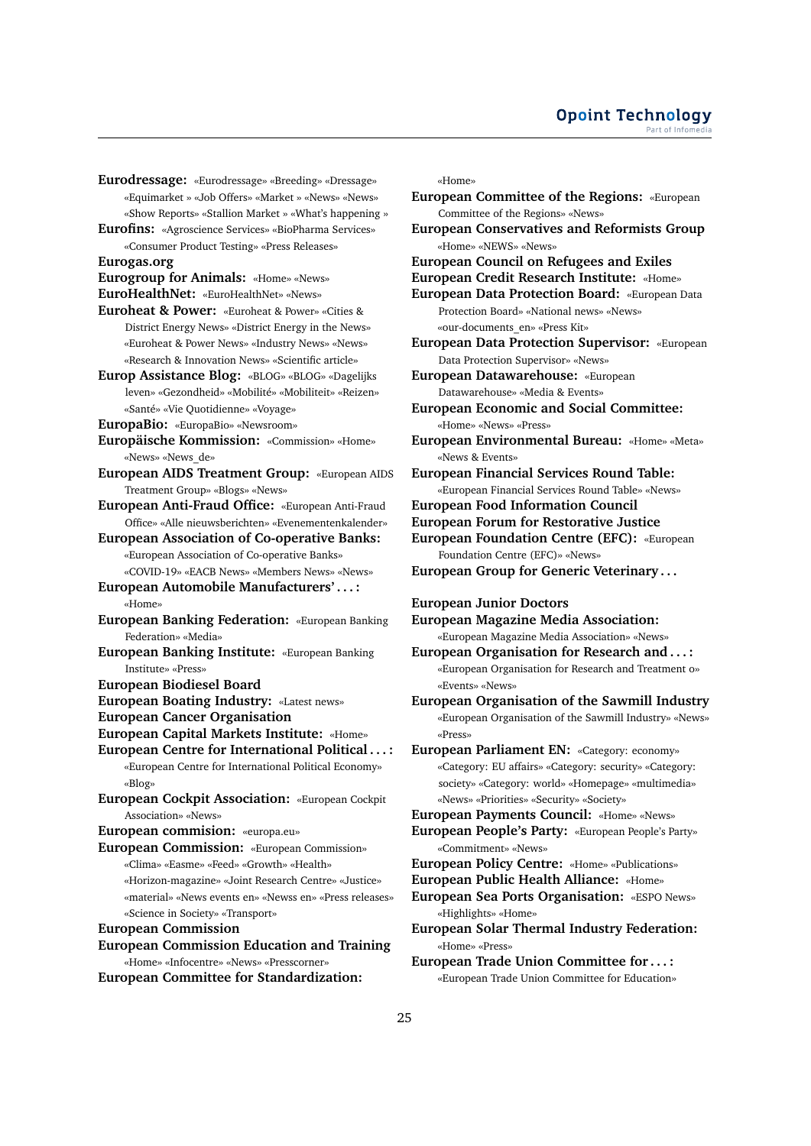#### **Opoint Technology** Part of Infomed

**Eurodressage:** «Eurodressage» «Breeding» «Dressage» «Equimarket » «Job Offers» «Market » «News» «News» «Show Reports» «Stallion Market » «What's happening »

**Eurofins:** «Agroscience Services» «BioPharma Services» «Consumer Product Testing» «Press Releases»

**Eurogas.org**

- **Eurogroup for Animals:** «Home» «News»
- **EuroHealthNet:** «EuroHealthNet» «News»
- **Euroheat & Power:** «Euroheat & Power» «Cities & District Energy News» «District Energy in the News» «Euroheat & Power News» «Industry News» «News» «Research & Innovation News» «Scientific article»
- **Europ Assistance Blog:** «BLOG» «BLOG» «Dagelijks leven» «Gezondheid» «Mobilité» «Mobiliteit» «Reizen» «Santé» «Vie Quotidienne» «Voyage»
- **EuropaBio:** «EuropaBio» «Newsroom»
- **Europäische Kommission:** «Commission» «Home» «News» «News\_de»
- **European AIDS Treatment Group:** «European AIDS Treatment Group» «Blogs» «News»
- **European Anti-Fraud Office:** «European Anti-Fraud Office» «Alle nieuwsberichten» «Evenementenkalender»
- **European Association of Co-operative Banks:** «European Association of Co-operative Banks» «COVID-19» «EACB News» «Members News» «News»
- **European Automobile Manufacturers' . . . :** «Home»
- **European Banking Federation:** «European Banking Federation» «Media»
- **European Banking Institute:** «European Banking Institute» «Press»
- **European Biodiesel Board**
- **European Boating Industry:** «Latest news»
- **European Cancer Organisation**
- **European Capital Markets Institute:** «Home»
- **European Centre for International Political . . . :** «European Centre for International Political Economy» «Blog»
- **European Cockpit Association:** «European Cockpit Association» «News»

**European commision:** «europa.eu»

- **European Commission:** «European Commission» «Clima» «Easme» «Feed» «Growth» «Health» «Horizon-magazine» «Joint Research Centre» «Justice» «material» «News events en» «Newss en» «Press releases» «Science in Society» «Transport» **European Commission**
- 
- **European Commission Education and Training** «Home» «Infocentre» «News» «Presscorner»
- **European Committee for Standardization:**
- «Home» **European Committee of the Regions:** «European Committee of the Regions» «News» **European Conservatives and Reformists Group** «Home» «NEWS» «News» **European Council on Refugees and Exiles European Credit Research Institute:** «Home» **European Data Protection Board:** «European Data Protection Board» «National news» «News» «our-documents\_en» «Press Kit» **European Data Protection Supervisor:** «European Data Protection Supervisor» «News» **European Datawarehouse:** «European Datawarehouse» «Media & Events» **European Economic and Social Committee:** «Home» «News» «Press» **European Environmental Bureau:** «Home» «Meta» «News & Events» **European Financial Services Round Table:** «European Financial Services Round Table» «News» **European Food Information Council European Forum for Restorative Justice European Foundation Centre (EFC):** «European Foundation Centre (EFC)» «News» **European Group for Generic Veterinary . . . European Junior Doctors European Magazine Media Association:** «European Magazine Media Association» «News» **European Organisation for Research and . . . :** «European Organisation for Research and Treatment o» «Events» «News» **European Organisation of the Sawmill Industry** «European Organisation of the Sawmill Industry» «News» «Press» **European Parliament EN:** «Category: economy» «Category: EU affairs» «Category: security» «Category: society» «Category: world» «Homepage» «multimedia» «News» «Priorities» «Security» «Society» **European Payments Council:** «Home» «News» **European People's Party:** «European People's Party» «Commitment» «News» **European Policy Centre:** «Home» «Publications» **European Public Health Alliance:** «Home» **European Sea Ports Organisation:** «ESPO News» «Highlights» «Home» **European Solar Thermal Industry Federation:** «Home» «Press» **European Trade Union Committee for . . . :** «European Trade Union Committee for Education»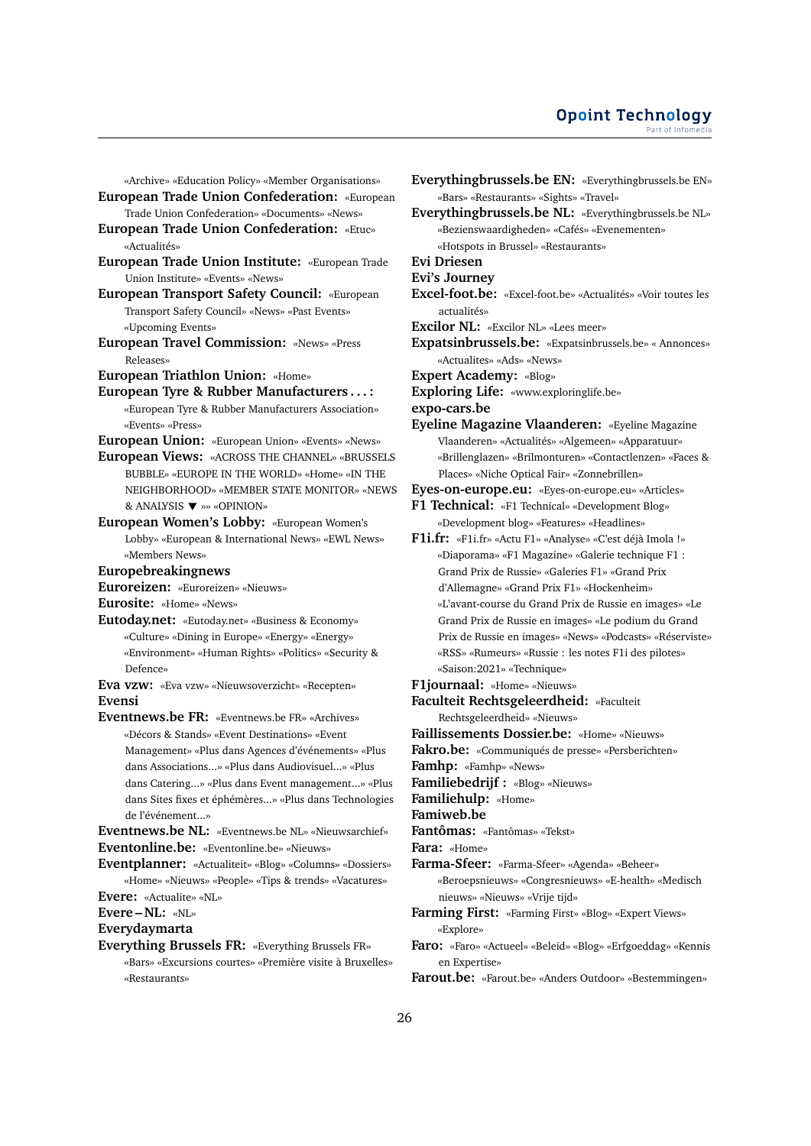«Archive» «Education Policy» «Member Organisations»

- **European Trade Union Confederation:** «European Trade Union Confederation» «Documents» «News»
- **European Trade Union Confederation:** «Etuc» «Actualités»
- **European Trade Union Institute:** «European Trade Union Institute» «Events» «News»
- **European Transport Safety Council:** «European Transport Safety Council» «News» «Past Events» «Upcoming Events»
- **European Travel Commission:** «News» «Press Releases»
- **European Triathlon Union:** «Home»
- **European Tyre & Rubber Manufacturers . . . :** «European Tyre & Rubber Manufacturers Association» «Events» «Press»
- **European Union:** «European Union» «Events» «News»
- **European Views:** «ACROSS THE CHANNEL» «BRUSSELS BUBBLE» «EUROPE IN THE WORLD» «Home» «IN THE NEIGHBORHOOD» «MEMBER STATE MONITOR» «NEWS & ANALYSIS »» «OPINION»
- **European Women's Lobby:** «European Women's Lobby» «European & International News» «EWL News» «Members News»

**Europebreakingnews**

- **Euroreizen:** «Euroreizen» «Nieuws»
- **Eurosite:** «Home» «News»
- **Eutoday.net:** «Eutoday.net» «Business & Economy» «Culture» «Dining in Europe» «Energy» «Energy» «Environment» «Human Rights» «Politics» «Security & Defence»
- **Eva vzw:** «Eva vzw» «Nieuwsoverzicht» «Recepten» **Evensi**
- **Eventnews.be FR:** «Eventnews.be FR» «Archives» «Décors & Stands» «Event Destinations» «Event Management» «Plus dans Agences d'événements» «Plus dans Associations...» «Plus dans Audiovisuel...» «Plus dans Catering...» «Plus dans Event management...» «Plus dans Sites fixes et éphémères...» «Plus dans Technologies de l'événement...»

**Eventnews.be NL:** «Eventnews.be NL» «Nieuwsarchief» **Eventonline.be:** «Eventonline.be» «Nieuws»

**Eventplanner:** «Actualiteit» «Blog» «Columns» «Dossiers» «Home» «Nieuws» «People» «Tips & trends» «Vacatures»

**Evere:** «Actualite» «NL»

**Evere – NL:** «NL»

**Everydaymarta**

**Everything Brussels FR:** «Everything Brussels FR» «Bars» «Excursions courtes» «Première visite à Bruxelles» «Restaurants»

- **Everythingbrussels.be EN:** «Everythingbrussels.be EN» «Bars» «Restaurants» «Sights» «Travel» **Everythingbrussels.be NL:** «Everythingbrussels.be NL» «Bezienswaardigheden» «Cafés» «Evenementen» «Hotspots in Brussel» «Restaurants» **Evi Driesen Evi's Journey Excel-foot.be:** «Excel-foot.be» «Actualités» «Voir toutes les actualités» **Excilor NL:** «Excilor NL» «Lees meer» **Expatsinbrussels.be:** «Expatsinbrussels.be» « Annonces» «Actualites» «Ads» «News» **Expert Academy:** «Blog» **Exploring Life:** «www.exploringlife.be» **expo-cars.be Eyeline Magazine Vlaanderen:** «Eyeline Magazine Vlaanderen» «Actualités» «Algemeen» «Apparatuur» «Brillenglazen» «Brilmonturen» «Contactlenzen» «Faces & Places» «Niche Optical Fair» «Zonnebrillen» **Eyes-on-europe.eu:** «Eyes-on-europe.eu» «Articles» **F1 Technical:** «F1 Technical» «Development Blog» «Development blog» «Features» «Headlines» **F1i.fr:** «F1i.fr» «Actu F1» «Analyse» «C'est déjà Imola !» «Diaporama» «F1 Magazine» «Galerie technique F1 : Grand Prix de Russie» «Galeries F1» «Grand Prix d'Allemagne» «Grand Prix F1» «Hockenheim» «L'avant-course du Grand Prix de Russie en images» «Le Grand Prix de Russie en images» «Le podium du Grand Prix de Russie en images» «News» «Podcasts» «Réserviste» «RSS» «Rumeurs» «Russie : les notes F1i des pilotes» «Saison:2021» «Technique» **F1journaal:** «Home» «Nieuws» **Faculteit Rechtsgeleerdheid:** «Faculteit Rechtsgeleerdheid» «Nieuws» **Faillissements Dossier.be:** «Home» «Nieuws» **Fakro.be:** «Communiqués de presse» «Persberichten» **Famhp:** «Famhp» «News»
- **Familiebedrijf :** «Blog» «Nieuws»

**Familiehulp:** «Home»

- **Famiweb.be**
- **Fantômas:** «Fantômas» «Tekst»

**Fara:** «Home»

- **Farma-Sfeer:** «Farma-Sfeer» «Agenda» «Beheer» «Beroepsnieuws» «Congresnieuws» «E-health» «Medisch nieuws» «Nieuws» «Vrije tijd»
- **Farming First:** «Farming First» «Blog» «Expert Views» «Explore»
- **Faro:** «Faro» «Actueel» «Beleid» «Blog» «Erfgoeddag» «Kennis en Expertise»
- **Farout.be:** «Farout.be» «Anders Outdoor» «Bestemmingen»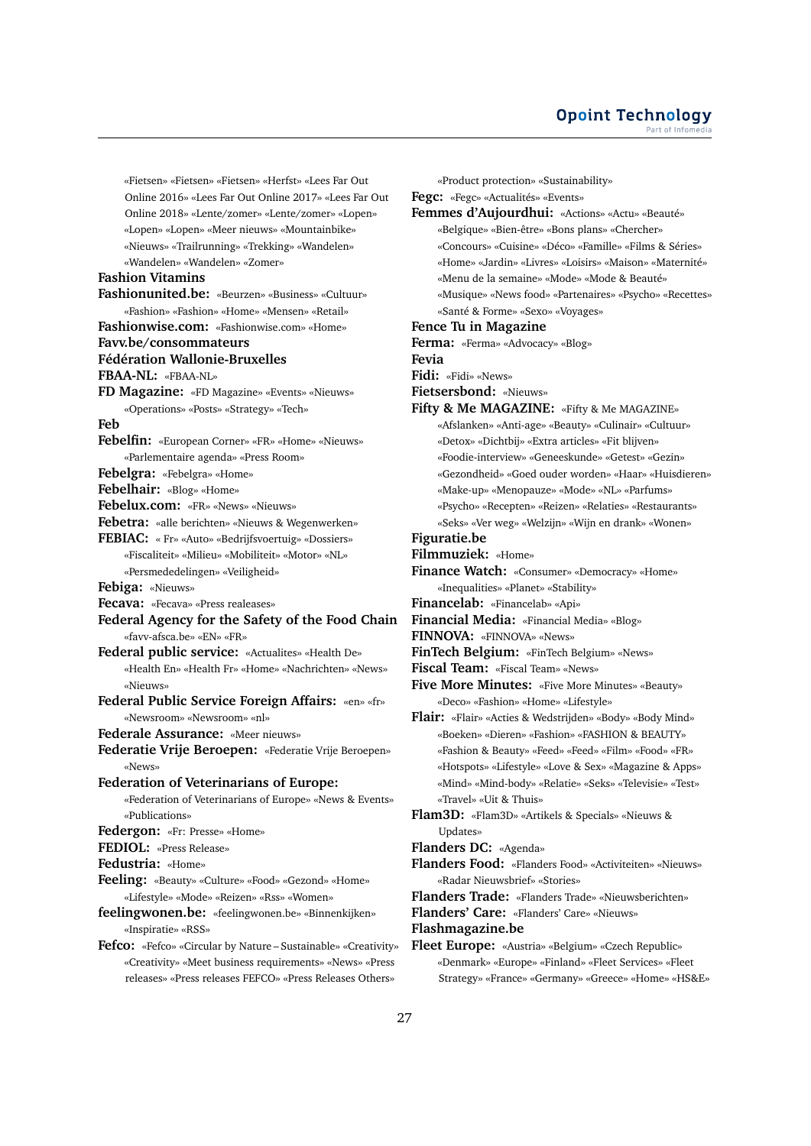«Fietsen» «Fietsen» «Fietsen» «Herfst» «Lees Far Out Online 2016» «Lees Far Out Online 2017» «Lees Far Out Online 2018» «Lente/zomer» «Lente/zomer» «Lopen» «Lopen» «Lopen» «Meer nieuws» «Mountainbike» «Nieuws» «Trailrunning» «Trekking» «Wandelen» «Wandelen» «Wandelen» «Zomer» **Fashion Vitamins Fashionunited.be:** «Beurzen» «Business» «Cultuur» «Fashion» «Fashion» «Home» «Mensen» «Retail» **Fashionwise.com:** «Fashionwise.com» «Home» **Favv.be/consommateurs Fédération Wallonie-Bruxelles FBAA-NL:** «FBAA-NL» **FD Magazine:** «FD Magazine» «Events» «Nieuws» «Operations» «Posts» «Strategy» «Tech» **Feb Febelfin:** «European Corner» «FR» «Home» «Nieuws» «Parlementaire agenda» «Press Room» **Febelgra:** «Febelgra» «Home» **Febelhair:** «Blog» «Home» **Febelux.com:** «FR» «News» «Nieuws» **Febetra:** «alle berichten» «Nieuws & Wegenwerken» **FEBIAC:** « Fr» «Auto» «Bedrijfsvoertuig» «Dossiers» «Fiscaliteit» «Milieu» «Mobiliteit» «Motor» «NL» «Persmededelingen» «Veiligheid» **Febiga:** «Nieuws» **Fecava:** «Fecava» «Press realeases» **Federal Agency for the Safety of the Food Chain** «favv-afsca.be» «EN» «FR» **Federal public service:** «Actualites» «Health De» «Health En» «Health Fr» «Home» «Nachrichten» «News» «Nieuws» **Federal Public Service Foreign Affairs:** «en» «fr» «Newsroom» «Newsroom» «nl» **Federale Assurance:** «Meer nieuws» **Federatie Vrije Beroepen:** «Federatie Vrije Beroepen» «News» **Federation of Veterinarians of Europe:** «Federation of Veterinarians of Europe» «News & Events» «Publications» **Federgon:** «Fr: Presse» «Home» **FEDIOL:** «Press Release» **Fedustria:** «Home» **Feeling:** «Beauty» «Culture» «Food» «Gezond» «Home» «Lifestyle» «Mode» «Reizen» «Rss» «Women» **feelingwonen.be:** «feelingwonen.be» «Binnenkijken»

- «Inspiratie» «RSS» Fefco: «Fefco» «Circular by Nature – Sustainable» «Creativity» «Creativity» «Meet business requirements» «News» «Press
	- releases» «Press releases FEFCO» «Press Releases Others»

«Product protection» «Sustainability» **Fegc:** «Fegc» «Actualités» «Events» **Femmes d'Aujourdhui:** «Actions» «Actu» «Beauté» «Belgique» «Bien-être» «Bons plans» «Chercher» «Concours» «Cuisine» «Déco» «Famille» «Films & Séries» «Home» «Jardin» «Livres» «Loisirs» «Maison» «Maternité» «Menu de la semaine» «Mode» «Mode & Beauté» «Musique» «News food» «Partenaires» «Psycho» «Recettes» «Santé & Forme» «Sexo» «Voyages» **Fence Tu in Magazine Ferma:** «Ferma» «Advocacy» «Blog» **Fevia Fidi:** «Fidi» «News» **Fietsersbond:** «Nieuws» **Fifty & Me MAGAZINE:** «Fifty & Me MAGAZINE» «Afslanken» «Anti-age» «Beauty» «Culinair» «Cultuur» «Detox» «Dichtbij» «Extra articles» «Fit blijven» «Foodie-interview» «Geneeskunde» «Getest» «Gezin» «Gezondheid» «Goed ouder worden» «Haar» «Huisdieren» «Make-up» «Menopauze» «Mode» «NL» «Parfums» «Psycho» «Recepten» «Reizen» «Relaties» «Restaurants» «Seks» «Ver weg» «Welzijn» «Wijn en drank» «Wonen» **Figuratie.be Filmmuziek:** «Home» **Finance Watch:** «Consumer» «Democracy» «Home» «Inequalities» «Planet» «Stability» **Financelab:** «Financelab» «Api» **Financial Media:** «Financial Media» «Blog» **FINNOVA:** «FINNOVA» «News» **FinTech Belgium:** «FinTech Belgium» «News» **Fiscal Team:** «Fiscal Team» «News» **Five More Minutes:** «Five More Minutes» «Beauty» «Deco» «Fashion» «Home» «Lifestyle» **Flair:** «Flair» «Acties & Wedstrijden» «Body» «Body Mind» «Boeken» «Dieren» «Fashion» «FASHION & BEAUTY» «Fashion & Beauty» «Feed» «Feed» «Film» «Food» «FR» «Hotspots» «Lifestyle» «Love & Sex» «Magazine & Apps» «Mind» «Mind-body» «Relatie» «Seks» «Televisie» «Test» «Travel» «Uit & Thuis» **Flam3D:** «Flam3D» «Artikels & Specials» «Nieuws & Updates» **Flanders DC:** «Agenda» **Flanders Food:** «Flanders Food» «Activiteiten» «Nieuws» «Radar Nieuwsbrief» «Stories» **Flanders Trade:** «Flanders Trade» «Nieuwsberichten» **Flanders' Care:** «Flanders' Care» «Nieuws» **Flashmagazine.be**

**Fleet Europe:** «Austria» «Belgium» «Czech Republic» «Denmark» «Europe» «Finland» «Fleet Services» «Fleet Strategy» «France» «Germany» «Greece» «Home» «HS&E»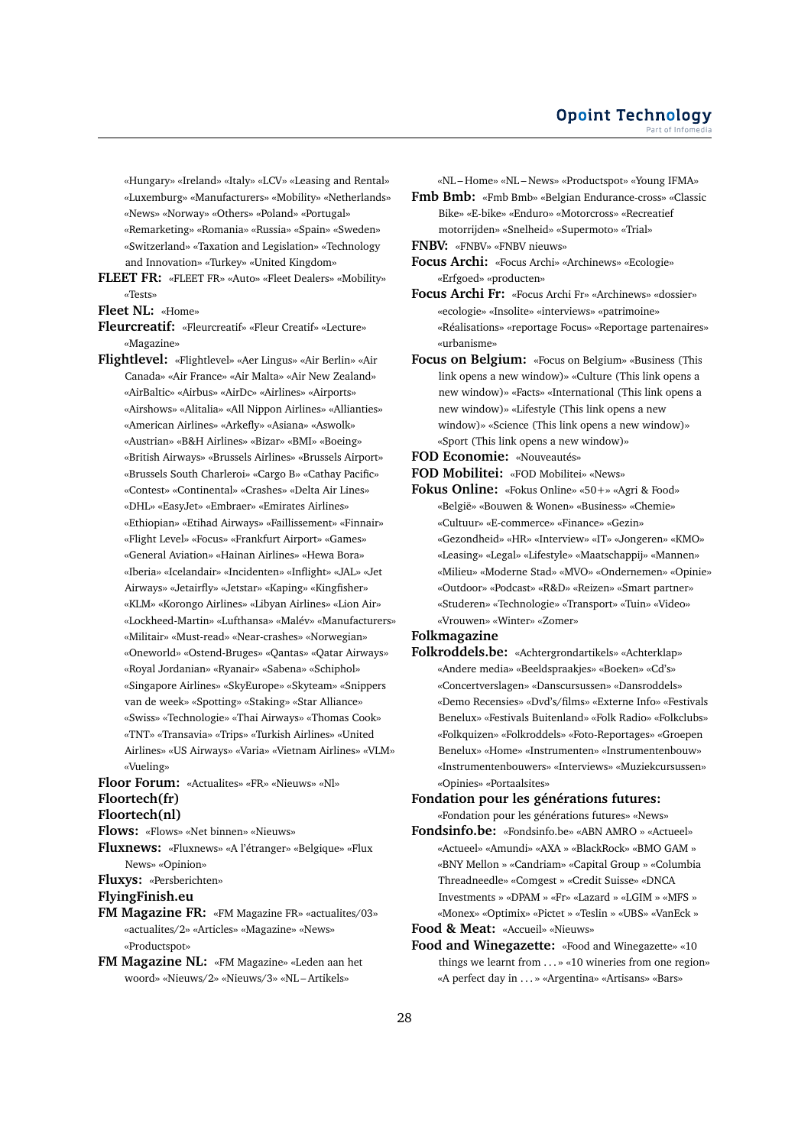«Hungary» «Ireland» «Italy» «LCV» «Leasing and Rental» «Luxemburg» «Manufacturers» «Mobility» «Netherlands» «News» «Norway» «Others» «Poland» «Portugal» «Remarketing» «Romania» «Russia» «Spain» «Sweden» «Switzerland» «Taxation and Legislation» «Technology and Innovation» «Turkey» «United Kingdom»

**FLEET FR:** «FLEET FR» «Auto» «Fleet Dealers» «Mobility» «Tests»

**Fleet NL:** «Home»

**Fleurcreatif:** «Fleurcreatif» «Fleur Creatif» «Lecture» «Magazine»

**Flightlevel:** «Flightlevel» «Aer Lingus» «Air Berlin» «Air Canada» «Air France» «Air Malta» «Air New Zealand» «AirBaltic» «Airbus» «AirDc» «Airlines» «Airports» «Airshows» «Alitalia» «All Nippon Airlines» «Allianties» «American Airlines» «Arkefly» «Asiana» «Aswolk» «Austrian» «B&H Airlines» «Bizar» «BMI» «Boeing» «British Airways» «Brussels Airlines» «Brussels Airport» «Brussels South Charleroi» «Cargo B» «Cathay Pacific» «Contest» «Continental» «Crashes» «Delta Air Lines» «DHL» «EasyJet» «Embraer» «Emirates Airlines» «Ethiopian» «Etihad Airways» «Faillissement» «Finnair» «Flight Level» «Focus» «Frankfurt Airport» «Games» «General Aviation» «Hainan Airlines» «Hewa Bora» «Iberia» «Icelandair» «Incidenten» «Inflight» «JAL» «Jet Airways» «Jetairfly» «Jetstar» «Kaping» «Kingfisher» «KLM» «Korongo Airlines» «Libyan Airlines» «Lion Air» «Lockheed-Martin» «Lufthansa» «Malév» «Manufacturers» «Militair» «Must-read» «Near-crashes» «Norwegian» «Oneworld» «Ostend-Bruges» «Qantas» «Qatar Airways» «Royal Jordanian» «Ryanair» «Sabena» «Schiphol» «Singapore Airlines» «SkyEurope» «Skyteam» «Snippers van de week» «Spotting» «Staking» «Star Alliance» «Swiss» «Technologie» «Thai Airways» «Thomas Cook» «TNT» «Transavia» «Trips» «Turkish Airlines» «United Airlines» «US Airways» «Varia» «Vietnam Airlines» «VLM» «Vueling»

**Floor Forum:** «Actualites» «FR» «Nieuws» «Nl»

# **Floortech(fr)**

**Floortech(nl)**

**Flows:** «Flows» «Net binnen» «Nieuws»

**Fluxnews:** «Fluxnews» «A l'étranger» «Belgique» «Flux News» «Opinion»

**Fluxys:** «Persberichten»

#### **FlyingFinish.eu**

**FM Magazine FR:** «FM Magazine FR» «actualites/03» «actualites/2» «Articles» «Magazine» «News» «Productspot»

**FM Magazine NL:** «FM Magazine» «Leden aan het woord» «Nieuws/2» «Nieuws/3» «NL – Artikels»

«NL – Home» «NL – News» «Productspot» «Young IFMA»

- **Fmb Bmb:** «Fmb Bmb» «Belgian Endurance-cross» «Classic Bike» «E-bike» «Enduro» «Motorcross» «Recreatief motorrijden» «Snelheid» «Supermoto» «Trial»
- **FNBV:** «FNBV» «FNBV nieuws»
- **Focus Archi:** «Focus Archi» «Archinews» «Ecologie» «Erfgoed» «producten»
- **Focus Archi Fr:** «Focus Archi Fr» «Archinews» «dossier» «ecologie» «Insolite» «interviews» «patrimoine» «Réalisations» «reportage Focus» «Reportage partenaires» «urbanisme»
- **Focus on Belgium:** «Focus on Belgium» «Business (This link opens a new window)» «Culture (This link opens a new window)» «Facts» «International (This link opens a new window)» «Lifestyle (This link opens a new window)» «Science (This link opens a new window)» «Sport (This link opens a new window)»
- **FOD Economie:** «Nouveautés»
- **FOD Mobilitei:** «FOD Mobilitei» «News»
- **Fokus Online:** «Fokus Online» «50+» «Agri & Food» «België» «Bouwen & Wonen» «Business» «Chemie» «Cultuur» «E-commerce» «Finance» «Gezin» «Gezondheid» «HR» «Interview» «IT» «Jongeren» «KMO» «Leasing» «Legal» «Lifestyle» «Maatschappij» «Mannen» «Milieu» «Moderne Stad» «MVO» «Ondernemen» «Opinie» «Outdoor» «Podcast» «R&D» «Reizen» «Smart partner» «Studeren» «Technologie» «Transport» «Tuin» «Video» «Vrouwen» «Winter» «Zomer»

#### **Folkmagazine**

- **Folkroddels.be:** «Achtergrondartikels» «Achterklap» «Andere media» «Beeldspraakjes» «Boeken» «Cd's» «Concertverslagen» «Danscursussen» «Dansroddels» «Demo Recensies» «Dvd's/films» «Externe Info» «Festivals Benelux» «Festivals Buitenland» «Folk Radio» «Folkclubs» «Folkquizen» «Folkroddels» «Foto-Reportages» «Groepen Benelux» «Home» «Instrumenten» «Instrumentenbouw» «Instrumentenbouwers» «Interviews» «Muziekcursussen» «Opinies» «Portaalsites»
- **Fondation pour les générations futures:**

«Fondation pour les générations futures» «News»

**Fondsinfo.be:** «Fondsinfo.be» «ABN AMRO » «Actueel» «Actueel» «Amundi» «AXA » «BlackRock» «BMO GAM » «BNY Mellon » «Candriam» «Capital Group » «Columbia Threadneedle» «Comgest » «Credit Suisse» «DNCA Investments » «DPAM » «Fr» «Lazard » «LGIM » «MFS » «Monex» «Optimix» «Pictet » «Teslin » «UBS» «VanEck »

**Food & Meat:** «Accueil» «Nieuws»

**Food and Winegazette:** «Food and Winegazette» «10 things we learnt from . . . » «10 wineries from one region» «A perfect day in . . . » «Argentina» «Artisans» «Bars»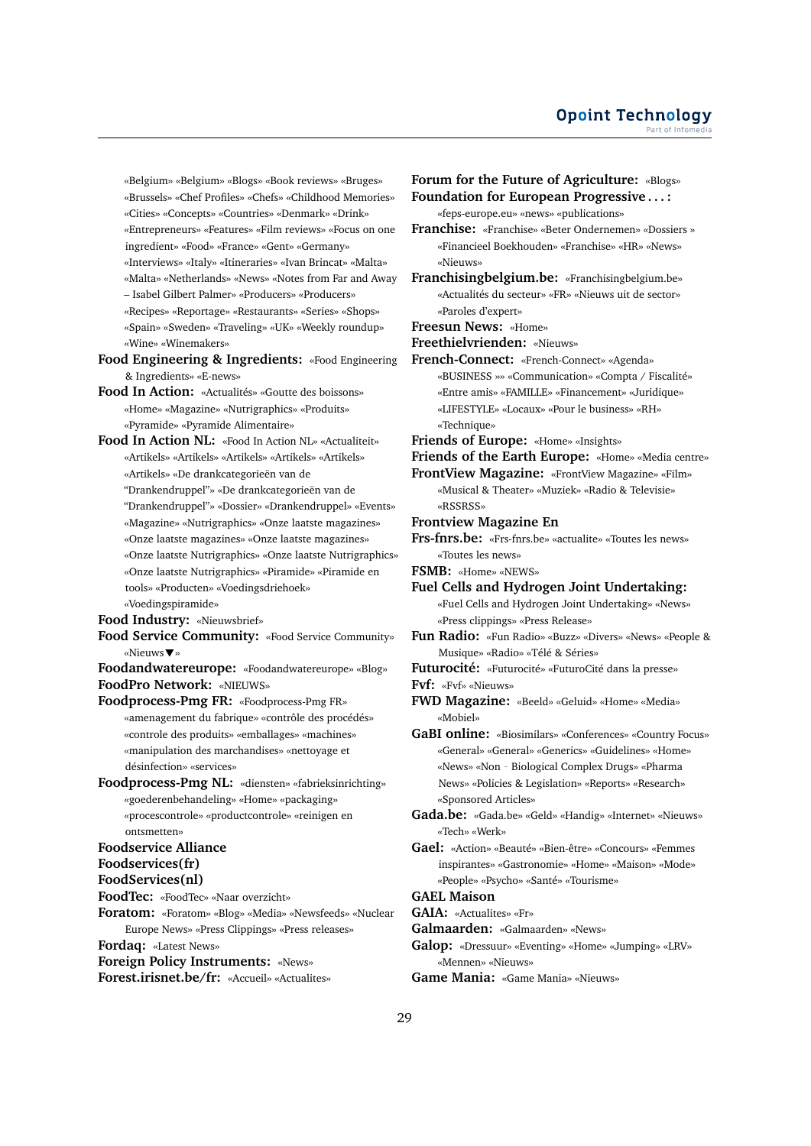«Belgium» «Belgium» «Blogs» «Book reviews» «Bruges» «Brussels» «Chef Profiles» «Chefs» «Childhood Memories» «Cities» «Concepts» «Countries» «Denmark» «Drink» «Entrepreneurs» «Features» «Film reviews» «Focus on one ingredient» «Food» «France» «Gent» «Germany» «Interviews» «Italy» «Itineraries» «Ivan Brincat» «Malta» «Malta» «Netherlands» «News» «Notes from Far and Away – Isabel Gilbert Palmer» «Producers» «Producers» «Recipes» «Reportage» «Restaurants» «Series» «Shops» «Spain» «Sweden» «Traveling» «UK» «Weekly roundup» «Wine» «Winemakers»

**Food Engineering & Ingredients:** «Food Engineering & Ingredients» «E-news»

**Food In Action:** «Actualités» «Goutte des boissons» «Home» «Magazine» «Nutrigraphics» «Produits» «Pyramide» «Pyramide Alimentaire»

**Food In Action NL:** «Food In Action NL» «Actualiteit» «Artikels» «Artikels» «Artikels» «Artikels» «Artikels» «Artikels» «De drankcategorieën van de "Drankendruppel"» «De drankcategorieën van de "Drankendruppel"» «Dossier» «Drankendruppel» «Events» «Magazine» «Nutrigraphics» «Onze laatste magazines» «Onze laatste magazines» «Onze laatste magazines» «Onze laatste Nutrigraphics» «Onze laatste Nutrigraphics» «Onze laatste Nutrigraphics» «Piramide» «Piramide en tools» «Producten» «Voedingsdriehoek» «Voedingspiramide»

**Food Industry:** «Nieuwsbrief»

**Food Service Community:** «Food Service Community» «Nieuws »

**Foodandwatereurope:** «Foodandwatereurope» «Blog» **FoodPro Network:** «NIEUWS»

**Foodprocess-Pmg FR:** «Foodprocess-Pmg FR» «amenagement du fabrique» «contrôle des procédés» «controle des produits» «emballages» «machines» «manipulation des marchandises» «nettoyage et désinfection» «services»

**Foodprocess-Pmg NL:** «diensten» «fabrieksinrichting» «goederenbehandeling» «Home» «packaging» «procescontrole» «productcontrole» «reinigen en ontsmetten»

**Foodservice Alliance**

**Foodservices(fr)**

**FoodServices(nl)**

**FoodTec:** «FoodTec» «Naar overzicht»

**Foratom:** «Foratom» «Blog» «Media» «Newsfeeds» «Nuclear Europe News» «Press Clippings» «Press releases» **Fordaq:** «Latest News»

**Foreign Policy Instruments:** «News»

**Forest.irisnet.be/fr:** «Accueil» «Actualites»

**Forum for the Future of Agriculture:** «Blogs» **Foundation for European Progressive . . . :** «feps-europe.eu» «news» «publications» **Franchise:** «Franchise» «Beter Ondernemen» «Dossiers » «Financieel Boekhouden» «Franchise» «HR» «News»

«Nieuws» **Franchisingbelgium.be:** «Franchisingbelgium.be» «Actualités du secteur» «FR» «Nieuws uit de sector» «Paroles d'expert»

**Freesun News:** «Home»

**Freethielvrienden:** «Nieuws»

**French-Connect:** «French-Connect» «Agenda» «BUSINESS »» «Communication» «Compta / Fiscalité» «Entre amis» «FAMILLE» «Financement» «Juridique» «LIFESTYLE» «Locaux» «Pour le business» «RH» «Technique»

**Friends of Europe:** «Home» «Insights»

**Friends of the Earth Europe:** «Home» «Media centre»

**FrontView Magazine:** «FrontView Magazine» «Film» «Musical & Theater» «Muziek» «Radio & Televisie» «RSSRSS»

**Frontview Magazine En**

**Frs-fnrs.be:** «Frs-fnrs.be» «actualite» «Toutes les news» «Toutes les news»

**FSMB:** «Home» «NEWS»

**Fuel Cells and Hydrogen Joint Undertaking:** «Fuel Cells and Hydrogen Joint Undertaking» «News» «Press clippings» «Press Release»

**Fun Radio:** «Fun Radio» «Buzz» «Divers» «News» «People & Musique» «Radio» «Télé & Séries»

**Futurocité:** «Futurocité» «FuturoCité dans la presse» **Fvf:** «Fvf» «Nieuws»

- **FWD Magazine:** «Beeld» «Geluid» «Home» «Media» «Mobiel»
- **GaBI online:** «Biosimilars» «Conferences» «Country Focus» «General» «General» «Generics» «Guidelines» «Home» «News» «Non‐Biological Complex Drugs» «Pharma News» «Policies & Legislation» «Reports» «Research» «Sponsored Articles»

**Gada.be:** «Gada.be» «Geld» «Handig» «Internet» «Nieuws» «Tech» «Werk»

**Gael:** «Action» «Beauté» «Bien-être» «Concours» «Femmes inspirantes» «Gastronomie» «Home» «Maison» «Mode» «People» «Psycho» «Santé» «Tourisme»

#### **GAEL Maison**

**GAIA:** «Actualites» «Fr»

**Galmaarden:** «Galmaarden» «News»

- **Galop:** «Dressuur» «Eventing» «Home» «Jumping» «LRV» «Mennen» «Nieuws»
- **Game Mania:** «Game Mania» «Nieuws»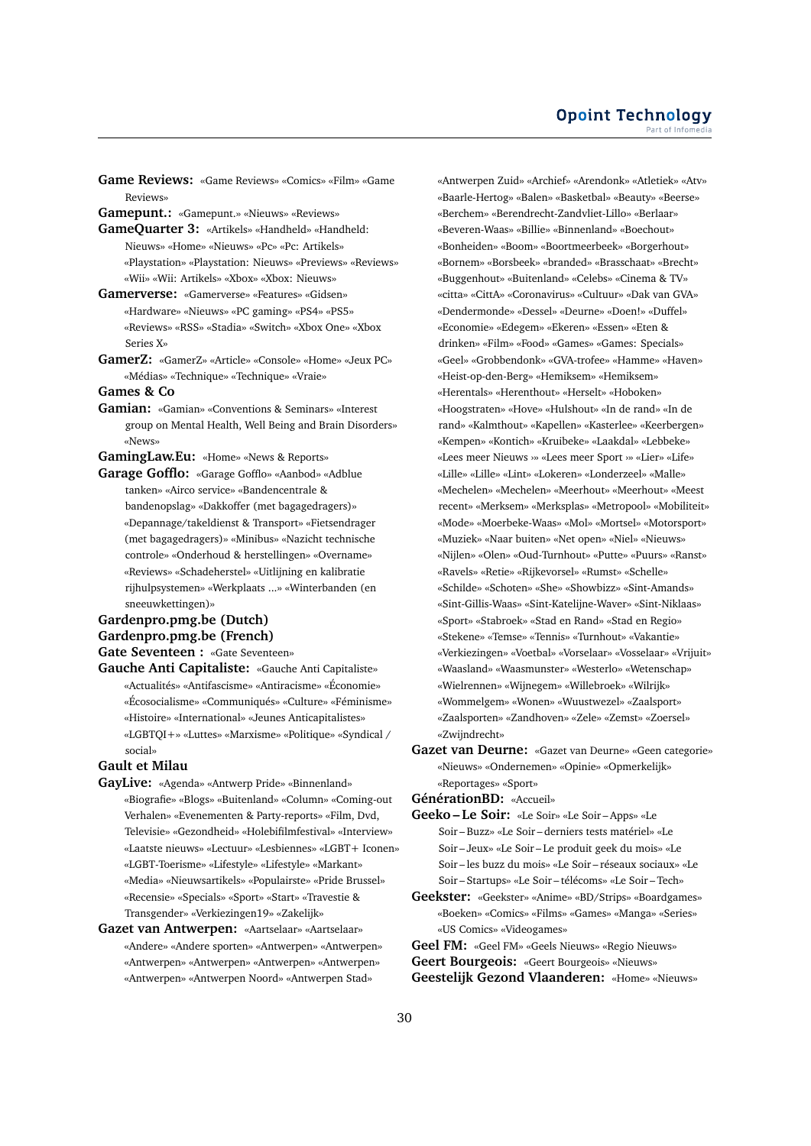**Game Reviews:** «Game Reviews» «Comics» «Film» «Game Reviews»

**Gamepunt.:** «Gamepunt.» «Nieuws» «Reviews»

**GameQuarter 3:** «Artikels» «Handheld» «Handheld: Nieuws» «Home» «Nieuws» «Pc» «Pc: Artikels» «Playstation» «Playstation: Nieuws» «Previews» «Reviews» «Wii» «Wii: Artikels» «Xbox» «Xbox: Nieuws»

- **Gamerverse:** «Gamerverse» «Features» «Gidsen» «Hardware» «Nieuws» «PC gaming» «PS4» «PS5» «Reviews» «RSS» «Stadia» «Switch» «Xbox One» «Xbox Series X»
- **GamerZ:** «GamerZ» «Article» «Console» «Home» «Jeux PC» «Médias» «Technique» «Technique» «Vraie»

**Games & Co**

**Gamian:** «Gamian» «Conventions & Seminars» «Interest group on Mental Health, Well Being and Brain Disorders» «News»

**GamingLaw.Eu:** «Home» «News & Reports»

**Garage Gofflo:** «Garage Gofflo» «Aanbod» «Adblue tanken» «Airco service» «Bandencentrale & bandenopslag» «Dakkoffer (met bagagedragers)» «Depannage/takeldienst & Transport» «Fietsendrager (met bagagedragers)» «Minibus» «Nazicht technische controle» «Onderhoud & herstellingen» «Overname» «Reviews» «Schadeherstel» «Uitlijning en kalibratie rijhulpsystemen» «Werkplaats ...» «Winterbanden (en sneeuwkettingen)»

# **Gardenpro.pmg.be (Dutch)**

# **Gardenpro.pmg.be (French)**

**Gate Seventeen :** «Gate Seventeen»

**Gauche Anti Capitaliste:** «Gauche Anti Capitaliste» «Actualités» «Antifascisme» «Antiracisme» «Économie» «Écosocialisme» «Communiqués» «Culture» «Féminisme» «Histoire» «International» «Jeunes Anticapitalistes» «LGBTQI+» «Luttes» «Marxisme» «Politique» «Syndical / social»

#### **Gault et Milau**

- **GayLive:** «Agenda» «Antwerp Pride» «Binnenland» «Biografie» «Blogs» «Buitenland» «Column» «Coming-out Verhalen» «Evenementen & Party-reports» «Film, Dvd, Televisie» «Gezondheid» «Holebifilmfestival» «Interview» «Laatste nieuws» «Lectuur» «Lesbiennes» «LGBT+ Iconen» «LGBT-Toerisme» «Lifestyle» «Lifestyle» «Markant» «Media» «Nieuwsartikels» «Populairste» «Pride Brussel» «Recensie» «Specials» «Sport» «Start» «Travestie & Transgender» «Verkiezingen19» «Zakelijk»
- **Gazet van Antwerpen:** «Aartselaar» «Aartselaar» «Andere» «Andere sporten» «Antwerpen» «Antwerpen» «Antwerpen» «Antwerpen» «Antwerpen» «Antwerpen» «Antwerpen» «Antwerpen Noord» «Antwerpen Stad»

«Antwerpen Zuid» «Archief» «Arendonk» «Atletiek» «Atv» «Baarle-Hertog» «Balen» «Basketbal» «Beauty» «Beerse» «Berchem» «Berendrecht-Zandvliet-Lillo» «Berlaar» «Beveren-Waas» «Billie» «Binnenland» «Boechout» «Bonheiden» «Boom» «Boortmeerbeek» «Borgerhout» «Bornem» «Borsbeek» «branded» «Brasschaat» «Brecht» «Buggenhout» «Buitenland» «Celebs» «Cinema & TV» «citta» «CittA» «Coronavirus» «Cultuur» «Dak van GVA» «Dendermonde» «Dessel» «Deurne» «Doen!» «Duffel» «Economie» «Edegem» «Ekeren» «Essen» «Eten & drinken» «Film» «Food» «Games» «Games: Specials» «Geel» «Grobbendonk» «GVA-trofee» «Hamme» «Haven» «Heist-op-den-Berg» «Hemiksem» «Hemiksem» «Herentals» «Herenthout» «Herselt» «Hoboken» «Hoogstraten» «Hove» «Hulshout» «In de rand» «In de rand» «Kalmthout» «Kapellen» «Kasterlee» «Keerbergen» «Kempen» «Kontich» «Kruibeke» «Laakdal» «Lebbeke» «Lees meer Nieuws ›» «Lees meer Sport ›» «Lier» «Life» «Lille» «Lille» «Lint» «Lokeren» «Londerzeel» «Malle» «Mechelen» «Mechelen» «Meerhout» «Meerhout» «Meest recent» «Merksem» «Merksplas» «Metropool» «Mobiliteit» «Mode» «Moerbeke-Waas» «Mol» «Mortsel» «Motorsport» «Muziek» «Naar buiten» «Net open» «Niel» «Nieuws» «Nijlen» «Olen» «Oud-Turnhout» «Putte» «Puurs» «Ranst» «Ravels» «Retie» «Rijkevorsel» «Rumst» «Schelle» «Schilde» «Schoten» «She» «Showbizz» «Sint-Amands» «Sint-Gillis-Waas» «Sint-Katelijne-Waver» «Sint-Niklaas» «Sport» «Stabroek» «Stad en Rand» «Stad en Regio» «Stekene» «Temse» «Tennis» «Turnhout» «Vakantie» «Verkiezingen» «Voetbal» «Vorselaar» «Vosselaar» «Vrijuit» «Waasland» «Waasmunster» «Westerlo» «Wetenschap» «Wielrennen» «Wijnegem» «Willebroek» «Wilrijk» «Wommelgem» «Wonen» «Wuustwezel» «Zaalsport» «Zaalsporten» «Zandhoven» «Zele» «Zemst» «Zoersel» «Zwijndrecht»

**Gazet van Deurne:** «Gazet van Deurne» «Geen categorie» «Nieuws» «Ondernemen» «Opinie» «Opmerkelijk» «Reportages» «Sport»

**GénérationBD:** «Accueil»

- **Geeko Le Soir:** «Le Soir» «Le Soir Apps» «Le Soir – Buzz» «Le Soir – derniers tests matériel» «Le Soir – Jeux» «Le Soir – Le produit geek du mois» «Le Soir – les buzz du mois» «Le Soir – réseaux sociaux» «Le Soir – Startups» «Le Soir – télécoms» «Le Soir – Tech»
- **Geekster:** «Geekster» «Anime» «BD/Strips» «Boardgames» «Boeken» «Comics» «Films» «Games» «Manga» «Series» «US Comics» «Videogames»

**Geel FM:** «Geel FM» «Geels Nieuws» «Regio Nieuws» **Geert Bourgeois:** «Geert Bourgeois» «Nieuws» **Geestelijk Gezond Vlaanderen:** «Home» «Nieuws»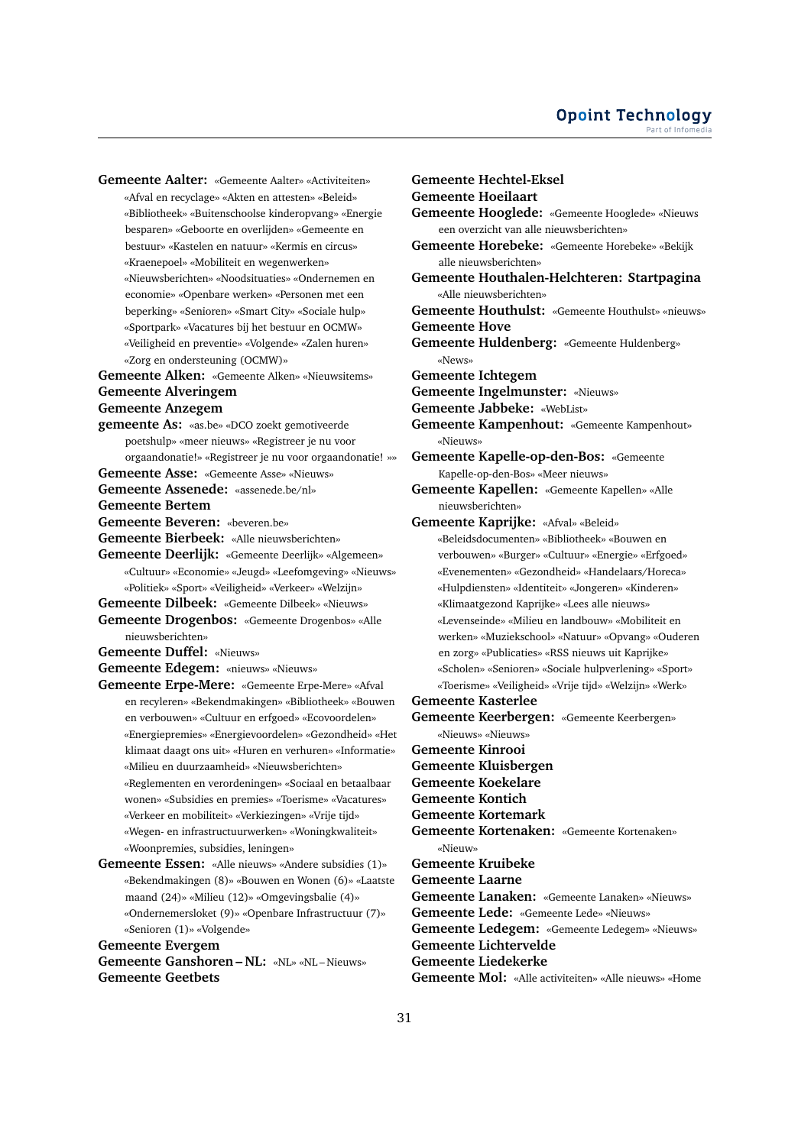**Gemeente Aalter:** «Gemeente Aalter» «Activiteiten» «Afval en recyclage» «Akten en attesten» «Beleid» «Bibliotheek» «Buitenschoolse kinderopvang» «Energie besparen» «Geboorte en overlijden» «Gemeente en bestuur» «Kastelen en natuur» «Kermis en circus» «Kraenepoel» «Mobiliteit en wegenwerken» «Nieuwsberichten» «Noodsituaties» «Ondernemen en economie» «Openbare werken» «Personen met een beperking» «Senioren» «Smart City» «Sociale hulp» «Sportpark» «Vacatures bij het bestuur en OCMW» «Veiligheid en preventie» «Volgende» «Zalen huren» «Zorg en ondersteuning (OCMW)» **Gemeente Alken:** «Gemeente Alken» «Nieuwsitems» **Gemeente Alveringem Gemeente Anzegem gemeente As:** «as.be» «DCO zoekt gemotiveerde

- poetshulp» «meer nieuws» «Registreer je nu voor orgaandonatie!» «Registreer je nu voor orgaandonatie! »»
- **Gemeente Asse:** «Gemeente Asse» «Nieuws»
- **Gemeente Assenede:** «assenede.be/nl»
- **Gemeente Bertem**
- **Gemeente Beveren:** «beveren.be»
- **Gemeente Bierbeek:** «Alle nieuwsberichten»
- **Gemeente Deerlijk:** «Gemeente Deerlijk» «Algemeen» «Cultuur» «Economie» «Jeugd» «Leefomgeving» «Nieuws» «Politiek» «Sport» «Veiligheid» «Verkeer» «Welzijn»
- **Gemeente Dilbeek:** «Gemeente Dilbeek» «Nieuws»
- **Gemeente Drogenbos:** «Gemeente Drogenbos» «Alle nieuwsberichten»
- **Gemeente Duffel:** «Nieuws»
- **Gemeente Edegem:** «nieuws» «Nieuws»
- **Gemeente Erpe-Mere:** «Gemeente Erpe-Mere» «Afval en recyleren» «Bekendmakingen» «Bibliotheek» «Bouwen en verbouwen» «Cultuur en erfgoed» «Ecovoordelen» «Energiepremies» «Energievoordelen» «Gezondheid» «Het klimaat daagt ons uit» «Huren en verhuren» «Informatie» «Milieu en duurzaamheid» «Nieuwsberichten» «Reglementen en verordeningen» «Sociaal en betaalbaar wonen» «Subsidies en premies» «Toerisme» «Vacatures» «Verkeer en mobiliteit» «Verkiezingen» «Vrije tijd» «Wegen- en infrastructuurwerken» «Woningkwaliteit» «Woonpremies, subsidies, leningen»
- **Gemeente Essen:** «Alle nieuws» «Andere subsidies (1)» «Bekendmakingen (8)» «Bouwen en Wonen (6)» «Laatste maand (24)» «Milieu (12)» «Omgevingsbalie (4)» «Ondernemersloket (9)» «Openbare Infrastructuur (7)» «Senioren (1)» «Volgende»

**Gemeente Evergem**

**Gemeente Ganshoren – NL:** «NL» «NL – Nieuws» **Gemeente Geetbets**

**Gemeente Hechtel-Eksel Gemeente Hoeilaart Gemeente Hooglede:** «Gemeente Hooglede» «Nieuws een overzicht van alle nieuwsberichten» **Gemeente Horebeke:** «Gemeente Horebeke» «Bekijk alle nieuwsberichten» **Gemeente Houthalen-Helchteren: Startpagina** «Alle nieuwsberichten» **Gemeente Houthulst:** «Gemeente Houthulst» «nieuws» **Gemeente Hove Gemeente Huldenberg:** «Gemeente Huldenberg» «News» **Gemeente Ichtegem Gemeente Ingelmunster:** «Nieuws» **Gemeente Jabbeke:** «WebList» **Gemeente Kampenhout:** «Gemeente Kampenhout» «Nieuws» **Gemeente Kapelle-op-den-Bos:** «Gemeente Kapelle-op-den-Bos» «Meer nieuws» **Gemeente Kapellen:** «Gemeente Kapellen» «Alle nieuwsberichten» **Gemeente Kaprijke:** «Afval» «Beleid» «Beleidsdocumenten» «Bibliotheek» «Bouwen en verbouwen» «Burger» «Cultuur» «Energie» «Erfgoed» «Evenementen» «Gezondheid» «Handelaars/Horeca» «Hulpdiensten» «Identiteit» «Jongeren» «Kinderen» «Klimaatgezond Kaprijke» «Lees alle nieuws» «Levenseinde» «Milieu en landbouw» «Mobiliteit en werken» «Muziekschool» «Natuur» «Opvang» «Ouderen en zorg» «Publicaties» «RSS nieuws uit Kaprijke» «Scholen» «Senioren» «Sociale hulpverlening» «Sport» «Toerisme» «Veiligheid» «Vrije tijd» «Welzijn» «Werk» **Gemeente Kasterlee Gemeente Keerbergen:** «Gemeente Keerbergen» «Nieuws» «Nieuws» **Gemeente Kinrooi Gemeente Kluisbergen Gemeente Koekelare Gemeente Kontich Gemeente Kortemark Gemeente Kortenaken:** «Gemeente Kortenaken» «Nieuw» **Gemeente Kruibeke Gemeente Laarne Gemeente Lanaken:** «Gemeente Lanaken» «Nieuws» **Gemeente Lede:** «Gemeente Lede» «Nieuws» **Gemeente Ledegem:** «Gemeente Ledegem» «Nieuws» **Gemeente Lichtervelde Gemeente Liedekerke Gemeente Mol:** «Alle activiteiten» «Alle nieuws» «Home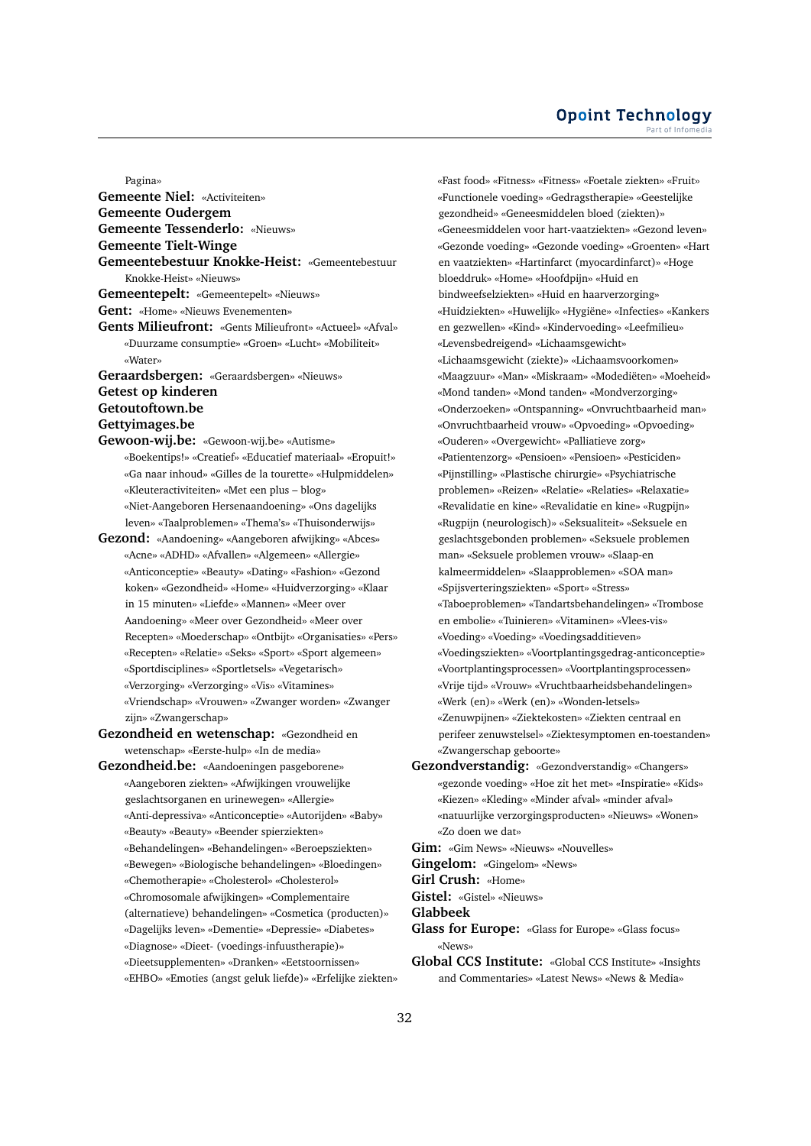Pagina» **Gemeente Niel:** «Activiteiten» **Gemeente Oudergem Gemeente Tessenderlo:** «Nieuws» **Gemeente Tielt-Winge Gemeentebestuur Knokke-Heist:** «Gemeentebestuur Knokke-Heist» «Nieuws» **Gemeentepelt:** «Gemeentepelt» «Nieuws» **Gent:** «Home» «Nieuws Evenementen» **Gents Milieufront:** «Gents Milieufront» «Actueel» «Afval» «Duurzame consumptie» «Groen» «Lucht» «Mobiliteit» «Water» **Geraardsbergen:** «Geraardsbergen» «Nieuws» **Getest op kinderen Getoutoftown.be Gettyimages.be Gewoon-wij.be:** «Gewoon-wij.be» «Autisme» «Boekentips!» «Creatief» «Educatief materiaal» «Eropuit!» «Ga naar inhoud» «Gilles de la tourette» «Hulpmiddelen» «Kleuteractiviteiten» «Met een plus – blog» «Niet-Aangeboren Hersenaandoening» «Ons dagelijks leven» «Taalproblemen» «Thema's» «Thuisonderwijs» **Gezond:** «Aandoening» «Aangeboren afwijking» «Abces» «Acne» «ADHD» «Afvallen» «Algemeen» «Allergie» «Anticonceptie» «Beauty» «Dating» «Fashion» «Gezond koken» «Gezondheid» «Home» «Huidverzorging» «Klaar in 15 minuten» «Liefde» «Mannen» «Meer over Aandoening» «Meer over Gezondheid» «Meer over Recepten» «Moederschap» «Ontbijt» «Organisaties» «Pers» «Recepten» «Relatie» «Seks» «Sport» «Sport algemeen» «Sportdisciplines» «Sportletsels» «Vegetarisch» «Verzorging» «Verzorging» «Vis» «Vitamines» «Vriendschap» «Vrouwen» «Zwanger worden» «Zwanger zijn» «Zwangerschap» **Gezondheid en wetenschap:** «Gezondheid en wetenschap» «Eerste-hulp» «In de media» **Gezondheid.be:** «Aandoeningen pasgeborene» «Aangeboren ziekten» «Afwijkingen vrouwelijke geslachtsorganen en urinewegen» «Allergie» «Anti-depressiva» «Anticonceptie» «Autorijden» «Baby» «Beauty» «Beauty» «Beender spierziekten» «Behandelingen» «Behandelingen» «Beroepsziekten» «Bewegen» «Biologische behandelingen» «Bloedingen» «Chemotherapie» «Cholesterol» «Cholesterol» «Chromosomale afwijkingen» «Complementaire (alternatieve) behandelingen» «Cosmetica (producten)» «Dagelijks leven» «Dementie» «Depressie» «Diabetes» «Diagnose» «Dieet- (voedings-infuustherapie)» «Dieetsupplementen» «Dranken» «Eetstoornissen»

«EHBO» «Emoties (angst geluk liefde)» «Erfelijke ziekten»

«Fast food» «Fitness» «Fitness» «Foetale ziekten» «Fruit» «Functionele voeding» «Gedragstherapie» «Geestelijke gezondheid» «Geneesmiddelen bloed (ziekten)» «Geneesmiddelen voor hart-vaatziekten» «Gezond leven» «Gezonde voeding» «Gezonde voeding» «Groenten» «Hart en vaatziekten» «Hartinfarct (myocardinfarct)» «Hoge bloeddruk» «Home» «Hoofdpijn» «Huid en bindweefselziekten» «Huid en haarverzorging» «Huidziekten» «Huwelijk» «Hygiëne» «Infecties» «Kankers en gezwellen» «Kind» «Kindervoeding» «Leefmilieu» «Levensbedreigend» «Lichaamsgewicht» «Lichaamsgewicht (ziekte)» «Lichaamsvoorkomen» «Maagzuur» «Man» «Miskraam» «Modediëten» «Moeheid» «Mond tanden» «Mond tanden» «Mondverzorging» «Onderzoeken» «Ontspanning» «Onvruchtbaarheid man» «Onvruchtbaarheid vrouw» «Opvoeding» «Opvoeding» «Ouderen» «Overgewicht» «Palliatieve zorg» «Patientenzorg» «Pensioen» «Pensioen» «Pesticiden» «Pijnstilling» «Plastische chirurgie» «Psychiatrische problemen» «Reizen» «Relatie» «Relaties» «Relaxatie» «Revalidatie en kine» «Revalidatie en kine» «Rugpijn» «Rugpijn (neurologisch)» «Seksualiteit» «Seksuele en geslachtsgebonden problemen» «Seksuele problemen man» «Seksuele problemen vrouw» «Slaap-en kalmeermiddelen» «Slaapproblemen» «SOA man» «Spijsverteringsziekten» «Sport» «Stress» «Taboeproblemen» «Tandartsbehandelingen» «Trombose en embolie» «Tuinieren» «Vitaminen» «Vlees-vis» «Voeding» «Voeding» «Voedingsadditieven» «Voedingsziekten» «Voortplantingsgedrag-anticonceptie» «Voortplantingsprocessen» «Voortplantingsprocessen» «Vrije tijd» «Vrouw» «Vruchtbaarheidsbehandelingen» «Werk (en)» «Werk (en)» «Wonden-letsels» «Zenuwpijnen» «Ziektekosten» «Ziekten centraal en perifeer zenuwstelsel» «Ziektesymptomen en-toestanden» «Zwangerschap geboorte» **Gezondverstandig:** «Gezondverstandig» «Changers»

- «gezonde voeding» «Hoe zit het met» «Inspiratie» «Kids» «Kiezen» «Kleding» «Minder afval» «minder afval» «natuurlijke verzorgingsproducten» «Nieuws» «Wonen» «Zo doen we dat»
- **Gim:** «Gim News» «Nieuws» «Nouvelles»
- **Gingelom:** «Gingelom» «News»
- **Girl Crush:** «Home»
- **Gistel:** «Gistel» «Nieuws»
- **Glabbeek**
- **Glass for Europe:** «Glass for Europe» «Glass focus» «News»
- **Global CCS Institute:** «Global CCS Institute» «Insights and Commentaries» «Latest News» «News & Media»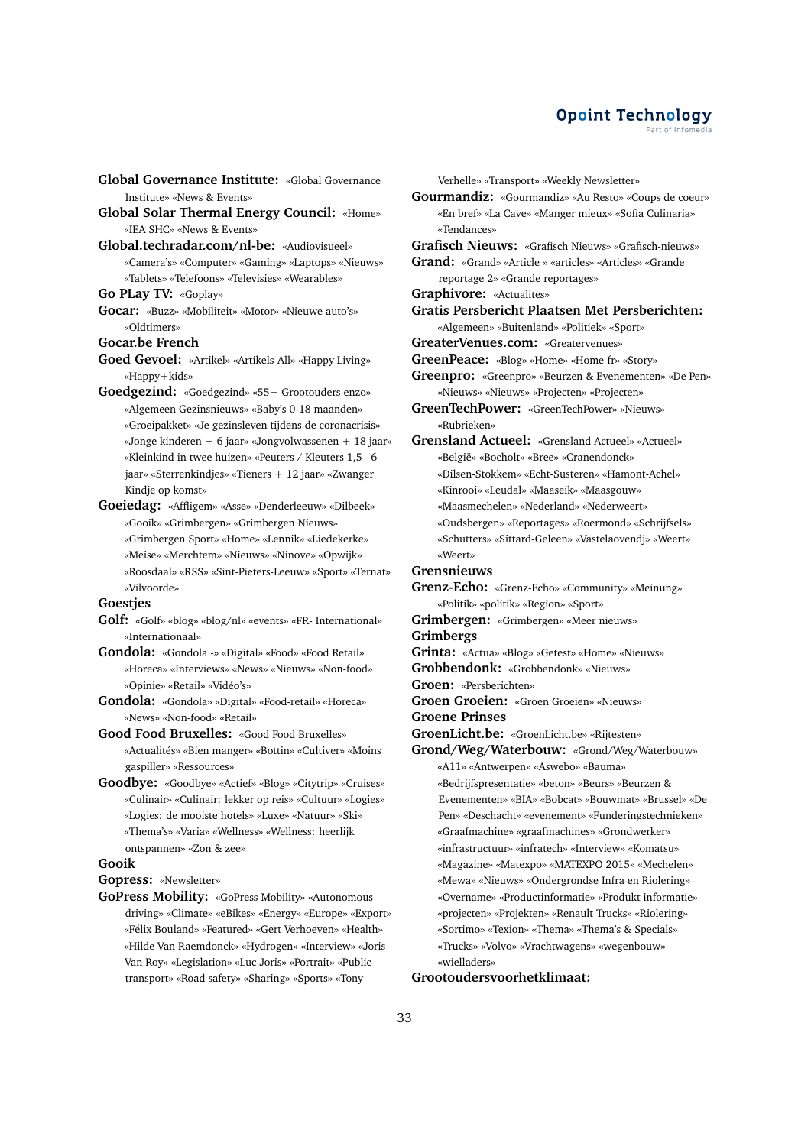#### **Opoint Technology** Part of Infomer

- **Global Governance Institute:** «Global Governance Institute» «News & Events»
- **Global Solar Thermal Energy Council:** «Home» «IEA SHC» «News & Events»
- **Global.techradar.com/nl-be:** «Audiovisueel» «Camera's» «Computer» «Gaming» «Laptops» «Nieuws» «Tablets» «Telefoons» «Televisies» «Wearables»
- **Go PLay TV:** «Goplay»
- **Gocar:** «Buzz» «Mobiliteit» «Motor» «Nieuwe auto's» «Oldtimers»
- **Gocar.be French**
- **Goed Gevoel:** «Artikel» «Artikels-All» «Happy Living» «Happy+kids»
- **Goedgezind:** «Goedgezind» «55+ Grootouders enzo» «Algemeen Gezinsnieuws» «Baby's 0-18 maanden» «Groeipakket» «Je gezinsleven tijdens de coronacrisis» «Jonge kinderen + 6 jaar» «Jongvolwassenen + 18 jaar» «Kleinkind in twee huizen» «Peuters / Kleuters 1,5 – 6 jaar» «Sterrenkindjes» «Tieners + 12 jaar» «Zwanger Kindje op komst»
- **Goeiedag:** «Affligem» «Asse» «Denderleeuw» «Dilbeek» «Gooik» «Grimbergen» «Grimbergen Nieuws» «Grimbergen Sport» «Home» «Lennik» «Liedekerke» «Meise» «Merchtem» «Nieuws» «Ninove» «Opwijk» «Roosdaal» «RSS» «Sint-Pieters-Leeuw» «Sport» «Ternat» «Vilvoorde»

#### **Goestjes**

- **Golf:** «Golf» «blog» «blog/nl» «events» «FR- International» «Internationaal»
- **Gondola:** «Gondola -» «Digital» «Food» «Food Retail» «Horeca» «Interviews» «News» «Nieuws» «Non-food» «Opinie» «Retail» «Vidéo's»
- **Gondola:** «Gondola» «Digital» «Food-retail» «Horeca» «News» «Non-food» «Retail»
- **Good Food Bruxelles:** «Good Food Bruxelles» «Actualités» «Bien manger» «Bottin» «Cultiver» «Moins gaspiller» «Ressources»
- **Goodbye:** «Goodbye» «Actief» «Blog» «Citytrip» «Cruises» «Culinair» «Culinair: lekker op reis» «Cultuur» «Logies» «Logies: de mooiste hotels» «Luxe» «Natuur» «Ski» «Thema's» «Varia» «Wellness» «Wellness: heerlijk ontspannen» «Zon & zee»

# **Gooik**

- **Gopress:** «Newsletter»
- **GoPress Mobility:** «GoPress Mobility» «Autonomous driving» «Climate» «eBikes» «Energy» «Europe» «Export» «Félix Bouland» «Featured» «Gert Verhoeven» «Health» «Hilde Van Raemdonck» «Hydrogen» «Interview» «Joris Van Roy» «Legislation» «Luc Joris» «Portrait» «Public transport» «Road safety» «Sharing» «Sports» «Tony

Verhelle» «Transport» «Weekly Newsletter» **Gourmandiz:** «Gourmandiz» «Au Resto» «Coups de coeur» «En bref» «La Cave» «Manger mieux» «Sofia Culinaria» «Tendances» **Grafisch Nieuws:** «Grafisch Nieuws» «Grafisch-nieuws» **Grand:** «Grand» «Article » «articles» «Articles» «Grande reportage 2» «Grande reportages» **Graphivore:** «Actualites» **Gratis Persbericht Plaatsen Met Persberichten:** «Algemeen» «Buitenland» «Politiek» «Sport» **GreaterVenues.com:** «Greatervenues» **GreenPeace:** «Blog» «Home» «Home-fr» «Story» **Greenpro:** «Greenpro» «Beurzen & Evenementen» «De Pen» «Nieuws» «Nieuws» «Projecten» «Projecten» **GreenTechPower:** «GreenTechPower» «Nieuws» «Rubrieken» **Grensland Actueel:** «Grensland Actueel» «Actueel» «België» «Bocholt» «Bree» «Cranendonck» «Dilsen-Stokkem» «Echt-Susteren» «Hamont-Achel» «Kinrooi» «Leudal» «Maaseik» «Maasgouw» «Maasmechelen» «Nederland» «Nederweert» «Oudsbergen» «Reportages» «Roermond» «Schrijfsels» «Schutters» «Sittard-Geleen» «Vastelaovendj» «Weert» «Weert» **Grensnieuws Grenz-Echo:** «Grenz-Echo» «Community» «Meinung» «Politik» «politik» «Region» «Sport» **Grimbergen:** «Grimbergen» «Meer nieuws» **Grimbergs Grinta:** «Actua» «Blog» «Getest» «Home» «Nieuws» **Grobbendonk:** «Grobbendonk» «Nieuws» **Groen:** «Persberichten» **Groen Groeien:** «Groen Groeien» «Nieuws» **Groene Prinses GroenLicht.be:** «GroenLicht.be» «Rijtesten» **Grond/Weg/Waterbouw:** «Grond/Weg/Waterbouw» «A11» «Antwerpen» «Aswebo» «Bauma» «Bedrijfspresentatie» «beton» «Beurs» «Beurzen & Evenementen» «BIA» «Bobcat» «Bouwmat» «Brussel» «De Pen» «Deschacht» «evenement» «Funderingstechnieken» «Graafmachine» «graafmachines» «Grondwerker» «infrastructuur» «infratech» «Interview» «Komatsu» «Magazine» «Matexpo» «MATEXPO 2015» «Mechelen» «Mewa» «Nieuws» «Ondergrondse Infra en Riolering» «Overname» «Productinformatie» «Produkt informatie» «projecten» «Projekten» «Renault Trucks» «Riolering» «Sortimo» «Texion» «Thema» «Thema's & Specials» «Trucks» «Volvo» «Vrachtwagens» «wegenbouw» «wielladers»

# **Grootoudersvoorhetklimaat:**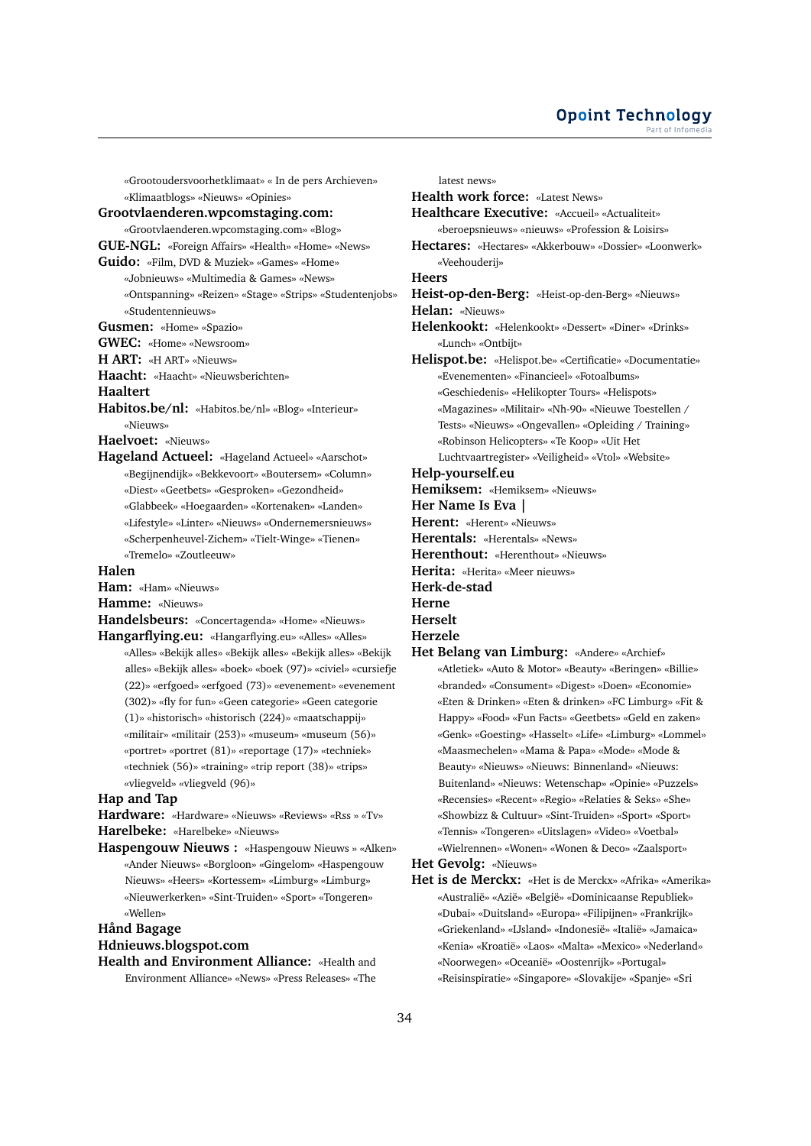#### **Opoint Technology** Part of Infomer

«Grootoudersvoorhetklimaat» « In de pers Archieven» «Klimaatblogs» «Nieuws» «Opinies» **Grootvlaenderen.wpcomstaging.com:** «Grootvlaenderen.wpcomstaging.com» «Blog» **GUE-NGL:** «Foreign Affairs» «Health» «Home» «News» **Guido:** «Film, DVD & Muziek» «Games» «Home» «Jobnieuws» «Multimedia & Games» «News» «Ontspanning» «Reizen» «Stage» «Strips» «Studentenjobs» «Studentennieuws» **Gusmen:** «Home» «Spazio» **GWEC:** «Home» «Newsroom» **H ART:** «H ART» «Nieuws» **Haacht:** «Haacht» «Nieuwsberichten» **Haaltert Habitos.be/nl:** «Habitos.be/nl» «Blog» «Interieur» «Nieuws» **Haelvoet:** «Nieuws» **Hageland Actueel:** «Hageland Actueel» «Aarschot» «Begijnendijk» «Bekkevoort» «Boutersem» «Column» «Diest» «Geetbets» «Gesproken» «Gezondheid» «Glabbeek» «Hoegaarden» «Kortenaken» «Landen» «Lifestyle» «Linter» «Nieuws» «Ondernemersnieuws» «Scherpenheuvel-Zichem» «Tielt-Winge» «Tienen» «Tremelo» «Zoutleeuw» **Halen Ham:** «Ham» «Nieuws» **Hamme:** «Nieuws» **Handelsbeurs:** «Concertagenda» «Home» «Nieuws» **Hangarflying.eu:** «Hangarflying.eu» «Alles» «Alles» «Alles» «Bekijk alles» «Bekijk alles» «Bekijk alles» «Bekijk alles» «Bekijk alles» «boek» «boek (97)» «civiel» «cursiefje (22)» «erfgoed» «erfgoed (73)» «evenement» «evenement (302)» «fly for fun» «Geen categorie» «Geen categorie (1)» «historisch» «historisch (224)» «maatschappij» «militair» «militair (253)» «museum» «museum (56)» «portret» «portret (81)» «reportage (17)» «techniek» «techniek (56)» «training» «trip report (38)» «trips» «vliegveld» «vliegveld (96)» **Hap and Tap Hardware:** «Hardware» «Nieuws» «Reviews» «Rss » «Tv» **Harelbeke:** «Harelbeke» «Nieuws» **Haspengouw Nieuws :** «Haspengouw Nieuws » «Alken» «Ander Nieuws» «Borgloon» «Gingelom» «Haspengouw Nieuws» «Heers» «Kortessem» «Limburg» «Limburg» «Nieuwerkerken» «Sint-Truiden» «Sport» «Tongeren»

# «Wellen»

# **Hånd Bagage**

# **Hdnieuws.blogspot.com**

**Health and Environment Alliance:** «Health and Environment Alliance» «News» «Press Releases» «The latest news»

**Health work force:** «Latest News» **Healthcare Executive:** «Accueil» «Actualiteit» «beroepsnieuws» «nieuws» «Profession & Loisirs» **Hectares:** «Hectares» «Akkerbouw» «Dossier» «Loonwerk» «Veehouderij» **Heers Heist-op-den-Berg:** «Heist-op-den-Berg» «Nieuws» **Helan:** «Nieuws» **Helenkookt:** «Helenkookt» «Dessert» «Diner» «Drinks» «Lunch» «Ontbijt» **Helispot.be:** «Helispot.be» «Certificatie» «Documentatie» «Evenementen» «Financieel» «Fotoalbums» «Geschiedenis» «Helikopter Tours» «Helispots» «Magazines» «Militair» «Nh-90» «Nieuwe Toestellen / Tests» «Nieuws» «Ongevallen» «Opleiding / Training» «Robinson Helicopters» «Te Koop» «Uit Het Luchtvaartregister» «Veiligheid» «Vtol» «Website» **Help-yourself.eu Hemiksem:** «Hemiksem» «Nieuws» **Her Name Is Eva | Herent:** «Herent» «Nieuws» **Herentals:** «Herentals» «News» **Herenthout:** «Herenthout» «Nieuws» **Herita:** «Herita» «Meer nieuws» **Herk-de-stad Herne Herselt Herzele Het Belang van Limburg:** «Andere» «Archief» «Atletiek» «Auto & Motor» «Beauty» «Beringen» «Billie» «branded» «Consument» «Digest» «Doen» «Economie»

«Eten & Drinken» «Eten & drinken» «FC Limburg» «Fit & Happy» «Food» «Fun Facts» «Geetbets» «Geld en zaken» «Genk» «Goesting» «Hasselt» «Life» «Limburg» «Lommel» «Maasmechelen» «Mama & Papa» «Mode» «Mode & Beauty» «Nieuws» «Nieuws: Binnenland» «Nieuws: Buitenland» «Nieuws: Wetenschap» «Opinie» «Puzzels» «Recensies» «Recent» «Regio» «Relaties & Seks» «She» «Showbizz & Cultuur» «Sint-Truiden» «Sport» «Sport» «Tennis» «Tongeren» «Uitslagen» «Video» «Voetbal» «Wielrennen» «Wonen» «Wonen & Deco» «Zaalsport»

**Het Gevolg:** «Nieuws»

**Het is de Merckx:** «Het is de Merckx» «Afrika» «Amerika» «Australië» «Azië» «België» «Dominicaanse Republiek» «Dubai» «Duitsland» «Europa» «Filipijnen» «Frankrijk» «Griekenland» «IJsland» «Indonesië» «Italië» «Jamaica» «Kenia» «Kroatië» «Laos» «Malta» «Mexico» «Nederland» «Noorwegen» «Oceanië» «Oostenrijk» «Portugal» «Reisinspiratie» «Singapore» «Slovakije» «Spanje» «Sri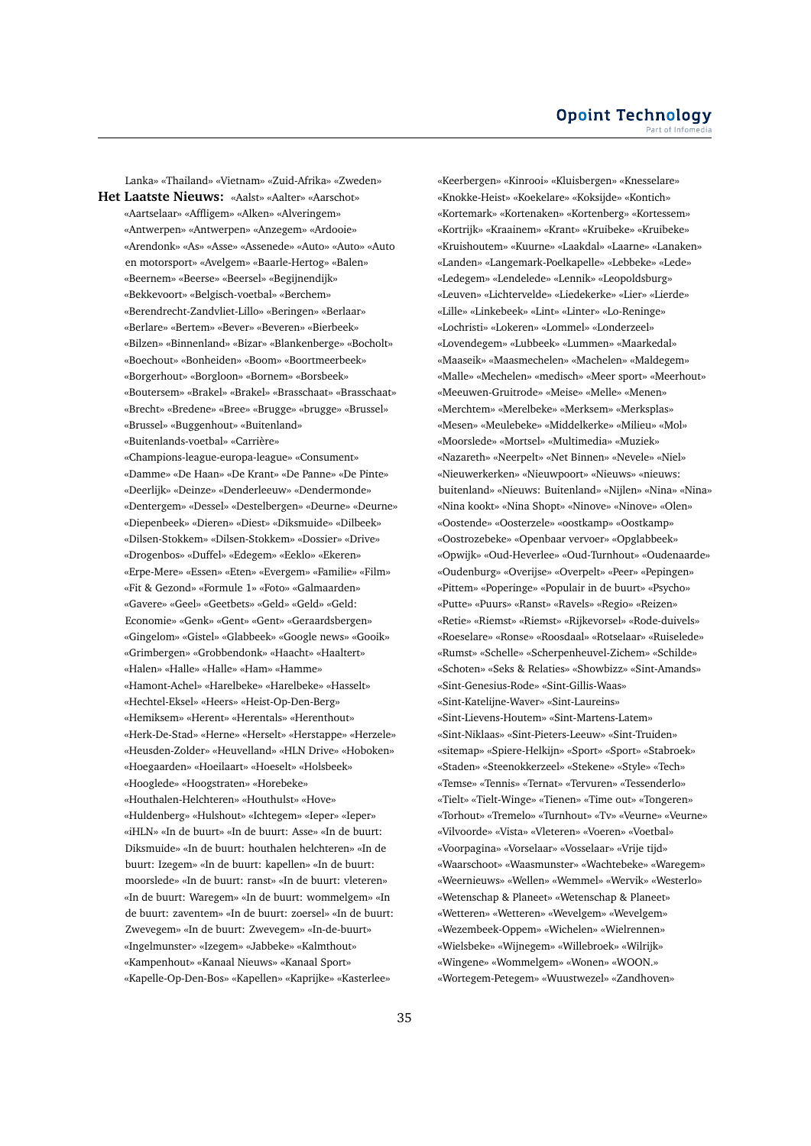Lanka» «Thailand» «Vietnam» «Zuid-Afrika» «Zweden» **Het Laatste Nieuws:** «Aalst» «Aalter» «Aarschot» «Aartselaar» «Affligem» «Alken» «Alveringem» «Antwerpen» «Antwerpen» «Anzegem» «Ardooie» «Arendonk» «As» «Asse» «Assenede» «Auto» «Auto» «Auto en motorsport» «Avelgem» «Baarle-Hertog» «Balen» «Beernem» «Beerse» «Beersel» «Begijnendijk» «Bekkevoort» «Belgisch-voetbal» «Berchem» «Berendrecht-Zandvliet-Lillo» «Beringen» «Berlaar» «Berlare» «Bertem» «Bever» «Beveren» «Bierbeek» «Bilzen» «Binnenland» «Bizar» «Blankenberge» «Bocholt» «Boechout» «Bonheiden» «Boom» «Boortmeerbeek» «Borgerhout» «Borgloon» «Bornem» «Borsbeek» «Boutersem» «Brakel» «Brakel» «Brasschaat» «Brasschaat» «Brecht» «Bredene» «Bree» «Brugge» «brugge» «Brussel» «Brussel» «Buggenhout» «Buitenland» «Buitenlands-voetbal» «Carrière» «Champions-league-europa-league» «Consument» «Damme» «De Haan» «De Krant» «De Panne» «De Pinte» «Deerlijk» «Deinze» «Denderleeuw» «Dendermonde» «Dentergem» «Dessel» «Destelbergen» «Deurne» «Deurne» «Diepenbeek» «Dieren» «Diest» «Diksmuide» «Dilbeek» «Dilsen-Stokkem» «Dilsen-Stokkem» «Dossier» «Drive» «Drogenbos» «Duffel» «Edegem» «Eeklo» «Ekeren» «Erpe-Mere» «Essen» «Eten» «Evergem» «Familie» «Film» «Fit & Gezond» «Formule 1» «Foto» «Galmaarden» «Gavere» «Geel» «Geetbets» «Geld» «Geld» «Geld: Economie» «Genk» «Gent» «Gent» «Geraardsbergen» «Gingelom» «Gistel» «Glabbeek» «Google news» «Gooik» «Grimbergen» «Grobbendonk» «Haacht» «Haaltert» «Halen» «Halle» «Halle» «Ham» «Hamme» «Hamont-Achel» «Harelbeke» «Harelbeke» «Hasselt» «Hechtel-Eksel» «Heers» «Heist-Op-Den-Berg» «Hemiksem» «Herent» «Herentals» «Herenthout» «Herk-De-Stad» «Herne» «Herselt» «Herstappe» «Herzele» «Heusden-Zolder» «Heuvelland» «HLN Drive» «Hoboken» «Hoegaarden» «Hoeilaart» «Hoeselt» «Holsbeek» «Hooglede» «Hoogstraten» «Horebeke» «Houthalen-Helchteren» «Houthulst» «Hove» «Huldenberg» «Hulshout» «Ichtegem» «Ieper» «Ieper» «iHLN» «In de buurt» «In de buurt: Asse» «In de buurt: Diksmuide» «In de buurt: houthalen helchteren» «In de buurt: Izegem» «In de buurt: kapellen» «In de buurt: moorslede» «In de buurt: ranst» «In de buurt: vleteren» «In de buurt: Waregem» «In de buurt: wommelgem» «In de buurt: zaventem» «In de buurt: zoersel» «In de buurt: Zwevegem» «In de buurt: Zwevegem» «In-de-buurt» «Ingelmunster» «Izegem» «Jabbeke» «Kalmthout» «Kampenhout» «Kanaal Nieuws» «Kanaal Sport» «Kapelle-Op-Den-Bos» «Kapellen» «Kaprijke» «Kasterlee»

«Keerbergen» «Kinrooi» «Kluisbergen» «Knesselare» «Knokke-Heist» «Koekelare» «Koksijde» «Kontich» «Kortemark» «Kortenaken» «Kortenberg» «Kortessem» «Kortrijk» «Kraainem» «Krant» «Kruibeke» «Kruibeke» «Kruishoutem» «Kuurne» «Laakdal» «Laarne» «Lanaken» «Landen» «Langemark-Poelkapelle» «Lebbeke» «Lede» «Ledegem» «Lendelede» «Lennik» «Leopoldsburg» «Leuven» «Lichtervelde» «Liedekerke» «Lier» «Lierde» «Lille» «Linkebeek» «Lint» «Linter» «Lo-Reninge» «Lochristi» «Lokeren» «Lommel» «Londerzeel» «Lovendegem» «Lubbeek» «Lummen» «Maarkedal» «Maaseik» «Maasmechelen» «Machelen» «Maldegem» «Malle» «Mechelen» «medisch» «Meer sport» «Meerhout» «Meeuwen-Gruitrode» «Meise» «Melle» «Menen» «Merchtem» «Merelbeke» «Merksem» «Merksplas» «Mesen» «Meulebeke» «Middelkerke» «Milieu» «Mol» «Moorslede» «Mortsel» «Multimedia» «Muziek» «Nazareth» «Neerpelt» «Net Binnen» «Nevele» «Niel» «Nieuwerkerken» «Nieuwpoort» «Nieuws» «nieuws: buitenland» «Nieuws: Buitenland» «Nijlen» «Nina» «Nina» «Nina kookt» «Nina Shopt» «Ninove» «Ninove» «Olen» «Oostende» «Oosterzele» «oostkamp» «Oostkamp» «Oostrozebeke» «Openbaar vervoer» «Opglabbeek» «Opwijk» «Oud-Heverlee» «Oud-Turnhout» «Oudenaarde» «Oudenburg» «Overijse» «Overpelt» «Peer» «Pepingen» «Pittem» «Poperinge» «Populair in de buurt» «Psycho» «Putte» «Puurs» «Ranst» «Ravels» «Regio» «Reizen» «Retie» «Riemst» «Riemst» «Rijkevorsel» «Rode-duivels» «Roeselare» «Ronse» «Roosdaal» «Rotselaar» «Ruiselede» «Rumst» «Schelle» «Scherpenheuvel-Zichem» «Schilde» «Schoten» «Seks & Relaties» «Showbizz» «Sint-Amands» «Sint-Genesius-Rode» «Sint-Gillis-Waas» «Sint-Katelijne-Waver» «Sint-Laureins» «Sint-Lievens-Houtem» «Sint-Martens-Latem» «Sint-Niklaas» «Sint-Pieters-Leeuw» «Sint-Truiden» «sitemap» «Spiere-Helkijn» «Sport» «Sport» «Stabroek» «Staden» «Steenokkerzeel» «Stekene» «Style» «Tech» «Temse» «Tennis» «Ternat» «Tervuren» «Tessenderlo» «Tielt» «Tielt-Winge» «Tienen» «Time out» «Tongeren» «Torhout» «Tremelo» «Turnhout» «Tv» «Veurne» «Veurne» «Vilvoorde» «Vista» «Vleteren» «Voeren» «Voetbal» «Voorpagina» «Vorselaar» «Vosselaar» «Vrije tijd» «Waarschoot» «Waasmunster» «Wachtebeke» «Waregem» «Weernieuws» «Wellen» «Wemmel» «Wervik» «Westerlo» «Wetenschap & Planeet» «Wetenschap & Planeet» «Wetteren» «Wetteren» «Wevelgem» «Wevelgem» «Wezembeek-Oppem» «Wichelen» «Wielrennen» «Wielsbeke» «Wijnegem» «Willebroek» «Wilrijk» «Wingene» «Wommelgem» «Wonen» «WOON.» «Wortegem-Petegem» «Wuustwezel» «Zandhoven»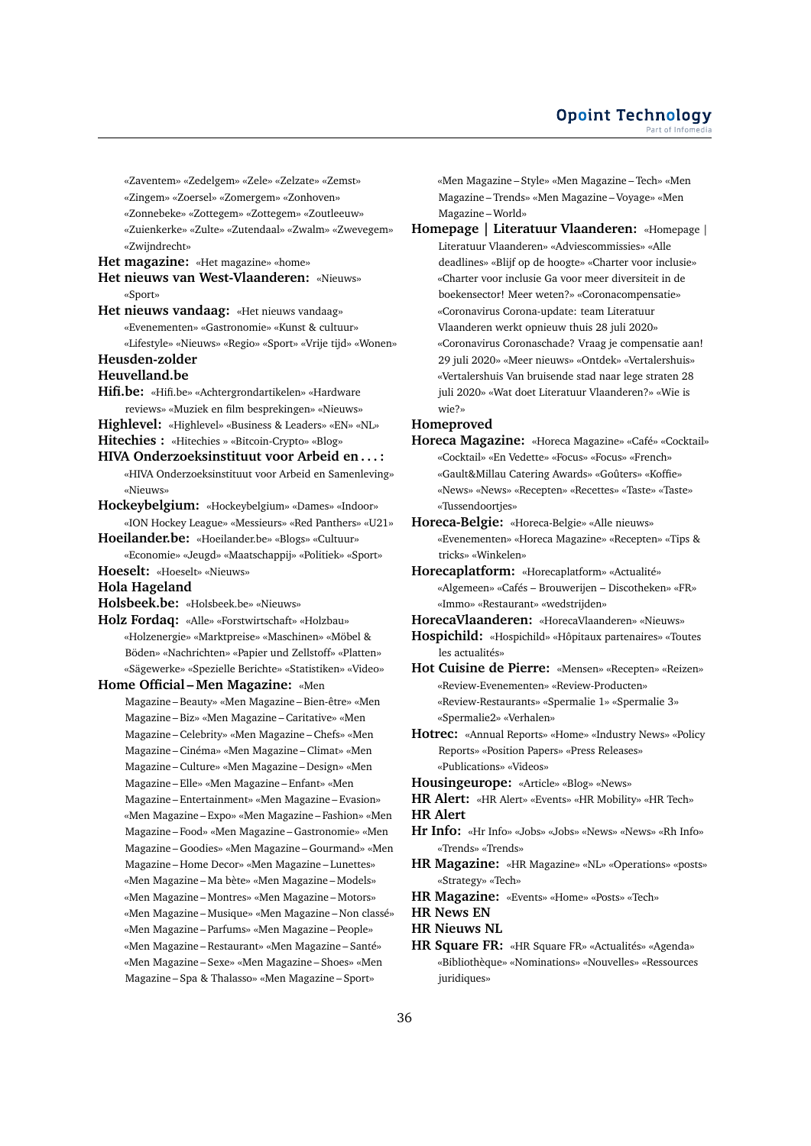«Zaventem» «Zedelgem» «Zele» «Zelzate» «Zemst»

«Zingem» «Zoersel» «Zomergem» «Zonhoven»

«Zonnebeke» «Zottegem» «Zottegem» «Zoutleeuw»

«Zuienkerke» «Zulte» «Zutendaal» «Zwalm» «Zwevegem» «Zwijndrecht»

**Het magazine:** «Het magazine» «home»

**Het nieuws van West-Vlaanderen:** «Nieuws» «Sport»

**Het nieuws vandaag:** «Het nieuws vandaag» «Evenementen» «Gastronomie» «Kunst & cultuur» «Lifestyle» «Nieuws» «Regio» «Sport» «Vrije tijd» «Wonen»

# **Heusden-zolder**

**Heuvelland.be**

**Hifi.be:** «Hifi.be» «Achtergrondartikelen» «Hardware reviews» «Muziek en film besprekingen» «Nieuws»

**Highlevel:** «Highlevel» «Business & Leaders» «EN» «NL»

**Hitechies :** «Hitechies » «Bitcoin-Crypto» «Blog»

**HIVA Onderzoeksinstituut voor Arbeid en . . . :** «HIVA Onderzoeksinstituut voor Arbeid en Samenleving» «Nieuws»

**Hockeybelgium:** «Hockeybelgium» «Dames» «Indoor» «ION Hockey League» «Messieurs» «Red Panthers» «U21»

**Hoeilander.be:** «Hoeilander.be» «Blogs» «Cultuur»

«Economie» «Jeugd» «Maatschappij» «Politiek» «Sport» **Hoeselt:** «Hoeselt» «Nieuws»

### **Hola Hageland**

- **Holsbeek.be:** «Holsbeek.be» «Nieuws»
- **Holz Fordaq:** «Alle» «Forstwirtschaft» «Holzbau» «Holzenergie» «Marktpreise» «Maschinen» «Möbel & Böden» «Nachrichten» «Papier und Zellstoff» «Platten» «Sägewerke» «Spezielle Berichte» «Statistiken» «Video»

# **Home Official – Men Magazine:** «Men

Magazine – Beauty» «Men Magazine – Bien-être» «Men Magazine – Biz» «Men Magazine – Caritative» «Men Magazine – Celebrity» «Men Magazine – Chefs» «Men Magazine – Cinéma» «Men Magazine – Climat» «Men Magazine – Culture» «Men Magazine – Design» «Men Magazine – Elle» «Men Magazine – Enfant» «Men Magazine – Entertainment» «Men Magazine – Evasion» «Men Magazine – Expo» «Men Magazine – Fashion» «Men Magazine – Food» «Men Magazine – Gastronomie» «Men Magazine – Goodies» «Men Magazine – Gourmand» «Men Magazine – Home Decor» «Men Magazine – Lunettes» «Men Magazine – Ma bète» «Men Magazine – Models» «Men Magazine – Montres» «Men Magazine – Motors» «Men Magazine – Musique» «Men Magazine – Non classé» «Men Magazine – Parfums» «Men Magazine – People» «Men Magazine – Restaurant» «Men Magazine – Santé» «Men Magazine – Sexe» «Men Magazine – Shoes» «Men Magazine – Spa & Thalasso» «Men Magazine – Sport»

«Men Magazine – Style» «Men Magazine – Tech» «Men Magazine – Trends» «Men Magazine – Voyage» «Men Magazine – World»

**Homepage | Literatuur Vlaanderen:** «Homepage | Literatuur Vlaanderen» «Adviescommissies» «Alle deadlines» «Blijf op de hoogte» «Charter voor inclusie» «Charter voor inclusie Ga voor meer diversiteit in de boekensector! Meer weten?» «Coronacompensatie» «Coronavirus Corona-update: team Literatuur Vlaanderen werkt opnieuw thuis 28 juli 2020» «Coronavirus Coronaschade? Vraag je compensatie aan! 29 juli 2020» «Meer nieuws» «Ontdek» «Vertalershuis» «Vertalershuis Van bruisende stad naar lege straten 28 juli 2020» «Wat doet Literatuur Vlaanderen?» «Wie is wie?»

#### **Homeproved**

**Horeca Magazine:** «Horeca Magazine» «Café» «Cocktail» «Cocktail» «En Vedette» «Focus» «Focus» «French» «Gault&Millau Catering Awards» «Goûters» «Koffie» «News» «News» «Recepten» «Recettes» «Taste» «Taste» «Tussendoortjes»

**Horeca-Belgie:** «Horeca-Belgie» «Alle nieuws» «Evenementen» «Horeca Magazine» «Recepten» «Tips & tricks» «Winkelen»

**Horecaplatform:** «Horecaplatform» «Actualité» «Algemeen» «Cafés – Brouwerijen – Discotheken» «FR» «Immo» «Restaurant» «wedstrijden»

- **HorecaVlaanderen:** «HorecaVlaanderen» «Nieuws»
- **Hospichild:** «Hospichild» «Hôpitaux partenaires» «Toutes les actualités»

**Hot Cuisine de Pierre:** «Mensen» «Recepten» «Reizen» «Review-Evenementen» «Review-Producten» «Review-Restaurants» «Spermalie 1» «Spermalie 3» «Spermalie2» «Verhalen»

- **Hotrec:** «Annual Reports» «Home» «Industry News» «Policy Reports» «Position Papers» «Press Releases» «Publications» «Videos»
- **Housingeurope:** «Article» «Blog» «News»
- **HR Alert:** «HR Alert» «Events» «HR Mobility» «HR Tech»

**HR Alert**

- **Hr Info:** «Hr Info» «Jobs» «Jobs» «News» «News» «Rh Info» «Trends» «Trends»
- **HR Magazine:** «HR Magazine» «NL» «Operations» «posts» «Strategy» «Tech»
- **HR Magazine:** «Events» «Home» «Posts» «Tech»
- **HR News EN**
- **HR Nieuws NL**
- **HR Square FR:** «HR Square FR» «Actualités» «Agenda» «Bibliothèque» «Nominations» «Nouvelles» «Ressources *iuridiques*»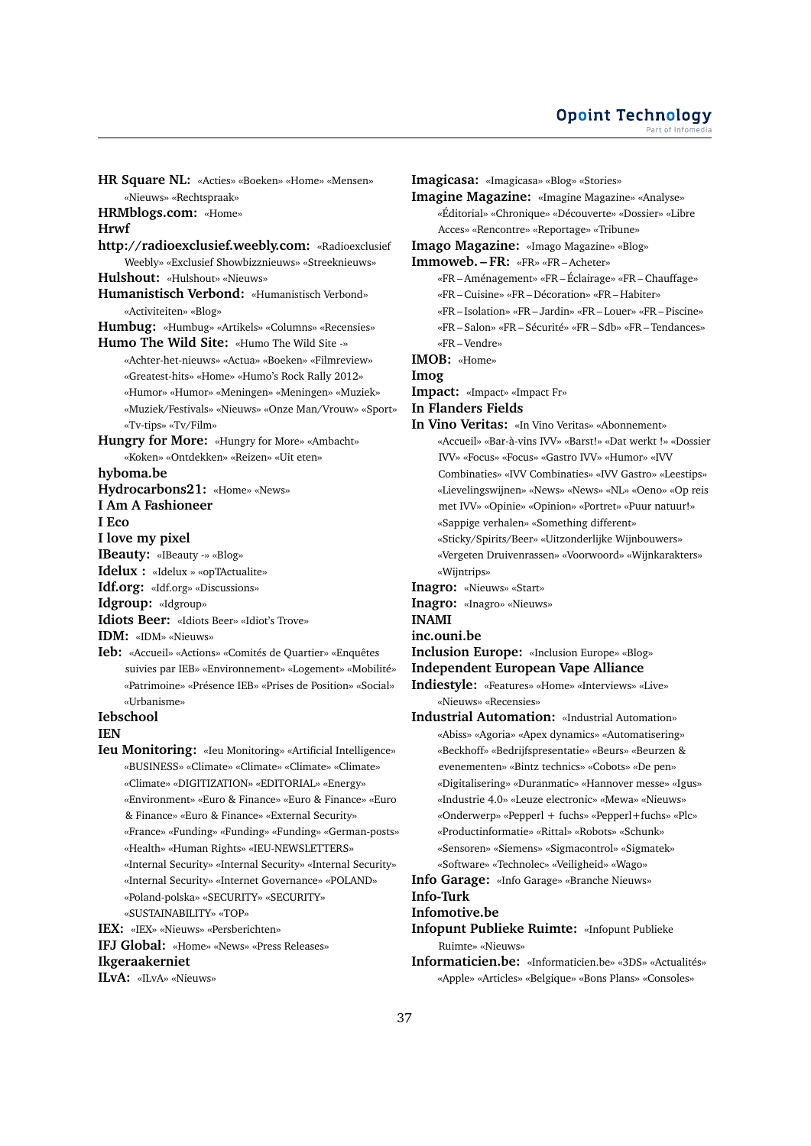**HR Square NL:** «Acties» «Boeken» «Home» «Mensen» «Nieuws» «Rechtspraak» **HRMblogs.com:** «Home» **Hrwf http://radioexclusief.weebly.com:** «Radioexclusief Weebly» «Exclusief Showbizznieuws» «Streeknieuws» **Hulshout:** «Hulshout» «Nieuws» **Humanistisch Verbond:** «Humanistisch Verbond» «Activiteiten» «Blog» **Humbug:** «Humbug» «Artikels» «Columns» «Recensies» **Humo The Wild Site:** «Humo The Wild Site -» «Achter-het-nieuws» «Actua» «Boeken» «Filmreview» «Greatest-hits» «Home» «Humo's Rock Rally 2012» «Humor» «Humor» «Meningen» «Meningen» «Muziek» «Muziek/Festivals» «Nieuws» «Onze Man/Vrouw» «Sport» «Tv-tips» «Tv/Film» **Hungry for More:** «Hungry for More» «Ambacht» «Koken» «Ontdekken» «Reizen» «Uit eten» **hyboma.be Hydrocarbons21:** «Home» «News» **I Am A Fashioneer I Eco I love my pixel IBeauty:** «IBeauty -» «Blog» **Idelux :** «Idelux » «opTActualite» **Idf.org:** «Idf.org» «Discussions» **Idgroup:** «Idgroup» **Idiots Beer:** «Idiots Beer» «Idiot's Trove» **IDM:** «IDM» «Nieuws» **Ieb:** «Accueil» «Actions» «Comités de Quartier» «Enquêtes suivies par IEB» «Environnement» «Logement» «Mobilité» «Patrimoine» «Présence IEB» «Prises de Position» «Social» «Urbanisme» **Iebschool IEN Ieu Monitoring:** «Ieu Monitoring» «Artificial Intelligence» «BUSINESS» «Climate» «Climate» «Climate» «Climate» «Climate» «DIGITIZATION» «EDITORIAL» «Energy» «Environment» «Euro & Finance» «Euro & Finance» «Euro & Finance» «Euro & Finance» «External Security» «France» «Funding» «Funding» «Funding» «German-posts» «Health» «Human Rights» «IEU-NEWSLETTERS» «Internal Security» «Internal Security» «Internal Security» «Internal Security» «Internet Governance» «POLAND» «Poland-polska» «SECURITY» «SECURITY» «SUSTAINABILITY» «TOP» **IEX:** «IEX» «Nieuws» «Persberichten»

**IFJ Global:** «Home» «News» «Press Releases» **Ikgeraakerniet ILvA:** «ILvA» «Nieuws»

**Imagicasa:** «Imagicasa» «Blog» «Stories» **Imagine Magazine:** «Imagine Magazine» «Analyse» «Éditorial» «Chronique» «Découverte» «Dossier» «Libre Acces» «Rencontre» «Reportage» «Tribune» **Imago Magazine:** «Imago Magazine» «Blog» **Immoweb. – FR:** «FR» «FR – Acheter» «FR – Aménagement» «FR – Éclairage» «FR – Chauffage» «FR – Cuisine» «FR – Décoration» «FR – Habiter» «FR – Isolation» «FR – Jardin» «FR – Louer» «FR – Piscine» «FR – Salon» «FR – Sécurité» «FR – Sdb» «FR – Tendances» «FR – Vendre» **IMOB:** «Home» **Imog Impact:** «Impact» «Impact Fr» **In Flanders Fields In Vino Veritas:** «In Vino Veritas» «Abonnement» «Accueil» «Bar-à-vins IVV» «Barst!» «Dat werkt !» «Dossier IVV» «Focus» «Focus» «Gastro IVV» «Humor» «IVV Combinaties» «IVV Combinaties» «IVV Gastro» «Leestips» «Lievelingswijnen» «News» «News» «NL» «Oeno» «Op reis met IVV» «Opinie» «Opinion» «Portret» «Puur natuur!» «Sappige verhalen» «Something different» «Sticky/Spirits/Beer» «Uitzonderlijke Wijnbouwers» «Vergeten Druivenrassen» «Voorwoord» «Wijnkarakters» «Wijntrips» **Inagro:** «Nieuws» «Start» **Inagro:** «Inagro» «Nieuws» **INAMI inc.ouni.be Inclusion Europe:** «Inclusion Europe» «Blog» **Independent European Vape Alliance Indiestyle:** «Features» «Home» «Interviews» «Live» «Nieuws» «Recensies» **Industrial Automation:** «Industrial Automation» «Abiss» «Agoria» «Apex dynamics» «Automatisering» «Beckhoff» «Bedrijfspresentatie» «Beurs» «Beurzen & evenementen» «Bintz technics» «Cobots» «De pen» «Digitalisering» «Duranmatic» «Hannover messe» «Igus» «Industrie 4.0» «Leuze electronic» «Mewa» «Nieuws» «Onderwerp» «Pepperl + fuchs» «Pepperl+fuchs» «Plc» «Productinformatie» «Rittal» «Robots» «Schunk» «Sensoren» «Siemens» «Sigmacontrol» «Sigmatek» «Software» «Technolec» «Veiligheid» «Wago» **Info Garage:** «Info Garage» «Branche Nieuws»

# **Info-Turk**

**Infomotive.be**

- **Infopunt Publieke Ruimte:** «Infopunt Publieke Ruimte» «Nieuws»
- **Informaticien.be:** «Informaticien.be» «3DS» «Actualités» «Apple» «Articles» «Belgique» «Bons Plans» «Consoles»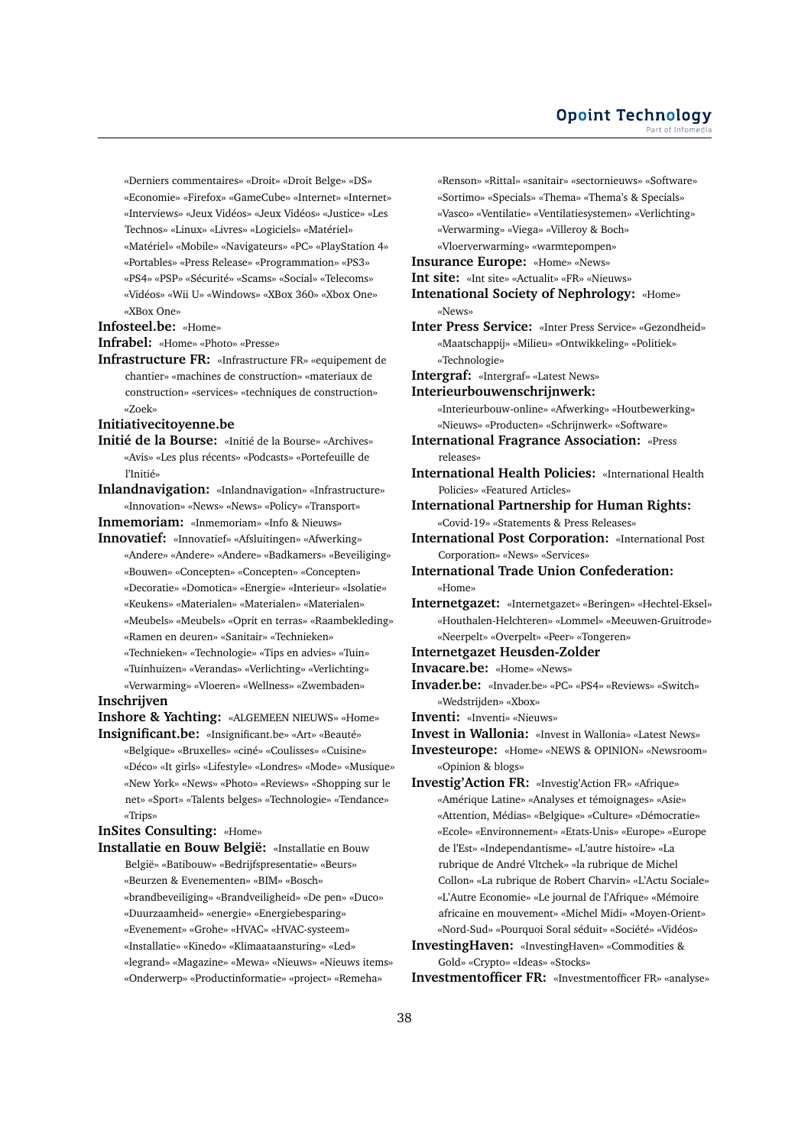«Derniers commentaires» «Droit» «Droit Belge» «DS» «Economie» «Firefox» «GameCube» «Internet» «Internet» «Interviews» «Jeux Vidéos» «Jeux Vidéos» «Justice» «Les Technos» «Linux» «Livres» «Logiciels» «Matériel» «Matériel» «Mobile» «Navigateurs» «PC» «PlayStation 4» «Portables» «Press Release» «Programmation» «PS3» «PS4» «PSP» «Sécurité» «Scams» «Social» «Telecoms» «Vidéos» «Wii U» «Windows» «XBox 360» «Xbox One» «XBox One»

**Infosteel.be:** «Home»

**Infrabel:** «Home» «Photo» «Presse»

**Infrastructure FR:** «Infrastructure FR» «equipement de chantier» «machines de construction» «materiaux de construction» «services» «techniques de construction» «Zoek»

#### **Initiativecitoyenne.be**

- **Initié de la Bourse:** «Initié de la Bourse» «Archives» «Avis» «Les plus récents» «Podcasts» «Portefeuille de l'Initié»
- **Inlandnavigation:** «Inlandnavigation» «Infrastructure» «Innovation» «News» «News» «Policy» «Transport»
- **Inmemoriam:** «Inmemoriam» «Info & Nieuws»
- **Innovatief:** «Innovatief» «Afsluitingen» «Afwerking» «Andere» «Andere» «Andere» «Badkamers» «Beveiliging» «Bouwen» «Concepten» «Concepten» «Concepten» «Decoratie» «Domotica» «Energie» «Interieur» «Isolatie» «Keukens» «Materialen» «Materialen» «Materialen» «Meubels» «Meubels» «Oprit en terras» «Raambekleding»
	- «Ramen en deuren» «Sanitair» «Technieken»
	- «Technieken» «Technologie» «Tips en advies» «Tuin»
	- «Tuinhuizen» «Verandas» «Verlichting» «Verlichting»
	- «Verwarming» «Vloeren» «Wellness» «Zwembaden»

# **Inschrijven**

**Inshore & Yachting:** «ALGEMEEN NIEUWS» «Home» **Insignificant.be:** «Insignificant.be» «Art» «Beauté»

«Belgique» «Bruxelles» «ciné» «Coulisses» «Cuisine» «Déco» «It girls» «Lifestyle» «Londres» «Mode» «Musique» «New York» «News» «Photo» «Reviews» «Shopping sur le net» «Sport» «Talents belges» «Technologie» «Tendance» «Trips»

## **InSites Consulting:** «Home»

- **Installatie en Bouw België:** «Installatie en Bouw België» «Batibouw» «Bedrijfspresentatie» «Beurs» «Beurzen & Evenementen» «BIM» «Bosch» «brandbeveiliging» «Brandveiligheid» «De pen» «Duco»
	- «Duurzaamheid» «energie» «Energiebesparing»
	- «Evenement» «Grohe» «HVAC» «HVAC-systeem»
	- «Installatie» «Kinedo» «Klimaataansturing» «Led»
	-
	- «legrand» «Magazine» «Mewa» «Nieuws» «Nieuws items» «Onderwerp» «Productinformatie» «project» «Remeha»

«Renson» «Rittal» «sanitair» «sectornieuws» «Software» «Sortimo» «Specials» «Thema» «Thema's & Specials» «Vasco» «Ventilatie» «Ventilatiesystemen» «Verlichting» «Verwarming» «Viega» «Villeroy & Boch» «Vloerverwarming» «warmtepompen» **Insurance Europe:** «Home» «News»

- **Int site:** «Int site» «Actualit» «FR» «Nieuws»
- **Intenational Society of Nephrology:** «Home» «News»
- **Inter Press Service:** «Inter Press Service» «Gezondheid» «Maatschappij» «Milieu» «Ontwikkeling» «Politiek» «Technologie»
- **Intergraf:** «Intergraf» «Latest News»
- **Interieurbouwenschrijnwerk:**

«Interieurbouw-online» «Afwerking» «Houtbewerking» «Nieuws» «Producten» «Schrijnwerk» «Software»

- **International Fragrance Association:** «Press releases»
- **International Health Policies:** «International Health Policies» «Featured Articles»
- **International Partnership for Human Rights:** «Covid-19» «Statements & Press Releases»
- **International Post Corporation:** «International Post Corporation» «News» «Services»
- **International Trade Union Confederation:** «Home»
- **Internetgazet:** «Internetgazet» «Beringen» «Hechtel-Eksel» «Houthalen-Helchteren» «Lommel» «Meeuwen-Gruitrode» «Neerpelt» «Overpelt» «Peer» «Tongeren»

#### **Internetgazet Heusden-Zolder**

- **Invacare.be:** «Home» «News»
- **Invader.be:** «Invader.be» «PC» «PS4» «Reviews» «Switch» «Wedstrijden» «Xbox»
- **Inventi:** «Inventi» «Nieuws»
- **Invest in Wallonia:** «Invest in Wallonia» «Latest News»
- **Investeurope:** «Home» «NEWS & OPINION» «Newsroom» «Opinion & blogs»
- **Investig'Action FR:** «Investig'Action FR» «Afrique» «Amérique Latine» «Analyses et témoignages» «Asie» «Attention, Médias» «Belgique» «Culture» «Démocratie» «Ecole» «Environnement» «Etats-Unis» «Europe» «Europe de l'Est» «Independantisme» «L'autre histoire» «La rubrique de André Vltchek» «la rubrique de Michel Collon» «La rubrique de Robert Charvin» «L'Actu Sociale» «L'Autre Economie» «Le journal de l'Afrique» «Mémoire africaine en mouvement» «Michel Midi» «Moyen-Orient» «Nord-Sud» «Pourquoi Soral séduit» «Société» «Vidéos»
- **InvestingHaven:** «InvestingHaven» «Commodities & Gold» «Crypto» «Ideas» «Stocks»

**Investmentofficer FR:** «Investmentofficer FR» «analyse»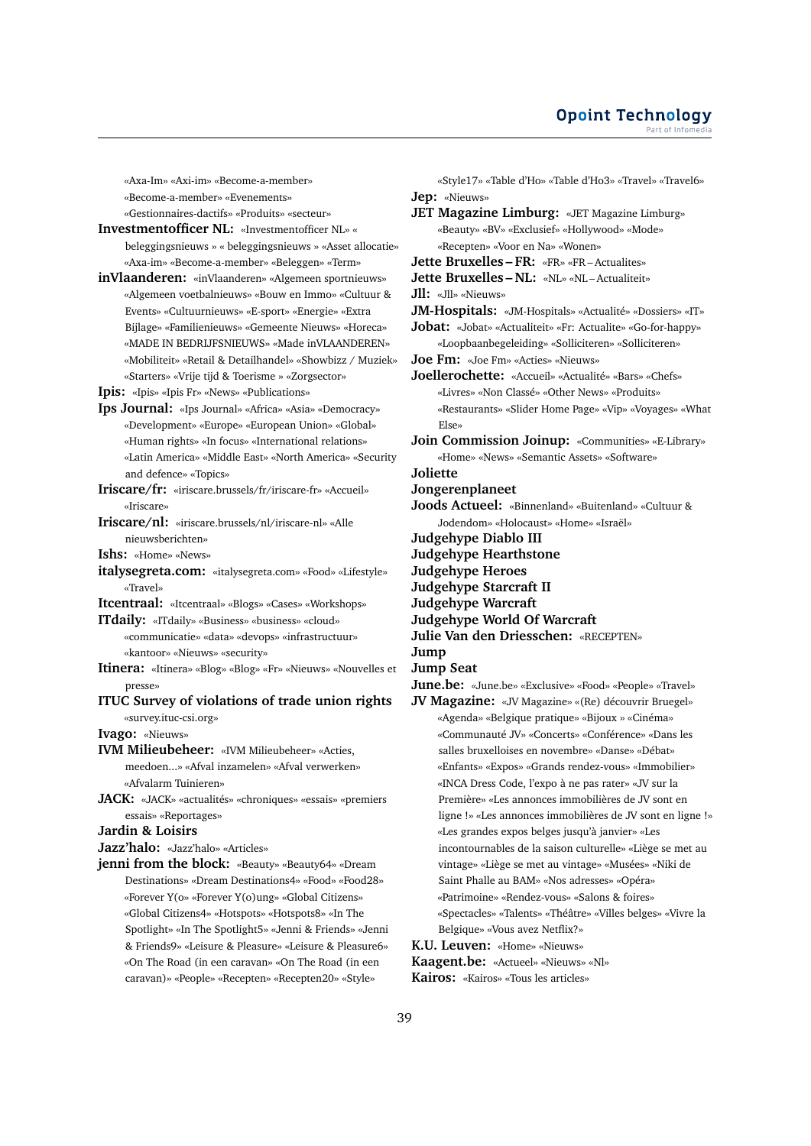«Axa-Im» «Axi-im» «Become-a-member»

- «Become-a-member» «Evenements»
- «Gestionnaires-dactifs» «Produits» «secteur»
- **Investmentofficer NL:** «Investmentofficer NL» « beleggingsnieuws » « beleggingsnieuws » «Asset allocatie» «Axa-im» «Become-a-member» «Beleggen» «Term»
- **inVlaanderen:** «inVlaanderen» «Algemeen sportnieuws» «Algemeen voetbalnieuws» «Bouw en Immo» «Cultuur & Events» «Cultuurnieuws» «E-sport» «Energie» «Extra Bijlage» «Familienieuws» «Gemeente Nieuws» «Horeca» «MADE IN BEDRIJFSNIEUWS» «Made inVLAANDEREN» «Mobiliteit» «Retail & Detailhandel» «Showbizz / Muziek» «Starters» «Vrije tijd & Toerisme » «Zorgsector»

**Ipis:** «Ipis» «Ipis Fr» «News» «Publications»

- **Ips Journal:** «Ips Journal» «Africa» «Asia» «Democracy» «Development» «Europe» «European Union» «Global» «Human rights» «In focus» «International relations» «Latin America» «Middle East» «North America» «Security and defence» «Topics»
- **Iriscare/fr:** «iriscare.brussels/fr/iriscare-fr» «Accueil» «Iriscare»

**Iriscare/nl:** «iriscare.brussels/nl/iriscare-nl» «Alle nieuwsberichten»

- **Ishs:** «Home» «News»
- **italysegreta.com:** «italysegreta.com» «Food» «Lifestyle» «Travel»

**Itcentraal:** «Itcentraal» «Blogs» «Cases» «Workshops»

**ITdaily:** «ITdaily» «Business» «business» «cloud» «communicatie» «data» «devops» «infrastructuur» «kantoor» «Nieuws» «security»

**Itinera:** «Itinera» «Blog» «Blog» «Fr» «Nieuws» «Nouvelles et presse»

**ITUC Survey of violations of trade union rights** «survey.ituc-csi.org»

**Ivago:** «Nieuws»

- **IVM Milieubeheer:** «IVM Milieubeheer» «Acties, meedoen...» «Afval inzamelen» «Afval verwerken» «Afvalarm Tuinieren»
- **JACK:** «JACK» «actualités» «chroniques» «essais» «premiers essais» «Reportages»

## **Jardin & Loisirs**

**Jazz'halo:** «Jazz'halo» «Articles»

**jenni from the block:** «Beauty» «Beauty64» «Dream Destinations» «Dream Destinations4» «Food» «Food28» «Forever Y(o» «Forever Y(o)ung» «Global Citizens» «Global Citizens4» «Hotspots» «Hotspots8» «In The Spotlight» «In The Spotlight5» «Jenni & Friends» «Jenni & Friends9» «Leisure & Pleasure» «Leisure & Pleasure6» «On The Road (in een caravan» «On The Road (in een caravan)» «People» «Recepten» «Recepten20» «Style»

«Style17» «Table d'Ho» «Table d'Ho3» «Travel» «Travel6» **Jep:** «Nieuws»

- **JET Magazine Limburg:** «JET Magazine Limburg» «Beauty» «BV» «Exclusief» «Hollywood» «Mode» «Recepten» «Voor en Na» «Wonen»
- **Jette Bruxelles FR:** «FR» «FR Actualites»
- **Jette Bruxelles NL:** «NL» «NL Actualiteit»
- **Jll:** «Jll» «Nieuws»
- **JM-Hospitals:** «JM-Hospitals» «Actualité» «Dossiers» «IT»
- **Jobat:** «Jobat» «Actualiteit» «Fr: Actualite» «Go-for-happy» «Loopbaanbegeleiding» «Solliciteren» «Solliciteren»
- **Joe Fm:** «Joe Fm» «Acties» «Nieuws»

**Joellerochette:** «Accueil» «Actualité» «Bars» «Chefs» «Livres» «Non Classé» «Other News» «Produits» «Restaurants» «Slider Home Page» «Vip» «Voyages» «What Else»

**Join Commission Joinup:** «Communities» «E-Library» «Home» «News» «Semantic Assets» «Software»

**Joliette**

**Jongerenplaneet**

- **Joods Actueel:** «Binnenland» «Buitenland» «Cultuur & Jodendom» «Holocaust» «Home» «Israël»
- **Judgehype Diablo III**
- **Judgehype Hearthstone**
- **Judgehype Heroes**
- **Judgehype Starcraft II**
- **Judgehype Warcraft**
- **Judgehype World Of Warcraft**
- **Julie Van den Driesschen:** «RECEPTEN»
- **Jump**
- **Jump Seat**
- **June.be:** «June.be» «Exclusive» «Food» «People» «Travel»
- **JV Magazine:** «JV Magazine» «(Re) découvrir Bruegel» «Agenda» «Belgique pratique» «Bijoux » «Cinéma» «Communauté JV» «Concerts» «Conférence» «Dans les salles bruxelloises en novembre» «Danse» «Débat» «Enfants» «Expos» «Grands rendez-vous» «Immobilier» «INCA Dress Code, l'expo à ne pas rater» «JV sur la Première» «Les annonces immobilières de JV sont en ligne !» «Les annonces immobilières de JV sont en ligne !» «Les grandes expos belges jusqu'à janvier» «Les incontournables de la saison culturelle» «Liège se met au vintage» «Liège se met au vintage» «Musées» «Niki de Saint Phalle au BAM» «Nos adresses» «Opéra» «Patrimoine» «Rendez-vous» «Salons & foires» «Spectacles» «Talents» «Théâtre» «Villes belges» «Vivre la Belgique» «Vous avez Netflix?»

**K.U. Leuven:** «Home» «Nieuws»

**Kaagent.be:** «Actueel» «Nieuws» «Nl»

**Kairos:** «Kairos» «Tous les articles»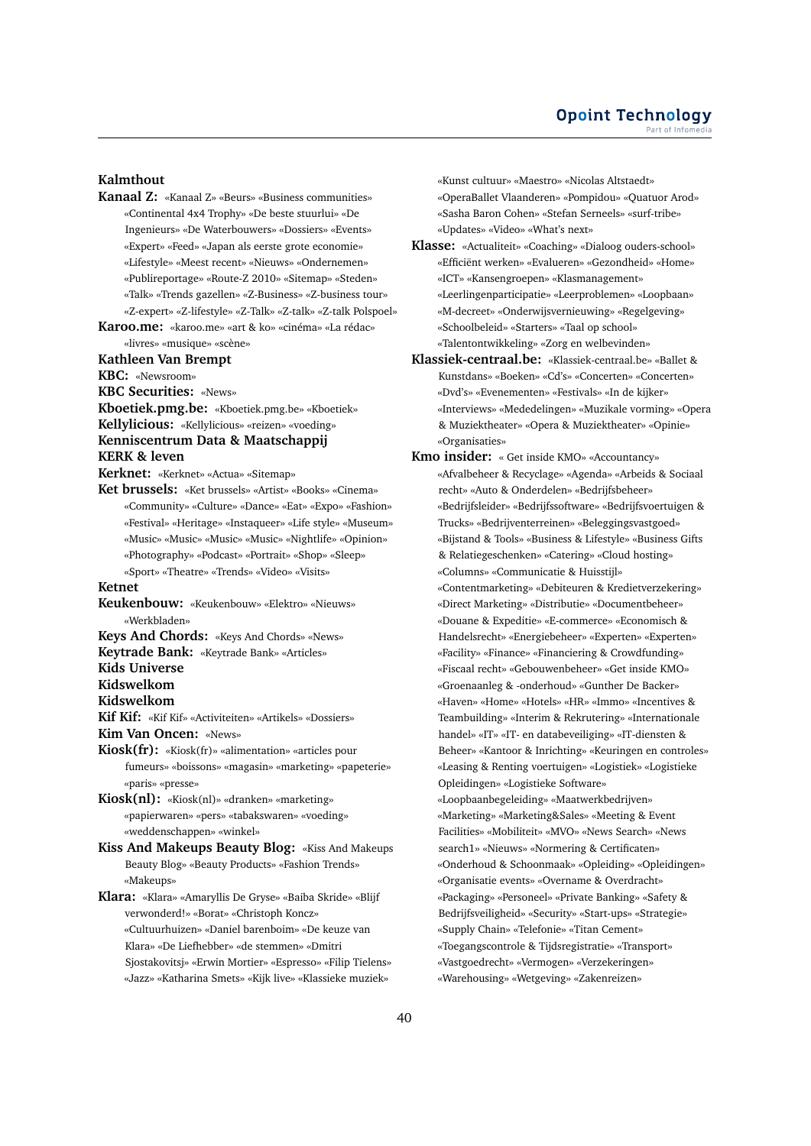# **Kalmthout**

- **Kanaal Z:** «Kanaal Z» «Beurs» «Business communities» «Continental 4x4 Trophy» «De beste stuurlui» «De Ingenieurs» «De Waterbouwers» «Dossiers» «Events» «Expert» «Feed» «Japan als eerste grote economie» «Lifestyle» «Meest recent» «Nieuws» «Ondernemen» «Publireportage» «Route-Z 2010» «Sitemap» «Steden» «Talk» «Trends gazellen» «Z-Business» «Z-business tour» «Z-expert» «Z-lifestyle» «Z-Talk» «Z-talk» «Z-talk Polspoel»
- **Karoo.me:** «karoo.me» «art & ko» «cinéma» «La rédac» «livres» «musique» «scène»

#### **Kathleen Van Brempt**

**KBC:** «Newsroom»

**KBC Securities:** «News»

- **Kboetiek.pmg.be:** «Kboetiek.pmg.be» «Kboetiek»
- **Kellylicious:** «Kellylicious» «reizen» «voeding»

# **Kenniscentrum Data & Maatschappij KERK & leven**

**Kerknet:** «Kerknet» «Actua» «Sitemap»

**Ket brussels:** «Ket brussels» «Artist» «Books» «Cinema» «Community» «Culture» «Dance» «Eat» «Expo» «Fashion» «Festival» «Heritage» «Instaqueer» «Life style» «Museum» «Music» «Music» «Music» «Music» «Nightlife» «Opinion» «Photography» «Podcast» «Portrait» «Shop» «Sleep» «Sport» «Theatre» «Trends» «Video» «Visits»

#### **Ketnet**

- **Keukenbouw:** «Keukenbouw» «Elektro» «Nieuws» «Werkbladen»
- **Keys And Chords:** «Keys And Chords» «News»
- **Keytrade Bank:** «Keytrade Bank» «Articles»

#### **Kids Universe**

**Kidswelkom**

**Kidswelkom**

**Kif Kif:** «Kif Kif» «Activiteiten» «Artikels» «Dossiers»

**Kim Van Oncen:** «News»

**Kiosk(fr):** «Kiosk(fr)» «alimentation» «articles pour fumeurs» «boissons» «magasin» «marketing» «papeterie» «paris» «presse»

**Kiosk(nl):** «Kiosk(nl)» «dranken» «marketing» «papierwaren» «pers» «tabakswaren» «voeding» «weddenschappen» «winkel»

- **Kiss And Makeups Beauty Blog:** «Kiss And Makeups Beauty Blog» «Beauty Products» «Fashion Trends» «Makeups»
- **Klara:** «Klara» «Amaryllis De Gryse» «Baiba Skride» «Blijf verwonderd!» «Borat» «Christoph Koncz» «Cultuurhuizen» «Daniel barenboim» «De keuze van Klara» «De Liefhebber» «de stemmen» «Dmitri Sjostakovitsj» «Erwin Mortier» «Espresso» «Filip Tielens» «Jazz» «Katharina Smets» «Kijk live» «Klassieke muziek»

«Kunst cultuur» «Maestro» «Nicolas Altstaedt» «OperaBallet Vlaanderen» «Pompidou» «Quatuor Arod» «Sasha Baron Cohen» «Stefan Serneels» «surf-tribe» «Updates» «Video» «What's next»

- **Klasse:** «Actualiteit» «Coaching» «Dialoog ouders-school» «Efficiënt werken» «Evalueren» «Gezondheid» «Home» «ICT» «Kansengroepen» «Klasmanagement» «Leerlingenparticipatie» «Leerproblemen» «Loopbaan» «M-decreet» «Onderwijsvernieuwing» «Regelgeving» «Schoolbeleid» «Starters» «Taal op school» «Talentontwikkeling» «Zorg en welbevinden»
- **Klassiek-centraal.be:** «Klassiek-centraal.be» «Ballet & Kunstdans» «Boeken» «Cd's» «Concerten» «Concerten» «Dvd's» «Evenementen» «Festivals» «In de kijker» «Interviews» «Mededelingen» «Muzikale vorming» «Opera & Muziektheater» «Opera & Muziektheater» «Opinie» «Organisaties»
- **Kmo insider:** « Get inside KMO» «Accountancy» «Afvalbeheer & Recyclage» «Agenda» «Arbeids & Sociaal recht» «Auto & Onderdelen» «Bedrijfsbeheer» «Bedrijfsleider» «Bedrijfssoftware» «Bedrijfsvoertuigen & Trucks» «Bedrijventerreinen» «Beleggingsvastgoed» «Bijstand & Tools» «Business & Lifestyle» «Business Gifts & Relatiegeschenken» «Catering» «Cloud hosting» «Columns» «Communicatie & Huisstijl» «Contentmarketing» «Debiteuren & Kredietverzekering» «Direct Marketing» «Distributie» «Documentbeheer» «Douane & Expeditie» «E-commerce» «Economisch & Handelsrecht» «Energiebeheer» «Experten» «Experten» «Facility» «Finance» «Financiering & Crowdfunding» «Fiscaal recht» «Gebouwenbeheer» «Get inside KMO» «Groenaanleg & -onderhoud» «Gunther De Backer» «Haven» «Home» «Hotels» «HR» «Immo» «Incentives & Teambuilding» «Interim & Rekrutering» «Internationale handel» «IT» «IT- en databeveiliging» «IT-diensten & Beheer» «Kantoor & Inrichting» «Keuringen en controles» «Leasing & Renting voertuigen» «Logistiek» «Logistieke Opleidingen» «Logistieke Software» «Loopbaanbegeleiding» «Maatwerkbedrijven» «Marketing» «Marketing&Sales» «Meeting & Event Facilities» «Mobiliteit» «MVO» «News Search» «News search1» «Nieuws» «Normering & Certificaten» «Onderhoud & Schoonmaak» «Opleiding» «Opleidingen» «Organisatie events» «Overname & Overdracht» «Packaging» «Personeel» «Private Banking» «Safety & Bedrijfsveiligheid» «Security» «Start-ups» «Strategie» «Supply Chain» «Telefonie» «Titan Cement» «Toegangscontrole & Tijdsregistratie» «Transport» «Vastgoedrecht» «Vermogen» «Verzekeringen» «Warehousing» «Wetgeving» «Zakenreizen»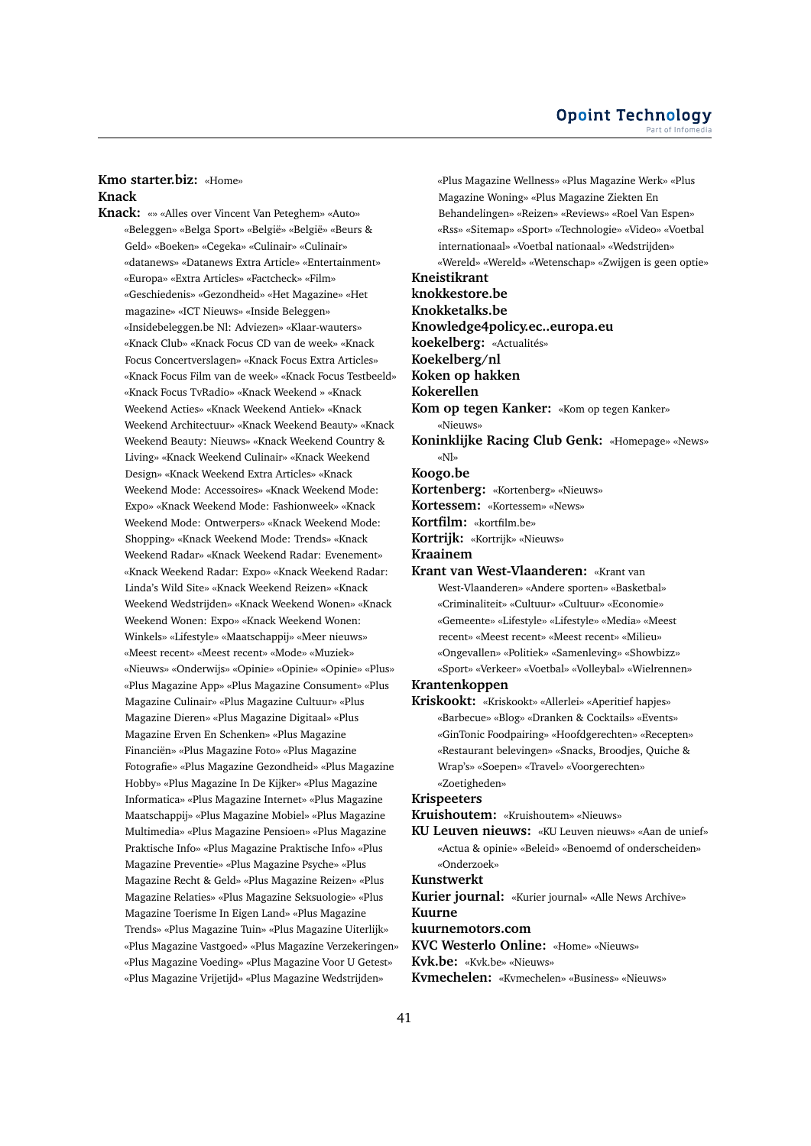# **Kmo starter.biz:** «Home» **Knack**

**Knack:** «» «Alles over Vincent Van Peteghem» «Auto» «Beleggen» «Belga Sport» «België» «België» «Beurs & Geld» «Boeken» «Cegeka» «Culinair» «Culinair» «datanews» «Datanews Extra Article» «Entertainment» «Europa» «Extra Articles» «Factcheck» «Film» «Geschiedenis» «Gezondheid» «Het Magazine» «Het magazine» «ICT Nieuws» «Inside Beleggen» «Insidebeleggen.be Nl: Adviezen» «Klaar-wauters» «Knack Club» «Knack Focus CD van de week» «Knack Focus Concertverslagen» «Knack Focus Extra Articles» «Knack Focus Film van de week» «Knack Focus Testbeeld» «Knack Focus TvRadio» «Knack Weekend » «Knack Weekend Acties» «Knack Weekend Antiek» «Knack Weekend Architectuur» «Knack Weekend Beauty» «Knack Weekend Beauty: Nieuws» «Knack Weekend Country & Living» «Knack Weekend Culinair» «Knack Weekend Design» «Knack Weekend Extra Articles» «Knack Weekend Mode: Accessoires» «Knack Weekend Mode: Expo» «Knack Weekend Mode: Fashionweek» «Knack Weekend Mode: Ontwerpers» «Knack Weekend Mode: Shopping» «Knack Weekend Mode: Trends» «Knack Weekend Radar» «Knack Weekend Radar: Evenement» «Knack Weekend Radar: Expo» «Knack Weekend Radar: Linda's Wild Site» «Knack Weekend Reizen» «Knack Weekend Wedstrijden» «Knack Weekend Wonen» «Knack Weekend Wonen: Expo» «Knack Weekend Wonen: Winkels» «Lifestyle» «Maatschappij» «Meer nieuws» «Meest recent» «Meest recent» «Mode» «Muziek» «Nieuws» «Onderwijs» «Opinie» «Opinie» «Opinie» «Plus» «Plus Magazine App» «Plus Magazine Consument» «Plus Magazine Culinair» «Plus Magazine Cultuur» «Plus Magazine Dieren» «Plus Magazine Digitaal» «Plus Magazine Erven En Schenken» «Plus Magazine Financiën» «Plus Magazine Foto» «Plus Magazine Fotografie» «Plus Magazine Gezondheid» «Plus Magazine Hobby» «Plus Magazine In De Kijker» «Plus Magazine Informatica» «Plus Magazine Internet» «Plus Magazine Maatschappij» «Plus Magazine Mobiel» «Plus Magazine Multimedia» «Plus Magazine Pensioen» «Plus Magazine Praktische Info» «Plus Magazine Praktische Info» «Plus Magazine Preventie» «Plus Magazine Psyche» «Plus Magazine Recht & Geld» «Plus Magazine Reizen» «Plus Magazine Relaties» «Plus Magazine Seksuologie» «Plus Magazine Toerisme In Eigen Land» «Plus Magazine Trends» «Plus Magazine Tuin» «Plus Magazine Uiterlijk» «Plus Magazine Vastgoed» «Plus Magazine Verzekeringen» «Plus Magazine Voeding» «Plus Magazine Voor U Getest» «Plus Magazine Vrijetijd» «Plus Magazine Wedstrijden»

«Plus Magazine Wellness» «Plus Magazine Werk» «Plus Magazine Woning» «Plus Magazine Ziekten En Behandelingen» «Reizen» «Reviews» «Roel Van Espen» «Rss» «Sitemap» «Sport» «Technologie» «Video» «Voetbal internationaal» «Voetbal nationaal» «Wedstrijden» «Wereld» «Wereld» «Wetenschap» «Zwijgen is geen optie» **Kneistikrant knokkestore.be Knokketalks.be Knowledge4policy.ec..europa.eu koekelberg:** «Actualités» **Koekelberg/nl Koken op hakken Kokerellen Kom op tegen Kanker:** «Kom op tegen Kanker» «Nieuws» **Koninklijke Racing Club Genk:** «Homepage» «News» «Nl» **Koogo.be Kortenberg:** «Kortenberg» «Nieuws» **Kortessem:** «Kortessem» «News» **Kortfilm:** «kortfilm.be» **Kortrijk:** «Kortrijk» «Nieuws» **Kraainem Krant van West-Vlaanderen:** «Krant van West-Vlaanderen» «Andere sporten» «Basketbal» «Criminaliteit» «Cultuur» «Cultuur» «Economie» «Gemeente» «Lifestyle» «Lifestyle» «Media» «Meest recent» «Meest recent» «Meest recent» «Milieu» «Ongevallen» «Politiek» «Samenleving» «Showbizz» «Sport» «Verkeer» «Voetbal» «Volleybal» «Wielrennen» **Krantenkoppen Kriskookt:** «Kriskookt» «Allerlei» «Aperitief hapjes» «Barbecue» «Blog» «Dranken & Cocktails» «Events» «GinTonic Foodpairing» «Hoofdgerechten» «Recepten» «Restaurant belevingen» «Snacks, Broodjes, Quiche & Wrap's» «Soepen» «Travel» «Voorgerechten» «Zoetigheden» **Krispeeters Kruishoutem:** «Kruishoutem» «Nieuws»

- **KU Leuven nieuws:** «KU Leuven nieuws» «Aan de unief» «Actua & opinie» «Beleid» «Benoemd of onderscheiden» «Onderzoek»
- **Kunstwerkt**

**Kurier journal:** «Kurier journal» «Alle News Archive» **Kuurne**

**kuurnemotors.com**

**KVC Westerlo Online:** «Home» «Nieuws»

**Kvk.be:** «Kvk.be» «Nieuws»

**Kvmechelen:** «Kvmechelen» «Business» «Nieuws»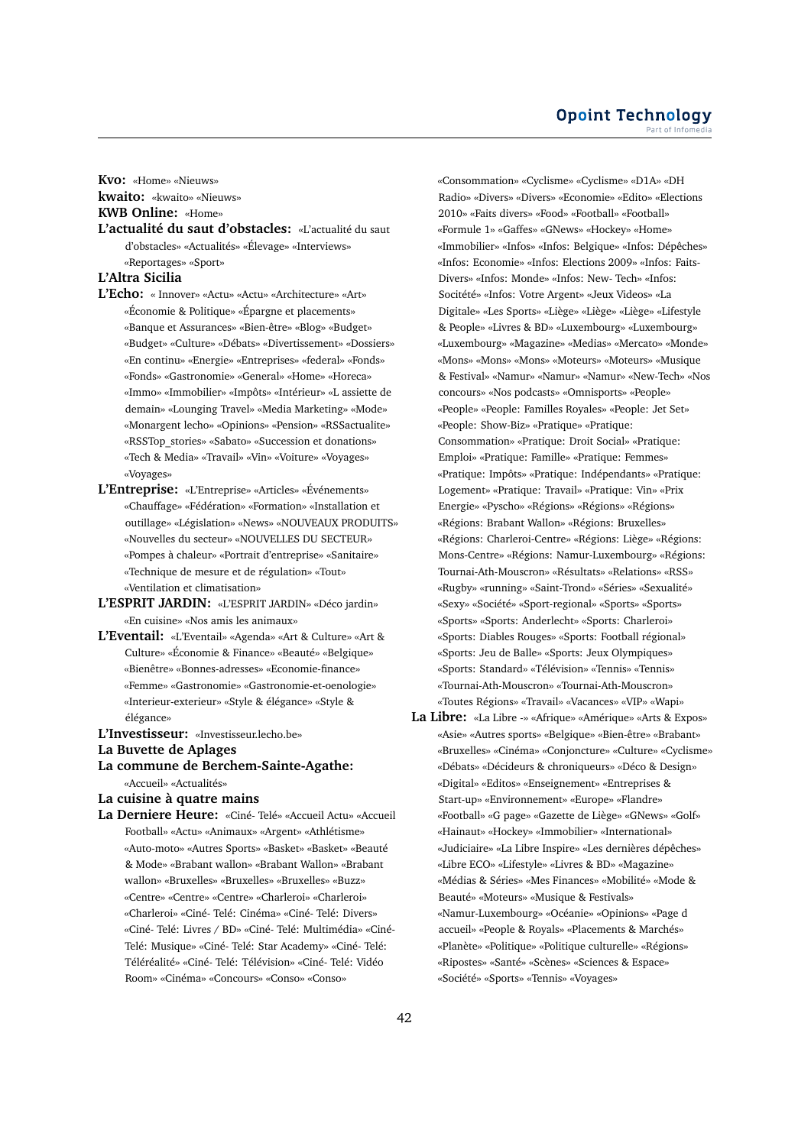**Kvo:** «Home» «Nieuws»

- **kwaito:** «kwaito» «Nieuws»
- **KWB Online:** «Home»
- **L'actualité du saut d'obstacles:** «L'actualité du saut d'obstacles» «Actualités» «Élevage» «Interviews» «Reportages» «Sport»

#### **L'Altra Sicilia**

- **L'Echo:** « Innover» «Actu» «Actu» «Architecture» «Art» «Économie & Politique» «Épargne et placements» «Banque et Assurances» «Bien-être» «Blog» «Budget» «Budget» «Culture» «Débats» «Divertissement» «Dossiers» «En continu» «Energie» «Entreprises» «federal» «Fonds» «Fonds» «Gastronomie» «General» «Home» «Horeca» «Immo» «Immobilier» «Impôts» «Intérieur» «L assiette de demain» «Lounging Travel» «Media Marketing» «Mode» «Monargent lecho» «Opinions» «Pension» «RSSactualite» «RSSTop\_stories» «Sabato» «Succession et donations» «Tech & Media» «Travail» «Vin» «Voiture» «Voyages» «Voyages»
- **L'Entreprise:** «L'Entreprise» «Articles» «Événements» «Chauffage» «Fédération» «Formation» «Installation et outillage» «Législation» «News» «NOUVEAUX PRODUITS» «Nouvelles du secteur» «NOUVELLES DU SECTEUR» «Pompes à chaleur» «Portrait d'entreprise» «Sanitaire» «Technique de mesure et de régulation» «Tout» «Ventilation et climatisation»
- **L'ESPRIT JARDIN:** «L'ESPRIT JARDIN» «Déco jardin» «En cuisine» «Nos amis les animaux»
- **L'Eventail:** «L'Eventail» «Agenda» «Art & Culture» «Art & Culture» «Économie & Finance» «Beauté» «Belgique» «Bienêtre» «Bonnes-adresses» «Economie-finance» «Femme» «Gastronomie» «Gastronomie-et-oenologie» «Interieur-exterieur» «Style & élégance» «Style & élégance»
- **L'Investisseur:** «Investisseur.lecho.be»

## **La Buvette de Aplages**

- **La commune de Berchem-Sainte-Agathe:** «Accueil» «Actualités»
- **La cuisine à quatre mains**
- **La Derniere Heure:** «Ciné- Telé» «Accueil Actu» «Accueil Football» «Actu» «Animaux» «Argent» «Athlétisme» «Auto-moto» «Autres Sports» «Basket» «Basket» «Beauté & Mode» «Brabant wallon» «Brabant Wallon» «Brabant wallon» «Bruxelles» «Bruxelles» «Bruxelles» «Buzz» «Centre» «Centre» «Centre» «Charleroi» «Charleroi» «Charleroi» «Ciné- Telé: Cinéma» «Ciné- Telé: Divers» «Ciné- Telé: Livres / BD» «Ciné- Telé: Multimédia» «Ciné-Telé: Musique» «Ciné- Telé: Star Academy» «Ciné- Telé: Téléréalité» «Ciné- Telé: Télévision» «Ciné- Telé: Vidéo Room» «Cinéma» «Concours» «Conso» «Conso»

«Consommation» «Cyclisme» «Cyclisme» «D1A» «DH Radio» «Divers» «Divers» «Economie» «Edito» «Elections 2010» «Faits divers» «Food» «Football» «Football» «Formule 1» «Gaffes» «GNews» «Hockey» «Home» «Immobilier» «Infos» «Infos: Belgique» «Infos: Dépêches» «Infos: Economie» «Infos: Elections 2009» «Infos: Faits-Divers» «Infos: Monde» «Infos: New- Tech» «Infos: Socitété» «Infos: Votre Argent» «Jeux Videos» «La Digitale» «Les Sports» «Liège» «Liège» «Liège» «Lifestyle & People» «Livres & BD» «Luxembourg» «Luxembourg» «Luxembourg» «Magazine» «Medias» «Mercato» «Monde» «Mons» «Mons» «Mons» «Moteurs» «Moteurs» «Musique & Festival» «Namur» «Namur» «Namur» «New-Tech» «Nos concours» «Nos podcasts» «Omnisports» «People» «People» «People: Familles Royales» «People: Jet Set» «People: Show-Biz» «Pratique» «Pratique: Consommation» «Pratique: Droit Social» «Pratique: Emploi» «Pratique: Famille» «Pratique: Femmes» «Pratique: Impôts» «Pratique: Indépendants» «Pratique: Logement» «Pratique: Travail» «Pratique: Vin» «Prix Energie» «Pyscho» «Régions» «Régions» «Régions» «Régions: Brabant Wallon» «Régions: Bruxelles» «Régions: Charleroi-Centre» «Régions: Liège» «Régions: Mons-Centre» «Régions: Namur-Luxembourg» «Régions: Tournai-Ath-Mouscron» «Résultats» «Relations» «RSS» «Rugby» «running» «Saint-Trond» «Séries» «Sexualité» «Sexy» «Société» «Sport-regional» «Sports» «Sports» «Sports» «Sports: Anderlecht» «Sports: Charleroi» «Sports: Diables Rouges» «Sports: Football régional» «Sports: Jeu de Balle» «Sports: Jeux Olympiques» «Sports: Standard» «Télévision» «Tennis» «Tennis» «Tournai-Ath-Mouscron» «Tournai-Ath-Mouscron» «Toutes Régions» «Travail» «Vacances» «VIP» «Wapi»

**La Libre:** «La Libre -» «Afrique» «Amérique» «Arts & Expos» «Asie» «Autres sports» «Belgique» «Bien-être» «Brabant» «Bruxelles» «Cinéma» «Conjoncture» «Culture» «Cyclisme» «Débats» «Décideurs & chroniqueurs» «Déco & Design» «Digital» «Editos» «Enseignement» «Entreprises & Start-up» «Environnement» «Europe» «Flandre» «Football» «G page» «Gazette de Liège» «GNews» «Golf» «Hainaut» «Hockey» «Immobilier» «International» «Judiciaire» «La Libre Inspire» «Les dernières dépêches» «Libre ECO» «Lifestyle» «Livres & BD» «Magazine» «Médias & Séries» «Mes Finances» «Mobilité» «Mode & Beauté» «Moteurs» «Musique & Festivals» «Namur-Luxembourg» «Océanie» «Opinions» «Page d accueil» «People & Royals» «Placements & Marchés» «Planète» «Politique» «Politique culturelle» «Régions» «Ripostes» «Santé» «Scènes» «Sciences & Espace» «Société» «Sports» «Tennis» «Voyages»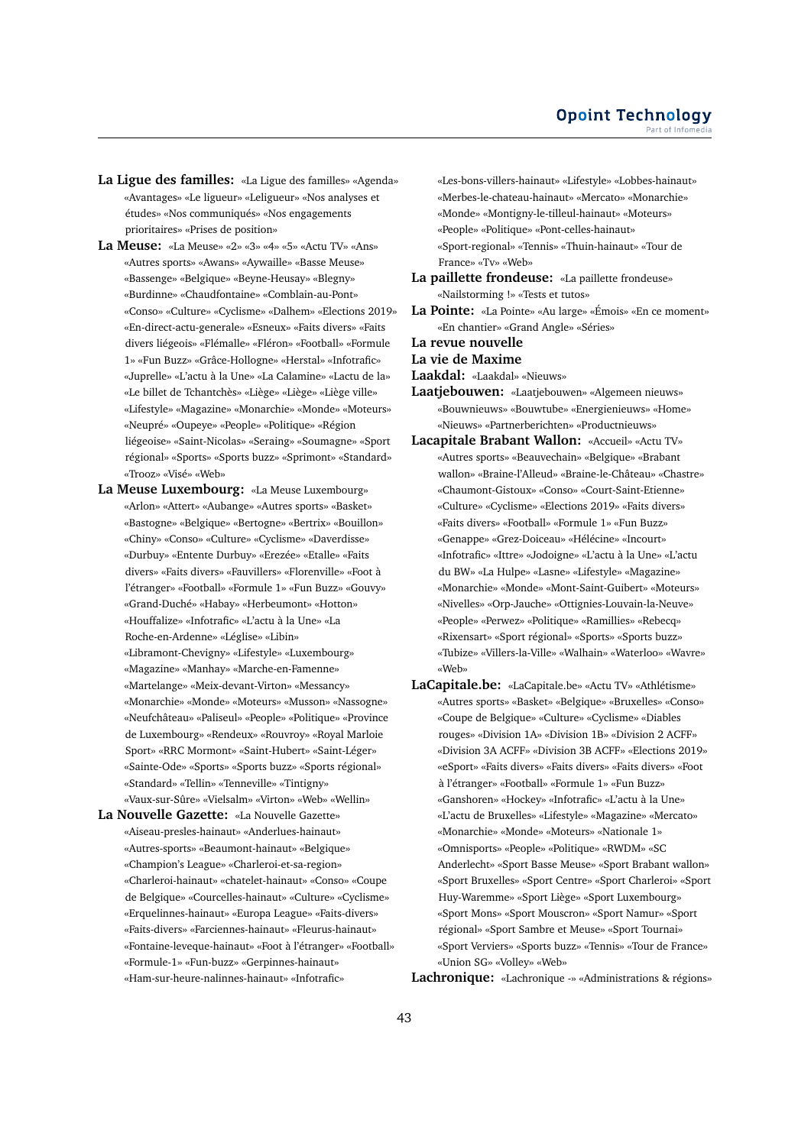- **La Ligue des familles:** «La Ligue des familles» «Agenda» «Avantages» «Le ligueur» «Leligueur» «Nos analyses et études» «Nos communiqués» «Nos engagements prioritaires» «Prises de position»
- **La Meuse:** «La Meuse» «2» «3» «4» «5» «Actu TV» «Ans» «Autres sports» «Awans» «Aywaille» «Basse Meuse» «Bassenge» «Belgique» «Beyne-Heusay» «Blegny» «Burdinne» «Chaudfontaine» «Comblain-au-Pont» «Conso» «Culture» «Cyclisme» «Dalhem» «Elections 2019» «En-direct-actu-generale» «Esneux» «Faits divers» «Faits divers liégeois» «Flémalle» «Fléron» «Football» «Formule 1» «Fun Buzz» «Grâce-Hollogne» «Herstal» «Infotrafic» «Juprelle» «L'actu à la Une» «La Calamine» «Lactu de la» «Le billet de Tchantchès» «Liège» «Liège» «Liège ville» «Lifestyle» «Magazine» «Monarchie» «Monde» «Moteurs» «Neupré» «Oupeye» «People» «Politique» «Région liégeoise» «Saint-Nicolas» «Seraing» «Soumagne» «Sport régional» «Sports» «Sports buzz» «Sprimont» «Standard» «Trooz» «Visé» «Web»
- **La Meuse Luxembourg:** «La Meuse Luxembourg» «Arlon» «Attert» «Aubange» «Autres sports» «Basket» «Bastogne» «Belgique» «Bertogne» «Bertrix» «Bouillon» «Chiny» «Conso» «Culture» «Cyclisme» «Daverdisse» «Durbuy» «Entente Durbuy» «Erezée» «Etalle» «Faits divers» «Faits divers» «Fauvillers» «Florenville» «Foot à l'étranger» «Football» «Formule 1» «Fun Buzz» «Gouvy» «Grand-Duché» «Habay» «Herbeumont» «Hotton» «Houffalize» «Infotrafic» «L'actu à la Une» «La Roche-en-Ardenne» «Léglise» «Libin» «Libramont-Chevigny» «Lifestyle» «Luxembourg» «Magazine» «Manhay» «Marche-en-Famenne» «Martelange» «Meix-devant-Virton» «Messancy» «Monarchie» «Monde» «Moteurs» «Musson» «Nassogne» «Neufchâteau» «Paliseul» «People» «Politique» «Province de Luxembourg» «Rendeux» «Rouvroy» «Royal Marloie Sport» «RRC Mormont» «Saint-Hubert» «Saint-Léger» «Sainte-Ode» «Sports» «Sports buzz» «Sports régional» «Standard» «Tellin» «Tenneville» «Tintigny» «Vaux-sur-Sûre» «Vielsalm» «Virton» «Web» «Wellin»
- **La Nouvelle Gazette:** «La Nouvelle Gazette» «Aiseau-presles-hainaut» «Anderlues-hainaut» «Autres-sports» «Beaumont-hainaut» «Belgique» «Champion's League» «Charleroi-et-sa-region» «Charleroi-hainaut» «chatelet-hainaut» «Conso» «Coupe de Belgique» «Courcelles-hainaut» «Culture» «Cyclisme» «Erquelinnes-hainaut» «Europa League» «Faits-divers» «Faits-divers» «Farciennes-hainaut» «Fleurus-hainaut» «Fontaine-leveque-hainaut» «Foot à l'étranger» «Football» «Formule-1» «Fun-buzz» «Gerpinnes-hainaut» «Ham-sur-heure-nalinnes-hainaut» «Infotrafic»

«Les-bons-villers-hainaut» «Lifestyle» «Lobbes-hainaut» «Merbes-le-chateau-hainaut» «Mercato» «Monarchie» «Monde» «Montigny-le-tilleul-hainaut» «Moteurs» «People» «Politique» «Pont-celles-hainaut» «Sport-regional» «Tennis» «Thuin-hainaut» «Tour de France» «Tv» «Web»

- **La paillette frondeuse:** «La paillette frondeuse» «Nailstorming !» «Tests et tutos»
- **La Pointe:** «La Pointe» «Au large» «Émois» «En ce moment» «En chantier» «Grand Angle» «Séries»
- **La revue nouvelle**
- **La vie de Maxime**
- **Laakdal:** «Laakdal» «Nieuws»
- **Laatjebouwen:** «Laatjebouwen» «Algemeen nieuws» «Bouwnieuws» «Bouwtube» «Energienieuws» «Home» «Nieuws» «Partnerberichten» «Productnieuws»
- **Lacapitale Brabant Wallon:** «Accueil» «Actu TV» «Autres sports» «Beauvechain» «Belgique» «Brabant wallon» «Braine-l'Alleud» «Braine-le-Château» «Chastre» «Chaumont-Gistoux» «Conso» «Court-Saint-Etienne» «Culture» «Cyclisme» «Elections 2019» «Faits divers» «Faits divers» «Football» «Formule 1» «Fun Buzz» «Genappe» «Grez-Doiceau» «Hélécine» «Incourt» «Infotrafic» «Ittre» «Jodoigne» «L'actu à la Une» «L'actu du BW» «La Hulpe» «Lasne» «Lifestyle» «Magazine» «Monarchie» «Monde» «Mont-Saint-Guibert» «Moteurs» «Nivelles» «Orp-Jauche» «Ottignies-Louvain-la-Neuve» «People» «Perwez» «Politique» «Ramillies» «Rebecq» «Rixensart» «Sport régional» «Sports» «Sports buzz» «Tubize» «Villers-la-Ville» «Walhain» «Waterloo» «Wavre» «Web»
- **LaCapitale.be:** «LaCapitale.be» «Actu TV» «Athlétisme» «Autres sports» «Basket» «Belgique» «Bruxelles» «Conso» «Coupe de Belgique» «Culture» «Cyclisme» «Diables rouges» «Division 1A» «Division 1B» «Division 2 ACFF» «Division 3A ACFF» «Division 3B ACFF» «Elections 2019» «eSport» «Faits divers» «Faits divers» «Faits divers» «Foot à l'étranger» «Football» «Formule 1» «Fun Buzz» «Ganshoren» «Hockey» «Infotrafic» «L'actu à la Une» «L'actu de Bruxelles» «Lifestyle» «Magazine» «Mercato» «Monarchie» «Monde» «Moteurs» «Nationale 1» «Omnisports» «People» «Politique» «RWDM» «SC Anderlecht» «Sport Basse Meuse» «Sport Brabant wallon» «Sport Bruxelles» «Sport Centre» «Sport Charleroi» «Sport Huy-Waremme» «Sport Liège» «Sport Luxembourg» «Sport Mons» «Sport Mouscron» «Sport Namur» «Sport régional» «Sport Sambre et Meuse» «Sport Tournai» «Sport Verviers» «Sports buzz» «Tennis» «Tour de France» «Union SG» «Volley» «Web»

Lachronique: «Lachronique -» «Administrations & régions»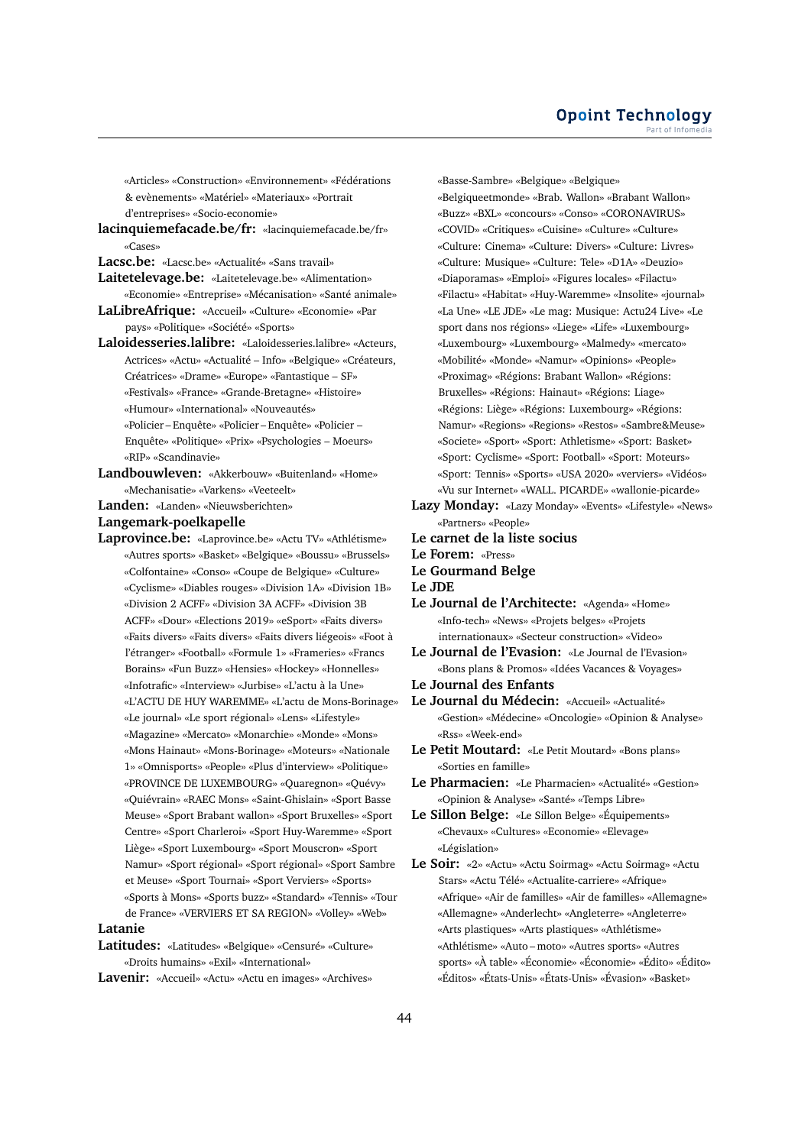«Articles» «Construction» «Environnement» «Fédérations & evènements» «Matériel» «Materiaux» «Portrait d'entreprises» «Socio-economie»

- **lacinquiemefacade.be/fr:** «lacinquiemefacade.be/fr» «Cases»
- **Lacsc.be:** «Lacsc.be» «Actualité» «Sans travail»
- **Laitetelevage.be:** «Laitetelevage.be» «Alimentation»
- «Economie» «Entreprise» «Mécanisation» «Santé animale» **LaLibreAfrique:** «Accueil» «Culture» «Economie» «Par
- pays» «Politique» «Société» «Sports»
- **Laloidesseries.lalibre:** «Laloidesseries.lalibre» «Acteurs, Actrices» «Actu» «Actualité – Info» «Belgique» «Créateurs, Créatrices» «Drame» «Europe» «Fantastique – SF» «Festivals» «France» «Grande-Bretagne» «Histoire» «Humour» «International» «Nouveautés»
	- «Policier Enquête» «Policier Enquête» «Policier Enquête» «Politique» «Prix» «Psychologies – Moeurs» «RIP» «Scandinavie»
- **Landbouwleven:** «Akkerbouw» «Buitenland» «Home» «Mechanisatie» «Varkens» «Veeteelt»
- **Landen:** «Landen» «Nieuwsberichten»
- **Langemark-poelkapelle**
- **Laprovince.be:** «Laprovince.be» «Actu TV» «Athlétisme» «Autres sports» «Basket» «Belgique» «Boussu» «Brussels» «Colfontaine» «Conso» «Coupe de Belgique» «Culture» «Cyclisme» «Diables rouges» «Division 1A» «Division 1B» «Division 2 ACFF» «Division 3A ACFF» «Division 3B ACFF» «Dour» «Elections 2019» «eSport» «Faits divers» «Faits divers» «Faits divers» «Faits divers liégeois» «Foot à l'étranger» «Football» «Formule 1» «Frameries» «Francs Borains» «Fun Buzz» «Hensies» «Hockey» «Honnelles» «Infotrafic» «Interview» «Jurbise» «L'actu à la Une» «L'ACTU DE HUY WAREMME» «L'actu de Mons-Borinage» «Le journal» «Le sport régional» «Lens» «Lifestyle» «Magazine» «Mercato» «Monarchie» «Monde» «Mons» «Mons Hainaut» «Mons-Borinage» «Moteurs» «Nationale 1» «Omnisports» «People» «Plus d'interview» «Politique» «PROVINCE DE LUXEMBOURG» «Quaregnon» «Quévy» «Quiévrain» «RAEC Mons» «Saint-Ghislain» «Sport Basse Meuse» «Sport Brabant wallon» «Sport Bruxelles» «Sport Centre» «Sport Charleroi» «Sport Huy-Waremme» «Sport Liège» «Sport Luxembourg» «Sport Mouscron» «Sport Namur» «Sport régional» «Sport régional» «Sport Sambre et Meuse» «Sport Tournai» «Sport Verviers» «Sports» «Sports à Mons» «Sports buzz» «Standard» «Tennis» «Tour de France» «VERVIERS ET SA REGION» «Volley» «Web»

# **Latanie**

- **Latitudes:** «Latitudes» «Belgique» «Censuré» «Culture» «Droits humains» «Exil» «International»
- **Lavenir:** «Accueil» «Actu» «Actu en images» «Archives»

«Basse-Sambre» «Belgique» «Belgique» «Belgiqueetmonde» «Brab. Wallon» «Brabant Wallon» «Buzz» «BXL» «concours» «Conso» «CORONAVIRUS» «COVID» «Critiques» «Cuisine» «Culture» «Culture» «Culture: Cinema» «Culture: Divers» «Culture: Livres» «Culture: Musique» «Culture: Tele» «D1A» «Deuzio» «Diaporamas» «Emploi» «Figures locales» «Filactu» «Filactu» «Habitat» «Huy-Waremme» «Insolite» «journal» «La Une» «LE JDE» «Le mag: Musique: Actu24 Live» «Le sport dans nos régions» «Liege» «Life» «Luxembourg» «Luxembourg» «Luxembourg» «Malmedy» «mercato» «Mobilité» «Monde» «Namur» «Opinions» «People» «Proximag» «Régions: Brabant Wallon» «Régions: Bruxelles» «Régions: Hainaut» «Régions: Liage» «Régions: Liège» «Régions: Luxembourg» «Régions: Namur» «Regions» «Regions» «Restos» «Sambre&Meuse» «Societe» «Sport» «Sport: Athletisme» «Sport: Basket» «Sport: Cyclisme» «Sport: Football» «Sport: Moteurs» «Sport: Tennis» «Sports» «USA 2020» «verviers» «Vidéos» «Vu sur Internet» «WALL. PICARDE» «wallonie-picarde»

- **Lazy Monday:** «Lazy Monday» «Events» «Lifestyle» «News» «Partners» «People»
- **Le carnet de la liste socius**
- **Le Forem:** «Press»
- **Le Gourmand Belge**
- **Le JDE**
- **Le Journal de l'Architecte:** «Agenda» «Home» «Info-tech» «News» «Projets belges» «Projets internationaux» «Secteur construction» «Video»
- **Le Journal de l'Evasion:** «Le Journal de l'Evasion» «Bons plans & Promos» «Idées Vacances & Voyages»
- **Le Journal des Enfants**
- **Le Journal du Médecin:** «Accueil» «Actualité» «Gestion» «Médecine» «Oncologie» «Opinion & Analyse» «Rss» «Week-end»
- **Le Petit Moutard:** «Le Petit Moutard» «Bons plans» «Sorties en famille»
- **Le Pharmacien:** «Le Pharmacien» «Actualité» «Gestion» «Opinion & Analyse» «Santé» «Temps Libre»
- **Le Sillon Belge:** «Le Sillon Belge» «Équipements» «Chevaux» «Cultures» «Economie» «Elevage» «Législation»
- **Le Soir:** «2» «Actu» «Actu Soirmag» «Actu Soirmag» «Actu Stars» «Actu Télé» «Actualite-carriere» «Afrique» «Afrique» «Air de familles» «Air de familles» «Allemagne» «Allemagne» «Anderlecht» «Angleterre» «Angleterre» «Arts plastiques» «Arts plastiques» «Athlétisme» «Athlétisme» «Auto – moto» «Autres sports» «Autres sports» «À table» «Économie» «Économie» «Édito» «Édito» «Éditos» «États-Unis» «États-Unis» «Évasion» «Basket»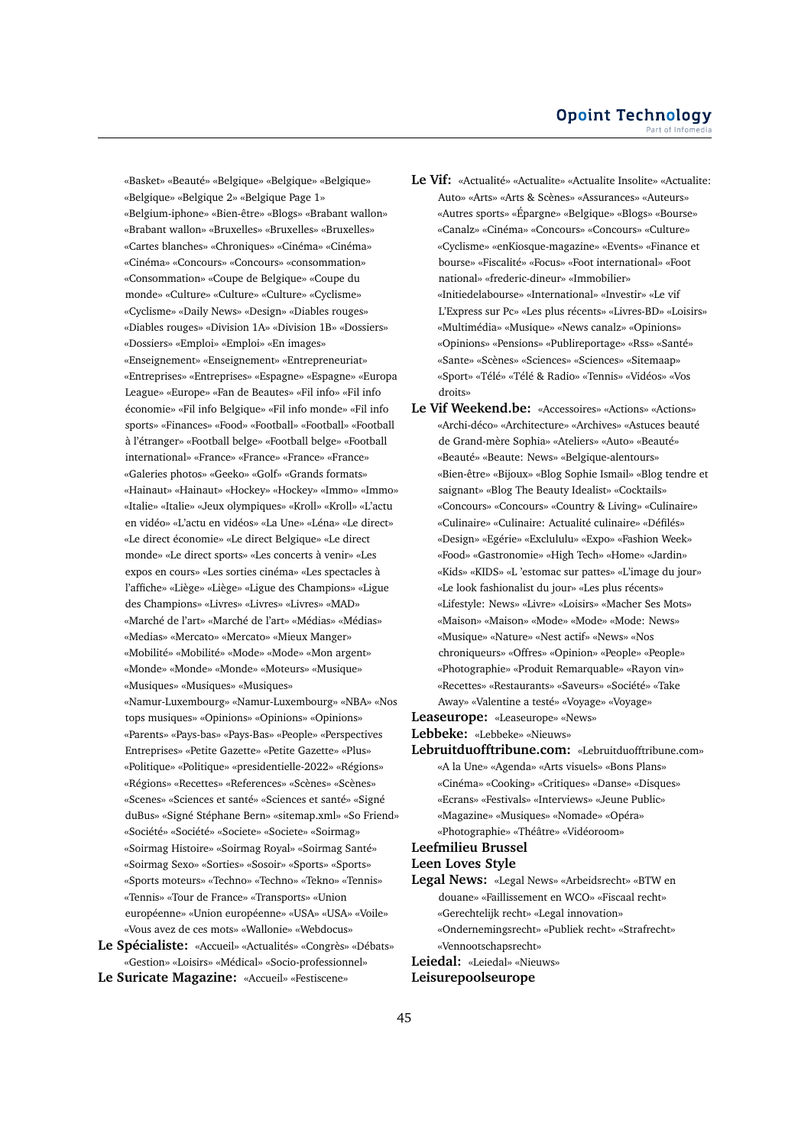«Basket» «Beauté» «Belgique» «Belgique» «Belgique» «Belgique» «Belgique 2» «Belgique Page 1» «Belgium-iphone» «Bien-être» «Blogs» «Brabant wallon» «Brabant wallon» «Bruxelles» «Bruxelles» «Bruxelles» «Cartes blanches» «Chroniques» «Cinéma» «Cinéma» «Cinéma» «Concours» «Concours» «consommation» «Consommation» «Coupe de Belgique» «Coupe du monde» «Culture» «Culture» «Culture» «Cyclisme» «Cyclisme» «Daily News» «Design» «Diables rouges» «Diables rouges» «Division 1A» «Division 1B» «Dossiers» «Dossiers» «Emploi» «Emploi» «En images» «Enseignement» «Enseignement» «Entrepreneuriat» «Entreprises» «Entreprises» «Espagne» «Espagne» «Europa League» «Europe» «Fan de Beautes» «Fil info» «Fil info économie» «Fil info Belgique» «Fil info monde» «Fil info sports» «Finances» «Food» «Football» «Football» «Football à l'étranger» «Football belge» «Football belge» «Football international» «France» «France» «France» «France» «Galeries photos» «Geeko» «Golf» «Grands formats» «Hainaut» «Hainaut» «Hockey» «Hockey» «Immo» «Immo» «Italie» «Italie» «Jeux olympiques» «Kroll» «Kroll» «L'actu en vidéo» «L'actu en vidéos» «La Une» «Léna» «Le direct» «Le direct économie» «Le direct Belgique» «Le direct monde» «Le direct sports» «Les concerts à venir» «Les expos en cours» «Les sorties cinéma» «Les spectacles à l'affiche» «Liège» «Liège» «Ligue des Champions» «Ligue des Champions» «Livres» «Livres» «Livres» «MAD» «Marché de l'art» «Marché de l'art» «Médias» «Médias» «Medias» «Mercato» «Mercato» «Mieux Manger» «Mobilité» «Mobilité» «Mode» «Mode» «Mon argent» «Monde» «Monde» «Monde» «Moteurs» «Musique» «Musiques» «Musiques» «Musiques» «Namur-Luxembourg» «Namur-Luxembourg» «NBA» «Nos tops musiques» «Opinions» «Opinions» «Opinions» «Parents» «Pays-bas» «Pays-Bas» «People» «Perspectives Entreprises» «Petite Gazette» «Petite Gazette» «Plus» «Politique» «Politique» «presidentielle-2022» «Régions» «Régions» «Recettes» «References» «Scènes» «Scènes» «Scenes» «Sciences et santé» «Sciences et santé» «Signé duBus» «Signé Stéphane Bern» «sitemap.xml» «So Friend» «Société» «Société» «Societe» «Societe» «Soirmag» «Soirmag Histoire» «Soirmag Royal» «Soirmag Santé» «Soirmag Sexo» «Sorties» «Sosoir» «Sports» «Sports» «Sports moteurs» «Techno» «Techno» «Tekno» «Tennis» «Tennis» «Tour de France» «Transports» «Union européenne» «Union européenne» «USA» «USA» «Voile» «Vous avez de ces mots» «Wallonie» «Webdocus»

**Le Spécialiste:** «Accueil» «Actualités» «Congrès» «Débats» «Gestion» «Loisirs» «Médical» «Socio-professionnel»

**Le Suricate Magazine:** «Accueil» «Festiscene»

- **Le Vif:** «Actualité» «Actualite» «Actualite Insolite» «Actualite: Auto» «Arts» «Arts & Scènes» «Assurances» «Auteurs» «Autres sports» «Épargne» «Belgique» «Blogs» «Bourse» «Canalz» «Cinéma» «Concours» «Concours» «Culture» «Cyclisme» «enKiosque-magazine» «Events» «Finance et bourse» «Fiscalité» «Focus» «Foot international» «Foot national» «frederic-dineur» «Immobilier» «Initiedelabourse» «International» «Investir» «Le vif L'Express sur Pc» «Les plus récents» «Livres-BD» «Loisirs» «Multimédia» «Musique» «News canalz» «Opinions» «Opinions» «Pensions» «Publireportage» «Rss» «Santé» «Sante» «Scènes» «Sciences» «Sciences» «Sitemaap» «Sport» «Télé» «Télé & Radio» «Tennis» «Vidéos» «Vos droits»
- **Le Vif Weekend.be:** «Accessoires» «Actions» «Actions» «Archi-déco» «Architecture» «Archives» «Astuces beauté de Grand-mère Sophia» «Ateliers» «Auto» «Beauté» «Beauté» «Beaute: News» «Belgique-alentours» «Bien-être» «Bijoux» «Blog Sophie Ismail» «Blog tendre et saignant» «Blog The Beauty Idealist» «Cocktails» «Concours» «Concours» «Country & Living» «Culinaire» «Culinaire» «Culinaire: Actualité culinaire» «Défilés» «Design» «Egérie» «Exclululu» «Expo» «Fashion Week» «Food» «Gastronomie» «High Tech» «Home» «Jardin» «Kids» «KIDS» «L 'estomac sur pattes» «L'image du jour» «Le look fashionalist du jour» «Les plus récents» «Lifestyle: News» «Livre» «Loisirs» «Macher Ses Mots» «Maison» «Maison» «Mode» «Mode» «Mode: News» «Musique» «Nature» «Nest actif» «News» «Nos chroniqueurs» «Offres» «Opinion» «People» «People» «Photographie» «Produit Remarquable» «Rayon vin» «Recettes» «Restaurants» «Saveurs» «Société» «Take Away» «Valentine a testé» «Voyage» «Voyage»

**Leaseurope:** «Leaseurope» «News»

**Lebbeke:** «Lebbeke» «Nieuws»

**Lebruitduofftribune.com:** «Lebruitduofftribune.com» «A la Une» «Agenda» «Arts visuels» «Bons Plans» «Cinéma» «Cooking» «Critiques» «Danse» «Disques» «Ecrans» «Festivals» «Interviews» «Jeune Public» «Magazine» «Musiques» «Nomade» «Opéra» «Photographie» «Théâtre» «Vidéoroom»

# **Leefmilieu Brussel**

# **Leen Loves Style**

- **Legal News:** «Legal News» «Arbeidsrecht» «BTW en douane» «Faillissement en WCO» «Fiscaal recht» «Gerechtelijk recht» «Legal innovation» «Ondernemingsrecht» «Publiek recht» «Strafrecht» «Vennootschapsrecht»
- **Leiedal:** «Leiedal» «Nieuws»

## **Leisurepoolseurope**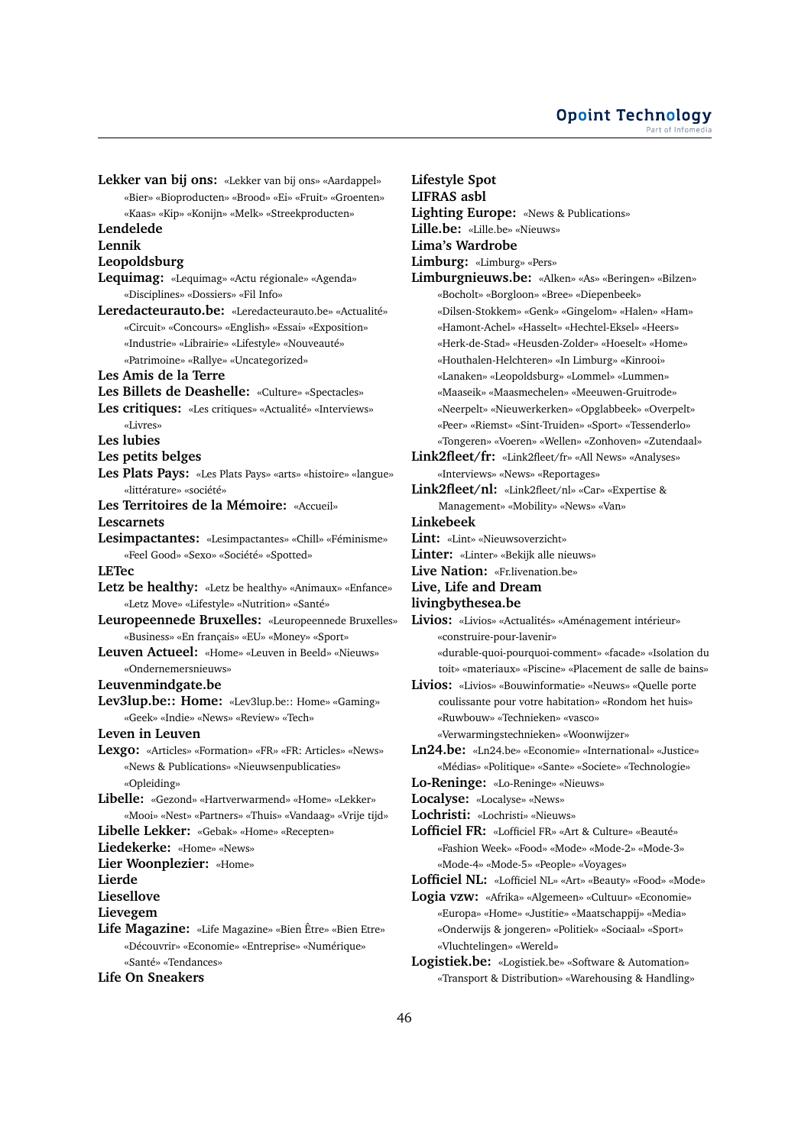**Lekker van bij ons:** «Lekker van bij ons» «Aardappel» «Bier» «Bioproducten» «Brood» «Ei» «Fruit» «Groenten» «Kaas» «Kip» «Konijn» «Melk» «Streekproducten» **Lendelede Lennik Leopoldsburg Lequimag:** «Lequimag» «Actu régionale» «Agenda» «Disciplines» «Dossiers» «Fil Info» **Leredacteurauto.be:** «Leredacteurauto.be» «Actualité» «Circuit» «Concours» «English» «Essai» «Exposition» «Industrie» «Librairie» «Lifestyle» «Nouveauté» «Patrimoine» «Rallye» «Uncategorized» **Les Amis de la Terre Les Billets de Deashelle:** «Culture» «Spectacles» **Les critiques:** «Les critiques» «Actualité» «Interviews» «Livres» **Les lubies Les petits belges Les Plats Pays:** «Les Plats Pays» «arts» «histoire» «langue» «littérature» «société» **Les Territoires de la Mémoire:** «Accueil» **Lescarnets Lesimpactantes:** «Lesimpactantes» «Chill» «Féminisme» «Feel Good» «Sexo» «Société» «Spotted» **LETec Letz be healthy:** «Letz be healthy» «Animaux» «Enfance» «Letz Move» «Lifestyle» «Nutrition» «Santé» **Leuropeennede Bruxelles:** «Leuropeennede Bruxelles» «Business» «En français» «EU» «Money» «Sport» **Leuven Actueel:** «Home» «Leuven in Beeld» «Nieuws» «Ondernemersnieuws» **Leuvenmindgate.be Lev3lup.be:: Home:** «Lev3lup.be:: Home» «Gaming» «Geek» «Indie» «News» «Review» «Tech» **Leven in Leuven Lexgo:** «Articles» «Formation» «FR» «FR: Articles» «News» «News & Publications» «Nieuwsenpublicaties» «Opleiding» **Libelle:** «Gezond» «Hartverwarmend» «Home» «Lekker» «Mooi» «Nest» «Partners» «Thuis» «Vandaag» «Vrije tijd» **Libelle Lekker:** «Gebak» «Home» «Recepten» **Liedekerke:** «Home» «News» **Lier Woonplezier:** «Home» **Lierde Liesellove Lievegem Life Magazine:** «Life Magazine» «Bien Être» «Bien Etre» «Découvrir» «Economie» «Entreprise» «Numérique» «Santé» «Tendances»

# **Life On Sneakers**

**Lifestyle Spot LIFRAS asbl Lighting Europe:** «News & Publications» **Lille.be:** «Lille.be» «Nieuws» **Lima's Wardrobe Limburg:** «Limburg» «Pers» **Limburgnieuws.be:** «Alken» «As» «Beringen» «Bilzen» «Bocholt» «Borgloon» «Bree» «Diepenbeek» «Dilsen-Stokkem» «Genk» «Gingelom» «Halen» «Ham» «Hamont-Achel» «Hasselt» «Hechtel-Eksel» «Heers» «Herk-de-Stad» «Heusden-Zolder» «Hoeselt» «Home» «Houthalen-Helchteren» «In Limburg» «Kinrooi» «Lanaken» «Leopoldsburg» «Lommel» «Lummen» «Maaseik» «Maasmechelen» «Meeuwen-Gruitrode» «Neerpelt» «Nieuwerkerken» «Opglabbeek» «Overpelt» «Peer» «Riemst» «Sint-Truiden» «Sport» «Tessenderlo» «Tongeren» «Voeren» «Wellen» «Zonhoven» «Zutendaal» **Link2fleet/fr:** «Link2fleet/fr» «All News» «Analyses» «Interviews» «News» «Reportages» **Link2fleet/nl:** «Link2fleet/nl» «Car» «Expertise & Management» «Mobility» «News» «Van» **Linkebeek Lint:** «Lint» «Nieuwsoverzicht» **Linter:** «Linter» «Bekijk alle nieuws» **Live Nation:** «Fr.livenation.be» **Live, Life and Dream livingbythesea.be Livios:** «Livios» «Actualités» «Aménagement intérieur» «construire-pour-lavenir» «durable-quoi-pourquoi-comment» «facade» «Isolation du toit» «materiaux» «Piscine» «Placement de salle de bains» **Livios:** «Livios» «Bouwinformatie» «Neuws» «Quelle porte coulissante pour votre habitation» «Rondom het huis» «Ruwbouw» «Technieken» «vasco» «Verwarmingstechnieken» «Woonwijzer» **Ln24.be:** «Ln24.be» «Economie» «International» «Justice» «Médias» «Politique» «Sante» «Societe» «Technologie» **Lo-Reninge:** «Lo-Reninge» «Nieuws» **Localyse:** «Localyse» «News» **Lochristi:** «Lochristi» «Nieuws» **Lofficiel FR:** «Lofficiel FR» «Art & Culture» «Beauté» «Fashion Week» «Food» «Mode» «Mode-2» «Mode-3» «Mode-4» «Mode-5» «People» «Voyages» **Lofficiel NL:** «Lofficiel NL» «Art» «Beauty» «Food» «Mode»

- **Logia vzw:** «Afrika» «Algemeen» «Cultuur» «Economie» «Europa» «Home» «Justitie» «Maatschappij» «Media» «Onderwijs & jongeren» «Politiek» «Sociaal» «Sport» «Vluchtelingen» «Wereld»
- **Logistiek.be:** «Logistiek.be» «Software & Automation» «Transport & Distribution» «Warehousing & Handling»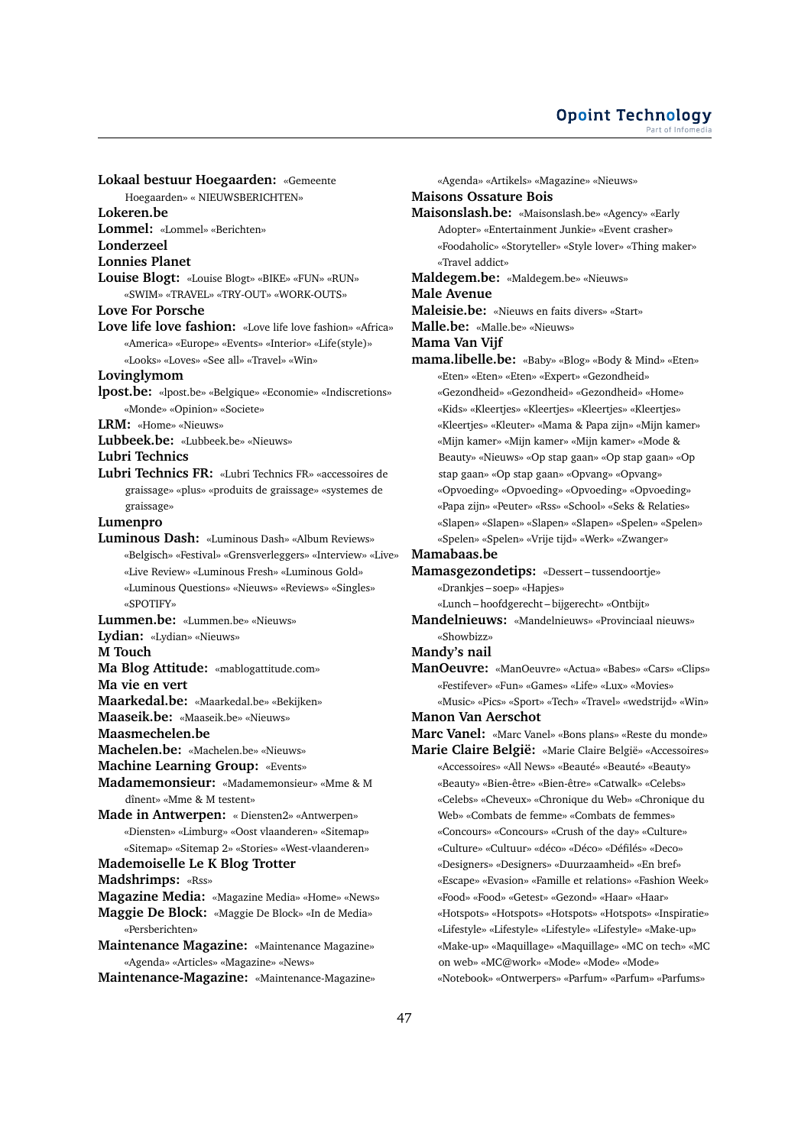**Lokaal bestuur Hoegaarden:** «Gemeente Hoegaarden» « NIEUWSBERICHTEN» **Lokeren.be Lommel:** «Lommel» «Berichten» **Londerzeel Lonnies Planet Louise Blogt:** «Louise Blogt» «BIKE» «FUN» «RUN» «SWIM» «TRAVEL» «TRY-OUT» «WORK-OUTS» **Love For Porsche Love life love fashion:** «Love life love fashion» «Africa» «America» «Europe» «Events» «Interior» «Life(style)» «Looks» «Loves» «See all» «Travel» «Win» **Lovinglymom lpost.be:** «lpost.be» «Belgique» «Economie» «Indiscretions» «Monde» «Opinion» «Societe» **LRM:** «Home» «Nieuws» **Lubbeek.be:** «Lubbeek.be» «Nieuws» **Lubri Technics Lubri Technics FR:** «Lubri Technics FR» «accessoires de graissage» «plus» «produits de graissage» «systemes de graissage» **Lumenpro Luminous Dash:** «Luminous Dash» «Album Reviews» «Belgisch» «Festival» «Grensverleggers» «Interview» «Live» «Live Review» «Luminous Fresh» «Luminous Gold» «Luminous Questions» «Nieuws» «Reviews» «Singles» «SPOTIFY» **Lummen.be:** «Lummen.be» «Nieuws» **Lydian:** «Lydian» «Nieuws» **M Touch Ma Blog Attitude:** «mablogattitude.com» **Ma vie en vert Maarkedal.be:** «Maarkedal.be» «Bekijken» **Maaseik.be:** «Maaseik.be» «Nieuws» **Maasmechelen.be Machelen.be:** «Machelen.be» «Nieuws» **Machine Learning Group:** «Events» **Madamemonsieur:** «Madamemonsieur» «Mme & M dînent» «Mme & M testent» **Made in Antwerpen:** « Diensten2» «Antwerpen» «Diensten» «Limburg» «Oost vlaanderen» «Sitemap» «Sitemap» «Sitemap 2» «Stories» «West-vlaanderen» **Mademoiselle Le K Blog Trotter Madshrimps:** «Rss» **Magazine Media:** «Magazine Media» «Home» «News» **Maggie De Block:** «Maggie De Block» «In de Media» «Persberichten» **Maintenance Magazine:** «Maintenance Magazine» «Agenda» «Articles» «Magazine» «News»

**Maintenance-Magazine:** «Maintenance-Magazine»

«Agenda» «Artikels» «Magazine» «Nieuws» **Maisons Ossature Bois Maisonslash.be:** «Maisonslash.be» «Agency» «Early Adopter» «Entertainment Junkie» «Event crasher» «Foodaholic» «Storyteller» «Style lover» «Thing maker» «Travel addict» **Maldegem.be:** «Maldegem.be» «Nieuws» **Male Avenue Maleisie.be:** «Nieuws en faits divers» «Start» **Malle.be:** «Malle.be» «Nieuws» **Mama Van Vijf mama.libelle.be:** «Baby» «Blog» «Body & Mind» «Eten» «Eten» «Eten» «Eten» «Expert» «Gezondheid» «Gezondheid» «Gezondheid» «Gezondheid» «Home» «Kids» «Kleertjes» «Kleertjes» «Kleertjes» «Kleertjes» «Kleertjes» «Kleuter» «Mama & Papa zijn» «Mijn kamer» «Mijn kamer» «Mijn kamer» «Mijn kamer» «Mode & Beauty» «Nieuws» «Op stap gaan» «Op stap gaan» «Op stap gaan» «Op stap gaan» «Opvang» «Opvang» «Opvoeding» «Opvoeding» «Opvoeding» «Opvoeding» «Papa zijn» «Peuter» «Rss» «School» «Seks & Relaties» «Slapen» «Slapen» «Slapen» «Slapen» «Spelen» «Spelen» «Spelen» «Spelen» «Vrije tijd» «Werk» «Zwanger» **Mamabaas.be Mamasgezondetips:** «Dessert – tussendoortje» «Drankjes – soep» «Hapjes» «Lunch – hoofdgerecht – bijgerecht» «Ontbijt» **Mandelnieuws:** «Mandelnieuws» «Provinciaal nieuws» «Showbizz» **Mandy's nail ManOeuvre:** «ManOeuvre» «Actua» «Babes» «Cars» «Clips» «Festifever» «Fun» «Games» «Life» «Lux» «Movies» «Music» «Pics» «Sport» «Tech» «Travel» «wedstrijd» «Win» **Manon Van Aerschot Marc Vanel:** «Marc Vanel» «Bons plans» «Reste du monde» **Marie Claire België:** «Marie Claire België» «Accessoires» «Accessoires» «All News» «Beauté» «Beauté» «Beauty» «Beauty» «Bien-être» «Bien-être» «Catwalk» «Celebs» «Celebs» «Cheveux» «Chronique du Web» «Chronique du Web» «Combats de femme» «Combats de femmes» «Concours» «Concours» «Crush of the day» «Culture» «Culture» «Cultuur» «déco» «Déco» «Défilés» «Deco» «Designers» «Designers» «Duurzaamheid» «En bref» «Escape» «Evasion» «Famille et relations» «Fashion Week» «Food» «Food» «Getest» «Gezond» «Haar» «Haar» «Hotspots» «Hotspots» «Hotspots» «Hotspots» «Inspiratie» «Lifestyle» «Lifestyle» «Lifestyle» «Lifestyle» «Make-up» «Make-up» «Maquillage» «Maquillage» «MC on tech» «MC on web» «MC@work» «Mode» «Mode» «Mode»

«Notebook» «Ontwerpers» «Parfum» «Parfum» «Parfums»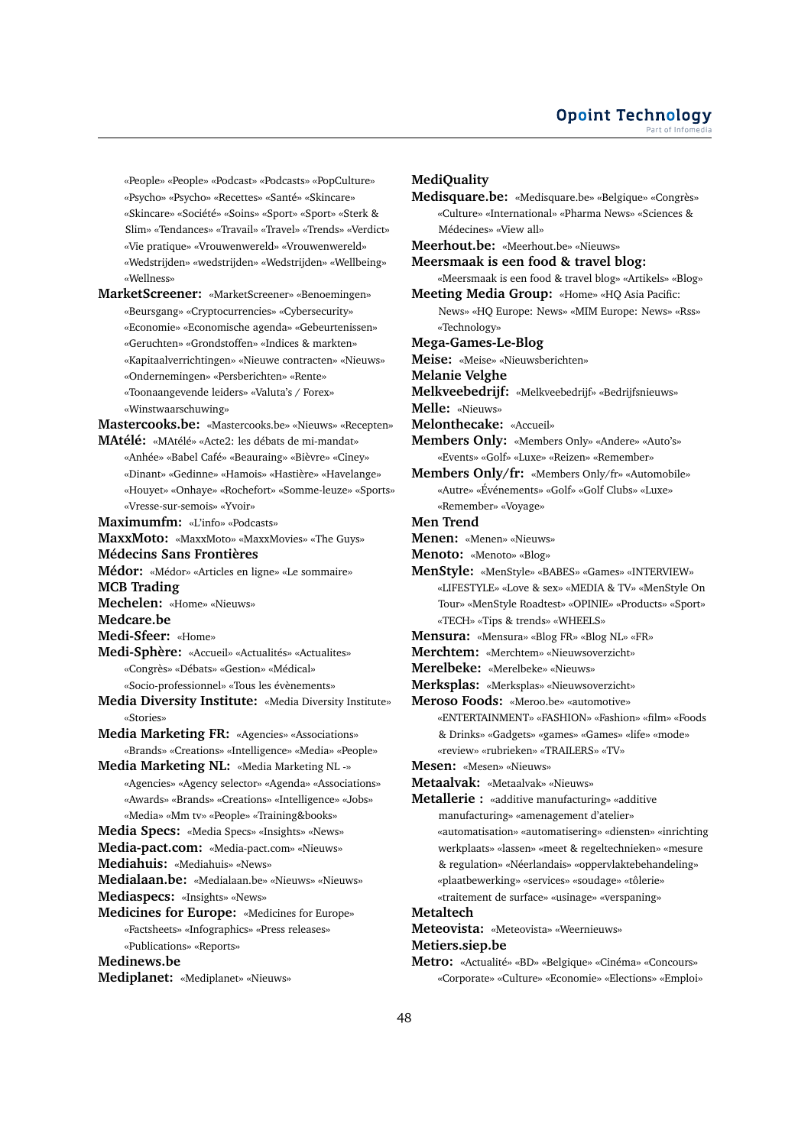«People» «People» «Podcast» «Podcasts» «PopCulture» «Psycho» «Psycho» «Recettes» «Santé» «Skincare» «Skincare» «Société» «Soins» «Sport» «Sport» «Sterk & Slim» «Tendances» «Travail» «Travel» «Trends» «Verdict» «Vie pratique» «Vrouwenwereld» «Vrouwenwereld» «Wedstrijden» «wedstrijden» «Wedstrijden» «Wellbeing» «Wellness»

**MarketScreener:** «MarketScreener» «Benoemingen» «Beursgang» «Cryptocurrencies» «Cybersecurity» «Economie» «Economische agenda» «Gebeurtenissen» «Geruchten» «Grondstoffen» «Indices & markten» «Kapitaalverrichtingen» «Nieuwe contracten» «Nieuws» «Ondernemingen» «Persberichten» «Rente» «Toonaangevende leiders» «Valuta's / Forex» «Winstwaarschuwing»

**Mastercooks.be:** «Mastercooks.be» «Nieuws» «Recepten» **MAtélé:** «MAtélé» «Acte2: les débats de mi-mandat»

«Anhée» «Babel Café» «Beauraing» «Bièvre» «Ciney» «Dinant» «Gedinne» «Hamois» «Hastière» «Havelange» «Houyet» «Onhaye» «Rochefort» «Somme-leuze» «Sports» «Vresse-sur-semois» «Yvoir»

**Maximumfm:** «L'info» «Podcasts»

**MaxxMoto:** «MaxxMoto» «MaxxMovies» «The Guys» **Médecins Sans Frontières Médor:** «Médor» «Articles en ligne» «Le sommaire» **MCB Trading Mechelen:** «Home» «Nieuws» **Medcare.be Medi-Sfeer:** «Home» **Medi-Sphère:** «Accueil» «Actualités» «Actualites» «Congrès» «Débats» «Gestion» «Médical»

«Socio-professionnel» «Tous les évènements» **Media Diversity Institute:** «Media Diversity Institute»

«Stories» **Media Marketing FR:** «Agencies» «Associations» «Brands» «Creations» «Intelligence» «Media» «People»

- **Media Marketing NL:** «Media Marketing NL -» «Agencies» «Agency selector» «Agenda» «Associations» «Awards» «Brands» «Creations» «Intelligence» «Jobs» «Media» «Mm tv» «People» «Training&books»
- **Media Specs:** «Media Specs» «Insights» «News»
- **Media-pact.com:** «Media-pact.com» «Nieuws»
- **Mediahuis:** «Mediahuis» «News»

**Medialaan.be:** «Medialaan.be» «Nieuws» «Nieuws»

- **Mediaspecs:** «Insights» «News»
- **Medicines for Europe:** «Medicines for Europe» «Factsheets» «Infographics» «Press releases» «Publications» «Reports»

#### **Medinews.be**

**Mediplanet:** «Mediplanet» «Nieuws»

**MediQuality Medisquare.be:** «Medisquare.be» «Belgique» «Congrès» «Culture» «International» «Pharma News» «Sciences & Médecines» «View all» **Meerhout.be:** «Meerhout.be» «Nieuws» **Meersmaak is een food & travel blog:** «Meersmaak is een food & travel blog» «Artikels» «Blog» **Meeting Media Group:** «Home» «HQ Asia Pacific: News» «HQ Europe: News» «MIM Europe: News» «Rss» «Technology» **Mega-Games-Le-Blog Meise:** «Meise» «Nieuwsberichten» **Melanie Velghe Melkveebedrijf:** «Melkveebedrijf» «Bedrijfsnieuws» **Melle:** «Nieuws» **Melonthecake:** «Accueil» **Members Only:** «Members Only» «Andere» «Auto's» «Events» «Golf» «Luxe» «Reizen» «Remember» **Members Only/fr:** «Members Only/fr» «Automobile» «Autre» «Événements» «Golf» «Golf Clubs» «Luxe» «Remember» «Voyage» **Men Trend Menen:** «Menen» «Nieuws» **Menoto:** «Menoto» «Blog» **MenStyle:** «MenStyle» «BABES» «Games» «INTERVIEW» «LIFESTYLE» «Love & sex» «MEDIA & TV» «MenStyle On Tour» «MenStyle Roadtest» «OPINIE» «Products» «Sport» «TECH» «Tips & trends» «WHEELS» **Mensura:** «Mensura» «Blog FR» «Blog NL» «FR» **Merchtem:** «Merchtem» «Nieuwsoverzicht» **Merelbeke:** «Merelbeke» «Nieuws» **Merksplas:** «Merksplas» «Nieuwsoverzicht» **Meroso Foods:** «Meroo.be» «automotive» «ENTERTAINMENT» «FASHION» «Fashion» «film» «Foods & Drinks» «Gadgets» «games» «Games» «life» «mode» «review» «rubrieken» «TRAILERS» «TV» **Mesen:** «Mesen» «Nieuws» **Metaalvak:** «Metaalvak» «Nieuws» **Metallerie :** «additive manufacturing» «additive manufacturing» «amenagement d'atelier» «automatisation» «automatisering» «diensten» «inrichting werkplaats» «lassen» «meet & regeltechnieken» «mesure & regulation» «Néerlandais» «oppervlaktebehandeling» «plaatbewerking» «services» «soudage» «tôlerie» «traitement de surface» «usinage» «verspaning» **Metaltech**

**Meteovista:** «Meteovista» «Weernieuws» **Metiers.siep.be**

**Metro:** «Actualité» «BD» «Belgique» «Cinéma» «Concours» «Corporate» «Culture» «Economie» «Elections» «Emploi»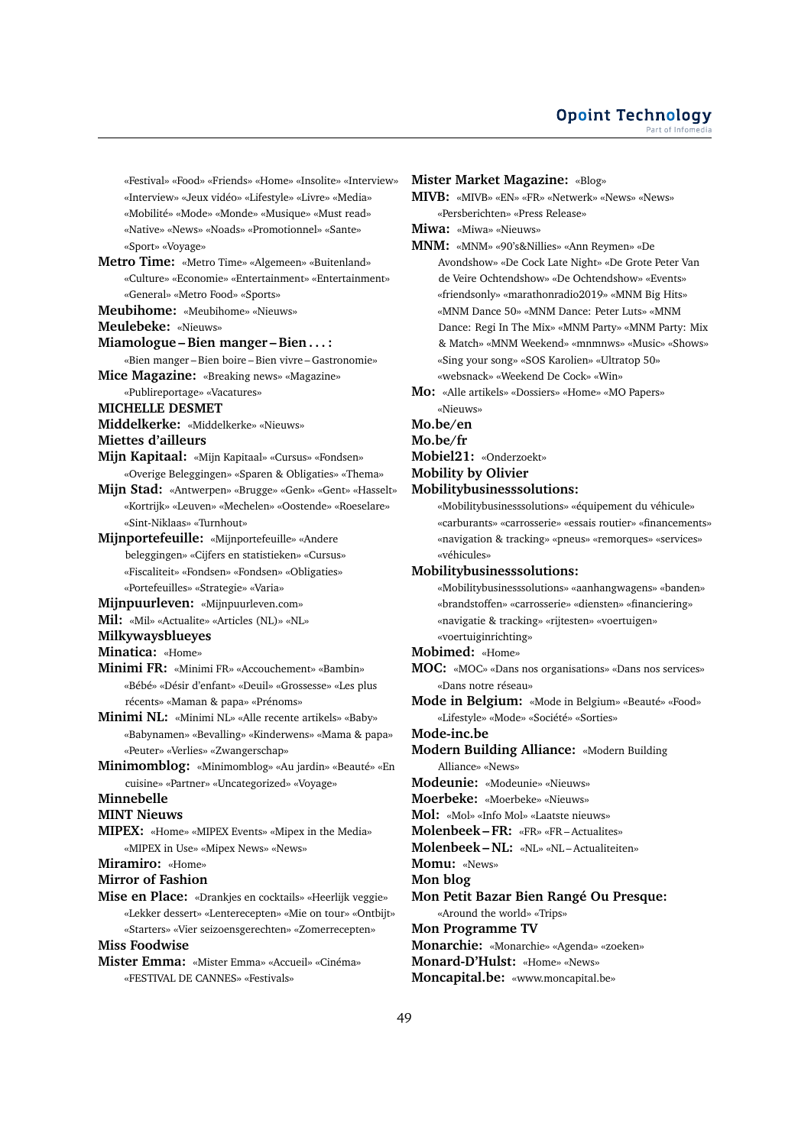«Festival» «Food» «Friends» «Home» «Insolite» «Interview» «Interview» «Jeux vidéo» «Lifestyle» «Livre» «Media» «Mobilité» «Mode» «Monde» «Musique» «Must read» «Native» «News» «Noads» «Promotionnel» «Sante» «Sport» «Voyage»

**Metro Time:** «Metro Time» «Algemeen» «Buitenland» «Culture» «Economie» «Entertainment» «Entertainment» «General» «Metro Food» «Sports»

**Meubihome:** «Meubihome» «Nieuws»

**Meulebeke:** «Nieuws»

#### **Miamologue – Bien manger – Bien . . . :**

«Bien manger – Bien boire – Bien vivre – Gastronomie» **Mice Magazine:** «Breaking news» «Magazine»

«Publireportage» «Vacatures»

**MICHELLE DESMET**

**Middelkerke:** «Middelkerke» «Nieuws»

# **Miettes d'ailleurs**

**Mijn Kapitaal:** «Mijn Kapitaal» «Cursus» «Fondsen» «Overige Beleggingen» «Sparen & Obligaties» «Thema»

- **Mijn Stad:** «Antwerpen» «Brugge» «Genk» «Gent» «Hasselt» «Kortrijk» «Leuven» «Mechelen» «Oostende» «Roeselare» «Sint-Niklaas» «Turnhout»
- **Mijnportefeuille:** «Mijnportefeuille» «Andere beleggingen» «Cijfers en statistieken» «Cursus» «Fiscaliteit» «Fondsen» «Fondsen» «Obligaties» «Portefeuilles» «Strategie» «Varia»
- **Mijnpuurleven:** «Mijnpuurleven.com»
- **Mil:** «Mil» «Actualite» «Articles (NL)» «NL»
- **Milkywaysblueyes**
- **Minatica:** «Home»
- **Minimi FR:** «Minimi FR» «Accouchement» «Bambin» «Bébé» «Désir d'enfant» «Deuil» «Grossesse» «Les plus récents» «Maman & papa» «Prénoms»
- **Minimi NL:** «Minimi NL» «Alle recente artikels» «Baby» «Babynamen» «Bevalling» «Kinderwens» «Mama & papa» «Peuter» «Verlies» «Zwangerschap»
- **Minimomblog:** «Minimomblog» «Au jardin» «Beauté» «En cuisine» «Partner» «Uncategorized» «Voyage»

## **Minnebelle**

# **MINT Nieuws**

**MIPEX:** «Home» «MIPEX Events» «Mipex in the Media» «MIPEX in Use» «Mipex News» «News»

**Miramiro:** «Home»

# **Mirror of Fashion**

**Mise en Place:** «Drankjes en cocktails» «Heerlijk veggie» «Lekker dessert» «Lenterecepten» «Mie on tour» «Ontbijt» «Starters» «Vier seizoensgerechten» «Zomerrecepten»

**Miss Foodwise**

**Mister Emma:** «Mister Emma» «Accueil» «Cinéma» «FESTIVAL DE CANNES» «Festivals»

## **Mister Market Magazine:** «Blog»

**MIVB:** «MIVB» «EN» «FR» «Netwerk» «News» «News» «Persberichten» «Press Release»

**Miwa:** «Miwa» «Nieuws»

- **MNM:** «MNM» «90's&Nillies» «Ann Reymen» «De Avondshow» «De Cock Late Night» «De Grote Peter Van de Veire Ochtendshow» «De Ochtendshow» «Events» «friendsonly» «marathonradio2019» «MNM Big Hits» «MNM Dance 50» «MNM Dance: Peter Luts» «MNM Dance: Regi In The Mix» «MNM Party» «MNM Party: Mix & Match» «MNM Weekend» «mnmnws» «Music» «Shows» «Sing your song» «SOS Karolien» «Ultratop 50» «websnack» «Weekend De Cock» «Win»
- **Mo:** «Alle artikels» «Dossiers» «Home» «MO Papers» «Nieuws»

**Mo.be/en**

- **Mo.be/fr**
- **Mobiel21:** «Onderzoekt»
- **Mobility by Olivier**

#### **Mobilitybusinesssolutions:**

«Mobilitybusinesssolutions» «équipement du véhicule» «carburants» «carrosserie» «essais routier» «financements» «navigation & tracking» «pneus» «remorques» «services» «véhicules»

#### **Mobilitybusinesssolutions:**

«Mobilitybusinesssolutions» «aanhangwagens» «banden» «brandstoffen» «carrosserie» «diensten» «financiering» «navigatie & tracking» «rijtesten» «voertuigen» «voertuiginrichting»

#### **Mobimed:** «Home»

**MOC:** «MOC» «Dans nos organisations» «Dans nos services» «Dans notre réseau»

**Mode in Belgium:** «Mode in Belgium» «Beauté» «Food» «Lifestyle» «Mode» «Société» «Sorties»

**Mode-inc.be**

- **Modern Building Alliance:** «Modern Building Alliance» «News»
- **Modeunie:** «Modeunie» «Nieuws»
- **Moerbeke:** «Moerbeke» «Nieuws»
- **Mol:** «Mol» «Info Mol» «Laatste nieuws»
- **Molenbeek FR:** «FR» «FR Actualites»

**Molenbeek – NL:** «NL» «NL – Actualiteiten»

- **Momu:** «News»
- **Mon blog**
- **Mon Petit Bazar Bien Rangé Ou Presque:**

«Around the world» «Trips»

- **Mon Programme TV**
- **Monarchie:** «Monarchie» «Agenda» «zoeken»
- **Monard-D'Hulst:** «Home» «News»
- **Moncapital.be:** «www.moncapital.be»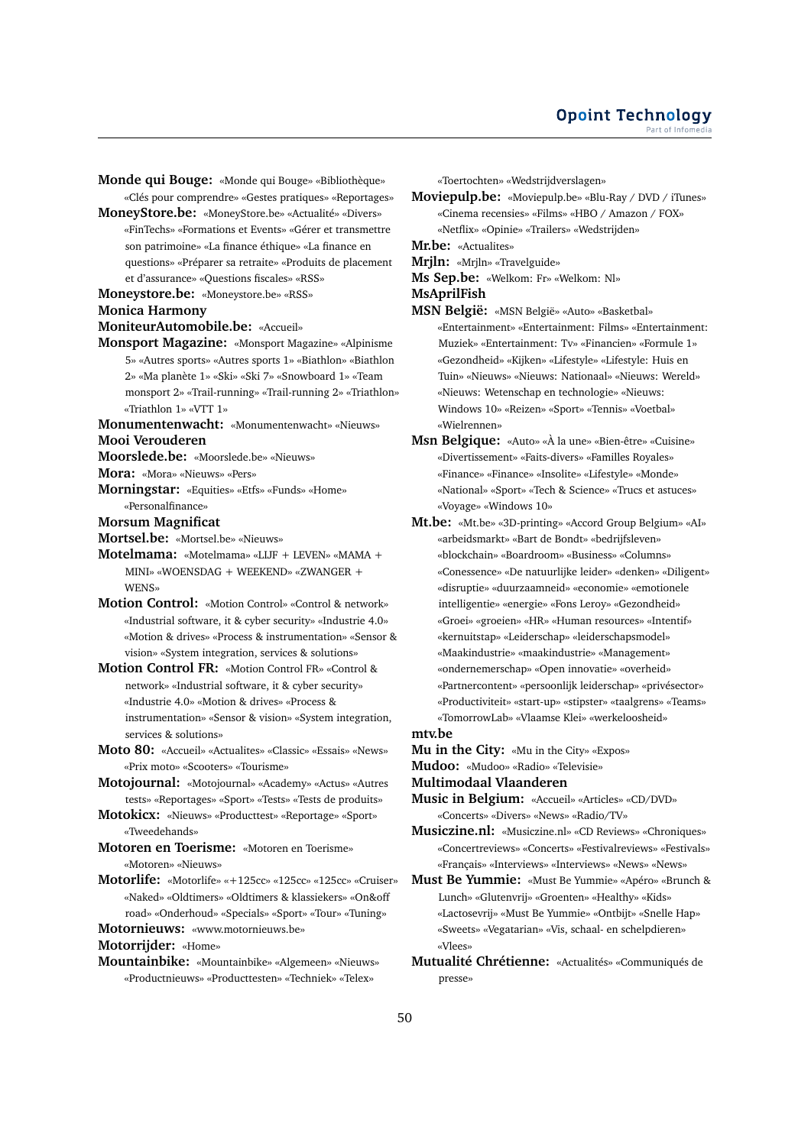**Monde qui Bouge:** «Monde qui Bouge» «Bibliothèque» «Clés pour comprendre» «Gestes pratiques» «Reportages»

**MoneyStore.be:** «MoneyStore.be» «Actualité» «Divers» «FinTechs» «Formations et Events» «Gérer et transmettre son patrimoine» «La finance éthique» «La finance en

questions» «Préparer sa retraite» «Produits de placement et d'assurance» «Questions fiscales» «RSS»

**Moneystore.be:** «Moneystore.be» «RSS»

# **Monica Harmony**

**MoniteurAutomobile.be:** «Accueil»

- **Monsport Magazine:** «Monsport Magazine» «Alpinisme 5» «Autres sports» «Autres sports 1» «Biathlon» «Biathlon 2» «Ma planète 1» «Ski» «Ski 7» «Snowboard 1» «Team monsport 2» «Trail-running» «Trail-running 2» «Triathlon» «Triathlon 1» «VTT 1»
- **Monumentenwacht:** «Monumentenwacht» «Nieuws»

# **Mooi Verouderen**

- **Moorslede.be:** «Moorslede.be» «Nieuws»
- **Mora:** «Mora» «Nieuws» «Pers»
- **Morningstar:** «Equities» «Etfs» «Funds» «Home» «Personalfinance»

**Morsum Magnificat**

- **Mortsel.be:** «Mortsel.be» «Nieuws»
- **Motelmama:** «Motelmama» «LIJF + LEVEN» «MAMA + MINI» «WOENSDAG + WEEKEND» «ZWANGER + WENS»
- **Motion Control:** «Motion Control» «Control & network» «Industrial software, it & cyber security» «Industrie 4.0» «Motion & drives» «Process & instrumentation» «Sensor & vision» «System integration, services & solutions»
- **Motion Control FR:** «Motion Control FR» «Control & network» «Industrial software, it & cyber security» «Industrie 4.0» «Motion & drives» «Process & instrumentation» «Sensor & vision» «System integration, services & solutions»
- **Moto 80:** «Accueil» «Actualites» «Classic» «Essais» «News» «Prix moto» «Scooters» «Tourisme»
- **Motojournal:** «Motojournal» «Academy» «Actus» «Autres tests» «Reportages» «Sport» «Tests» «Tests de produits»
- **Motokicx:** «Nieuws» «Producttest» «Reportage» «Sport» «Tweedehands»
- **Motoren en Toerisme:** «Motoren en Toerisme» «Motoren» «Nieuws»
- **Motorlife:** «Motorlife» «+125cc» «125cc» «125cc» «Cruiser» «Naked» «Oldtimers» «Oldtimers & klassiekers» «On&off road» «Onderhoud» «Specials» «Sport» «Tour» «Tuning»
- **Motornieuws:** «www.motornieuws.be»

**Motorrijder:** «Home»

**Mountainbike:** «Mountainbike» «Algemeen» «Nieuws» «Productnieuws» «Producttesten» «Techniek» «Telex»

«Toertochten» «Wedstrijdverslagen»

**Moviepulp.be:** «Moviepulp.be» «Blu-Ray / DVD / iTunes» «Cinema recensies» «Films» «HBO / Amazon / FOX» «Netflix» «Opinie» «Trailers» «Wedstrijden»

**Mr.be:** «Actualites»

- **Mrjln:** «Mrjln» «Travelguide»
- **Ms Sep.be:** «Welkom: Fr» «Welkom: Nl»

#### **MsAprilFish**

- **MSN België:** «MSN België» «Auto» «Basketbal» «Entertainment» «Entertainment: Films» «Entertainment: Muziek» «Entertainment: Tv» «Financien» «Formule 1» «Gezondheid» «Kijken» «Lifestyle» «Lifestyle: Huis en Tuin» «Nieuws» «Nieuws: Nationaal» «Nieuws: Wereld» «Nieuws: Wetenschap en technologie» «Nieuws: Windows 10» «Reizen» «Sport» «Tennis» «Voetbal» «Wielrennen»
- **Msn Belgique:** «Auto» «À la une» «Bien-être» «Cuisine» «Divertissement» «Faits-divers» «Familles Royales» «Finance» «Finance» «Insolite» «Lifestyle» «Monde» «National» «Sport» «Tech & Science» «Trucs et astuces» «Voyage» «Windows 10»
- **Mt.be:** «Mt.be» «3D-printing» «Accord Group Belgium» «AI» «arbeidsmarkt» «Bart de Bondt» «bedrijfsleven» «blockchain» «Boardroom» «Business» «Columns» «Conessence» «De natuurlijke leider» «denken» «Diligent» «disruptie» «duurzaamneid» «economie» «emotionele intelligentie» «energie» «Fons Leroy» «Gezondheid» «Groei» «groeien» «HR» «Human resources» «Intentif» «kernuitstap» «Leiderschap» «leiderschapsmodel» «Maakindustrie» «maakindustrie» «Management» «ondernemerschap» «Open innovatie» «overheid» «Partnercontent» «persoonlijk leiderschap» «privésector» «Productiviteit» «start-up» «stipster» «taalgrens» «Teams» «TomorrowLab» «Vlaamse Klei» «werkeloosheid»

#### **mtv.be**

- **Mu in the City:** «Mu in the City» «Expos»
- **Mudoo:** «Mudoo» «Radio» «Televisie»
- **Multimodaal Vlaanderen**
- **Music in Belgium:** «Accueil» «Articles» «CD/DVD» «Concerts» «Divers» «News» «Radio/TV»
- **Musiczine.nl:** «Musiczine.nl» «CD Reviews» «Chroniques» «Concertreviews» «Concerts» «Festivalreviews» «Festivals» «Français» «Interviews» «Interviews» «News» «News»
- **Must Be Yummie:** «Must Be Yummie» «Apéro» «Brunch & Lunch» «Glutenvrij» «Groenten» «Healthy» «Kids» «Lactosevrij» «Must Be Yummie» «Ontbijt» «Snelle Hap» «Sweets» «Vegatarian» «Vis, schaal- en schelpdieren» «Vlees»
- **Mutualité Chrétienne:** «Actualités» «Communiqués de presse»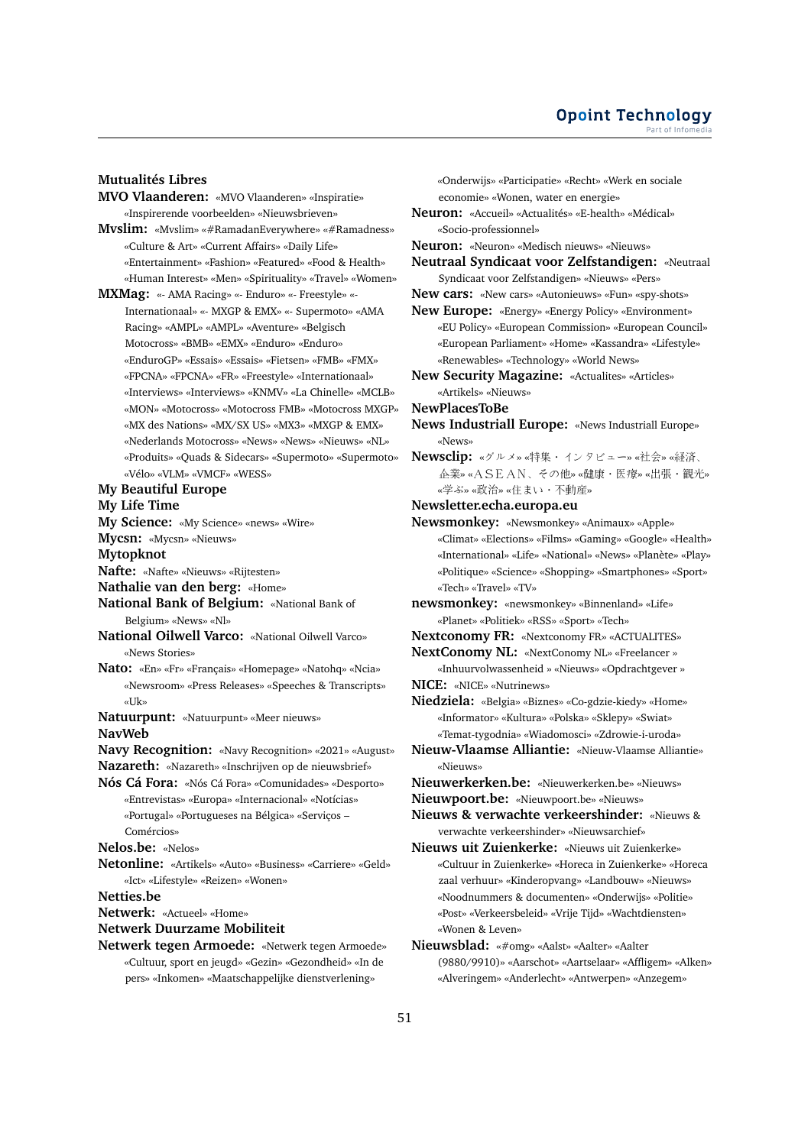## **Opoint Technology** Part of Infomed

# **Mutualités Libres**

- **MVO Vlaanderen:** «MVO Vlaanderen» «Inspiratie» «Inspirerende voorbeelden» «Nieuwsbrieven»
- **Mvslim:** «Mvslim» «#RamadanEverywhere» «#Ramadness» «Culture & Art» «Current Affairs» «Daily Life» «Entertainment» «Fashion» «Featured» «Food & Health» «Human Interest» «Men» «Spirituality» «Travel» «Women»
- **MXMag:** «- AMA Racing» «- Enduro» «- Freestyle» «- Internationaal» «- MXGP & EMX» «- Supermoto» «AMA Racing» «AMPL» «AMPL» «Aventure» «Belgisch Motocross» «BMB» «EMX» «Enduro» «Enduro» «EnduroGP» «Essais» «Essais» «Fietsen» «FMB» «FMX» «FPCNA» «FPCNA» «FR» «Freestyle» «Internationaal» «Interviews» «Interviews» «KNMV» «La Chinelle» «MCLB» «MON» «Motocross» «Motocross FMB» «Motocross MXGP» «MX des Nations» «MX/SX US» «MX3» «MXGP & EMX» «Nederlands Motocross» «News» «News» «Nieuws» «NL» «Produits» «Quads & Sidecars» «Supermoto» «Supermoto» «Vélo» «VLM» «VMCF» «WESS»

## **My Beautiful Europe**

**My Life Time**

- **My Science:** «My Science» «news» «Wire»
- **Mycsn:** «Mycsn» «Nieuws»

**Mytopknot**

- **Nafte:** «Nafte» «Nieuws» «Rijtesten»
- **Nathalie van den berg:** «Home»
- **National Bank of Belgium:** «National Bank of Belgium» «News» «Nl»
- **National Oilwell Varco:** «National Oilwell Varco» «News Stories»
- **Nato:** «En» «Fr» «Français» «Homepage» «Natohq» «Ncia» «Newsroom» «Press Releases» «Speeches & Transcripts» «Uk»
- **Natuurpunt:** «Natuurpunt» «Meer nieuws» **NavWeb**
- 
- **Navy Recognition:** «Navy Recognition» «2021» «August»
- **Nazareth:** «Nazareth» «Inschrijven op de nieuwsbrief»
- **Nós Cá Fora:** «Nós Cá Fora» «Comunidades» «Desporto» «Entrevistas» «Europa» «Internacional» «Notícias» «Portugal» «Portugueses na Bélgica» «Serviços – Comércios»

#### **Nelos.be:** «Nelos»

**Netonline:** «Artikels» «Auto» «Business» «Carriere» «Geld» «Ict» «Lifestyle» «Reizen» «Wonen»

**Netties.be**

**Netwerk:** «Actueel» «Home»

## **Netwerk Duurzame Mobiliteit**

**Netwerk tegen Armoede:** «Netwerk tegen Armoede» «Cultuur, sport en jeugd» «Gezin» «Gezondheid» «In de pers» «Inkomen» «Maatschappelijke dienstverlening»

- «Onderwijs» «Participatie» «Recht» «Werk en sociale economie» «Wonen, water en energie» **Neuron:** «Accueil» «Actualités» «E-health» «Médical» «Socio-professionnel» **Neuron:** «Neuron» «Medisch nieuws» «Nieuws» **Neutraal Syndicaat voor Zelfstandigen:** «Neutraal Syndicaat voor Zelfstandigen» «Nieuws» «Pers» **New cars:** «New cars» «Autonieuws» «Fun» «spy-shots» **New Europe:** «Energy» «Energy Policy» «Environment» «EU Policy» «European Commission» «European Council» «European Parliament» «Home» «Kassandra» «Lifestyle» «Renewables» «Technology» «World News» **New Security Magazine:** «Actualites» «Articles» «Artikels» «Nieuws» **NewPlacesToBe**
- **News Industriall Europe:** «News Industriall Europe» «News»
- **Newsclip:** «グルメ» «特集・インタビュー» «社会» «経済、 企業» «ASEAN、その他» «健康・医療» «出張・観光» «学ぶ» «政治» «住まい・不動産»
- **Newsletter.echa.europa.eu**
- **Newsmonkey:** «Newsmonkey» «Animaux» «Apple» «Climat» «Elections» «Films» «Gaming» «Google» «Health» «International» «Life» «National» «News» «Planète» «Play» «Politique» «Science» «Shopping» «Smartphones» «Sport» «Tech» «Travel» «TV»
- **newsmonkey:** «newsmonkey» «Binnenland» «Life» «Planet» «Politiek» «RSS» «Sport» «Tech»
- **Nextconomy FR:** «Nextconomy FR» «ACTUALITES»
- **NextConomy NL:** «NextConomy NL» «Freelancer »
- «Inhuurvolwassenheid » «Nieuws» «Opdrachtgever » **NICE:** «NICE» «Nutrinews»
- **Niedziela:** «Belgia» «Biznes» «Co-gdzie-kiedy» «Home» «Informator» «Kultura» «Polska» «Sklepy» «Swiat» «Temat-tygodnia» «Wiadomosci» «Zdrowie-i-uroda»
- **Nieuw-Vlaamse Alliantie:** «Nieuw-Vlaamse Alliantie» «Nieuws»
- **Nieuwerkerken.be:** «Nieuwerkerken.be» «Nieuws»
- **Nieuwpoort.be:** «Nieuwpoort.be» «Nieuws»

**Nieuws & verwachte verkeershinder:** «Nieuws & verwachte verkeershinder» «Nieuwsarchief»

- **Nieuws uit Zuienkerke:** «Nieuws uit Zuienkerke» «Cultuur in Zuienkerke» «Horeca in Zuienkerke» «Horeca zaal verhuur» «Kinderopvang» «Landbouw» «Nieuws» «Noodnummers & documenten» «Onderwijs» «Politie» «Post» «Verkeersbeleid» «Vrije Tijd» «Wachtdiensten» «Wonen & Leven»
- **Nieuwsblad:** «#omg» «Aalst» «Aalter» «Aalter (9880/9910)» «Aarschot» «Aartselaar» «Affligem» «Alken» «Alveringem» «Anderlecht» «Antwerpen» «Anzegem»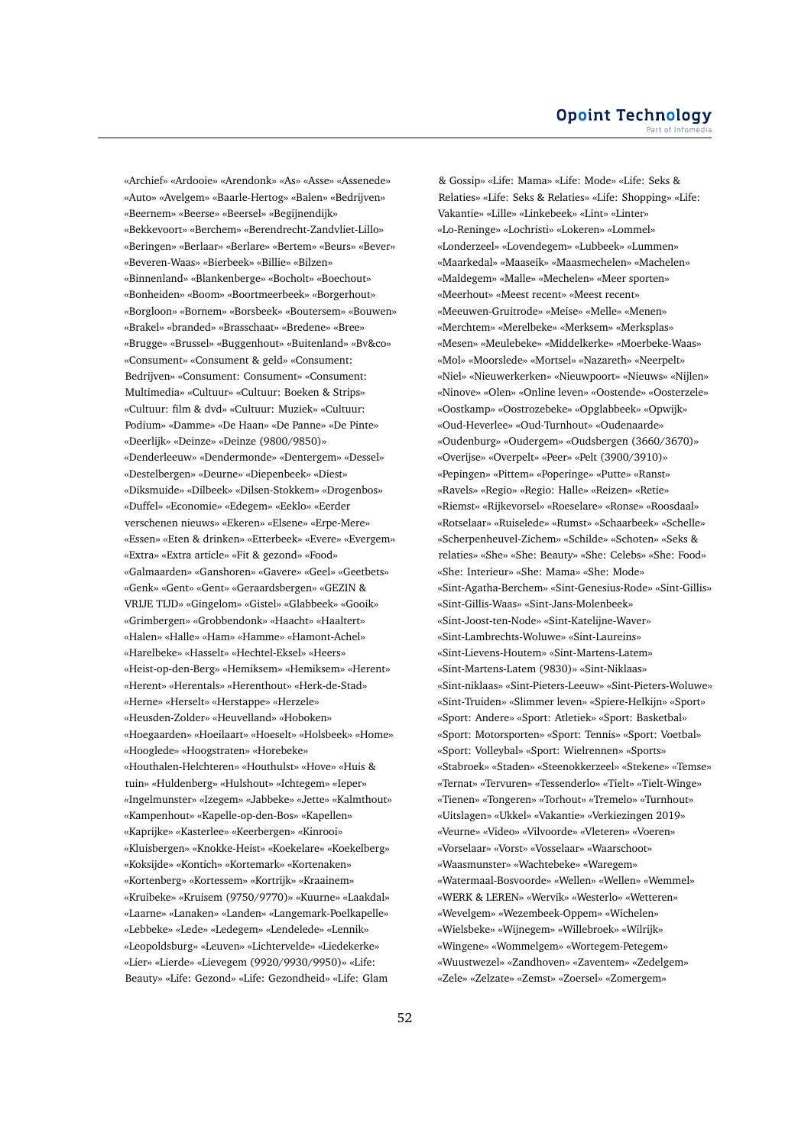«Archief» «Ardooie» «Arendonk» «As» «Asse» «Assenede» «Auto» «Avelgem» «Baarle-Hertog» «Balen» «Bedrijven» «Beernem» «Beerse» «Beersel» «Begijnendijk» «Bekkevoort» «Berchem» «Berendrecht-Zandvliet-Lillo» «Beringen» «Berlaar» «Berlare» «Bertem» «Beurs» «Bever» «Beveren-Waas» «Bierbeek» «Billie» «Bilzen» «Binnenland» «Blankenberge» «Bocholt» «Boechout» «Bonheiden» «Boom» «Boortmeerbeek» «Borgerhout» «Borgloon» «Bornem» «Borsbeek» «Boutersem» «Bouwen» «Brakel» «branded» «Brasschaat» «Bredene» «Bree» «Brugge» «Brussel» «Buggenhout» «Buitenland» «Bv&co» «Consument» «Consument & geld» «Consument: Bedrijven» «Consument: Consument» «Consument: Multimedia» «Cultuur» «Cultuur: Boeken & Strips» «Cultuur: film & dvd» «Cultuur: Muziek» «Cultuur: Podium» «Damme» «De Haan» «De Panne» «De Pinte» «Deerlijk» «Deinze» «Deinze (9800/9850)» «Denderleeuw» «Dendermonde» «Dentergem» «Dessel» «Destelbergen» «Deurne» «Diepenbeek» «Diest» «Diksmuide» «Dilbeek» «Dilsen-Stokkem» «Drogenbos» «Duffel» «Economie» «Edegem» «Eeklo» «Eerder verschenen nieuws» «Ekeren» «Elsene» «Erpe-Mere» «Essen» «Eten & drinken» «Etterbeek» «Evere» «Evergem» «Extra» «Extra article» «Fit & gezond» «Food» «Galmaarden» «Ganshoren» «Gavere» «Geel» «Geetbets» «Genk» «Gent» «Gent» «Geraardsbergen» «GEZIN & VRIJE TIJD» «Gingelom» «Gistel» «Glabbeek» «Gooik» «Grimbergen» «Grobbendonk» «Haacht» «Haaltert» «Halen» «Halle» «Ham» «Hamme» «Hamont-Achel» «Harelbeke» «Hasselt» «Hechtel-Eksel» «Heers» «Heist-op-den-Berg» «Hemiksem» «Hemiksem» «Herent» «Herent» «Herentals» «Herenthout» «Herk-de-Stad» «Herne» «Herselt» «Herstappe» «Herzele» «Heusden-Zolder» «Heuvelland» «Hoboken» «Hoegaarden» «Hoeilaart» «Hoeselt» «Holsbeek» «Home» «Hooglede» «Hoogstraten» «Horebeke» «Houthalen-Helchteren» «Houthulst» «Hove» «Huis & tuin» «Huldenberg» «Hulshout» «Ichtegem» «Ieper» «Ingelmunster» «Izegem» «Jabbeke» «Jette» «Kalmthout» «Kampenhout» «Kapelle-op-den-Bos» «Kapellen» «Kaprijke» «Kasterlee» «Keerbergen» «Kinrooi» «Kluisbergen» «Knokke-Heist» «Koekelare» «Koekelberg» «Koksijde» «Kontich» «Kortemark» «Kortenaken» «Kortenberg» «Kortessem» «Kortrijk» «Kraainem» «Kruibeke» «Kruisem (9750/9770)» «Kuurne» «Laakdal» «Laarne» «Lanaken» «Landen» «Langemark-Poelkapelle» «Lebbeke» «Lede» «Ledegem» «Lendelede» «Lennik» «Leopoldsburg» «Leuven» «Lichtervelde» «Liedekerke» «Lier» «Lierde» «Lievegem (9920/9930/9950)» «Life: Beauty» «Life: Gezond» «Life: Gezondheid» «Life: Glam

& Gossip» «Life: Mama» «Life: Mode» «Life: Seks & Relaties» «Life: Seks & Relaties» «Life: Shopping» «Life: Vakantie» «Lille» «Linkebeek» «Lint» «Linter» «Lo-Reninge» «Lochristi» «Lokeren» «Lommel» «Londerzeel» «Lovendegem» «Lubbeek» «Lummen» «Maarkedal» «Maaseik» «Maasmechelen» «Machelen» «Maldegem» «Malle» «Mechelen» «Meer sporten» «Meerhout» «Meest recent» «Meest recent» «Meeuwen-Gruitrode» «Meise» «Melle» «Menen» «Merchtem» «Merelbeke» «Merksem» «Merksplas» «Mesen» «Meulebeke» «Middelkerke» «Moerbeke-Waas» «Mol» «Moorslede» «Mortsel» «Nazareth» «Neerpelt» «Niel» «Nieuwerkerken» «Nieuwpoort» «Nieuws» «Nijlen» «Ninove» «Olen» «Online leven» «Oostende» «Oosterzele» «Oostkamp» «Oostrozebeke» «Opglabbeek» «Opwijk» «Oud-Heverlee» «Oud-Turnhout» «Oudenaarde» «Oudenburg» «Oudergem» «Oudsbergen (3660/3670)» «Overijse» «Overpelt» «Peer» «Pelt (3900/3910)» «Pepingen» «Pittem» «Poperinge» «Putte» «Ranst» «Ravels» «Regio» «Regio: Halle» «Reizen» «Retie» «Riemst» «Rijkevorsel» «Roeselare» «Ronse» «Roosdaal» «Rotselaar» «Ruiselede» «Rumst» «Schaarbeek» «Schelle» «Scherpenheuvel-Zichem» «Schilde» «Schoten» «Seks & relaties» «She» «She: Beauty» «She: Celebs» «She: Food» «She: Interieur» «She: Mama» «She: Mode» «Sint-Agatha-Berchem» «Sint-Genesius-Rode» «Sint-Gillis» «Sint-Gillis-Waas» «Sint-Jans-Molenbeek» «Sint-Joost-ten-Node» «Sint-Katelijne-Waver» «Sint-Lambrechts-Woluwe» «Sint-Laureins» «Sint-Lievens-Houtem» «Sint-Martens-Latem» «Sint-Martens-Latem (9830)» «Sint-Niklaas» «Sint-niklaas» «Sint-Pieters-Leeuw» «Sint-Pieters-Woluwe» «Sint-Truiden» «Slimmer leven» «Spiere-Helkijn» «Sport» «Sport: Andere» «Sport: Atletiek» «Sport: Basketbal» «Sport: Motorsporten» «Sport: Tennis» «Sport: Voetbal» «Sport: Volleybal» «Sport: Wielrennen» «Sports» «Stabroek» «Staden» «Steenokkerzeel» «Stekene» «Temse» «Ternat» «Tervuren» «Tessenderlo» «Tielt» «Tielt-Winge» «Tienen» «Tongeren» «Torhout» «Tremelo» «Turnhout» «Uitslagen» «Ukkel» «Vakantie» «Verkiezingen 2019» «Veurne» «Video» «Vilvoorde» «Vleteren» «Voeren» «Vorselaar» «Vorst» «Vosselaar» «Waarschoot» «Waasmunster» «Wachtebeke» «Waregem» «Watermaal-Bosvoorde» «Wellen» «Wellen» «Wemmel» «WERK & LEREN» «Wervik» «Westerlo» «Wetteren» «Wevelgem» «Wezembeek-Oppem» «Wichelen» «Wielsbeke» «Wijnegem» «Willebroek» «Wilrijk» «Wingene» «Wommelgem» «Wortegem-Petegem» «Wuustwezel» «Zandhoven» «Zaventem» «Zedelgem» «Zele» «Zelzate» «Zemst» «Zoersel» «Zomergem»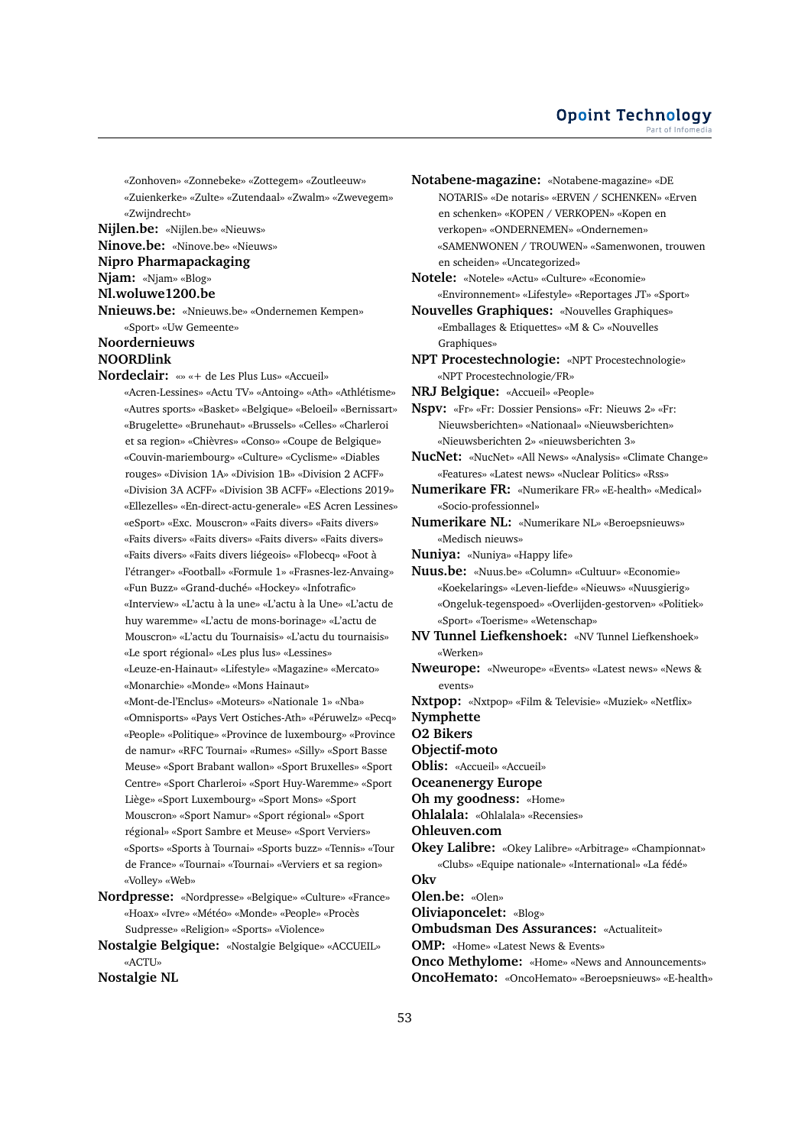«Zonhoven» «Zonnebeke» «Zottegem» «Zoutleeuw» «Zuienkerke» «Zulte» «Zutendaal» «Zwalm» «Zwevegem» «Zwijndrecht» **Nijlen.be:** «Nijlen.be» «Nieuws»

**Ninove.be:** «Ninove.be» «Nieuws»

**Nipro Pharmapackaging**

# **Njam:** «Njam» «Blog»

**Nl.woluwe1200.be**

**Nnieuws.be:** «Nnieuws.be» «Ondernemen Kempen»

«Sport» «Uw Gemeente»

# **Noordernieuws**

# **NOORDlink**

**Nordeclair:** «» «+ de Les Plus Lus» «Accueil»

«Acren-Lessines» «Actu TV» «Antoing» «Ath» «Athlétisme» «Autres sports» «Basket» «Belgique» «Beloeil» «Bernissart» «Brugelette» «Brunehaut» «Brussels» «Celles» «Charleroi et sa region» «Chièvres» «Conso» «Coupe de Belgique» «Couvin-mariembourg» «Culture» «Cyclisme» «Diables rouges» «Division 1A» «Division 1B» «Division 2 ACFF» «Division 3A ACFF» «Division 3B ACFF» «Elections 2019» «Ellezelles» «En-direct-actu-generale» «ES Acren Lessines» «eSport» «Exc. Mouscron» «Faits divers» «Faits divers» «Faits divers» «Faits divers» «Faits divers» «Faits divers» «Faits divers» «Faits divers liégeois» «Flobecq» «Foot à l'étranger» «Football» «Formule 1» «Frasnes-lez-Anvaing» «Fun Buzz» «Grand-duché» «Hockey» «Infotrafic» «Interview» «L'actu à la une» «L'actu à la Une» «L'actu de huy waremme» «L'actu de mons-borinage» «L'actu de Mouscron» «L'actu du Tournaisis» «L'actu du tournaisis» «Le sport régional» «Les plus lus» «Lessines» «Leuze-en-Hainaut» «Lifestyle» «Magazine» «Mercato» «Monarchie» «Monde» «Mons Hainaut» «Mont-de-l'Enclus» «Moteurs» «Nationale 1» «Nba» «Omnisports» «Pays Vert Ostiches-Ath» «Péruwelz» «Pecq» «People» «Politique» «Province de luxembourg» «Province de namur» «RFC Tournai» «Rumes» «Silly» «Sport Basse Meuse» «Sport Brabant wallon» «Sport Bruxelles» «Sport Centre» «Sport Charleroi» «Sport Huy-Waremme» «Sport Liège» «Sport Luxembourg» «Sport Mons» «Sport Mouscron» «Sport Namur» «Sport régional» «Sport régional» «Sport Sambre et Meuse» «Sport Verviers» «Sports» «Sports à Tournai» «Sports buzz» «Tennis» «Tour de France» «Tournai» «Tournai» «Verviers et sa region» «Volley» «Web»

**Nordpresse:** «Nordpresse» «Belgique» «Culture» «France» «Hoax» «Ivre» «Météo» «Monde» «People» «Procès Sudpresse» «Religion» «Sports» «Violence»

**Nostalgie Belgique:** «Nostalgie Belgique» «ACCUEIL» «ACTU»

**Nostalgie NL**

**Notabene-magazine:** «Notabene-magazine» «DE NOTARIS» «De notaris» «ERVEN / SCHENKEN» «Erven en schenken» «KOPEN / VERKOPEN» «Kopen en verkopen» «ONDERNEMEN» «Ondernemen» «SAMENWONEN / TROUWEN» «Samenwonen, trouwen en scheiden» «Uncategorized»

**Notele:** «Notele» «Actu» «Culture» «Economie» «Environnement» «Lifestyle» «Reportages JT» «Sport»

- **Nouvelles Graphiques:** «Nouvelles Graphiques» «Emballages & Etiquettes» «M & C» «Nouvelles Graphiques»
- **NPT Procestechnologie:** «NPT Procestechnologie» «NPT Procestechnologie/FR»
- **NRJ Belgique:** «Accueil» «People»

**Nspv:** «Fr» «Fr: Dossier Pensions» «Fr: Nieuws 2» «Fr: Nieuwsberichten» «Nationaal» «Nieuwsberichten» «Nieuwsberichten 2» «nieuwsberichten 3»

- **NucNet:** «NucNet» «All News» «Analysis» «Climate Change» «Features» «Latest news» «Nuclear Politics» «Rss»
- **Numerikare FR:** «Numerikare FR» «E-health» «Medical» «Socio-professionnel»
- **Numerikare NL:** «Numerikare NL» «Beroepsnieuws» «Medisch nieuws»
- **Nuniya:** «Nuniya» «Happy life»

**Nuus.be:** «Nuus.be» «Column» «Cultuur» «Economie» «Koekelarings» «Leven-liefde» «Nieuws» «Nuusgierig» «Ongeluk-tegenspoed» «Overlijden-gestorven» «Politiek» «Sport» «Toerisme» «Wetenschap»

- **NV Tunnel Liefkenshoek:** «NV Tunnel Liefkenshoek» «Werken»
- **Nweurope:** «Nweurope» «Events» «Latest news» «News & events»
- **Nxtpop:** «Nxtpop» «Film & Televisie» «Muziek» «Netflix» **Nymphette**

**O2 Bikers**

- **Objectif-moto**
- **Oblis:** «Accueil» «Accueil»
- **Oceanenergy Europe**
- **Oh my goodness:** «Home»
- **Ohlalala:** «Ohlalala» «Recensies»

**Ohleuven.com**

- **Okey Lalibre:** «Okey Lalibre» «Arbitrage» «Championnat» «Clubs» «Equipe nationale» «International» «La fédé»
- **Okv**
- **Olen.be:** «Olen»
- **Oliviaponcelet:** «Blog»
- **Ombudsman Des Assurances:** «Actualiteit»
- **OMP:** «Home» «Latest News & Events»
- **Onco Methylome:** «Home» «News and Announcements» **OncoHemato:** «OncoHemato» «Beroepsnieuws» «E-health»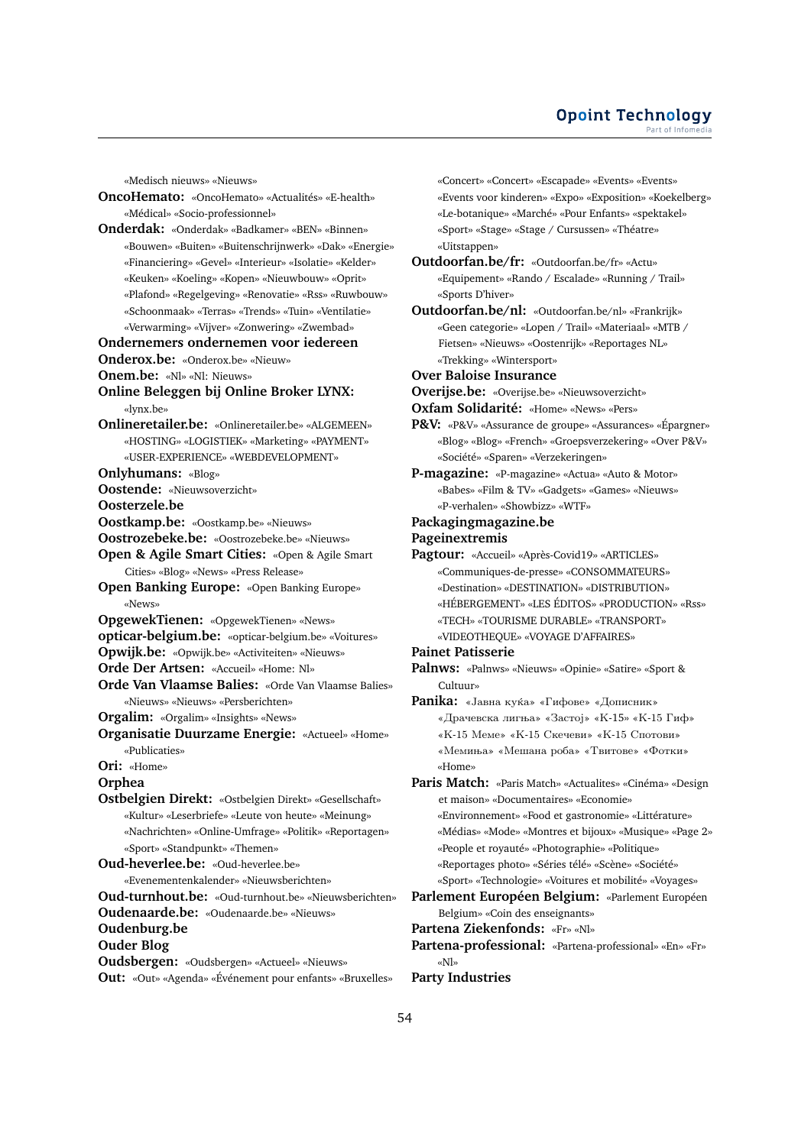## **Opoint Technology** Part of Infomer

«Medisch nieuws» «Nieuws»

**OncoHemato:** «OncoHemato» «Actualités» «E-health» «Médical» «Socio-professionnel»

**Onderdak:** «Onderdak» «Badkamer» «BEN» «Binnen» «Bouwen» «Buiten» «Buitenschrijnwerk» «Dak» «Energie» «Financiering» «Gevel» «Interieur» «Isolatie» «Kelder» «Keuken» «Koeling» «Kopen» «Nieuwbouw» «Oprit» «Plafond» «Regelgeving» «Renovatie» «Rss» «Ruwbouw» «Schoonmaak» «Terras» «Trends» «Tuin» «Ventilatie» «Verwarming» «Vijver» «Zonwering» «Zwembad»

# **Ondernemers ondernemen voor iedereen**

**Onderox.be:** «Onderox.be» «Nieuw»

- **Onem.be:** «Nl» «Nl: Nieuws»
- **Online Beleggen bij Online Broker LYNX:** «lynx.be»
- **Onlineretailer.be:** «Onlineretailer.be» «ALGEMEEN» «HOSTING» «LOGISTIEK» «Marketing» «PAYMENT» «USER-EXPERIENCE» «WEBDEVELOPMENT»

**Onlyhumans:** «Blog»

**Oostende:** «Nieuwsoverzicht»

**Oosterzele.be**

- **Oostkamp.be:** «Oostkamp.be» «Nieuws»
- **Oostrozebeke.be:** «Oostrozebeke.be» «Nieuws»
- **Open & Agile Smart Cities:** «Open & Agile Smart Cities» «Blog» «News» «Press Release»
- **Open Banking Europe:** «Open Banking Europe» «News»
- **OpgewekTienen:** «OpgewekTienen» «News»
- **opticar-belgium.be:** «opticar-belgium.be» «Voitures»
- **Opwijk.be:** «Opwijk.be» «Activiteiten» «Nieuws»
- **Orde Der Artsen:** «Accueil» «Home: Nl»
- **Orde Van Vlaamse Balies:** «Orde Van Vlaamse Balies» «Nieuws» «Nieuws» «Persberichten»
- **Orgalim:** «Orgalim» «Insights» «News»
- **Organisatie Duurzame Energie:** «Actueel» «Home» «Publicaties»
- **Ori:** «Home»
- **Orphea**
- **Ostbelgien Direkt:** «Ostbelgien Direkt» «Gesellschaft» «Kultur» «Leserbriefe» «Leute von heute» «Meinung» «Nachrichten» «Online-Umfrage» «Politik» «Reportagen» «Sport» «Standpunkt» «Themen»

**Oud-heverlee.be:** «Oud-heverlee.be»

«Evenementenkalender» «Nieuwsberichten»

- **Oud-turnhout.be:** «Oud-turnhout.be» «Nieuwsberichten» **Oudenaarde.be:** «Oudenaarde.be» «Nieuws»
- **Oudenburg.be**

**Ouder Blog**

**Oudsbergen:** «Oudsbergen» «Actueel» «Nieuws» **Out:** «Out» «Agenda» «Événement pour enfants» «Bruxelles» «Concert» «Concert» «Escapade» «Events» «Events» «Events voor kinderen» «Expo» «Exposition» «Koekelberg» «Le-botanique» «Marché» «Pour Enfants» «spektakel» «Sport» «Stage» «Stage / Cursussen» «Théatre» «Uitstappen»

**Outdoorfan.be/fr:** «Outdoorfan.be/fr» «Actu» «Equipement» «Rando / Escalade» «Running / Trail» «Sports D'hiver»

**Outdoorfan.be/nl:** «Outdoorfan.be/nl» «Frankrijk» «Geen categorie» «Lopen / Trail» «Materiaal» «MTB / Fietsen» «Nieuws» «Oostenrijk» «Reportages NL» «Trekking» «Wintersport»

**Over Baloise Insurance**

**Overijse.be:** «Overijse.be» «Nieuwsoverzicht»

- **Oxfam Solidarité:** «Home» «News» «Pers»
- **P&V:** «P&V» «Assurance de groupe» «Assurances» «Épargner» «Blog» «Blog» «French» «Groepsverzekering» «Over P&V» «Société» «Sparen» «Verzekeringen»
- **P-magazine:** «P-magazine» «Actua» «Auto & Motor» «Babes» «Film & TV» «Gadgets» «Games» «Nieuws» «P-verhalen» «Showbizz» «WTF»
- **Packagingmagazine.be**
- **Pageinextremis**
- **Pagtour:** «Accueil» «Après-Covid19» «ARTICLES» «Communiques-de-presse» «CONSOMMATEURS» «Destination» «DESTINATION» «DISTRIBUTION» «HÉBERGEMENT» «LES ÉDITOS» «PRODUCTION» «Rss» «TECH» «TOURISME DURABLE» «TRANSPORT» «VIDEOTHEQUE» «VOYAGE D'AFFAIRES»

## **Painet Patisserie**

- **Palnws:** «Palnws» «Nieuws» «Opinie» «Satire» «Sport & Cultuur»
- Panika: «Јавна куќа» «Гифове» «Дописник» «Драчевска лигња» «Застоj» «К-15» «К-15 Гиф» «К-15 Меме» «К-15 Скечеви» «К-15 Спотови» «Мемиња» «Мешана роба» «Твитове» «Фотки» «Home»
- **Paris Match:** «Paris Match» «Actualites» «Cinéma» «Design et maison» «Documentaires» «Economie» «Environnement» «Food et gastronomie» «Littérature» «Médias» «Mode» «Montres et bijoux» «Musique» «Page 2» «People et royauté» «Photographie» «Politique» «Reportages photo» «Séries télé» «Scène» «Société»
- «Sport» «Technologie» «Voitures et mobilité» «Voyages» **Parlement Européen Belgium:** «Parlement Européen Belgium» «Coin des enseignants»
- **Partena Ziekenfonds:** «Fr» «Nl»
- **Partena-professional:** «Partena-professional» «En» «Fr» «Nl»

# **Party Industries**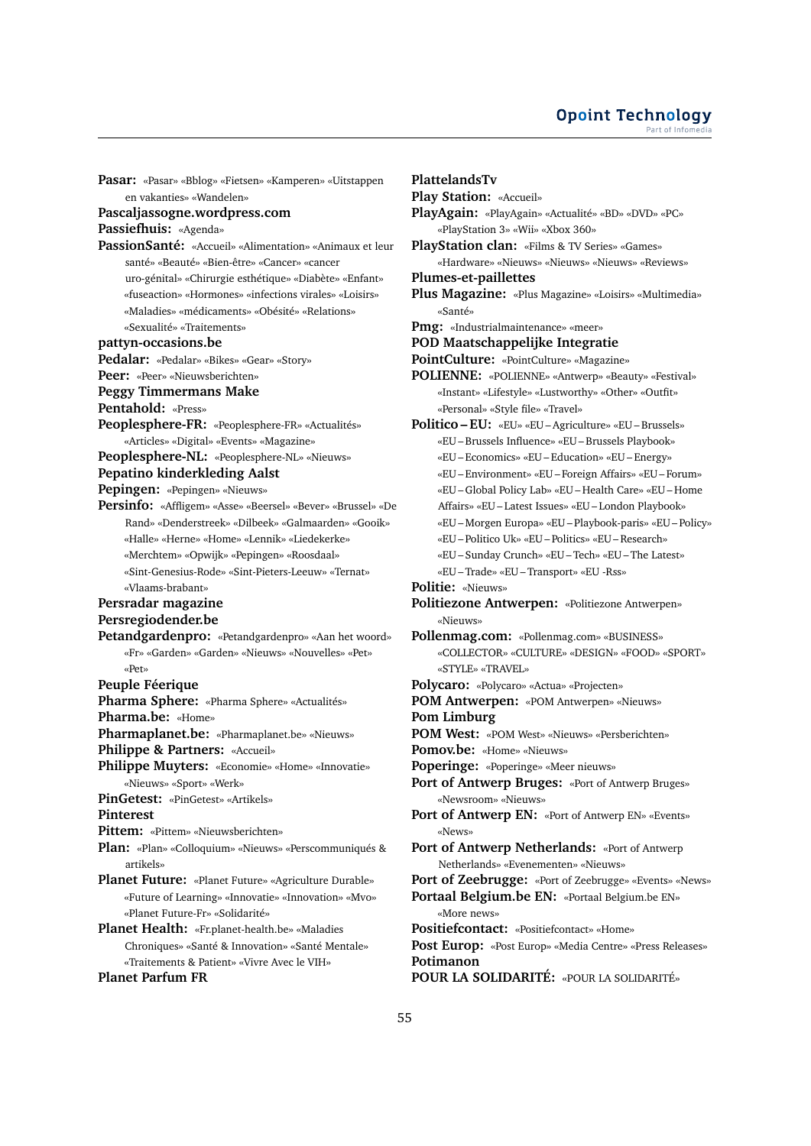**Pasar:** «Pasar» «Bblog» «Fietsen» «Kamperen» «Uitstappen en vakanties» «Wandelen»

#### **Pascaljassogne.wordpress.com**

**Passiefhuis:** «Agenda»

- **PassionSanté:** «Accueil» «Alimentation» «Animaux et leur santé» «Beauté» «Bien-être» «Cancer» «cancer uro-génital» «Chirurgie esthétique» «Diabète» «Enfant» «fuseaction» «Hormones» «infections virales» «Loisirs» «Maladies» «médicaments» «Obésité» «Relations» «Sexualité» «Traitements»
- **pattyn-occasions.be**
- 
- **Pedalar:** «Pedalar» «Bikes» «Gear» «Story»
- **Peer:** «Peer» «Nieuwsberichten»
- **Peggy Timmermans Make**
- **Pentahold:** «Press»
- **Peoplesphere-FR:** «Peoplesphere-FR» «Actualités» «Articles» «Digital» «Events» «Magazine»
- **Peoplesphere-NL:** «Peoplesphere-NL» «Nieuws»
- **Pepatino kinderkleding Aalst**
- **Pepingen:** «Pepingen» «Nieuws»
- **Persinfo:** «Affligem» «Asse» «Beersel» «Bever» «Brussel» «De Rand» «Denderstreek» «Dilbeek» «Galmaarden» «Gooik» «Halle» «Herne» «Home» «Lennik» «Liedekerke» «Merchtem» «Opwijk» «Pepingen» «Roosdaal» «Sint-Genesius-Rode» «Sint-Pieters-Leeuw» «Ternat»
- «Vlaams-brabant»
- **Persradar magazine**
- **Persregiodender.be**
- **Petandgardenpro:** «Petandgardenpro» «Aan het woord» «Fr» «Garden» «Garden» «Nieuws» «Nouvelles» «Pet» «Pet»
- **Peuple Féerique**
- **Pharma Sphere:** «Pharma Sphere» «Actualités»
- **Pharma.be:** «Home»
- **Pharmaplanet.be:** «Pharmaplanet.be» «Nieuws»
- **Philippe & Partners:** «Accueil»
- **Philippe Muyters:** «Economie» «Home» «Innovatie» «Nieuws» «Sport» «Werk»
- **PinGetest:** «PinGetest» «Artikels»

**Pinterest**

- **Pittem:** «Pittem» «Nieuwsberichten»
- **Plan:** «Plan» «Colloquium» «Nieuws» «Perscommuniqués & artikels»
- **Planet Future:** «Planet Future» «Agriculture Durable» «Future of Learning» «Innovatie» «Innovation» «Mvo» «Planet Future-Fr» «Solidarité»
- **Planet Health:** «Fr.planet-health.be» «Maladies Chroniques» «Santé & Innovation» «Santé Mentale» «Traitements & Patient» «Vivre Avec le VIH»

# **Planet Parfum FR**

**PlattelandsTv Play Station:** «Accueil» **PlayAgain:** «PlayAgain» «Actualité» «BD» «DVD» «PC» «PlayStation 3» «Wii» «Xbox 360» **PlayStation clan:** «Films & TV Series» «Games» «Hardware» «Nieuws» «Nieuws» «Nieuws» «Reviews» **Plumes-et-paillettes Plus Magazine:** «Plus Magazine» «Loisirs» «Multimedia» «Santé» **Pmg:** «Industrialmaintenance» «meer» **POD Maatschappelijke Integratie PointCulture:** «PointCulture» «Magazine» **POLIENNE:** «POLIENNE» «Antwerp» «Beauty» «Festival» «Instant» «Lifestyle» «Lustworthy» «Other» «Outfit» «Personal» «Style file» «Travel» **Politico – EU:** «EU» «EU – Agriculture» «EU – Brussels» «EU – Brussels Influence» «EU – Brussels Playbook» «EU – Economics» «EU – Education» «EU – Energy» «EU – Environment» «EU – Foreign Affairs» «EU – Forum» «EU – Global Policy Lab» «EU – Health Care» «EU – Home Affairs» «EU – Latest Issues» «EU – London Playbook» «EU – Morgen Europa» «EU – Playbook-paris» «EU – Policy» «EU – Politico Uk» «EU – Politics» «EU – Research» «EU – Sunday Crunch» «EU – Tech» «EU – The Latest» «EU – Trade» «EU – Transport» «EU -Rss» **Politie:** «Nieuws» **Politiezone Antwerpen:** «Politiezone Antwerpen» «Nieuws» **Pollenmag.com:** «Pollenmag.com» «BUSINESS» «COLLECTOR» «CULTURE» «DESIGN» «FOOD» «SPORT» «STYLE» «TRAVEL» **Polycaro:** «Polycaro» «Actua» «Projecten» **POM Antwerpen:** «POM Antwerpen» «Nieuws» **Pom Limburg POM West:** «POM West» «Nieuws» «Persberichten» **Pomov.be:** «Home» «Nieuws» **Poperinge:** «Poperinge» «Meer nieuws» **Port of Antwerp Bruges:** «Port of Antwerp Bruges» «Newsroom» «Nieuws» Port of Antwerp EN: «Port of Antwerp EN» «Events» «News» **Port of Antwerp Netherlands:** «Port of Antwerp Netherlands» «Evenementen» «Nieuws» **Port of Zeebrugge:** «Port of Zeebrugge» «Events» «News» **Portaal Belgium.be EN:** «Portaal Belgium.be EN»

«More news»

- **Positiefcontact:** «Positiefcontact» «Home»
- **Post Europ:** «Post Europ» «Media Centre» «Press Releases» **Potimanon**
- **POUR LA SOLIDARITÉ:** «POUR LA SOLIDARITÉ»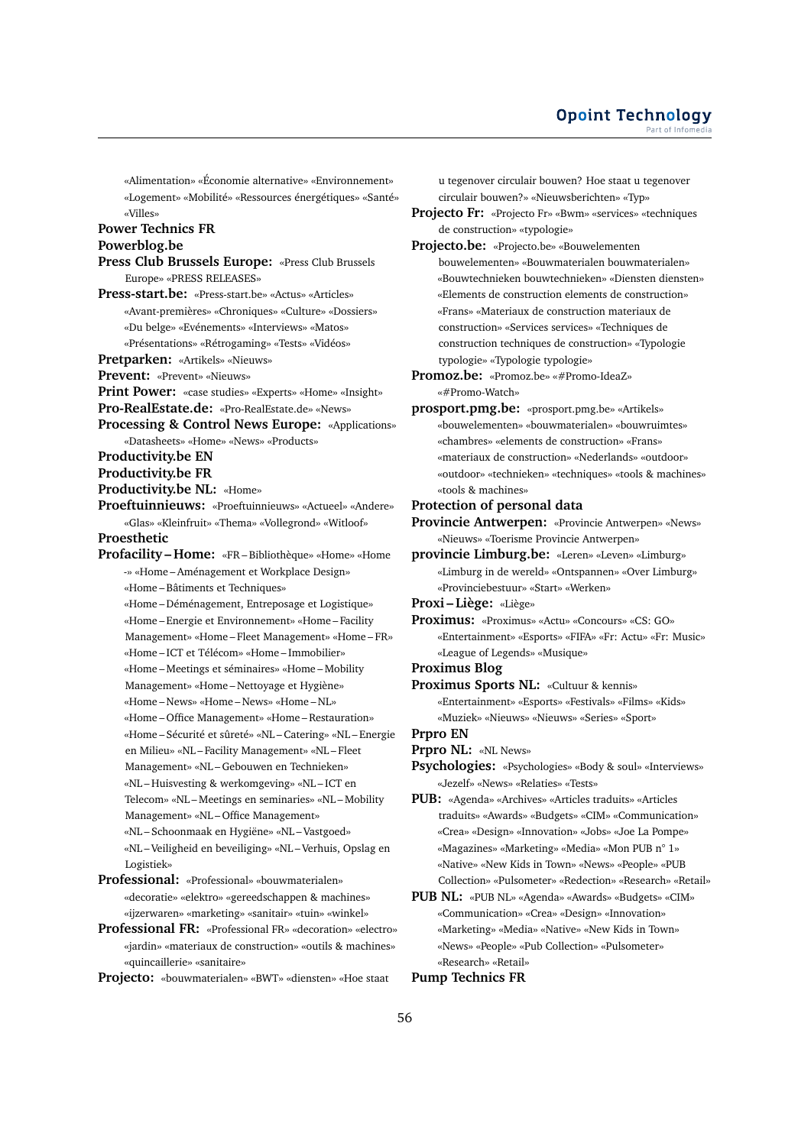«Alimentation» «Économie alternative» «Environnement» «Logement» «Mobilité» «Ressources énergétiques» «Santé» «Villes»

# **Power Technics FR Powerblog.be**

**Press Club Brussels Europe:** «Press Club Brussels Europe» «PRESS RELEASES»

- **Press-start.be:** «Press-start.be» «Actus» «Articles» «Avant-premières» «Chroniques» «Culture» «Dossiers» «Du belge» «Evénements» «Interviews» «Matos» «Présentations» «Rétrogaming» «Tests» «Vidéos»
- **Pretparken:** «Artikels» «Nieuws»
- **Prevent:** «Prevent» «Nieuws»
- **Print Power:** «case studies» «Experts» «Home» «Insight»
- **Pro-RealEstate.de:** «Pro-RealEstate.de» «News»
- **Processing & Control News Europe:** «Applications» «Datasheets» «Home» «News» «Products»
- **Productivity.be EN**
- **Productivity.be FR**
- **Productivity.be NL:** «Home»

**Proeftuinnieuws:** «Proeftuinnieuws» «Actueel» «Andere» «Glas» «Kleinfruit» «Thema» «Vollegrond» «Witloof»

**Proesthetic**

**Profacility – Home:** «FR – Bibliothèque» «Home» «Home -» «Home – Aménagement et Workplace Design» «Home – Bâtiments et Techniques»

- «Home Déménagement, Entreposage et Logistique» «Home – Energie et Environnement» «Home – Facility Management» «Home – Fleet Management» «Home – FR» «Home – ICT et Télécom» «Home – Immobilier» «Home – Meetings et séminaires» «Home – Mobility Management» «Home – Nettoyage et Hygiène» «Home – News» «Home – News» «Home – NL» «Home – Office Management» «Home – Restauration» «Home – Sécurité et sûreté» «NL – Catering» «NL – Energie en Milieu» «NL – Facility Management» «NL – Fleet Management» «NL – Gebouwen en Technieken» «NL – Huisvesting & werkomgeving» «NL – ICT en Telecom» «NL – Meetings en seminaries» «NL – Mobility Management» «NL – Office Management» «NL – Schoonmaak en Hygiëne» «NL – Vastgoed» «NL – Veiligheid en beveiliging» «NL – Verhuis, Opslag en Logistiek»
- **Professional:** «Professional» «bouwmaterialen» «decoratie» «elektro» «gereedschappen & machines» «ijzerwaren» «marketing» «sanitair» «tuin» «winkel»
- **Professional FR:** «Professional FR» «decoration» «electro» «jardin» «materiaux de construction» «outils & machines» «quincaillerie» «sanitaire»
- **Projecto:** «bouwmaterialen» «BWT» «diensten» «Hoe staat

u tegenover circulair bouwen? Hoe staat u tegenover circulair bouwen?» «Nieuwsberichten» «Typ»

- **Projecto Fr:** «Projecto Fr» «Bwm» «services» «techniques de construction» «typologie»
- **Projecto.be:** «Projecto.be» «Bouwelementen bouwelementen» «Bouwmaterialen bouwmaterialen» «Bouwtechnieken bouwtechnieken» «Diensten diensten» «Elements de construction elements de construction» «Frans» «Materiaux de construction materiaux de construction» «Services services» «Techniques de construction techniques de construction» «Typologie typologie» «Typologie typologie»
- **Promoz.be:** «Promoz.be» «#Promo-IdeaZ» «#Promo-Watch»
- **prosport.pmg.be:** «prosport.pmg.be» «Artikels» «bouwelementen» «bouwmaterialen» «bouwruimtes» «chambres» «elements de construction» «Frans» «materiaux de construction» «Nederlands» «outdoor» «outdoor» «technieken» «techniques» «tools & machines» «tools & machines»
- **Protection of personal data**
- **Provincie Antwerpen:** «Provincie Antwerpen» «News» «Nieuws» «Toerisme Provincie Antwerpen»
- **provincie Limburg.be:** «Leren» «Leven» «Limburg» «Limburg in de wereld» «Ontspannen» «Over Limburg» «Provinciebestuur» «Start» «Werken»

**Proxi – Liège:** «Liège»

- **Proximus:** «Proximus» «Actu» «Concours» «CS: GO» «Entertainment» «Esports» «FIFA» «Fr: Actu» «Fr: Music» «League of Legends» «Musique»
- **Proximus Blog**
- **Proximus Sports NL:** «Cultuur & kennis» «Entertainment» «Esports» «Festivals» «Films» «Kids» «Muziek» «Nieuws» «Nieuws» «Series» «Sport»
- **Prpro EN**
- **Prpro NL:** «NL News»
- **Psychologies:** «Psychologies» «Body & soul» «Interviews» «Jezelf» «News» «Relaties» «Tests»
- **PUB:** «Agenda» «Archives» «Articles traduits» «Articles traduits» «Awards» «Budgets» «CIM» «Communication» «Crea» «Design» «Innovation» «Jobs» «Joe La Pompe» «Magazines» «Marketing» «Media» «Mon PUB n° 1» «Native» «New Kids in Town» «News» «People» «PUB Collection» «Pulsometer» «Redection» «Research» «Retail»
- **PUB NL:** «PUB NL» «Agenda» «Awards» «Budgets» «CIM» «Communication» «Crea» «Design» «Innovation» «Marketing» «Media» «Native» «New Kids in Town» «News» «People» «Pub Collection» «Pulsometer» «Research» «Retail»

# **Pump Technics FR**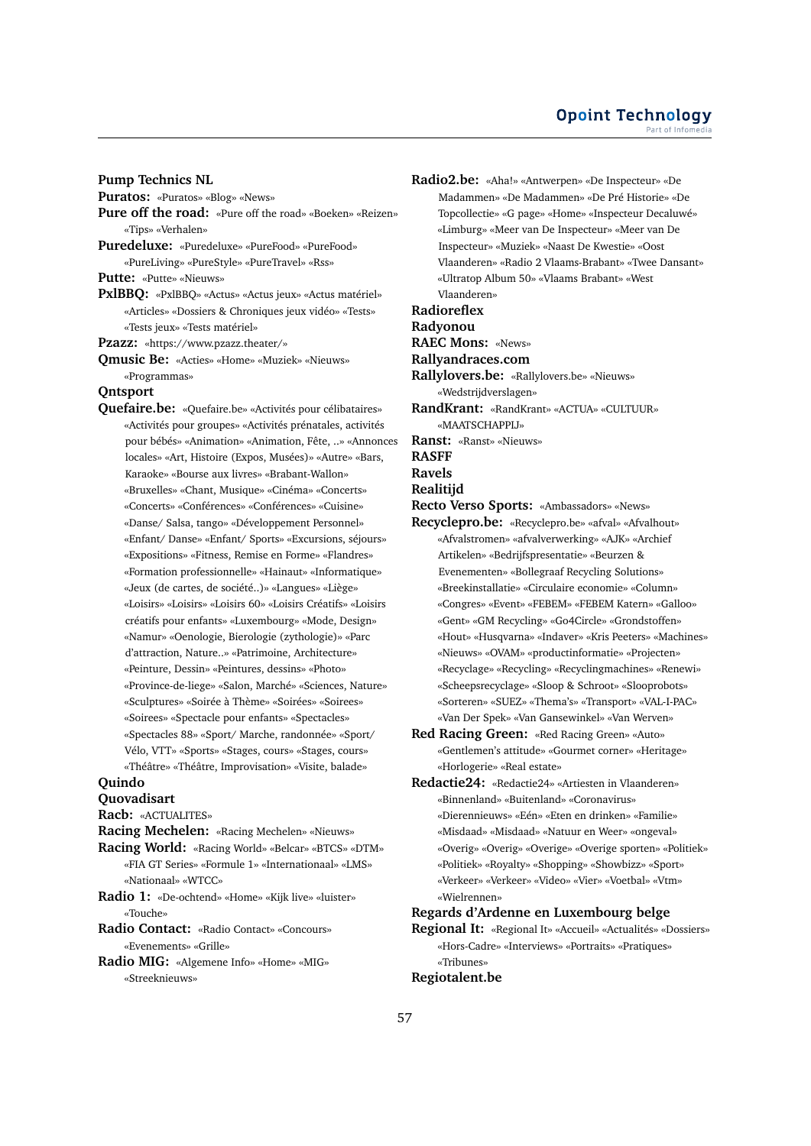**Pump Technics NL**

**Puratos:** «Puratos» «Blog» «News»

- **Pure off the road:** «Pure off the road» «Boeken» «Reizen» «Tips» «Verhalen»
- **Puredeluxe:** «Puredeluxe» «PureFood» «PureFood» «PureLiving» «PureStyle» «PureTravel» «Rss»

**Putte:** «Putte» «Nieuws»

**PxlBBQ:** «PxlBBQ» «Actus» «Actus jeux» «Actus matériel» «Articles» «Dossiers & Chroniques jeux vidéo» «Tests» «Tests jeux» «Tests matériel»

**Pzazz:** «https://www.pzazz.theater/»

**Qmusic Be:** «Acties» «Home» «Muziek» «Nieuws» «Programmas»

#### **Qntsport**

**Quefaire.be:** «Quefaire.be» «Activités pour célibataires» «Activités pour groupes» «Activités prénatales, activités pour bébés» «Animation» «Animation, Fête, ..» «Annonces locales» «Art, Histoire (Expos, Musées)» «Autre» «Bars, Karaoke» «Bourse aux livres» «Brabant-Wallon» «Bruxelles» «Chant, Musique» «Cinéma» «Concerts» «Concerts» «Conférences» «Conférences» «Cuisine» «Danse/ Salsa, tango» «Développement Personnel» «Enfant/ Danse» «Enfant/ Sports» «Excursions, séjours» «Expositions» «Fitness, Remise en Forme» «Flandres» «Formation professionnelle» «Hainaut» «Informatique» «Jeux (de cartes, de société..)» «Langues» «Liège» «Loisirs» «Loisirs» «Loisirs 60» «Loisirs Créatifs» «Loisirs créatifs pour enfants» «Luxembourg» «Mode, Design» «Namur» «Oenologie, Bierologie (zythologie)» «Parc d'attraction, Nature..» «Patrimoine, Architecture» «Peinture, Dessin» «Peintures, dessins» «Photo» «Province-de-liege» «Salon, Marché» «Sciences, Nature» «Sculptures» «Soirée à Thème» «Soirées» «Soirees» «Soirees» «Spectacle pour enfants» «Spectacles» «Spectacles 88» «Sport/ Marche, randonnée» «Sport/ Vélo, VTT» «Sports» «Stages, cours» «Stages, cours» «Théâtre» «Théâtre, Improvisation» «Visite, balade»

## **Quindo**

**Quovadisart**

**Racb:** «ACTUALITES»

- **Racing Mechelen:** «Racing Mechelen» «Nieuws»
- **Racing World:** «Racing World» «Belcar» «BTCS» «DTM» «FIA GT Series» «Formule 1» «Internationaal» «LMS» «Nationaal» «WTCC»

**Radio 1:** «De-ochtend» «Home» «Kijk live» «luister» «Touche»

**Radio Contact:** «Radio Contact» «Concours» «Evenements» «Grille»

**Radio MIG:** «Algemene Info» «Home» «MIG» «Streeknieuws»

**Radio2.be:** «Aha!» «Antwerpen» «De Inspecteur» «De Madammen» «De Madammen» «De Pré Historie» «De Topcollectie» «G page» «Home» «Inspecteur Decaluwé» «Limburg» «Meer van De Inspecteur» «Meer van De Inspecteur» «Muziek» «Naast De Kwestie» «Oost Vlaanderen» «Radio 2 Vlaams-Brabant» «Twee Dansant» «Ultratop Album 50» «Vlaams Brabant» «West Vlaanderen» **Radioreflex Radyonou RAEC Mons:** «News» **Rallyandraces.com Rallylovers.be:** «Rallylovers.be» «Nieuws» «Wedstrijdverslagen» **RandKrant:** «RandKrant» «ACTUA» «CULTUUR» «MAATSCHAPPIJ» **Ranst:** «Ranst» «Nieuws» **RASFF**

**Ravels**

**Realitijd**

- **Recto Verso Sports:** «Ambassadors» «News»
- **Recyclepro.be:** «Recyclepro.be» «afval» «Afvalhout» «Afvalstromen» «afvalverwerking» «AJK» «Archief Artikelen» «Bedrijfspresentatie» «Beurzen & Evenementen» «Bollegraaf Recycling Solutions» «Breekinstallatie» «Circulaire economie» «Column» «Congres» «Event» «FEBEM» «FEBEM Katern» «Galloo» «Gent» «GM Recycling» «Go4Circle» «Grondstoffen» «Hout» «Husqvarna» «Indaver» «Kris Peeters» «Machines» «Nieuws» «OVAM» «productinformatie» «Projecten» «Recyclage» «Recycling» «Recyclingmachines» «Renewi» «Scheepsrecyclage» «Sloop & Schroot» «Slooprobots» «Sorteren» «SUEZ» «Thema's» «Transport» «VAL-I-PAC» «Van Der Spek» «Van Gansewinkel» «Van Werven»
- **Red Racing Green:** «Red Racing Green» «Auto» «Gentlemen's attitude» «Gourmet corner» «Heritage» «Horlogerie» «Real estate»
- **Redactie24:** «Redactie24» «Artiesten in Vlaanderen» «Binnenland» «Buitenland» «Coronavirus» «Dierennieuws» «Eén» «Eten en drinken» «Familie» «Misdaad» «Misdaad» «Natuur en Weer» «ongeval» «Overig» «Overig» «Overige» «Overige sporten» «Politiek» «Politiek» «Royalty» «Shopping» «Showbizz» «Sport» «Verkeer» «Verkeer» «Video» «Vier» «Voetbal» «Vtm» «Wielrennen»

**Regards d'Ardenne en Luxembourg belge**

**Regional It:** «Regional It» «Accueil» «Actualités» «Dossiers» «Hors-Cadre» «Interviews» «Portraits» «Pratiques» «Tribunes»

# **Regiotalent.be**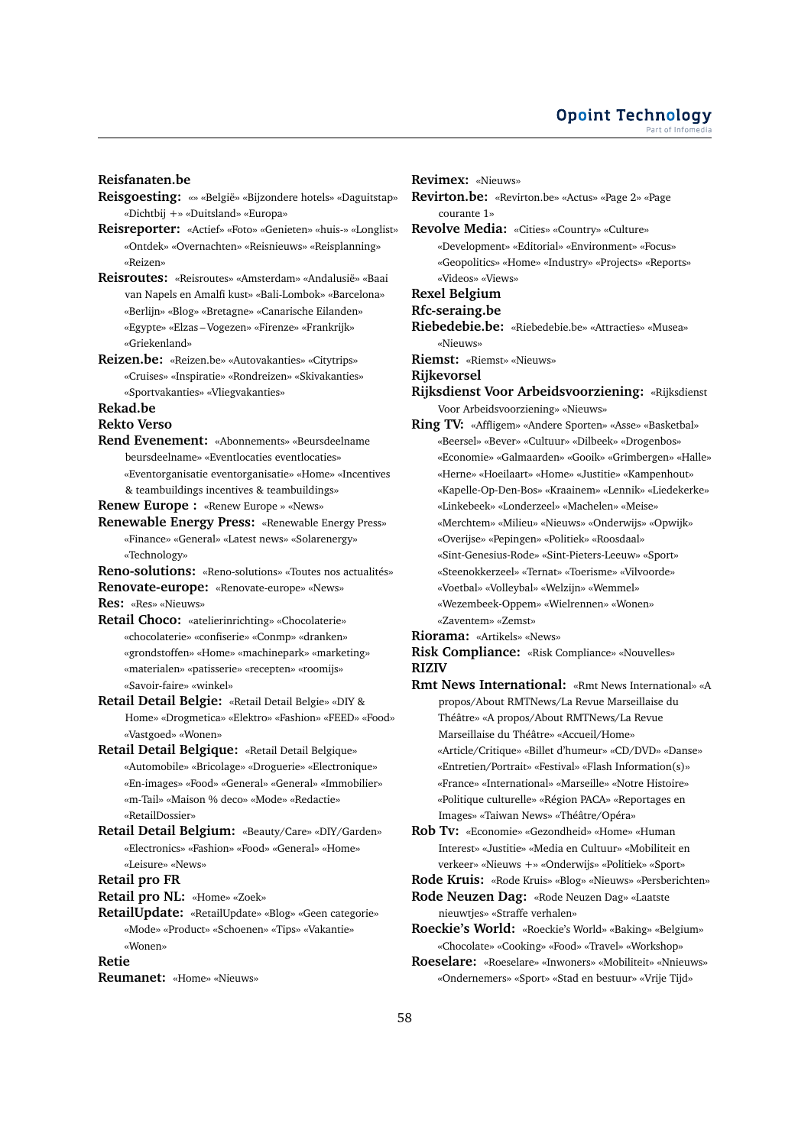## **Reisfanaten.be**

- **Reisgoesting:** «» «België» «Bijzondere hotels» «Daguitstap» «Dichtbij +» «Duitsland» «Europa»
- **Reisreporter:** «Actief» «Foto» «Genieten» «huis-» «Longlist» «Ontdek» «Overnachten» «Reisnieuws» «Reisplanning» «Reizen»
- **Reisroutes:** «Reisroutes» «Amsterdam» «Andalusië» «Baai van Napels en Amalfi kust» «Bali-Lombok» «Barcelona» «Berlijn» «Blog» «Bretagne» «Canarische Eilanden» «Egypte» «Elzas – Vogezen» «Firenze» «Frankrijk» «Griekenland»
- **Reizen.be:** «Reizen.be» «Autovakanties» «Citytrips» «Cruises» «Inspiratie» «Rondreizen» «Skivakanties» «Sportvakanties» «Vliegvakanties»

# **Rekad.be**

**Rekto Verso**

- **Rend Evenement:** «Abonnements» «Beursdeelname beursdeelname» «Eventlocaties eventlocaties» «Eventorganisatie eventorganisatie» «Home» «Incentives & teambuildings incentives & teambuildings»
- **Renew Europe :** «Renew Europe » «News»
- 
- **Renewable Energy Press:** «Renewable Energy Press» «Finance» «General» «Latest news» «Solarenergy» «Technology»
- **Reno-solutions:** «Reno-solutions» «Toutes nos actualités» **Renovate-europe:** «Renovate-europe» «News»
- **Res:** «Res» «Nieuws»
- **Retail Choco:** «atelierinrichting» «Chocolaterie» «chocolaterie» «confiserie» «Conmp» «dranken» «grondstoffen» «Home» «machinepark» «marketing» «materialen» «patisserie» «recepten» «roomijs» «Savoir-faire» «winkel»
- **Retail Detail Belgie:** «Retail Detail Belgie» «DIY & Home» «Drogmetica» «Elektro» «Fashion» «FEED» «Food» «Vastgoed» «Wonen»
- **Retail Detail Belgique:** «Retail Detail Belgique» «Automobile» «Bricolage» «Droguerie» «Electronique» «En-images» «Food» «General» «General» «Immobilier» «m-Tail» «Maison % deco» «Mode» «Redactie» «RetailDossier»
- **Retail Detail Belgium:** «Beauty/Care» «DIY/Garden» «Electronics» «Fashion» «Food» «General» «Home» «Leisure» «News»

## **Retail pro FR**

**Retail pro NL:** «Home» «Zoek»

**RetailUpdate:** «RetailUpdate» «Blog» «Geen categorie» «Mode» «Product» «Schoenen» «Tips» «Vakantie» «Wonen»

#### **Retie**

**Reumanet:** «Home» «Nieuws»

**Revimex:** «Nieuws» **Revirton.be:** «Revirton.be» «Actus» «Page 2» «Page courante 1»

- **Revolve Media:** «Cities» «Country» «Culture» «Development» «Editorial» «Environment» «Focus» «Geopolitics» «Home» «Industry» «Projects» «Reports» «Videos» «Views»
- **Rexel Belgium**

**Rfc-seraing.be**

**Riebedebie.be:** «Riebedebie.be» «Attracties» «Musea» «Nieuws»

**Riemst:** «Riemst» «Nieuws»

**Rijkevorsel**

- **Rijksdienst Voor Arbeidsvoorziening:** «Rijksdienst Voor Arbeidsvoorziening» «Nieuws»
- **Ring TV:** «Affligem» «Andere Sporten» «Asse» «Basketbal» «Beersel» «Bever» «Cultuur» «Dilbeek» «Drogenbos» «Economie» «Galmaarden» «Gooik» «Grimbergen» «Halle» «Herne» «Hoeilaart» «Home» «Justitie» «Kampenhout» «Kapelle-Op-Den-Bos» «Kraainem» «Lennik» «Liedekerke» «Linkebeek» «Londerzeel» «Machelen» «Meise» «Merchtem» «Milieu» «Nieuws» «Onderwijs» «Opwijk» «Overijse» «Pepingen» «Politiek» «Roosdaal» «Sint-Genesius-Rode» «Sint-Pieters-Leeuw» «Sport» «Steenokkerzeel» «Ternat» «Toerisme» «Vilvoorde» «Voetbal» «Volleybal» «Welzijn» «Wemmel» «Wezembeek-Oppem» «Wielrennen» «Wonen» «Zaventem» «Zemst»
- **Riorama:** «Artikels» «News»

**Risk Compliance:** «Risk Compliance» «Nouvelles» **RIZIV**

- **Rmt News International:** «Rmt News International» «A propos/About RMTNews/La Revue Marseillaise du Théâtre» «A propos/About RMTNews/La Revue Marseillaise du Théâtre» «Accueil/Home» «Article/Critique» «Billet d'humeur» «CD/DVD» «Danse» «Entretien/Portrait» «Festival» «Flash Information(s)» «France» «International» «Marseille» «Notre Histoire» «Politique culturelle» «Région PACA» «Reportages en Images» «Taiwan News» «Théâtre/Opéra»
- **Rob Tv:** «Economie» «Gezondheid» «Home» «Human Interest» «Justitie» «Media en Cultuur» «Mobiliteit en verkeer» «Nieuws +» «Onderwijs» «Politiek» «Sport»
- **Rode Kruis:** «Rode Kruis» «Blog» «Nieuws» «Persberichten»
- **Rode Neuzen Dag:** «Rode Neuzen Dag» «Laatste nieuwtjes» «Straffe verhalen»
- **Roeckie's World:** «Roeckie's World» «Baking» «Belgium» «Chocolate» «Cooking» «Food» «Travel» «Workshop»
- **Roeselare:** «Roeselare» «Inwoners» «Mobiliteit» «Nnieuws» «Ondernemers» «Sport» «Stad en bestuur» «Vrije Tijd»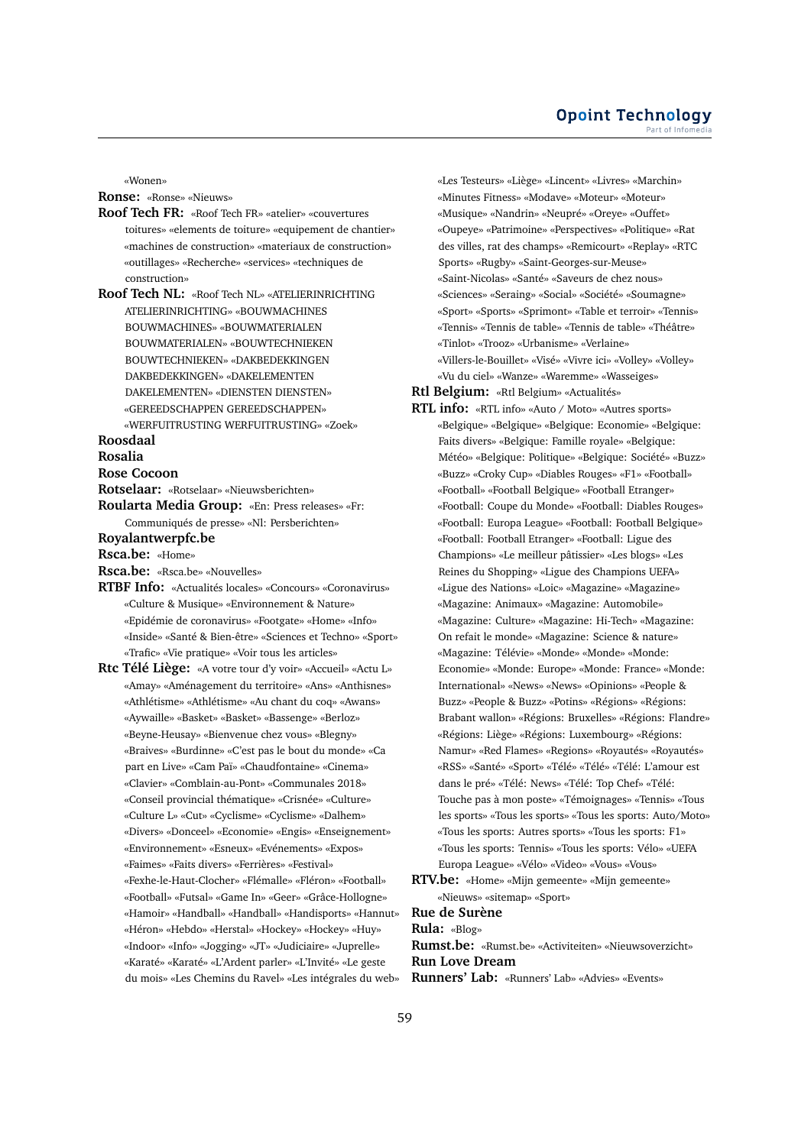«Wonen»

**Ronse:** «Ronse» «Nieuws»

- **Roof Tech FR:** «Roof Tech FR» «atelier» «couvertures toitures» «elements de toiture» «equipement de chantier» «machines de construction» «materiaux de construction» «outillages» «Recherche» «services» «techniques de construction»
- **Roof Tech NL:** «Roof Tech NL» «ATELIERINRICHTING ATELIERINRICHTING» «BOUWMACHINES BOUWMACHINES» «BOUWMATERIALEN BOUWMATERIALEN» «BOUWTECHNIEKEN BOUWTECHNIEKEN» «DAKBEDEKKINGEN DAKBEDEKKINGEN» «DAKELEMENTEN DAKELEMENTEN» «DIENSTEN DIENSTEN» «GEREEDSCHAPPEN GEREEDSCHAPPEN» «WERFUITRUSTING WERFUITRUSTING» «Zoek»

## **Roosdaal**

#### **Rosalia**

- **Rose Cocoon**
- **Rotselaar:** «Rotselaar» «Nieuwsberichten»
- **Roularta Media Group:** «En: Press releases» «Fr: Communiqués de presse» «Nl: Persberichten»

# **Royalantwerpfc.be**

**Rsca.be:** «Home»

**Rsca.be:** «Rsca.be» «Nouvelles»

- **RTBF Info:** «Actualités locales» «Concours» «Coronavirus» «Culture & Musique» «Environnement & Nature» «Epidémie de coronavirus» «Footgate» «Home» «Info» «Inside» «Santé & Bien-être» «Sciences et Techno» «Sport» «Trafic» «Vie pratique» «Voir tous les articles»
- **Rtc Télé Liège:** «A votre tour d'y voir» «Accueil» «Actu L» «Amay» «Aménagement du territoire» «Ans» «Anthisnes» «Athlétisme» «Athlétisme» «Au chant du coq» «Awans» «Aywaille» «Basket» «Basket» «Bassenge» «Berloz» «Beyne-Heusay» «Bienvenue chez vous» «Blegny» «Braives» «Burdinne» «C'est pas le bout du monde» «Ca part en Live» «Cam Paï» «Chaudfontaine» «Cinema» «Clavier» «Comblain-au-Pont» «Communales 2018» «Conseil provincial thématique» «Crisnée» «Culture» «Culture L» «Cut» «Cyclisme» «Cyclisme» «Dalhem» «Divers» «Donceel» «Economie» «Engis» «Enseignement» «Environnement» «Esneux» «Evénements» «Expos» «Faimes» «Faits divers» «Ferrières» «Festival» «Fexhe-le-Haut-Clocher» «Flémalle» «Fléron» «Football» «Football» «Futsal» «Game In» «Geer» «Grâce-Hollogne» «Hamoir» «Handball» «Handball» «Handisports» «Hannut» «Héron» «Hebdo» «Herstal» «Hockey» «Hockey» «Huy» «Indoor» «Info» «Jogging» «JT» «Judiciaire» «Juprelle» «Karaté» «Karaté» «L'Ardent parler» «L'Invité» «Le geste du mois» «Les Chemins du Ravel» «Les intégrales du web»

«Les Testeurs» «Liège» «Lincent» «Livres» «Marchin» «Minutes Fitness» «Modave» «Moteur» «Moteur» «Musique» «Nandrin» «Neupré» «Oreye» «Ouffet» «Oupeye» «Patrimoine» «Perspectives» «Politique» «Rat des villes, rat des champs» «Remicourt» «Replay» «RTC Sports» «Rugby» «Saint-Georges-sur-Meuse» «Saint-Nicolas» «Santé» «Saveurs de chez nous» «Sciences» «Seraing» «Social» «Société» «Soumagne» «Sport» «Sports» «Sprimont» «Table et terroir» «Tennis» «Tennis» «Tennis de table» «Tennis de table» «Théâtre» «Tinlot» «Trooz» «Urbanisme» «Verlaine» «Villers-le-Bouillet» «Visé» «Vivre ici» «Volley» «Volley» «Vu du ciel» «Wanze» «Waremme» «Wasseiges»

- **Rtl Belgium:** «Rtl Belgium» «Actualités»
- **RTL info:** «RTL info» «Auto / Moto» «Autres sports» «Belgique» «Belgique» «Belgique: Economie» «Belgique: Faits divers» «Belgique: Famille royale» «Belgique: Météo» «Belgique: Politique» «Belgique: Société» «Buzz» «Buzz» «Croky Cup» «Diables Rouges» «F1» «Football» «Football» «Football Belgique» «Football Etranger» «Football: Coupe du Monde» «Football: Diables Rouges» «Football: Europa League» «Football: Football Belgique» «Football: Football Etranger» «Football: Ligue des Champions» «Le meilleur pâtissier» «Les blogs» «Les Reines du Shopping» «Ligue des Champions UEFA» «Ligue des Nations» «Loic» «Magazine» «Magazine» «Magazine: Animaux» «Magazine: Automobile» «Magazine: Culture» «Magazine: Hi-Tech» «Magazine: On refait le monde» «Magazine: Science & nature» «Magazine: Télévie» «Monde» «Monde» «Monde: Economie» «Monde: Europe» «Monde: France» «Monde: International» «News» «News» «Opinions» «People & Buzz» «People & Buzz» «Potins» «Régions» «Régions: Brabant wallon» «Régions: Bruxelles» «Régions: Flandre» «Régions: Liège» «Régions: Luxembourg» «Régions: Namur» «Red Flames» «Regions» «Royautés» «Royautés» «RSS» «Santé» «Sport» «Télé» «Télé» «Télé: L'amour est dans le pré» «Télé: News» «Télé: Top Chef» «Télé: Touche pas à mon poste» «Témoignages» «Tennis» «Tous les sports» «Tous les sports» «Tous les sports: Auto/Moto» «Tous les sports: Autres sports» «Tous les sports: F1» «Tous les sports: Tennis» «Tous les sports: Vélo» «UEFA Europa League» «Vélo» «Video» «Vous» «Vous»
- **RTV.be:** «Home» «Mijn gemeente» «Mijn gemeente» «Nieuws» «sitemap» «Sport»

## **Rue de Surène**

**Rula:** «Blog»

**Rumst.be:** «Rumst.be» «Activiteiten» «Nieuwsoverzicht» **Run Love Dream Runners' Lab:** «Runners' Lab» «Advies» «Events»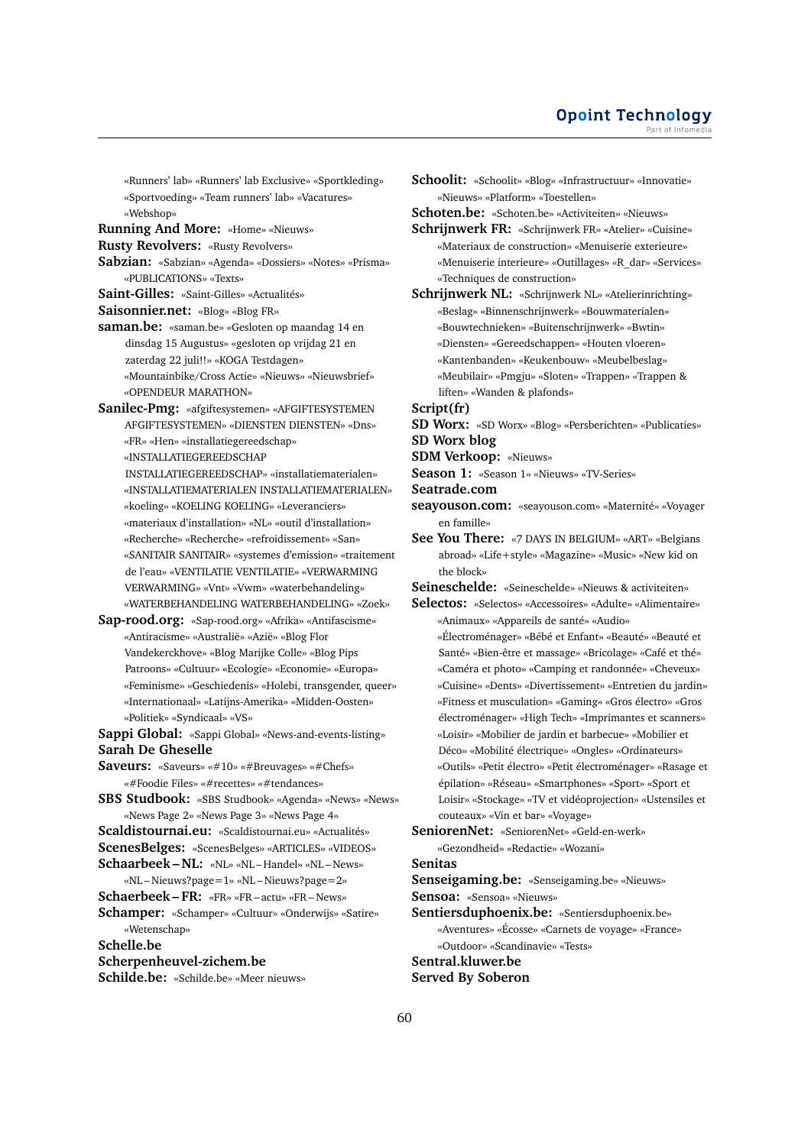«Runners' lab» «Runners' lab Exclusive» «Sportkleding» «Sportvoeding» «Team runners' lab» «Vacatures» «Webshop»

**Running And More:** «Home» «Nieuws»

**Rusty Revolvers:** «Rusty Revolvers»

- **Sabzian:** «Sabzian» «Agenda» «Dossiers» «Notes» «Prisma» «PUBLICATIONS» «Texts»
- **Saint-Gilles:** «Saint-Gilles» «Actualités»
- **Saisonnier.net:** «Blog» «Blog FR»

**saman.be:** «saman.be» «Gesloten op maandag 14 en dinsdag 15 Augustus» «gesloten op vrijdag 21 en zaterdag 22 juli!!» «KOGA Testdagen» «Mountainbike/Cross Actie» «Nieuws» «Nieuwsbrief» «OPENDEUR MARATHON»

**Sanilec-Pmg:** «afgiftesystemen» «AFGIFTESYSTEMEN AFGIFTESYSTEMEN» «DIENSTEN DIENSTEN» «Dns» «FR» «Hen» «installatiegereedschap» «INSTALLATIEGEREEDSCHAP INSTALLATIEGEREEDSCHAP» «installatiematerialen»

«INSTALLATIEMATERIALEN INSTALLATIEMATERIALEN» «koeling» «KOELING KOELING» «Leveranciers» «materiaux d'installation» «NL» «outil d'installation» «Recherche» «Recherche» «refroidissement» «San» «SANITAIR SANITAIR» «systemes d'emission» «traitement de l'eau» «VENTILATIE VENTILATIE» «VERWARMING VERWARMING» «Vnt» «Vwm» «waterbehandeling» «WATERBEHANDELING WATERBEHANDELING» «Zoek»

**Sap-rood.org:** «Sap-rood.org» «Afrika» «Antifascisme» «Antiracisme» «Australië» «Azië» «Blog Flor Vandekerckhove» «Blog Marijke Colle» «Blog Pips Patroons» «Cultuur» «Ecologie» «Economie» «Europa» «Feminisme» «Geschiedenis» «Holebi, transgender, queer» «Internationaal» «Latijns-Amerika» «Midden-Oosten» «Politiek» «Syndicaal» «VS»

**Sappi Global:** «Sappi Global» «News-and-events-listing» **Sarah De Gheselle**

**Saveurs:** «Saveurs» «#10» «#Breuvages» «#Chefs» «#Foodie Files» «#recettes» «#tendances»

**SBS Studbook:** «SBS Studbook» «Agenda» «News» «News» «News Page 2» «News Page 3» «News Page 4»

- **Scaldistournai.eu:** «Scaldistournai.eu» «Actualités»
- **ScenesBelges:** «ScenesBelges» «ARTICLES» «VIDEOS» Schaarbeek - NL: «NL» «NL-Handel» «NL-News»
- «NL Nieuws?page=1» «NL Nieuws?page=2»

**Schaerbeek – FR:** «FR» «FR – actu» «FR – News»

**Schamper:** «Schamper» «Cultuur» «Onderwijs» «Satire» «Wetenschap»

#### **Schelle.be**

**Scherpenheuvel-zichem.be**

**Schilde.be:** «Schilde.be» «Meer nieuws»

**Schoolit:** «Schoolit» «Blog» «Infrastructuur» «Innovatie» «Nieuws» «Platform» «Toestellen»

**Schoten.be:** «Schoten.be» «Activiteiten» «Nieuws»

- **Schrijnwerk FR:** «Schrijnwerk FR» «Atelier» «Cuisine» «Materiaux de construction» «Menuiserie exterieure» «Menuiserie interieure» «Outillages» «R\_dar» «Services» «Techniques de construction»
- **Schrijnwerk NL:** «Schrijnwerk NL» «Atelierinrichting» «Beslag» «Binnenschrijnwerk» «Bouwmaterialen» «Bouwtechnieken» «Buitenschrijnwerk» «Bwtin» «Diensten» «Gereedschappen» «Houten vloeren» «Kantenbanden» «Keukenbouw» «Meubelbeslag» «Meubilair» «Pmgju» «Sloten» «Trappen» «Trappen & liften» «Wanden & plafonds»
- **Script(fr)**
- **SD Worx:** «SD Worx» «Blog» «Persberichten» «Publicaties» **SD Worx blog**
- **SDM Verkoop:** «Nieuws»
- 

**Season 1:** «Season 1» «Nieuws» «TV-Series»

**Seatrade.com**

- **seayouson.com:** «seayouson.com» «Maternité» «Voyager en famille»
- **See You There:** «7 DAYS IN BELGIUM» «ART» «Belgians abroad» «Life+style» «Magazine» «Music» «New kid on the block»

**Seineschelde:** «Seineschelde» «Nieuws & activiteiten»

- **Selectos:** «Selectos» «Accessoires» «Adulte» «Alimentaire» «Animaux» «Appareils de santé» «Audio» «Électroménager» «Bébé et Enfant» «Beauté» «Beauté et Santé» «Bien-être et massage» «Bricolage» «Café et thé» «Caméra et photo» «Camping et randonnée» «Cheveux» «Cuisine» «Dents» «Divertissement» «Entretien du jardin» «Fitness et musculation» «Gaming» «Gros électro» «Gros électroménager» «High Tech» «Imprimantes et scanners» «Loisir» «Mobilier de jardin et barbecue» «Mobilier et Déco» «Mobilité électrique» «Ongles» «Ordinateurs» «Outils» «Petit électro» «Petit électroménager» «Rasage et épilation» «Réseau» «Smartphones» «Sport» «Sport et Loisir» «Stockage» «TV et vidéoprojection» «Ustensiles et couteaux» «Vin et bar» «Voyage»
- **SeniorenNet:** «SeniorenNet» «Geld-en-werk» «Gezondheid» «Redactie» «Wozani»

# **Senitas**

**Senseigaming.be:** «Senseigaming.be» «Nieuws» **Sensoa:** «Sensoa» «Nieuws»

**Sentiersduphoenix.be:** «Sentiersduphoenix.be» «Aventures» «Écosse» «Carnets de voyage» «France» «Outdoor» «Scandinavie» «Tests» **Sentral.kluwer.be Served By Soberon**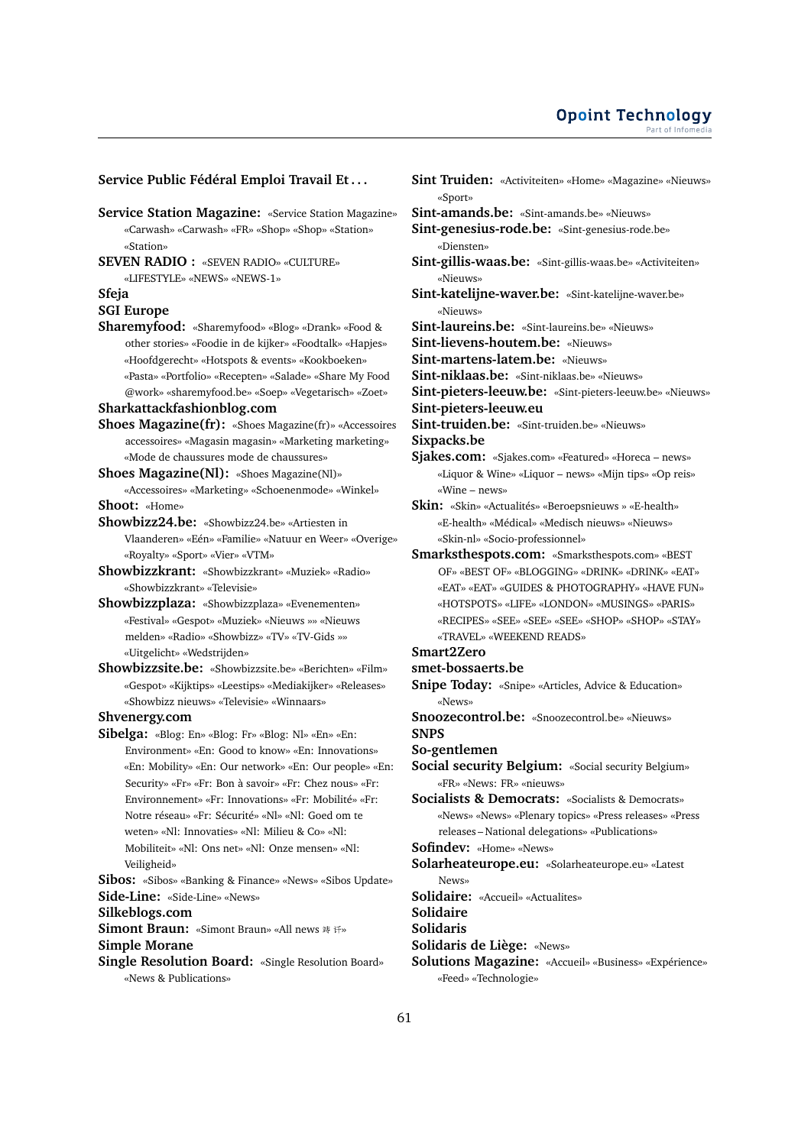## **Service Public Fédéral Emploi Travail Et . . .**

**Service Station Magazine:** «Service Station Magazine» «Carwash» «Carwash» «FR» «Shop» «Shop» «Station» «Station» **SEVEN RADIO :** «SEVEN RADIO» «CULTURE»

«LIFESTYLE» «NEWS» «NEWS-1»

**Sfeja**

# **SGI Europe**

**Sharemyfood:** «Sharemyfood» «Blog» «Drank» «Food & other stories» «Foodie in de kijker» «Foodtalk» «Hapjes» «Hoofdgerecht» «Hotspots & events» «Kookboeken» «Pasta» «Portfolio» «Recepten» «Salade» «Share My Food @work» «sharemyfood.be» «Soep» «Vegetarisch» «Zoet»

## **Sharkattackfashionblog.com**

- **Shoes Magazine(fr):** «Shoes Magazine(fr)» «Accessoires accessoires» «Magasin magasin» «Marketing marketing» «Mode de chaussures mode de chaussures»
- **Shoes Magazine(Nl):** «Shoes Magazine(Nl)»
- «Accessoires» «Marketing» «Schoenenmode» «Winkel» **Shoot:** «Home»

**Showbizz24.be:** «Showbizz24.be» «Artiesten in

Vlaanderen» «Eén» «Familie» «Natuur en Weer» «Overige» «Royalty» «Sport» «Vier» «VTM»

**Showbizzkrant:** «Showbizzkrant» «Muziek» «Radio» «Showbizzkrant» «Televisie»

**Showbizzplaza:** «Showbizzplaza» «Evenementen» «Festival» «Gespot» «Muziek» «Nieuws »» «Nieuws melden» «Radio» «Showbizz» «TV» «TV-Gids »» «Uitgelicht» «Wedstrijden»

**Showbizzsite.be:** «Showbizzsite.be» «Berichten» «Film» «Gespot» «Kijktips» «Leestips» «Mediakijker» «Releases» «Showbizz nieuws» «Televisie» «Winnaars»

## **Shvenergy.com**

**Sibelga:** «Blog: En» «Blog: Fr» «Blog: Nl» «En» «En: Environment» «En: Good to know» «En: Innovations» «En: Mobility» «En: Our network» «En: Our people» «En: Security» «Fr» «Fr: Bon à savoir» «Fr: Chez nous» «Fr: Environnement» «Fr: Innovations» «Fr: Mobilité» «Fr: Notre réseau» «Fr: Sécurité» «Nl» «Nl: Goed om te weten» «Nl: Innovaties» «Nl: Milieu & Co» «Nl: Mobiliteit» «Nl: Ons net» «Nl: Onze mensen» «Nl: Veiligheid»

**Sibos:** «Sibos» «Banking & Finance» «News» «Sibos Update» **Side-Line:** «Side-Line» «News»

**Silkeblogs.com**

**Simont Braun:** «Simont Braun» «All news 转 if» **Simple Morane**

**Single Resolution Board:** «Single Resolution Board» «News & Publications»

- **Sint Truiden:** «Activiteiten» «Home» «Magazine» «Nieuws» «Sport»
- **Sint-amands.be:** «Sint-amands.be» «Nieuws»
- **Sint-genesius-rode.be:** «Sint-genesius-rode.be» «Diensten»
- **Sint-gillis-waas.be:** «Sint-gillis-waas.be» «Activiteiten» «Nieuws»
- **Sint-katelijne-waver.be:** «Sint-katelijne-waver.be» «Nieuws»
- **Sint-laureins.be:** «Sint-laureins.be» «Nieuws»
- **Sint-lievens-houtem.be:** «Nieuws»
- **Sint-martens-latem.be:** «Nieuws»
- **Sint-niklaas.be:** «Sint-niklaas.be» «Nieuws»
- **Sint-pieters-leeuw.be:** «Sint-pieters-leeuw.be» «Nieuws»
- **Sint-pieters-leeuw.eu**
- **Sint-truiden.be:** «Sint-truiden.be» «Nieuws»
- **Sixpacks.be**

**Sjakes.com:** «Sjakes.com» «Featured» «Horeca – news» «Liquor & Wine» «Liquor – news» «Mijn tips» «Op reis» «Wine – news»

- **Skin:** «Skin» «Actualités» «Beroepsnieuws » «E-health» «E-health» «Médical» «Medisch nieuws» «Nieuws» «Skin-nl» «Socio-professionnel»
- **Smarksthespots.com:** «Smarksthespots.com» «BEST OF» «BEST OF» «BLOGGING» «DRINK» «DRINK» «EAT» «EAT» «EAT» «GUIDES & PHOTOGRAPHY» «HAVE FUN» «HOTSPOTS» «LIFE» «LONDON» «MUSINGS» «PARIS» «RECIPES» «SEE» «SEE» «SEE» «SHOP» «SHOP» «STAY» «TRAVEL» «WEEKEND READS»

# **Smart2Zero**

- **smet-bossaerts.be**
- **Snipe Today:** «Snipe» «Articles, Advice & Education» «News»
- **Snoozecontrol.be:** «Snoozecontrol.be» «Nieuws» **SNPS**

## **So-gentlemen**

- **Social security Belgium:** «Social security Belgium» «FR» «News: FR» «nieuws»
- **Socialists & Democrats:** «Socialists & Democrats» «News» «News» «Plenary topics» «Press releases» «Press releases – National delegations» «Publications»
- **Sofindev:** «Home» «News»
- **Solarheateurope.eu:** «Solarheateurope.eu» «Latest News»

**Solidaire:** «Accueil» «Actualites»

- **Solidaire**
- **Solidaris**
- **Solidaris de Liège:** «News»
- **Solutions Magazine:** «Accueil» «Business» «Expérience» «Feed» «Technologie»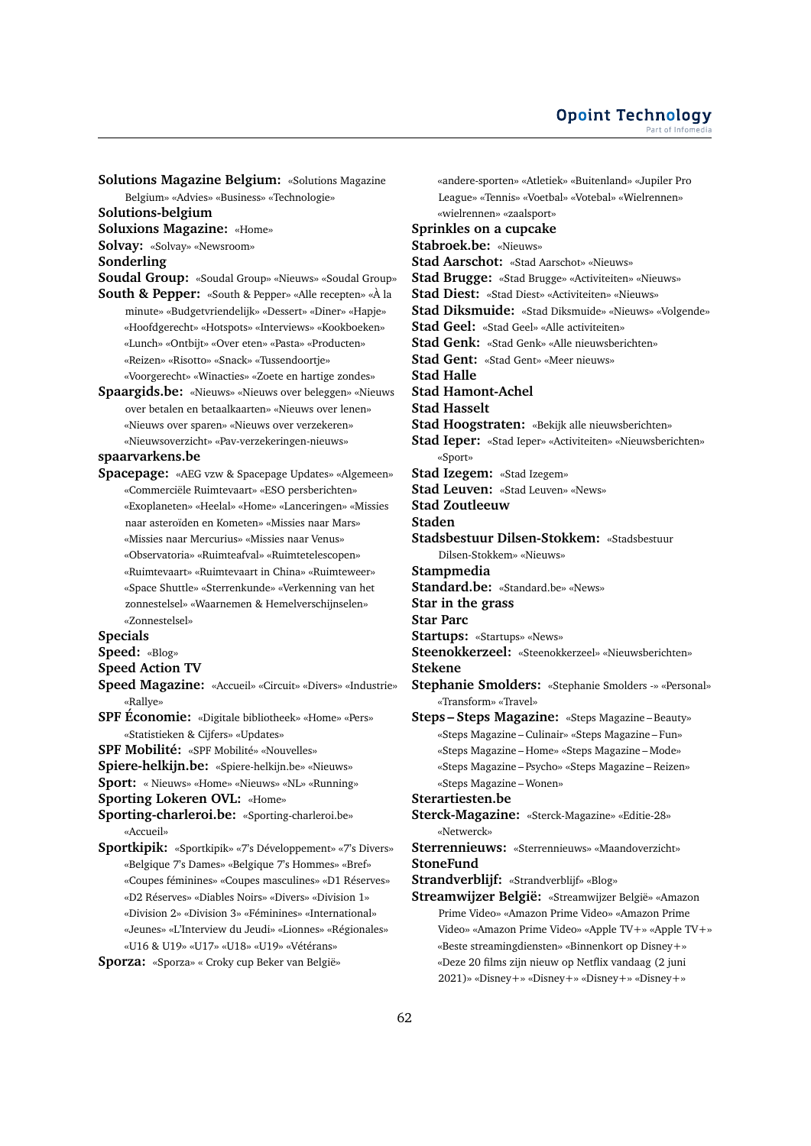**Solutions Magazine Belgium:** «Solutions Magazine Belgium» «Advies» «Business» «Technologie»

**Solutions-belgium**

**Soluxions Magazine:** «Home»

**Solvay:** «Solvay» «Newsroom»

**Sonderling**

**Soudal Group:** «Soudal Group» «Nieuws» «Soudal Group» **South & Pepper:** «South & Pepper» «Alle recepten» «À la minute» «Budgetvriendelijk» «Dessert» «Diner» «Hapje» «Hoofdgerecht» «Hotspots» «Interviews» «Kookboeken» «Lunch» «Ontbijt» «Over eten» «Pasta» «Producten»

«Reizen» «Risotto» «Snack» «Tussendoortje»

«Voorgerecht» «Winacties» «Zoete en hartige zondes» **Spaargids.be:** «Nieuws» «Nieuws over beleggen» «Nieuws over betalen en betaalkaarten» «Nieuws over lenen» «Nieuws over sparen» «Nieuws over verzekeren» «Nieuwsoverzicht» «Pav-verzekeringen-nieuws»

**spaarvarkens.be**

**Spacepage:** «AEG vzw & Spacepage Updates» «Algemeen» «Commerciële Ruimtevaart» «ESO persberichten» «Exoplaneten» «Heelal» «Home» «Lanceringen» «Missies naar asteroïden en Kometen» «Missies naar Mars» «Missies naar Mercurius» «Missies naar Venus» «Observatoria» «Ruimteafval» «Ruimtetelescopen» «Ruimtevaart» «Ruimtevaart in China» «Ruimteweer» «Space Shuttle» «Sterrenkunde» «Verkenning van het zonnestelsel» «Waarnemen & Hemelverschijnselen» «Zonnestelsel»

## **Specials**

**Speed:** «Blog»

- **Speed Action TV**
- **Speed Magazine:** «Accueil» «Circuit» «Divers» «Industrie» «Rallye»
- **SPF Économie:** «Digitale bibliotheek» «Home» «Pers» «Statistieken & Cijfers» «Updates»

**SPF Mobilité:** «SPF Mobilité» «Nouvelles»

**Spiere-helkijn.be:** «Spiere-helkijn.be» «Nieuws»

**Sport:** « Nieuws» «Home» «Nieuws» «NL» «Running»

**Sporting Lokeren OVL:** «Home»

**Sporting-charleroi.be:** «Sporting-charleroi.be» «Accueil»

**Sportkipik:** «Sportkipik» «7's Développement» «7's Divers» «Belgique 7's Dames» «Belgique 7's Hommes» «Bref» «Coupes féminines» «Coupes masculines» «D1 Réserves» «D2 Réserves» «Diables Noirs» «Divers» «Division 1» «Division 2» «Division 3» «Féminines» «International» «Jeunes» «L'Interview du Jeudi» «Lionnes» «Régionales» «U16 & U19» «U17» «U18» «U19» «Vétérans»

**Sporza:** «Sporza» « Croky cup Beker van België»

«andere-sporten» «Atletiek» «Buitenland» «Jupiler Pro League» «Tennis» «Voetbal» «Votebal» «Wielrennen» «wielrennen» «zaalsport» **Sprinkles on a cupcake Stabroek.be:** «Nieuws» **Stad Aarschot:** «Stad Aarschot» «Nieuws» **Stad Brugge:** «Stad Brugge» «Activiteiten» «Nieuws» **Stad Diest:** «Stad Diest» «Activiteiten» «Nieuws» **Stad Diksmuide:** «Stad Diksmuide» «Nieuws» «Volgende» **Stad Geel:** «Stad Geel» «Alle activiteiten» **Stad Genk:** «Stad Genk» «Alle nieuwsberichten» **Stad Gent:** «Stad Gent» «Meer nieuws» **Stad Halle Stad Hamont-Achel Stad Hasselt Stad Hoogstraten:** «Bekijk alle nieuwsberichten» **Stad Ieper:** «Stad Ieper» «Activiteiten» «Nieuwsberichten» «Sport» **Stad Izegem:** «Stad Izegem» **Stad Leuven:** «Stad Leuven» «News» **Stad Zoutleeuw Staden Stadsbestuur Dilsen-Stokkem:** «Stadsbestuur Dilsen-Stokkem» «Nieuws» **Stampmedia Standard.be:** «Standard.be» «News» **Star in the grass Star Parc Startups:** «Startups» «News» **Steenokkerzeel:** «Steenokkerzeel» «Nieuwsberichten» **Stekene Stephanie Smolders:** «Stephanie Smolders -» «Personal» «Transform» «Travel» **Steps – Steps Magazine:** «Steps Magazine – Beauty» «Steps Magazine – Culinair» «Steps Magazine – Fun» «Steps Magazine – Home» «Steps Magazine – Mode» «Steps Magazine – Psycho» «Steps Magazine – Reizen» «Steps Magazine – Wonen» **Sterartiesten.be Sterck-Magazine:** «Sterck-Magazine» «Editie-28» «Netwerck» **Sterrennieuws:** «Sterrennieuws» «Maandoverzicht» **StoneFund Strandverblijf:** «Strandverblijf» «Blog» **Streamwijzer België:** «Streamwijzer België» «Amazon Prime Video» «Amazon Prime Video» «Amazon Prime Video» «Amazon Prime Video» «Apple TV+» «Apple TV+»

«Beste streamingdiensten» «Binnenkort op Disney+» «Deze 20 films zijn nieuw op Netflix vandaag (2 juni 2021)» «Disney+» «Disney+» «Disney+» «Disney+»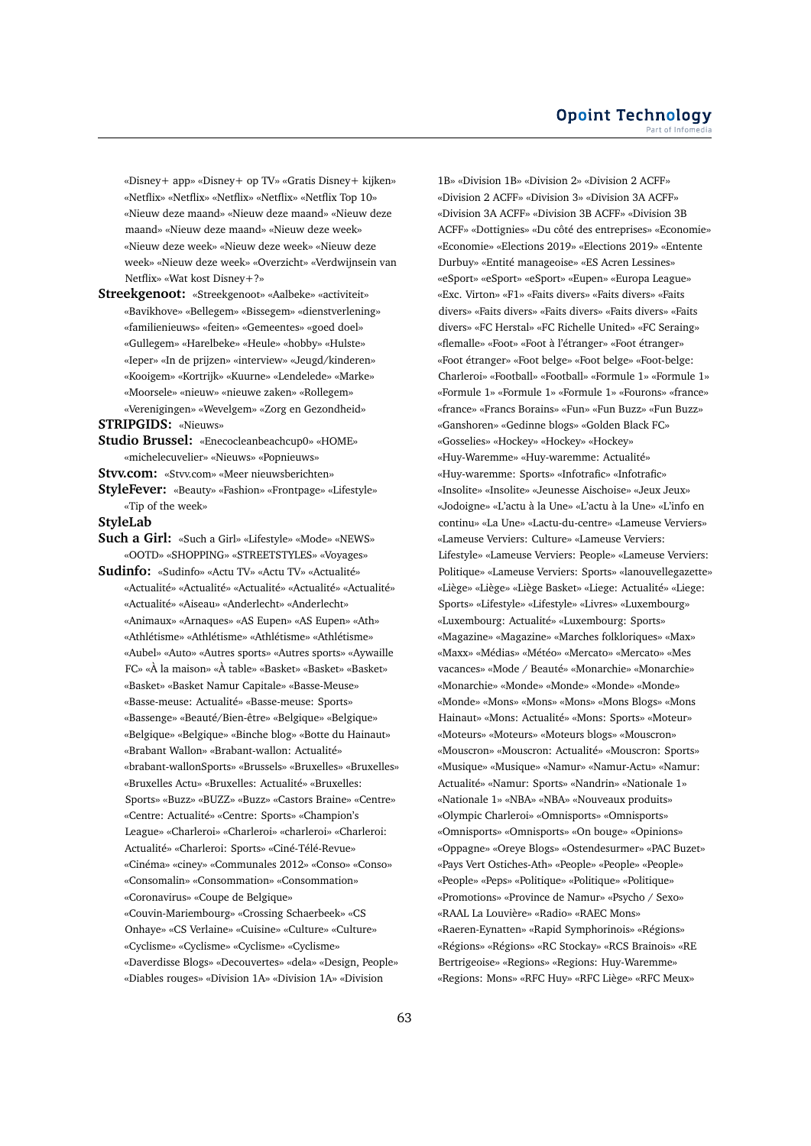«Disney+ app» «Disney+ op TV» «Gratis Disney+ kijken» «Netflix» «Netflix» «Netflix» «Netflix» «Netflix Top 10» «Nieuw deze maand» «Nieuw deze maand» «Nieuw deze maand» «Nieuw deze maand» «Nieuw deze week» «Nieuw deze week» «Nieuw deze week» «Nieuw deze week» «Nieuw deze week» «Overzicht» «Verdwijnsein van Netflix» «Wat kost Disney+?»

**Streekgenoot:** «Streekgenoot» «Aalbeke» «activiteit» «Bavikhove» «Bellegem» «Bissegem» «dienstverlening» «familienieuws» «feiten» «Gemeentes» «goed doel» «Gullegem» «Harelbeke» «Heule» «hobby» «Hulste» «Ieper» «In de prijzen» «interview» «Jeugd/kinderen» «Kooigem» «Kortrijk» «Kuurne» «Lendelede» «Marke» «Moorsele» «nieuw» «nieuwe zaken» «Rollegem» «Verenigingen» «Wevelgem» «Zorg en Gezondheid»

## **STRIPGIDS:** «Nieuws»

- **Studio Brussel:** «Enecocleanbeachcup0» «HOME» «michelecuvelier» «Nieuws» «Popnieuws»
- **Stvv.com:** «Stvv.com» «Meer nieuwsberichten»
- **StyleFever:** «Beauty» «Fashion» «Frontpage» «Lifestyle» «Tip of the week»

**StyleLab**

- **Such a Girl:** «Such a Girl» «Lifestyle» «Mode» «NEWS» «OOTD» «SHOPPING» «STREETSTYLES» «Voyages»
- **Sudinfo:** «Sudinfo» «Actu TV» «Actu TV» «Actualité» «Actualité» «Actualité» «Actualité» «Actualité» «Actualité» «Actualité» «Aiseau» «Anderlecht» «Anderlecht» «Animaux» «Arnaques» «AS Eupen» «AS Eupen» «Ath» «Athlétisme» «Athlétisme» «Athlétisme» «Athlétisme» «Aubel» «Auto» «Autres sports» «Autres sports» «Aywaille FC» «À la maison» «À table» «Basket» «Basket» «Basket» «Basket» «Basket Namur Capitale» «Basse-Meuse» «Basse-meuse: Actualité» «Basse-meuse: Sports» «Bassenge» «Beauté/Bien-être» «Belgique» «Belgique» «Belgique» «Belgique» «Binche blog» «Botte du Hainaut» «Brabant Wallon» «Brabant-wallon: Actualité» «brabant-wallonSports» «Brussels» «Bruxelles» «Bruxelles» «Bruxelles Actu» «Bruxelles: Actualité» «Bruxelles: Sports» «Buzz» «BUZZ» «Buzz» «Castors Braine» «Centre» «Centre: Actualité» «Centre: Sports» «Champion's League» «Charleroi» «Charleroi» «charleroi» «Charleroi: Actualité» «Charleroi: Sports» «Ciné-Télé-Revue» «Cinéma» «ciney» «Communales 2012» «Conso» «Conso» «Consomalin» «Consommation» «Consommation» «Coronavirus» «Coupe de Belgique» «Couvin-Mariembourg» «Crossing Schaerbeek» «CS Onhaye» «CS Verlaine» «Cuisine» «Culture» «Culture» «Cyclisme» «Cyclisme» «Cyclisme» «Cyclisme» «Daverdisse Blogs» «Decouvertes» «dela» «Design, People» «Diables rouges» «Division 1A» «Division 1A» «Division

1B» «Division 1B» «Division 2» «Division 2 ACFF» «Division 2 ACFF» «Division 3» «Division 3A ACFF» «Division 3A ACFF» «Division 3B ACFF» «Division 3B ACFF» «Dottignies» «Du côté des entreprises» «Economie» «Economie» «Elections 2019» «Elections 2019» «Entente Durbuy» «Entité manageoise» «ES Acren Lessines» «eSport» «eSport» «eSport» «Eupen» «Europa League» «Exc. Virton» «F1» «Faits divers» «Faits divers» «Faits divers» «Faits divers» «Faits divers» «Faits divers» «Faits divers» «FC Herstal» «FC Richelle United» «FC Seraing» «flemalle» «Foot» «Foot à l'étranger» «Foot étranger» «Foot étranger» «Foot belge» «Foot belge» «Foot-belge: Charleroi» «Football» «Football» «Formule 1» «Formule 1» «Formule 1» «Formule 1» «Formule 1» «Fourons» «france» «france» «Francs Borains» «Fun» «Fun Buzz» «Fun Buzz» «Ganshoren» «Gedinne blogs» «Golden Black FC» «Gosselies» «Hockey» «Hockey» «Hockey» «Huy-Waremme» «Huy-waremme: Actualité» «Huy-waremme: Sports» «Infotrafic» «Infotrafic» «Insolite» «Insolite» «Jeunesse Aischoise» «Jeux Jeux» «Jodoigne» «L'actu à la Une» «L'actu à la Une» «L'info en continu» «La Une» «Lactu-du-centre» «Lameuse Verviers» «Lameuse Verviers: Culture» «Lameuse Verviers: Lifestyle» «Lameuse Verviers: People» «Lameuse Verviers: Politique» «Lameuse Verviers: Sports» «lanouvellegazette» «Liège» «Liège» «Liège Basket» «Liege: Actualité» «Liege: Sports» «Lifestyle» «Lifestyle» «Livres» «Luxembourg» «Luxembourg: Actualité» «Luxembourg: Sports» «Magazine» «Magazine» «Marches folkloriques» «Max» «Maxx» «Médias» «Météo» «Mercato» «Mercato» «Mes vacances» «Mode / Beauté» «Monarchie» «Monarchie» «Monarchie» «Monde» «Monde» «Monde» «Monde» «Monde» «Mons» «Mons» «Mons» «Mons Blogs» «Mons Hainaut» «Mons: Actualité» «Mons: Sports» «Moteur» «Moteurs» «Moteurs» «Moteurs blogs» «Mouscron» «Mouscron» «Mouscron: Actualité» «Mouscron: Sports» «Musique» «Musique» «Namur» «Namur-Actu» «Namur: Actualité» «Namur: Sports» «Nandrin» «Nationale 1» «Nationale 1» «NBA» «NBA» «Nouveaux produits» «Olympic Charleroi» «Omnisports» «Omnisports» «Omnisports» «Omnisports» «On bouge» «Opinions» «Oppagne» «Oreye Blogs» «Ostendesurmer» «PAC Buzet» «Pays Vert Ostiches-Ath» «People» «People» «People» «People» «Peps» «Politique» «Politique» «Politique» «Promotions» «Province de Namur» «Psycho / Sexo» «RAAL La Louvière» «Radio» «RAEC Mons» «Raeren-Eynatten» «Rapid Symphorinois» «Régions» «Régions» «Régions» «RC Stockay» «RCS Brainois» «RE Bertrigeoise» «Regions» «Regions: Huy-Waremme» «Regions: Mons» «RFC Huy» «RFC Liège» «RFC Meux»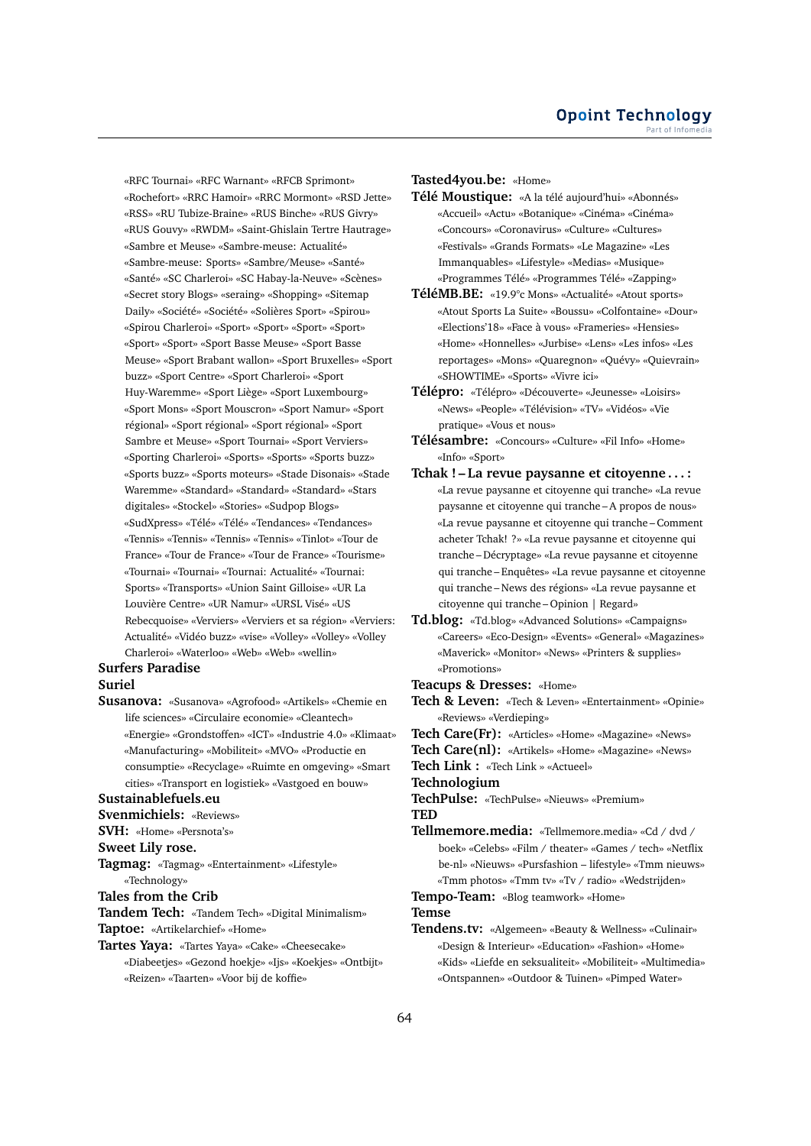«RFC Tournai» «RFC Warnant» «RFCB Sprimont» «Rochefort» «RRC Hamoir» «RRC Mormont» «RSD Jette» «RSS» «RU Tubize-Braine» «RUS Binche» «RUS Givry» «RUS Gouvy» «RWDM» «Saint-Ghislain Tertre Hautrage» «Sambre et Meuse» «Sambre-meuse: Actualité» «Sambre-meuse: Sports» «Sambre/Meuse» «Santé» «Santé» «SC Charleroi» «SC Habay-la-Neuve» «Scènes» «Secret story Blogs» «seraing» «Shopping» «Sitemap Daily» «Société» «Société» «Solières Sport» «Spirou» «Spirou Charleroi» «Sport» «Sport» «Sport» «Sport» «Sport» «Sport» «Sport Basse Meuse» «Sport Basse Meuse» «Sport Brabant wallon» «Sport Bruxelles» «Sport buzz» «Sport Centre» «Sport Charleroi» «Sport Huy-Waremme» «Sport Liège» «Sport Luxembourg» «Sport Mons» «Sport Mouscron» «Sport Namur» «Sport régional» «Sport régional» «Sport régional» «Sport Sambre et Meuse» «Sport Tournai» «Sport Verviers» «Sporting Charleroi» «Sports» «Sports» «Sports buzz» «Sports buzz» «Sports moteurs» «Stade Disonais» «Stade Waremme» «Standard» «Standard» «Standard» «Stars digitales» «Stockel» «Stories» «Sudpop Blogs» «SudXpress» «Télé» «Télé» «Tendances» «Tendances» «Tennis» «Tennis» «Tennis» «Tennis» «Tinlot» «Tour de France» «Tour de France» «Tour de France» «Tourisme» «Tournai» «Tournai» «Tournai: Actualité» «Tournai: Sports» «Transports» «Union Saint Gilloise» «UR La Louvière Centre» «UR Namur» «URSL Visé» «US Rebecquoise» «Verviers» «Verviers et sa région» «Verviers: Actualité» «Vidéo buzz» «vise» «Volley» «Volley» «Volley Charleroi» «Waterloo» «Web» «Web» «wellin» **Surfers Paradise**

## **Suriel**

**Susanova:** «Susanova» «Agrofood» «Artikels» «Chemie en life sciences» «Circulaire economie» «Cleantech» «Energie» «Grondstoffen» «ICT» «Industrie 4.0» «Klimaat» «Manufacturing» «Mobiliteit» «MVO» «Productie en consumptie» «Recyclage» «Ruimte en omgeving» «Smart cities» «Transport en logistiek» «Vastgoed en bouw»

# **Sustainablefuels.eu**

**Svenmichiels:** «Reviews»

**SVH:** «Home» «Persnota's»

**Sweet Lily rose.**

**Tagmag:** «Tagmag» «Entertainment» «Lifestyle» «Technology»

**Tales from the Crib**

**Tandem Tech:** «Tandem Tech» «Digital Minimalism»

**Taptoe:** «Artikelarchief» «Home»

**Tartes Yaya:** «Tartes Yaya» «Cake» «Cheesecake» «Diabeetjes» «Gezond hoekje» «Ijs» «Koekjes» «Ontbijt» «Reizen» «Taarten» «Voor bij de koffie»

**Tasted4you.be:** «Home»

- **Télé Moustique:** «A la télé aujourd'hui» «Abonnés» «Accueil» «Actu» «Botanique» «Cinéma» «Cinéma» «Concours» «Coronavirus» «Culture» «Cultures» «Festivals» «Grands Formats» «Le Magazine» «Les Immanquables» «Lifestyle» «Medias» «Musique» «Programmes Télé» «Programmes Télé» «Zapping»
- **TéléMB.BE:** «19.9°c Mons» «Actualité» «Atout sports» «Atout Sports La Suite» «Boussu» «Colfontaine» «Dour» «Elections'18» «Face à vous» «Frameries» «Hensies» «Home» «Honnelles» «Jurbise» «Lens» «Les infos» «Les reportages» «Mons» «Quaregnon» «Quévy» «Quievrain» «SHOWTIME» «Sports» «Vivre ici»
- **Télépro:** «Télépro» «Découverte» «Jeunesse» «Loisirs» «News» «People» «Télévision» «TV» «Vidéos» «Vie pratique» «Vous et nous»
- **Télésambre:** «Concours» «Culture» «Fil Info» «Home» «Info» «Sport»
- **Tchak ! La revue paysanne et citoyenne . . . :** «La revue paysanne et citoyenne qui tranche» «La revue paysanne et citoyenne qui tranche – A propos de nous» «La revue paysanne et citoyenne qui tranche – Comment acheter Tchak! ?» «La revue paysanne et citoyenne qui tranche – Décryptage» «La revue paysanne et citoyenne qui tranche – Enquêtes» «La revue paysanne et citoyenne qui tranche – News des régions» «La revue paysanne et citoyenne qui tranche – Opinion | Regard»
- **Td.blog:** «Td.blog» «Advanced Solutions» «Campaigns» «Careers» «Eco-Design» «Events» «General» «Magazines» «Maverick» «Monitor» «News» «Printers & supplies» «Promotions»

**Teacups & Dresses:** «Home»

**Tech & Leven:** «Tech & Leven» «Entertainment» «Opinie» «Reviews» «Verdieping»

**Tech Care(Fr):** «Articles» «Home» «Magazine» «News»

**Tech Care(nl):** «Artikels» «Home» «Magazine» «News»

**Tech Link :** «Tech Link » «Actueel»

**Technologium**

**TechPulse:** «TechPulse» «Nieuws» «Premium» **TED**

**Tellmemore.media:** «Tellmemore.media» «Cd / dvd / boek» «Celebs» «Film / theater» «Games / tech» «Netflix be-nl» «Nieuws» «Pursfashion – lifestyle» «Tmm nieuws» «Tmm photos» «Tmm tv» «Tv / radio» «Wedstrijden»

**Tempo-Team:** «Blog teamwork» «Home»

# **Temse**

**Tendens.tv:** «Algemeen» «Beauty & Wellness» «Culinair» «Design & Interieur» «Education» «Fashion» «Home» «Kids» «Liefde en seksualiteit» «Mobiliteit» «Multimedia» «Ontspannen» «Outdoor & Tuinen» «Pimped Water»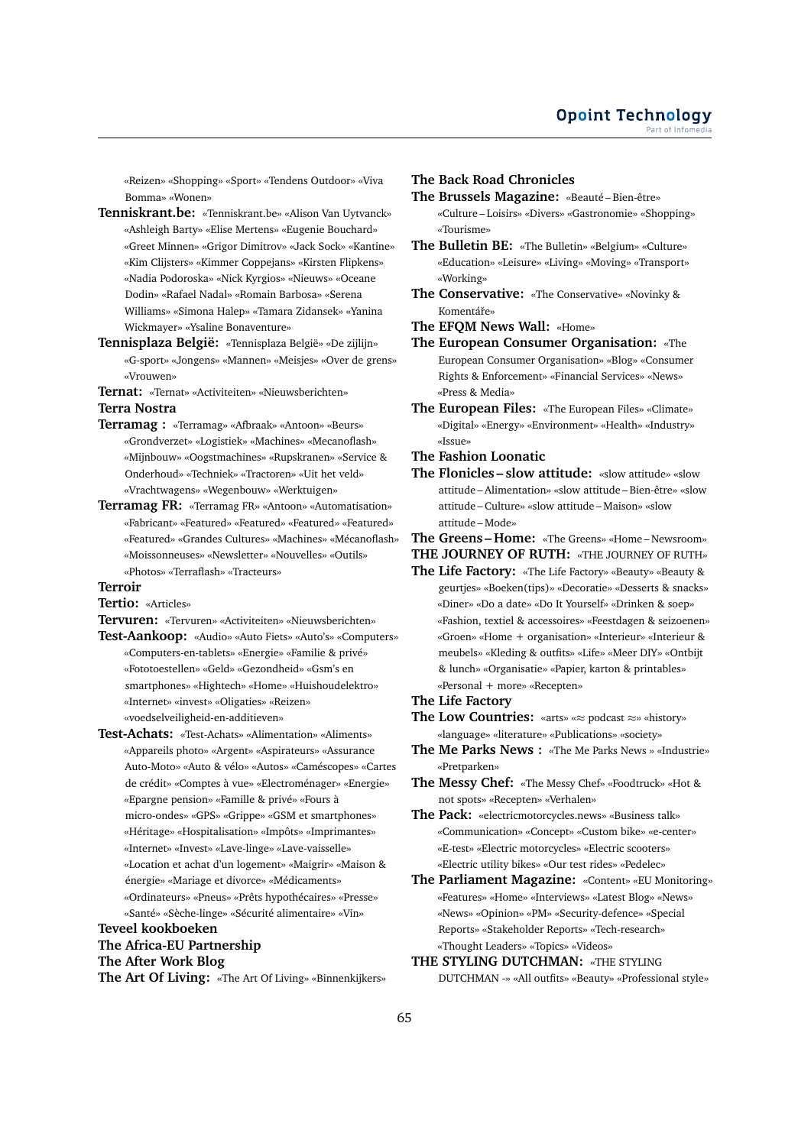«Reizen» «Shopping» «Sport» «Tendens Outdoor» «Viva Bomma» «Wonen»

- **Tenniskrant.be:** «Tenniskrant.be» «Alison Van Uytvanck» «Ashleigh Barty» «Elise Mertens» «Eugenie Bouchard» «Greet Minnen» «Grigor Dimitrov» «Jack Sock» «Kantine» «Kim Clijsters» «Kimmer Coppejans» «Kirsten Flipkens» «Nadia Podoroska» «Nick Kyrgios» «Nieuws» «Oceane Dodin» «Rafael Nadal» «Romain Barbosa» «Serena Williams» «Simona Halep» «Tamara Zidansek» «Yanina Wickmayer» «Ysaline Bonaventure»
- **Tennisplaza België:** «Tennisplaza België» «De zijlijn» «G-sport» «Jongens» «Mannen» «Meisjes» «Over de grens» «Vrouwen»
- **Ternat:** «Ternat» «Activiteiten» «Nieuwsberichten» **Terra Nostra**
- **Terramag :** «Terramag» «Afbraak» «Antoon» «Beurs» «Grondverzet» «Logistiek» «Machines» «Mecanoflash» «Mijnbouw» «Oogstmachines» «Rupskranen» «Service & Onderhoud» «Techniek» «Tractoren» «Uit het veld» «Vrachtwagens» «Wegenbouw» «Werktuigen»
- **Terramag FR:** «Terramag FR» «Antoon» «Automatisation» «Fabricant» «Featured» «Featured» «Featured» «Featured» «Featured» «Grandes Cultures» «Machines» «Mécanoflash» «Moissonneuses» «Newsletter» «Nouvelles» «Outils» «Photos» «Terraflash» «Tracteurs»

#### **Terroir**

**Tertio:** «Articles»

- **Tervuren:** «Tervuren» «Activiteiten» «Nieuwsberichten»
- **Test-Aankoop:** «Audio» «Auto Fiets» «Auto's» «Computers» «Computers-en-tablets» «Energie» «Familie & privé» «Fototoestellen» «Geld» «Gezondheid» «Gsm's en smartphones» «Hightech» «Home» «Huishoudelektro» «Internet» «invest» «Oligaties» «Reizen» «voedselveiligheid-en-additieven»
- **Test-Achats:** «Test-Achats» «Alimentation» «Aliments» «Appareils photo» «Argent» «Aspirateurs» «Assurance Auto-Moto» «Auto & vélo» «Autos» «Caméscopes» «Cartes de crédit» «Comptes à vue» «Electroménager» «Energie» «Epargne pension» «Famille & privé» «Fours à micro-ondes» «GPS» «Grippe» «GSM et smartphones» «Héritage» «Hospitalisation» «Impôts» «Imprimantes» «Internet» «Invest» «Lave-linge» «Lave-vaisselle» «Location et achat d'un logement» «Maigrir» «Maison & énergie» «Mariage et divorce» «Médicaments» «Ordinateurs» «Pneus» «Prêts hypothécaires» «Presse» «Santé» «Sèche-linge» «Sécurité alimentaire» «Vin»

# **Teveel kookboeken The Africa-EU Partnership The After Work Blog**

**The Art Of Living:** «The Art Of Living» «Binnenkijkers»

## **The Back Road Chronicles**

- **The Brussels Magazine:** «Beauté Bien-être» «Culture – Loisirs» «Divers» «Gastronomie» «Shopping» «Tourisme»
- **The Bulletin BE:** «The Bulletin» «Belgium» «Culture» «Education» «Leisure» «Living» «Moving» «Transport» «Working»
- **The Conservative:** «The Conservative» «Novinky & Komentáře»
- **The EFQM News Wall:** «Home»

**The European Consumer Organisation:** «The European Consumer Organisation» «Blog» «Consumer Rights & Enforcement» «Financial Services» «News» «Press & Media»

**The European Files:** «The European Files» «Climate» «Digital» «Energy» «Environment» «Health» «Industry» «Issue»

- **The Fashion Loonatic**
- **The Flonicles slow attitude:** «slow attitude» «slow attitude – Alimentation» «slow attitude – Bien-être» «slow attitude – Culture» «slow attitude – Maison» «slow attitude – Mode»

**The Greens – Home:** «The Greens» «Home – Newsroom»

**THE JOURNEY OF RUTH:** «THE JOURNEY OF RUTH»

- **The Life Factory:** «The Life Factory» «Beauty» «Beauty & geurtjes» «Boeken(tips)» «Decoratie» «Desserts & snacks» «Diner» «Do a date» «Do It Yourself» «Drinken & soep» «Fashion, textiel & accessoires» «Feestdagen & seizoenen» «Groen» «Home + organisation» «Interieur» «Interieur & meubels» «Kleding & outfits» «Life» «Meer DIY» «Ontbijt & lunch» «Organisatie» «Papier, karton & printables» «Personal + more» «Recepten»
- **The Life Factory**
- **The Low Countries:** «arts» «≈ podcast ≈» «history» «language» «literature» «Publications» «society»
- **The Me Parks News :** «The Me Parks News » «Industrie» «Pretparken»
- **The Messy Chef:** «The Messy Chef» «Foodtruck» «Hot & not spots» «Recepten» «Verhalen»

**The Pack:** «electricmotorcycles.news» «Business talk» «Communication» «Concept» «Custom bike» «e-center» «E-test» «Electric motorcycles» «Electric scooters» «Electric utility bikes» «Our test rides» «Pedelec»

**The Parliament Magazine:** «Content» «EU Monitoring» «Features» «Home» «Interviews» «Latest Blog» «News» «News» «Opinion» «PM» «Security-defence» «Special Reports» «Stakeholder Reports» «Tech-research» «Thought Leaders» «Topics» «Videos»

**THE STYLING DUTCHMAN:** «THE STYLING DUTCHMAN -» «All outfits» «Beauty» «Professional style»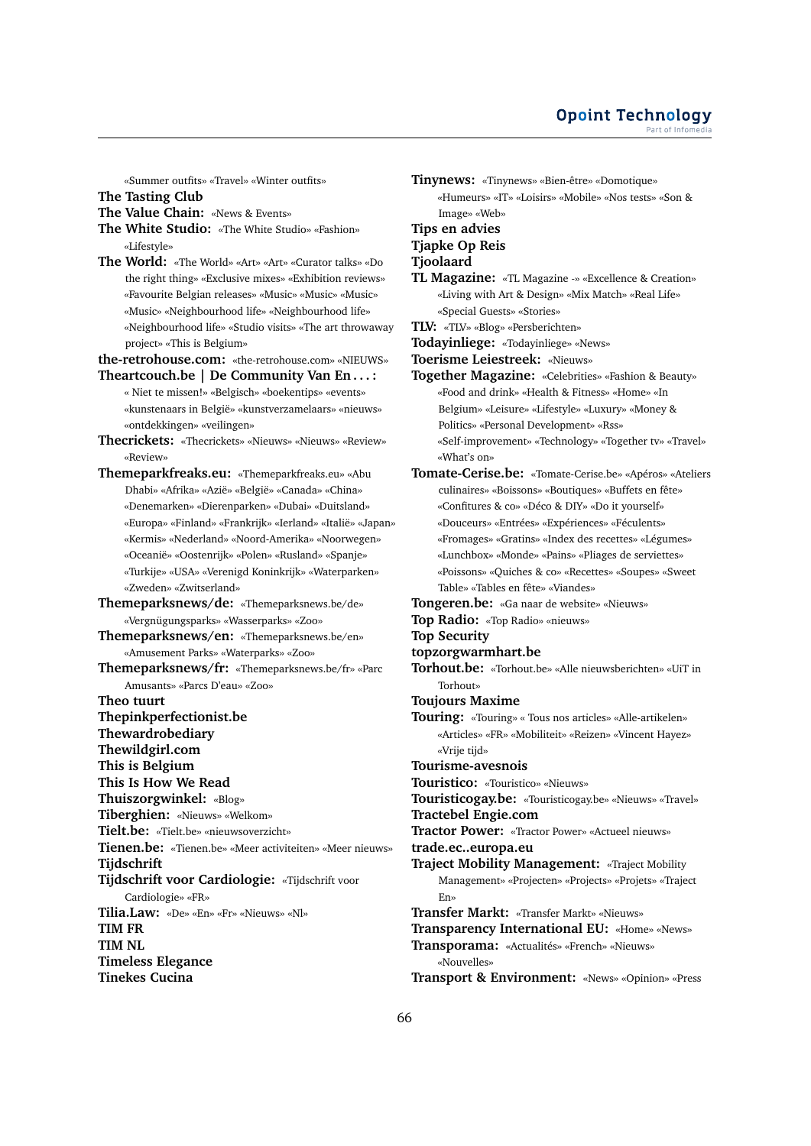«Summer outfits» «Travel» «Winter outfits»

**The Tasting Club**

**The Value Chain:** «News & Events»

**The White Studio:** «The White Studio» «Fashion» «Lifestyle»

**The World:** «The World» «Art» «Art» «Curator talks» «Do the right thing» «Exclusive mixes» «Exhibition reviews» «Favourite Belgian releases» «Music» «Music» «Music» «Music» «Neighbourhood life» «Neighbourhood life» «Neighbourhood life» «Studio visits» «The art throwaway project» «This is Belgium»

**the-retrohouse.com:** «the-retrohouse.com» «NIEUWS» **Theartcouch.be | De Community Van En . . . :**

- « Niet te missen!» «Belgisch» «boekentips» «events» «kunstenaars in België» «kunstverzamelaars» «nieuws» «ontdekkingen» «veilingen»
- **Thecrickets:** «Thecrickets» «Nieuws» «Nieuws» «Review» «Review»
- **Themeparkfreaks.eu:** «Themeparkfreaks.eu» «Abu Dhabi» «Afrika» «Azië» «België» «Canada» «China» «Denemarken» «Dierenparken» «Dubai» «Duitsland» «Europa» «Finland» «Frankrijk» «Ierland» «Italië» «Japan» «Kermis» «Nederland» «Noord-Amerika» «Noorwegen» «Oceanië» «Oostenrijk» «Polen» «Rusland» «Spanje» «Turkije» «USA» «Verenigd Koninkrijk» «Waterparken» «Zweden» «Zwitserland»
- **Themeparksnews/de:** «Themeparksnews.be/de» «Vergnügungsparks» «Wasserparks» «Zoo»
- **Themeparksnews/en:** «Themeparksnews.be/en» «Amusement Parks» «Waterparks» «Zoo»
- **Themeparksnews/fr:** «Themeparksnews.be/fr» «Parc Amusants» «Parcs D'eau» «Zoo»
- **Theo tuurt Thepinkperfectionist.be Thewardrobediary Thewildgirl.com This is Belgium This Is How We Read Thuiszorgwinkel:** «Blog» **Tiberghien:** «Nieuws» «Welkom» **Tielt.be:** «Tielt.be» «nieuwsoverzicht» **Tienen.be:** «Tienen.be» «Meer activiteiten» «Meer nieuws» **Tijdschrift Tijdschrift voor Cardiologie:** «Tijdschrift voor Cardiologie» «FR» **Tilia.Law:** «De» «En» «Fr» «Nieuws» «Nl» **TIM FR TIM NL**
	- **Timeless Elegance Tinekes Cucina**

**Tinynews:** «Tinynews» «Bien-être» «Domotique» «Humeurs» «IT» «Loisirs» «Mobile» «Nos tests» «Son & Image» «Web» **Tips en advies Tjapke Op Reis Tjoolaard TL Magazine:** «TL Magazine -» «Excellence & Creation» «Living with Art & Design» «Mix Match» «Real Life» «Special Guests» «Stories» **TLV:** «TLV» «Blog» «Persberichten» **Todayinliege:** «Todayinliege» «News» **Toerisme Leiestreek:** «Nieuws» **Together Magazine:** «Celebrities» «Fashion & Beauty» «Food and drink» «Health & Fitness» «Home» «In Belgium» «Leisure» «Lifestyle» «Luxury» «Money & Politics» «Personal Development» «Rss» «Self-improvement» «Technology» «Together tv» «Travel» «What's on» **Tomate-Cerise.be:** «Tomate-Cerise.be» «Apéros» «Ateliers culinaires» «Boissons» «Boutiques» «Buffets en fête» «Confitures & co» «Déco & DIY» «Do it yourself» «Douceurs» «Entrées» «Expériences» «Féculents» «Fromages» «Gratins» «Index des recettes» «Légumes» «Lunchbox» «Monde» «Pains» «Pliages de serviettes» «Poissons» «Quiches & co» «Recettes» «Soupes» «Sweet Table» «Tables en fête» «Viandes» **Tongeren.be:** «Ga naar de website» «Nieuws» **Top Radio:** «Top Radio» «nieuws» **Top Security topzorgwarmhart.be Torhout.be:** «Torhout.be» «Alle nieuwsberichten» «UiT in Torhout» **Toujours Maxime Touring:** «Touring» « Tous nos articles» «Alle-artikelen» «Articles» «FR» «Mobiliteit» «Reizen» «Vincent Hayez» «Vrije tijd» **Tourisme-avesnois**

**Touristico:** «Touristico» «Nieuws»

**Touristicogay.be:** «Touristicogay.be» «Nieuws» «Travel» **Tractebel Engie.com**

**Tractor Power:** «Tractor Power» «Actueel nieuws»

**trade.ec..europa.eu**

- **Traject Mobility Management:** «Traject Mobility Management» «Projecten» «Projects» «Projets» «Traject En»
- **Transfer Markt:** «Transfer Markt» «Nieuws»
- **Transparency International EU:** «Home» «News» **Transporama:** «Actualités» «French» «Nieuws»

«Nouvelles»

**Transport & Environment:** «News» «Opinion» «Press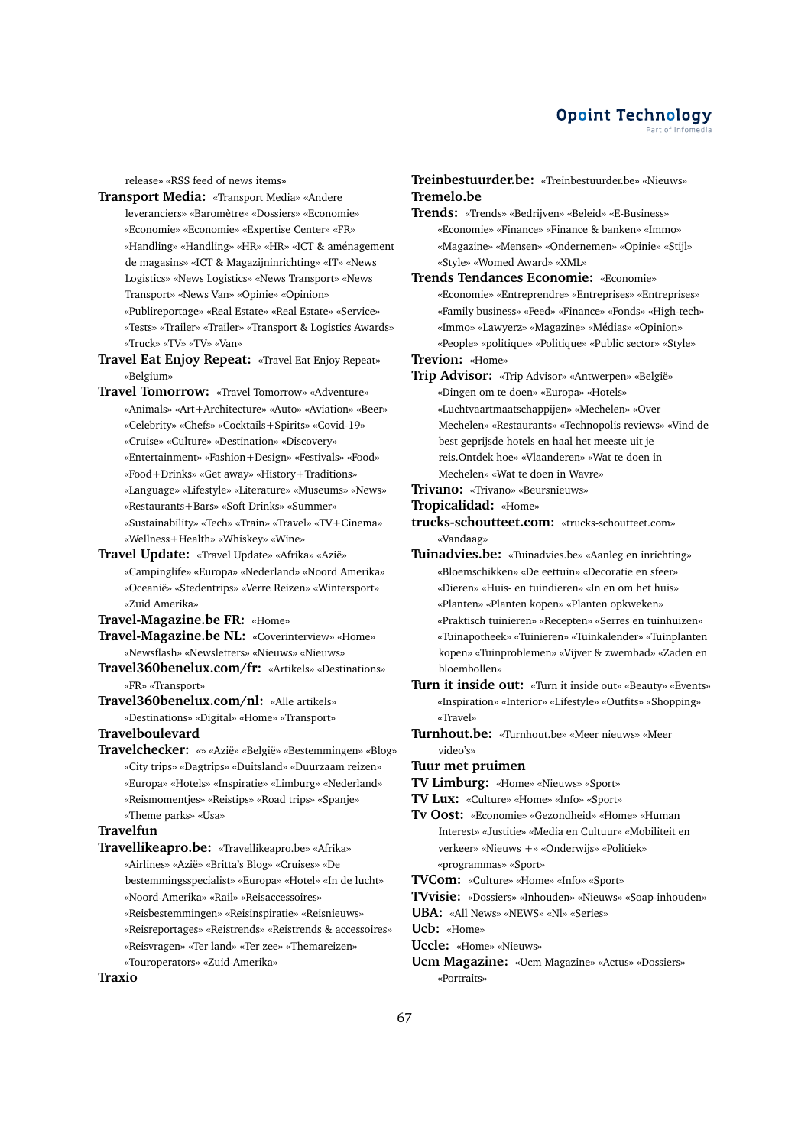release» «RSS feed of news items»

- **Transport Media:** «Transport Media» «Andere leveranciers» «Baromètre» «Dossiers» «Economie» «Economie» «Economie» «Expertise Center» «FR» «Handling» «Handling» «HR» «HR» «ICT & aménagement de magasins» «ICT & Magazijninrichting» «IT» «News Logistics» «News Logistics» «News Transport» «News Transport» «News Van» «Opinie» «Opinion» «Publireportage» «Real Estate» «Real Estate» «Service» «Tests» «Trailer» «Trailer» «Transport & Logistics Awards» «Truck» «TV» «TV» «Van»
- **Travel Eat Enjoy Repeat:** «Travel Eat Enjoy Repeat» «Belgium»
- **Travel Tomorrow:** «Travel Tomorrow» «Adventure» «Animals» «Art+Architecture» «Auto» «Aviation» «Beer» «Celebrity» «Chefs» «Cocktails+Spirits» «Covid-19» «Cruise» «Culture» «Destination» «Discovery» «Entertainment» «Fashion+Design» «Festivals» «Food» «Food+Drinks» «Get away» «History+Traditions» «Language» «Lifestyle» «Literature» «Museums» «News» «Restaurants+Bars» «Soft Drinks» «Summer» «Sustainability» «Tech» «Train» «Travel» «TV+Cinema» «Wellness+Health» «Whiskey» «Wine»
- **Travel Update:** «Travel Update» «Afrika» «Azië» «Campinglife» «Europa» «Nederland» «Noord Amerika» «Oceanië» «Stedentrips» «Verre Reizen» «Wintersport» «Zuid Amerika»

**Travel-Magazine.be FR:** «Home»

- **Travel-Magazine.be NL:** «Coverinterview» «Home» «Newsflash» «Newsletters» «Nieuws» «Nieuws»
- **Travel360benelux.com/fr:** «Artikels» «Destinations» «FR» «Transport»
- **Travel360benelux.com/nl:** «Alle artikels» «Destinations» «Digital» «Home» «Transport»

**Travelboulevard**

**Travelchecker:** «» «Azië» «België» «Bestemmingen» «Blog» «City trips» «Dagtrips» «Duitsland» «Duurzaam reizen» «Europa» «Hotels» «Inspiratie» «Limburg» «Nederland» «Reismomentjes» «Reistips» «Road trips» «Spanje» «Theme parks» «Usa»

## **Travelfun**

- **Travellikeapro.be:** «Travellikeapro.be» «Afrika» «Airlines» «Azië» «Britta's Blog» «Cruises» «De bestemmingsspecialist» «Europa» «Hotel» «In de lucht» «Noord-Amerika» «Rail» «Reisaccessoires»
	- «Reisbestemmingen» «Reisinspiratie» «Reisnieuws»
	- «Reisreportages» «Reistrends» «Reistrends & accessoires»
	- «Reisvragen» «Ter land» «Ter zee» «Themareizen»
	- «Touroperators» «Zuid-Amerika»

## **Traxio**

# **Treinbestuurder.be:** «Treinbestuurder.be» «Nieuws» **Tremelo.be**

- **Trends:** «Trends» «Bedrijven» «Beleid» «E-Business» «Economie» «Finance» «Finance & banken» «Immo» «Magazine» «Mensen» «Ondernemen» «Opinie» «Stijl» «Style» «Womed Award» «XML»
- **Trends Tendances Economie:** «Economie» «Economie» «Entreprendre» «Entreprises» «Entreprises» «Family business» «Feed» «Finance» «Fonds» «High-tech» «Immo» «Lawyerz» «Magazine» «Médias» «Opinion» «People» «politique» «Politique» «Public sector» «Style» **Trevion:** «Home»
- **Trip Advisor:** «Trip Advisor» «Antwerpen» «België» «Dingen om te doen» «Europa» «Hotels» «Luchtvaartmaatschappijen» «Mechelen» «Over Mechelen» «Restaurants» «Technopolis reviews» «Vind de best geprijsde hotels en haal het meeste uit je reis.Ontdek hoe» «Vlaanderen» «Wat te doen in Mechelen» «Wat te doen in Wavre»
- **Trivano:** «Trivano» «Beursnieuws»
- **Tropicalidad:** «Home»
- **trucks-schoutteet.com:** «trucks-schoutteet.com» «Vandaag»
- **Tuinadvies.be:** «Tuinadvies.be» «Aanleg en inrichting» «Bloemschikken» «De eettuin» «Decoratie en sfeer» «Dieren» «Huis- en tuindieren» «In en om het huis» «Planten» «Planten kopen» «Planten opkweken» «Praktisch tuinieren» «Recepten» «Serres en tuinhuizen» «Tuinapotheek» «Tuinieren» «Tuinkalender» «Tuinplanten kopen» «Tuinproblemen» «Vijver & zwembad» «Zaden en bloembollen»
- **Turn it inside out:** «Turn it inside out» «Beauty» «Events» «Inspiration» «Interior» «Lifestyle» «Outfits» «Shopping» «Travel»
- **Turnhout.be:** «Turnhout.be» «Meer nieuws» «Meer video's»
- **Tuur met pruimen**
- **TV Limburg:** «Home» «Nieuws» «Sport»
- **TV Lux:** «Culture» «Home» «Info» «Sport»
- **Tv Oost:** «Economie» «Gezondheid» «Home» «Human Interest» «Justitie» «Media en Cultuur» «Mobiliteit en verkeer» «Nieuws +» «Onderwijs» «Politiek» «programmas» «Sport»
- **TVCom:** «Culture» «Home» «Info» «Sport»
- **TVvisie:** «Dossiers» «Inhouden» «Nieuws» «Soap-inhouden»
- **UBA:** «All News» «NEWS» «Nl» «Series»
- **Ucb:** «Home»
- **Uccle:** «Home» «Nieuws»
- **Ucm Magazine:** «Ucm Magazine» «Actus» «Dossiers» «Portraits»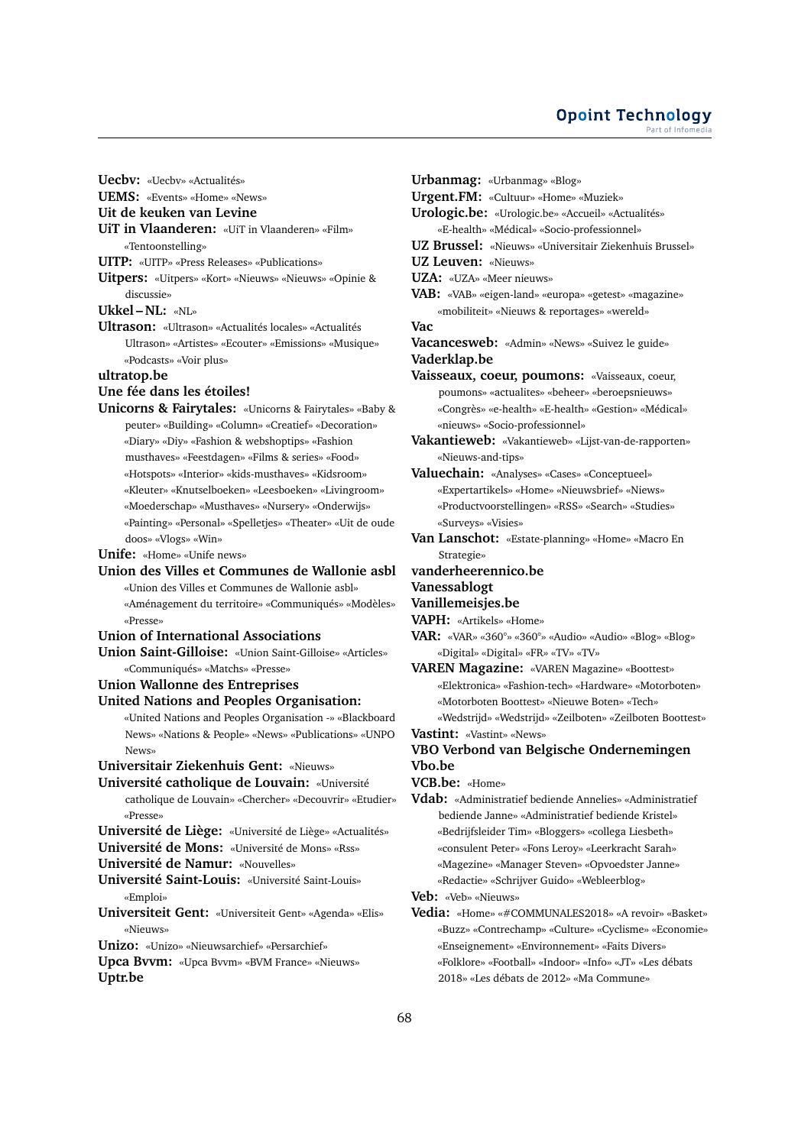**UiT in Vlaanderen:** «UiT in Vlaanderen» «Film» «Tentoonstelling» **UITP:** «UITP» «Press Releases» «Publications» **Uitpers:** «Uitpers» «Kort» «Nieuws» «Nieuws» «Opinie & discussie» **Ukkel – NL:** «NL» **Ultrason:** «Ultrason» «Actualités locales» «Actualités Ultrason» «Artistes» «Ecouter» «Emissions» «Musique» «Podcasts» «Voir plus» **ultratop.be Une fée dans les étoiles! Unicorns & Fairytales:** «Unicorns & Fairytales» «Baby & peuter» «Building» «Column» «Creatief» «Decoration» «Diary» «Diy» «Fashion & webshoptips» «Fashion musthaves» «Feestdagen» «Films & series» «Food» «Hotspots» «Interior» «kids-musthaves» «Kidsroom» «Kleuter» «Knutselboeken» «Leesboeken» «Livingroom» «Moederschap» «Musthaves» «Nursery» «Onderwijs» «Painting» «Personal» «Spelletjes» «Theater» «Uit de oude doos» «Vlogs» «Win» **Unife:** «Home» «Unife news» **Union des Villes et Communes de Wallonie asbl** «Union des Villes et Communes de Wallonie asbl» «Aménagement du territoire» «Communiqués» «Modèles» «Presse» **Union of International Associations Union Saint-Gilloise:** «Union Saint-Gilloise» «Articles» «Communiqués» «Matchs» «Presse» **Union Wallonne des Entreprises United Nations and Peoples Organisation:** «United Nations and Peoples Organisation -» «Blackboard News» «Nations & People» «News» «Publications» «UNPO News» **Universitair Ziekenhuis Gent:** «Nieuws» **Université catholique de Louvain:** «Université catholique de Louvain» «Chercher» «Decouvrir» «Etudier» «Presse» **Université de Liège:** «Université de Liège» «Actualités» **Université de Mons:** «Université de Mons» «Rss» **Université de Namur:** «Nouvelles» **Université Saint-Louis:** «Université Saint-Louis» «Emploi» **Universiteit Gent:** «Universiteit Gent» «Agenda» «Elis» «Nieuws» **Unizo:** «Unizo» «Nieuwsarchief» «Persarchief» **Upca Bvvm:** «Upca Bvvm» «BVM France» «Nieuws» **Uptr.be**

**Uecbv:** «Uecbv» «Actualités» **UEMS:** «Events» «Home» «News» **Uit de keuken van Levine**

**Urbanmag:** «Urbanmag» «Blog» **Urgent.FM:** «Cultuur» «Home» «Muziek» **Urologic.be:** «Urologic.be» «Accueil» «Actualités» «E-health» «Médical» «Socio-professionnel» **UZ Brussel:** «Nieuws» «Universitair Ziekenhuis Brussel» **UZ Leuven:** «Nieuws» **UZA:** «UZA» «Meer nieuws» **VAB:** «VAB» «eigen-land» «europa» «getest» «magazine» «mobiliteit» «Nieuws & reportages» «wereld» **Vac Vacancesweb:** «Admin» «News» «Suivez le guide» **Vaderklap.be Vaisseaux, coeur, poumons:** «Vaisseaux, coeur, poumons» «actualites» «beheer» «beroepsnieuws» «Congrès» «e-health» «E-health» «Gestion» «Médical» «nieuws» «Socio-professionnel» **Vakantieweb:** «Vakantieweb» «Lijst-van-de-rapporten» «Nieuws-and-tips» **Valuechain:** «Analyses» «Cases» «Conceptueel» «Expertartikels» «Home» «Nieuwsbrief» «Niews» «Productvoorstellingen» «RSS» «Search» «Studies» «Surveys» «Visies» **Van Lanschot:** «Estate-planning» «Home» «Macro En Strategie» **vanderheerennico.be Vanessablogt Vanillemeisjes.be VAPH:** «Artikels» «Home» **VAR:** «VAR» «360°» «360°» «Audio» «Audio» «Blog» «Blog» «Digital» «Digital» «FR» «TV» «TV» **VAREN Magazine:** «VAREN Magazine» «Boottest» «Elektronica» «Fashion-tech» «Hardware» «Motorboten» «Motorboten Boottest» «Nieuwe Boten» «Tech» «Wedstrijd» «Wedstrijd» «Zeilboten» «Zeilboten Boottest» **Vastint:** «Vastint» «News» **VBO Verbond van Belgische Ondernemingen Vbo.be VCB.be:** «Home» **Vdab:** «Administratief bediende Annelies» «Administratief bediende Janne» «Administratief bediende Kristel» «Bedrijfsleider Tim» «Bloggers» «collega Liesbeth» «consulent Peter» «Fons Leroy» «Leerkracht Sarah» «Magezine» «Manager Steven» «Opvoedster Janne» «Redactie» «Schrijver Guido» «Webleerblog» **Veb:** «Veb» «Nieuws» **Vedia:** «Home» «#COMMUNALES2018» «A revoir» «Basket» «Buzz» «Contrechamp» «Culture» «Cyclisme» «Economie» «Enseignement» «Environnement» «Faits Divers» «Folklore» «Football» «Indoor» «Info» «JT» «Les débats 2018» «Les débats de 2012» «Ma Commune»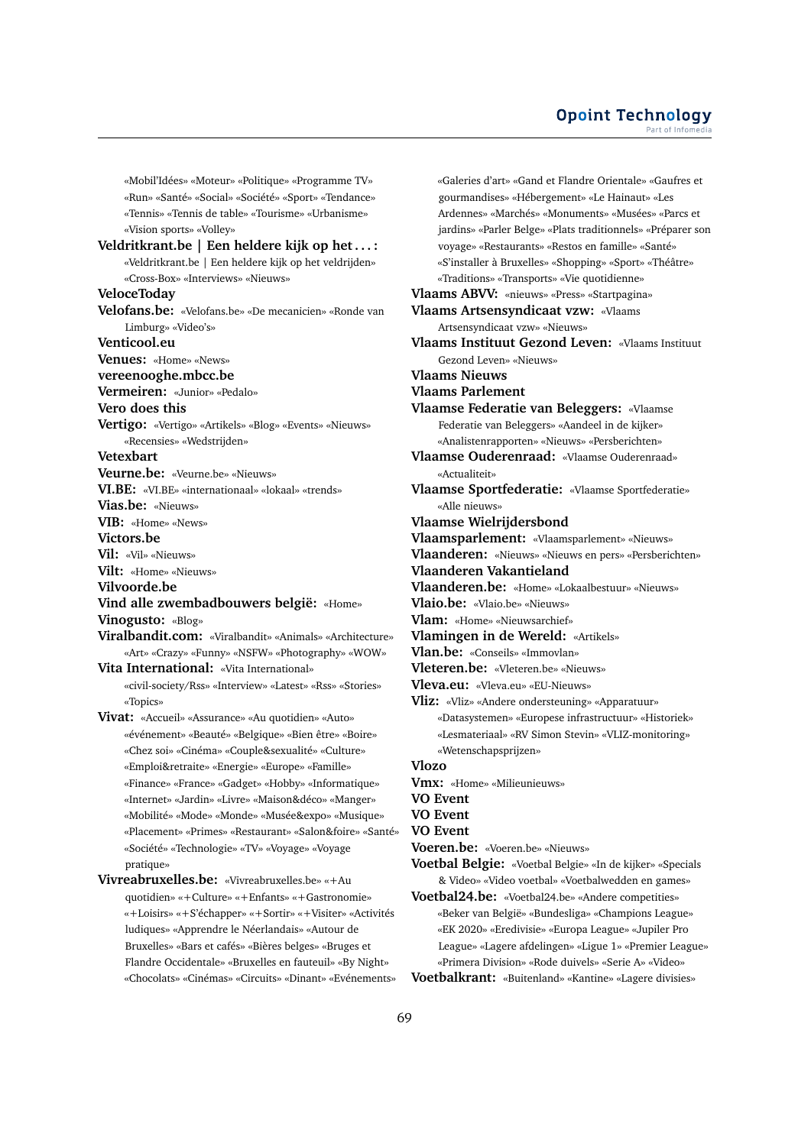#### **Opoint Technology** Part of Infomed

«Mobil'Idées» «Moteur» «Politique» «Programme TV» «Run» «Santé» «Social» «Société» «Sport» «Tendance» «Tennis» «Tennis de table» «Tourisme» «Urbanisme» «Vision sports» «Volley»

**Veldritkrant.be | Een heldere kijk op het . . . :** «Veldritkrant.be | Een heldere kijk op het veldrijden» «Cross-Box» «Interviews» «Nieuws» **VeloceToday Velofans.be:** «Velofans.be» «De mecanicien» «Ronde van Limburg» «Video's» **Venticool.eu Venues:** «Home» «News» **vereenooghe.mbcc.be Vermeiren:** «Junior» «Pedalo» **Vero does this Vertigo:** «Vertigo» «Artikels» «Blog» «Events» «Nieuws» «Recensies» «Wedstrijden» **Vetexbart Veurne.be:** «Veurne.be» «Nieuws» **VI.BE:** «VI.BE» «internationaal» «lokaal» «trends» **Vias.be:** «Nieuws» **VIB:** «Home» «News» **Victors.be Vil:** «Vil» «Nieuws» **Vilt:** «Home» «Nieuws» **Vilvoorde.be Vind alle zwembadbouwers belgië:** «Home» **Vinogusto:** «Blog» **Viralbandit.com:** «Viralbandit» «Animals» «Architecture» «Art» «Crazy» «Funny» «NSFW» «Photography» «WOW» **Vita International:** «Vita International» «civil-society/Rss» «Interview» «Latest» «Rss» «Stories» «Topics» **Vivat:** «Accueil» «Assurance» «Au quotidien» «Auto» «événement» «Beauté» «Belgique» «Bien être» «Boire» «Chez soi» «Cinéma» «Couple&sexualité» «Culture» «Emploi&retraite» «Energie» «Europe» «Famille» «Finance» «France» «Gadget» «Hobby» «Informatique» «Internet» «Jardin» «Livre» «Maison&déco» «Manger» «Mobilité» «Mode» «Monde» «Musée&expo» «Musique» «Placement» «Primes» «Restaurant» «Salon&foire» «Santé» «Société» «Technologie» «TV» «Voyage» «Voyage pratique»

**Vivreabruxelles.be:** «Vivreabruxelles.be» «+Au quotidien» «+Culture» «+Enfants» «+Gastronomie» «+Loisirs» «+S'échapper» «+Sortir» «+Visiter» «Activités ludiques» «Apprendre le Néerlandais» «Autour de Bruxelles» «Bars et cafés» «Bières belges» «Bruges et Flandre Occidentale» «Bruxelles en fauteuil» «By Night» «Chocolats» «Cinémas» «Circuits» «Dinant» «Evénements»

«Galeries d'art» «Gand et Flandre Orientale» «Gaufres et gourmandises» «Hébergement» «Le Hainaut» «Les Ardennes» «Marchés» «Monuments» «Musées» «Parcs et jardins» «Parler Belge» «Plats traditionnels» «Préparer son voyage» «Restaurants» «Restos en famille» «Santé» «S'installer à Bruxelles» «Shopping» «Sport» «Théâtre» «Traditions» «Transports» «Vie quotidienne» **Vlaams ABVV:** «nieuws» «Press» «Startpagina» **Vlaams Artsensyndicaat vzw:** «Vlaams Artsensyndicaat vzw» «Nieuws» **Vlaams Instituut Gezond Leven:** «Vlaams Instituut Gezond Leven» «Nieuws» **Vlaams Nieuws Vlaams Parlement Vlaamse Federatie van Beleggers:** «Vlaamse Federatie van Beleggers» «Aandeel in de kijker» «Analistenrapporten» «Nieuws» «Persberichten» **Vlaamse Ouderenraad:** «Vlaamse Ouderenraad» «Actualiteit» **Vlaamse Sportfederatie:** «Vlaamse Sportfederatie» «Alle nieuws» **Vlaamse Wielrijdersbond Vlaamsparlement:** «Vlaamsparlement» «Nieuws» **Vlaanderen:** «Nieuws» «Nieuws en pers» «Persberichten» **Vlaanderen Vakantieland Vlaanderen.be:** «Home» «Lokaalbestuur» «Nieuws» **Vlaio.be:** «Vlaio.be» «Nieuws» **Vlam:** «Home» «Nieuwsarchief» **Vlamingen in de Wereld:** «Artikels» **Vlan.be:** «Conseils» «Immovlan» **Vleteren.be:** «Vleteren.be» «Nieuws» **Vleva.eu:** «Vleva.eu» «EU-Nieuws» **Vliz:** «Vliz» «Andere ondersteuning» «Apparatuur» «Datasystemen» «Europese infrastructuur» «Historiek» «Lesmateriaal» «RV Simon Stevin» «VLIZ-monitoring» «Wetenschapsprijzen» **Vlozo Vmx:** «Home» «Milieunieuws» **VO Event VO Event VO Event Voeren.be:** «Voeren.be» «Nieuws» **Voetbal Belgie:** «Voetbal Belgie» «In de kijker» «Specials & Video» «Video voetbal» «Voetbalwedden en games» **Voetbal24.be:** «Voetbal24.be» «Andere competities» «Beker van België» «Bundesliga» «Champions League» «EK 2020» «Eredivisie» «Europa League» «Jupiler Pro League» «Lagere afdelingen» «Ligue 1» «Premier League» «Primera Division» «Rode duivels» «Serie A» «Video»

**Voetbalkrant:** «Buitenland» «Kantine» «Lagere divisies»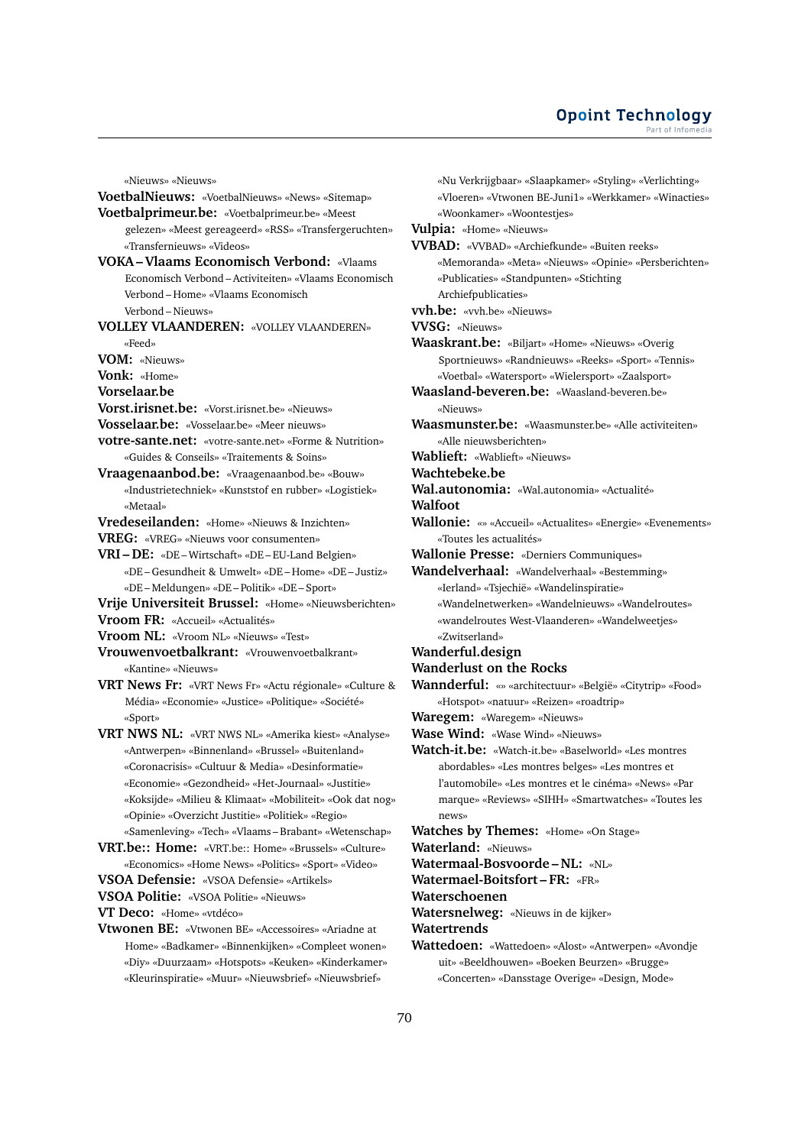## **Opoint Technology** Part of Infomed

«Nieuws» «Nieuws»

**VoetbalNieuws:** «VoetbalNieuws» «News» «Sitemap»

**Voetbalprimeur.be:** «Voetbalprimeur.be» «Meest

- gelezen» «Meest gereageerd» «RSS» «Transfergeruchten» «Transfernieuws» «Videos»
- **VOKA Vlaams Economisch Verbond:** «Vlaams Economisch Verbond – Activiteiten» «Vlaams Economisch Verbond – Home» «Vlaams Economisch Verbond – Nieuws»

**VOLLEY VLAANDEREN:** «VOLLEY VLAANDEREN»

«Feed»

**VOM:** «Nieuws»

**Vonk:** «Home»

**Vorselaar.be**

**Vorst.irisnet.be:** «Vorst.irisnet.be» «Nieuws»

- **Vosselaar.be:** «Vosselaar.be» «Meer nieuws»
- **votre-sante.net:** «votre-sante.net» «Forme & Nutrition» «Guides & Conseils» «Traitements & Soins»
- **Vraagenaanbod.be:** «Vraagenaanbod.be» «Bouw» «Industrietechniek» «Kunststof en rubber» «Logistiek» «Metaal»
- **Vredeseilanden:** «Home» «Nieuws & Inzichten»
- **VREG:** «VREG» «Nieuws voor consumenten»
- **VRI DE:** «DE Wirtschaft» «DE EU-Land Belgien» «DE – Gesundheit & Umwelt» «DE – Home» «DE – Justiz» «DE – Meldungen» «DE – Politik» «DE – Sport»
- **Vrije Universiteit Brussel:** «Home» «Nieuwsberichten»
- **Vroom FR:** «Accueil» «Actualités»
- **Vroom NL:** «Vroom NL» «Nieuws» «Test»
- **Vrouwenvoetbalkrant:** «Vrouwenvoetbalkrant» «Kantine» «Nieuws»
- **VRT News Fr:** «VRT News Fr» «Actu régionale» «Culture & Média» «Economie» «Justice» «Politique» «Société» «Sport»
- **VRT NWS NL:** «VRT NWS NL» «Amerika kiest» «Analyse» «Antwerpen» «Binnenland» «Brussel» «Buitenland» «Coronacrisis» «Cultuur & Media» «Desinformatie» «Economie» «Gezondheid» «Het-Journaal» «Justitie» «Koksijde» «Milieu & Klimaat» «Mobiliteit» «Ook dat nog» «Opinie» «Overzicht Justitie» «Politiek» «Regio» «Samenleving» «Tech» «Vlaams – Brabant» «Wetenschap»
- **VRT.be:: Home:** «VRT.be:: Home» «Brussels» «Culture» «Economics» «Home News» «Politics» «Sport» «Video»
- **VSOA Defensie:** «VSOA Defensie» «Artikels»

**VSOA Politie:** «VSOA Politie» «Nieuws»

**VT Deco:** «Home» «vtdéco»

- **Vtwonen BE:** «Vtwonen BE» «Accessoires» «Ariadne at Home» «Badkamer» «Binnenkijken» «Compleet wonen» «Diy» «Duurzaam» «Hotspots» «Keuken» «Kinderkamer» «Kleurinspiratie» «Muur» «Nieuwsbrief» «Nieuwsbrief»
- «Nu Verkrijgbaar» «Slaapkamer» «Styling» «Verlichting» «Vloeren» «Vtwonen BE-Juni1» «Werkkamer» «Winacties» «Woonkamer» «Woontestjes» **Vulpia:** «Home» «Nieuws» **VVBAD:** «VVBAD» «Archiefkunde» «Buiten reeks» «Memoranda» «Meta» «Nieuws» «Opinie» «Persberichten» «Publicaties» «Standpunten» «Stichting Archiefpublicaties» **vvh.be:** «vvh.be» «Nieuws» **VVSG:** «Nieuws» **Waaskrant.be:** «Biljart» «Home» «Nieuws» «Overig Sportnieuws» «Randnieuws» «Reeks» «Sport» «Tennis» «Voetbal» «Watersport» «Wielersport» «Zaalsport» **Waasland-beveren.be:** «Waasland-beveren.be» «Nieuws» **Waasmunster.be:** «Waasmunster.be» «Alle activiteiten» «Alle nieuwsberichten» **Wablieft:** «Wablieft» «Nieuws» **Wachtebeke.be Wal.autonomia:** «Wal.autonomia» «Actualité» **Walfoot Wallonie:** «» «Accueil» «Actualites» «Energie» «Evenements» «Toutes les actualités» **Wallonie Presse:** «Derniers Communiques» **Wandelverhaal:** «Wandelverhaal» «Bestemming» «Ierland» «Tsjechië» «Wandelinspiratie» «Wandelnetwerken» «Wandelnieuws» «Wandelroutes» «wandelroutes West-Vlaanderen» «Wandelweetjes» «Zwitserland» **Wanderful.design Wanderlust on the Rocks Wannderful:** «» «architectuur» «België» «Citytrip» «Food» «Hotspot» «natuur» «Reizen» «roadtrip» **Waregem:** «Waregem» «Nieuws» **Wase Wind:** «Wase Wind» «Nieuws» **Watch-it.be:** «Watch-it.be» «Baselworld» «Les montres abordables» «Les montres belges» «Les montres et l'automobile» «Les montres et le cinéma» «News» «Par marque» «Reviews» «SIHH» «Smartwatches» «Toutes les news» **Watches by Themes:** «Home» «On Stage» **Waterland:** «Nieuws» **Watermaal-Bosvoorde – NL:** «NL» **Watermael-Boitsfort – FR:** «FR» **Waterschoenen Watersnelweg:** «Nieuws in de kijker»

**Watertrends**

**Wattedoen:** «Wattedoen» «Alost» «Antwerpen» «Avondje uit» «Beeldhouwen» «Boeken Beurzen» «Brugge» «Concerten» «Dansstage Overige» «Design, Mode»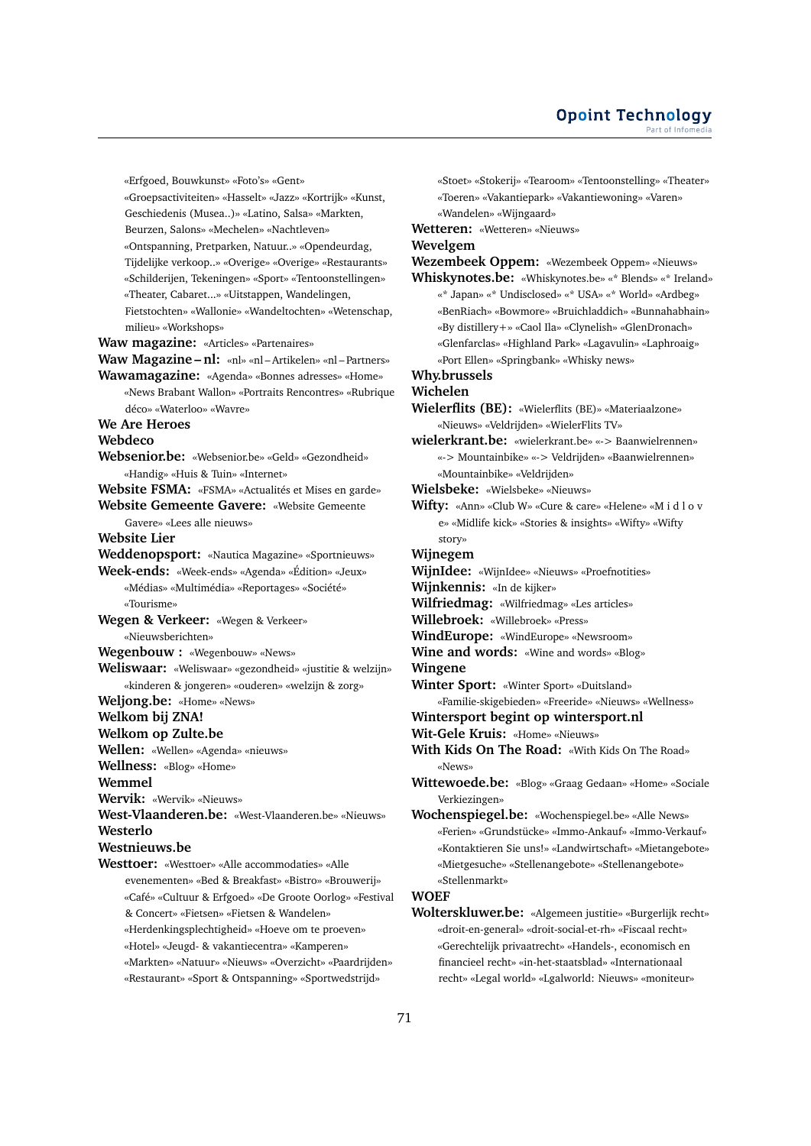«Erfgoed, Bouwkunst» «Foto's» «Gent» «Groepsactiviteiten» «Hasselt» «Jazz» «Kortrijk» «Kunst, Geschiedenis (Musea..)» «Latino, Salsa» «Markten, Beurzen, Salons» «Mechelen» «Nachtleven» «Ontspanning, Pretparken, Natuur..» «Opendeurdag, Tijdelijke verkoop..» «Overige» «Overige» «Restaurants» «Schilderijen, Tekeningen» «Sport» «Tentoonstellingen» «Theater, Cabaret...» «Uitstappen, Wandelingen, Fietstochten» «Wallonie» «Wandeltochten» «Wetenschap, milieu» «Workshops» **Waw magazine:** «Articles» «Partenaires» **Waw Magazine – nl:** «nl» «nl – Artikelen» «nl – Partners» **Wawamagazine:** «Agenda» «Bonnes adresses» «Home» «News Brabant Wallon» «Portraits Rencontres» «Rubrique déco» «Waterloo» «Wavre» **We Are Heroes Webdeco Websenior.be:** «Websenior.be» «Geld» «Gezondheid» «Handig» «Huis & Tuin» «Internet» **Website FSMA:** «FSMA» «Actualités et Mises en garde» **Website Gemeente Gavere:** «Website Gemeente Gavere» «Lees alle nieuws» **Website Lier Weddenopsport:** «Nautica Magazine» «Sportnieuws» **Week-ends:** «Week-ends» «Agenda» «Édition» «Jeux» «Médias» «Multimédia» «Reportages» «Société» «Tourisme» **Wegen & Verkeer:** «Wegen & Verkeer» «Nieuwsberichten» **Wegenbouw :** «Wegenbouw» «News» **Weliswaar:** «Weliswaar» «gezondheid» «justitie & welzijn» «kinderen & jongeren» «ouderen» «welzijn & zorg» **Weljong.be:** «Home» «News» **Welkom bij ZNA! Welkom op Zulte.be Wellen:** «Wellen» «Agenda» «nieuws» **Wellness:** «Blog» «Home» **Wemmel Wervik:** «Wervik» «Nieuws» **West-Vlaanderen.be:** «West-Vlaanderen.be» «Nieuws» **Westerlo Westnieuws.be Westtoer:** «Westtoer» «Alle accommodaties» «Alle evenementen» «Bed & Breakfast» «Bistro» «Brouwerij» «Café» «Cultuur & Erfgoed» «De Groote Oorlog» «Festival & Concert» «Fietsen» «Fietsen & Wandelen» «Herdenkingsplechtigheid» «Hoeve om te proeven»

«Hotel» «Jeugd- & vakantiecentra» «Kamperen» «Markten» «Natuur» «Nieuws» «Overzicht» «Paardrijden» «Restaurant» «Sport & Ontspanning» «Sportwedstrijd»

«Stoet» «Stokerij» «Tearoom» «Tentoonstelling» «Theater» «Toeren» «Vakantiepark» «Vakantiewoning» «Varen» «Wandelen» «Wijngaard» **Wetteren:** «Wetteren» «Nieuws» **Wevelgem Wezembeek Oppem:** «Wezembeek Oppem» «Nieuws» **Whiskynotes.be:** «Whiskynotes.be» «\* Blends» «\* Ireland» «\* Japan» «\* Undisclosed» «\* USA» «\* World» «Ardbeg» «BenRiach» «Bowmore» «Bruichladdich» «Bunnahabhain» «By distillery+» «Caol Ila» «Clynelish» «GlenDronach» «Glenfarclas» «Highland Park» «Lagavulin» «Laphroaig» «Port Ellen» «Springbank» «Whisky news»

# **Why.brussels**

## **Wichelen**

**Wielerflits (BE):** «Wielerflits (BE)» «Materiaalzone» «Nieuws» «Veldrijden» «WielerFlits TV»

**wielerkrant.be:** «wielerkrant.be» «-> Baanwielrennen» «-> Mountainbike» «-> Veldrijden» «Baanwielrennen» «Mountainbike» «Veldrijden»

**Wielsbeke:** «Wielsbeke» «Nieuws»

**Wifty:** «Ann» «Club W» «Cure & care» «Helene» «M i d l o v e» «Midlife kick» «Stories & insights» «Wifty» «Wifty story»

**Wijnegem**

**WijnIdee:** «WijnIdee» «Nieuws» «Proefnotities»

- **Wijnkennis:** «In de kijker»
- **Wilfriedmag:** «Wilfriedmag» «Les articles»
- **Willebroek:** «Willebroek» «Press»

**WindEurope:** «WindEurope» «Newsroom»

- **Wine and words:** «Wine and words» «Blog»
- **Wingene**
- **Winter Sport:** «Winter Sport» «Duitsland»
	- «Familie-skigebieden» «Freeride» «Nieuws» «Wellness»

**Wintersport begint op wintersport.nl**

**Wit-Gele Kruis:** «Home» «Nieuws»

- **With Kids On The Road:** «With Kids On The Road» «News»
- **Wittewoede.be:** «Blog» «Graag Gedaan» «Home» «Sociale Verkiezingen»
- **Wochenspiegel.be:** «Wochenspiegel.be» «Alle News» «Ferien» «Grundstücke» «Immo-Ankauf» «Immo-Verkauf» «Kontaktieren Sie uns!» «Landwirtschaft» «Mietangebote» «Mietgesuche» «Stellenangebote» «Stellenangebote» «Stellenmarkt»

## **WOEF**

**Wolterskluwer.be:** «Algemeen justitie» «Burgerlijk recht» «droit-en-general» «droit-social-et-rh» «Fiscaal recht» «Gerechtelijk privaatrecht» «Handels-, economisch en financieel recht» «in-het-staatsblad» «Internationaal recht» «Legal world» «Lgalworld: Nieuws» «moniteur»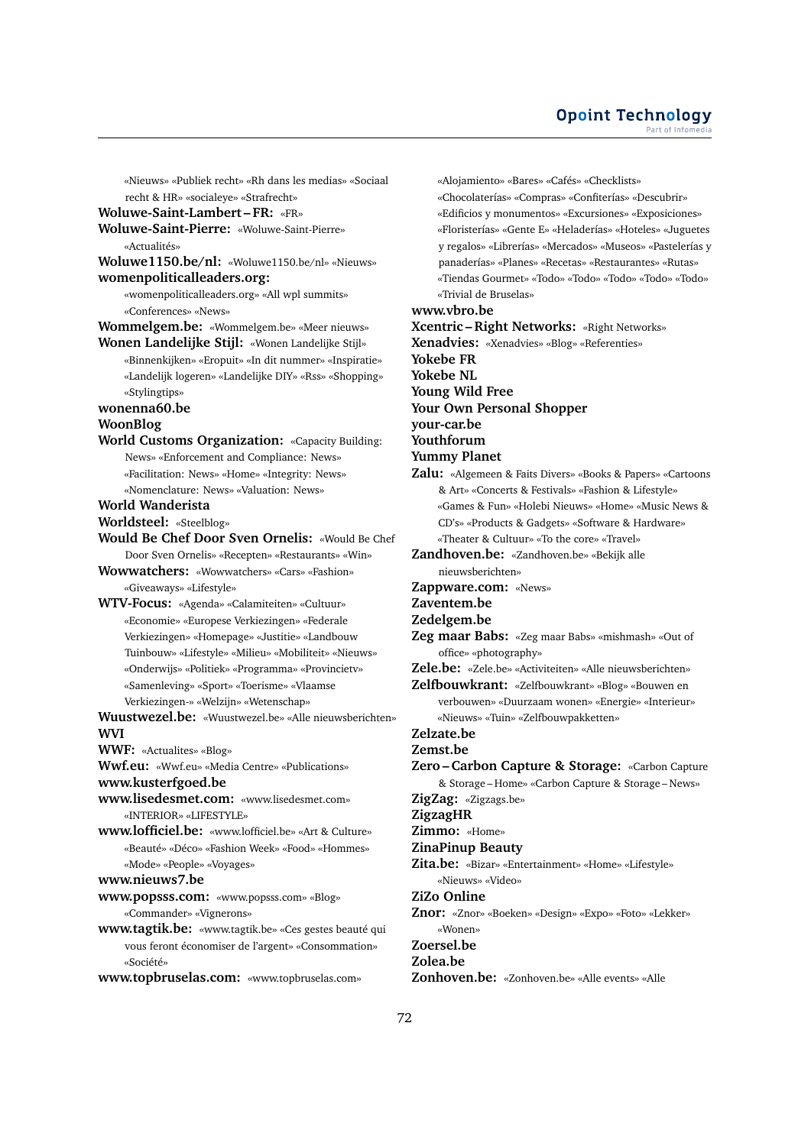«Nieuws» «Publiek recht» «Rh dans les medias» «Sociaal recht & HR» «socialeye» «Strafrecht»

**Woluwe-Saint-Lambert – FR:** «FR»

**Woluwe-Saint-Pierre:** «Woluwe-Saint-Pierre» «Actualités»

**Woluwe1150.be/nl:** «Woluwe1150.be/nl» «Nieuws» **womenpoliticalleaders.org:**

«womenpoliticalleaders.org» «All wpl summits» «Conferences» «News»

**Wommelgem.be:** «Wommelgem.be» «Meer nieuws»

- **Wonen Landelijke Stijl:** «Wonen Landelijke Stijl» «Binnenkijken» «Eropuit» «In dit nummer» «Inspiratie» «Landelijk logeren» «Landelijke DIY» «Rss» «Shopping» «Stylingtips»
- **wonenna60.be**

# **WoonBlog**

**World Customs Organization:** «Capacity Building: News» «Enforcement and Compliance: News» «Facilitation: News» «Home» «Integrity: News» «Nomenclature: News» «Valuation: News»

# **World Wanderista**

**Worldsteel:** «Steelblog»

**Would Be Chef Door Sven Ornelis:** «Would Be Chef Door Sven Ornelis» «Recepten» «Restaurants» «Win»

**Wowwatchers:** «Wowwatchers» «Cars» «Fashion» «Giveaways» «Lifestyle»

**WTV-Focus:** «Agenda» «Calamiteiten» «Cultuur» «Economie» «Europese Verkiezingen» «Federale Verkiezingen» «Homepage» «Justitie» «Landbouw Tuinbouw» «Lifestyle» «Milieu» «Mobiliteit» «Nieuws» «Onderwijs» «Politiek» «Programma» «Provincietv» «Samenleving» «Sport» «Toerisme» «Vlaamse Verkiezingen-» «Welzijn» «Wetenschap»

**Wuustwezel.be:** «Wuustwezel.be» «Alle nieuwsberichten» **WVI**

**WWF:** «Actualites» «Blog»

**Wwf.eu:** «Wwf.eu» «Media Centre» «Publications» **www.kusterfgoed.be**

**www.lisedesmet.com:** «www.lisedesmet.com»

- «INTERIOR» «LIFESTYLE» **www.lofficiel.be:** «www.lofficiel.be» «Art & Culture»
- «Beauté» «Déco» «Fashion Week» «Food» «Hommes» «Mode» «People» «Voyages»

**www.nieuws7.be**

- **www.popsss.com:** «www.popsss.com» «Blog» «Commander» «Vignerons»
- **www.tagtik.be:** «www.tagtik.be» «Ces gestes beauté qui vous feront économiser de l'argent» «Consommation» «Société»

**www.topbruselas.com:** «www.topbruselas.com»

«Alojamiento» «Bares» «Cafés» «Checklists» «Chocolaterías» «Compras» «Confiterías» «Descubrir» «Edificios y monumentos» «Excursiones» «Exposiciones» «Floristerías» «Gente E» «Heladerías» «Hoteles» «Juguetes y regalos» «Librerías» «Mercados» «Museos» «Pastelerías y panaderías» «Planes» «Recetas» «Restaurantes» «Rutas» «Tiendas Gourmet» «Todo» «Todo» «Todo» «Todo» «Todo» «Trivial de Bruselas» **www.vbro.be Xcentric – Right Networks:** «Right Networks» **Xenadvies:** «Xenadvies» «Blog» «Referenties» **Yokebe FR Yokebe NL Young Wild Free Your Own Personal Shopper your-car.be Youthforum Yummy Planet Zalu:** «Algemeen & Faits Divers» «Books & Papers» «Cartoons & Art» «Concerts & Festivals» «Fashion & Lifestyle» «Games & Fun» «Holebi Nieuws» «Home» «Music News & CD's» «Products & Gadgets» «Software & Hardware» «Theater & Cultuur» «To the core» «Travel» **Zandhoven.be:** «Zandhoven.be» «Bekijk alle nieuwsberichten» **Zappware.com:** «News» **Zaventem.be Zedelgem.be Zeg maar Babs:** «Zeg maar Babs» «mishmash» «Out of office» «photography» **Zele.be:** «Zele.be» «Activiteiten» «Alle nieuwsberichten» **Zelfbouwkrant:** «Zelfbouwkrant» «Blog» «Bouwen en verbouwen» «Duurzaam wonen» «Energie» «Interieur» «Nieuws» «Tuin» «Zelfbouwpakketten» **Zelzate.be Zemst.be Zero – Carbon Capture & Storage:** «Carbon Capture & Storage – Home» «Carbon Capture & Storage – News» **ZigZag:** «Zigzags.be» **ZigzagHR Zimmo:** «Home» **ZinaPinup Beauty Zita.be:** «Bizar» «Entertainment» «Home» «Lifestyle» «Nieuws» «Video» **ZiZo Online Znor:** «Znor» «Boeken» «Design» «Expo» «Foto» «Lekker»

**Zoersel.be**

«Wonen»

## **Zolea.be**

**Zonhoven.be:** «Zonhoven.be» «Alle events» «Alle